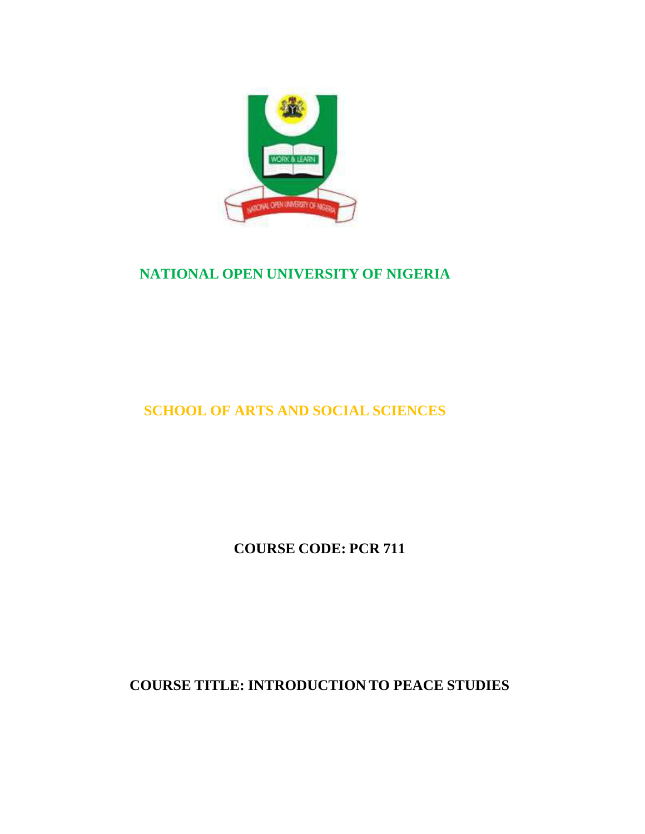

## **NATIONAL OPEN UNIVERSITY OF NIGERIA**

# **SCHOOL OF ARTS AND SOCIAL SCIENCES**

**COURSE CODE: PCR 711**

**COURSE TITLE: INTRODUCTION TO PEACE STUDIES**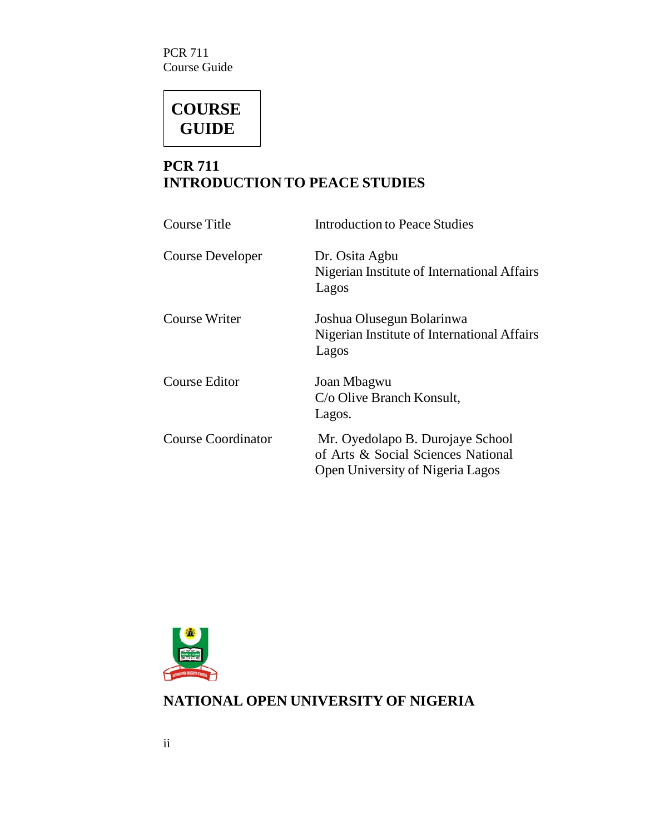PCR 711 Course Guide

# **COURSE GUIDE**

## **PCR 711 INTRODUCTION TO PEACE STUDIES**

| <b>Course Title</b>       | <b>Introduction to Peace Studies</b>                                                                       |
|---------------------------|------------------------------------------------------------------------------------------------------------|
| Course Developer          | Dr. Osita Agbu<br>Nigerian Institute of International Affairs<br>Lagos                                     |
| <b>Course Writer</b>      | Joshua Olusegun Bolarinwa<br>Nigerian Institute of International Affairs<br>Lagos                          |
| Course Editor             | Joan Mbagwu<br>C/o Olive Branch Konsult,<br>Lagos.                                                         |
| <b>Course Coordinator</b> | Mr. Oyedolapo B. Durojaye School<br>of Arts & Social Sciences National<br>Open University of Nigeria Lagos |



## **NATIONAL OPEN UNIVERSITY OF NIGERIA**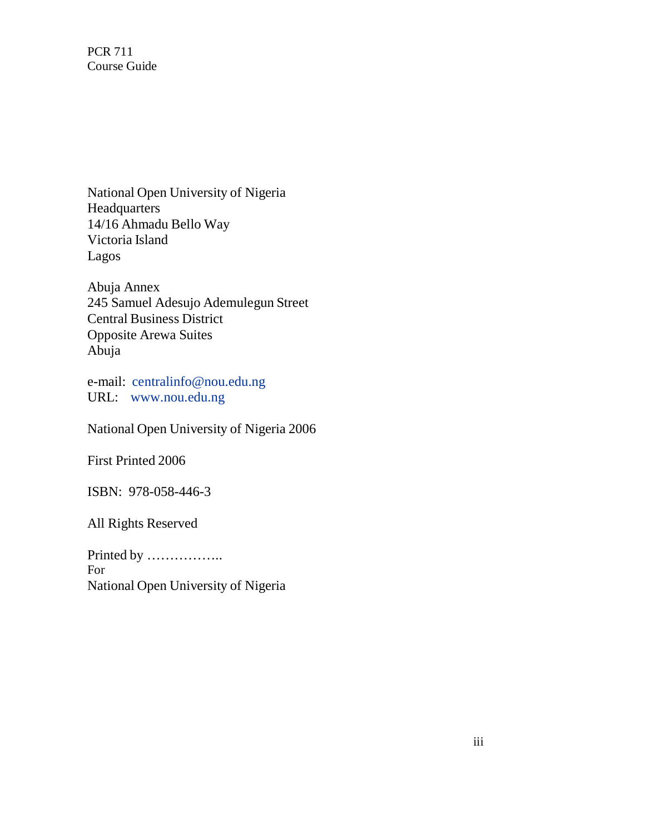PCR 711 Course Guide

National Open University of Nigeria Headquarters 14/16 Ahmadu Bello Way Victoria Island Lagos

Abuja Annex 245 Samuel Adesujo Ademulegun Street Central Business District Opposite Arewa Suites Abuja

e-mail: centralinfo@nou.edu.ng URL: www.nou.edu.ng

National Open University of Nigeria 2006

First Printed 2006

ISBN: 978-058-446-3

All Rights Reserved

Printed by …………….. For National Open University of Nigeria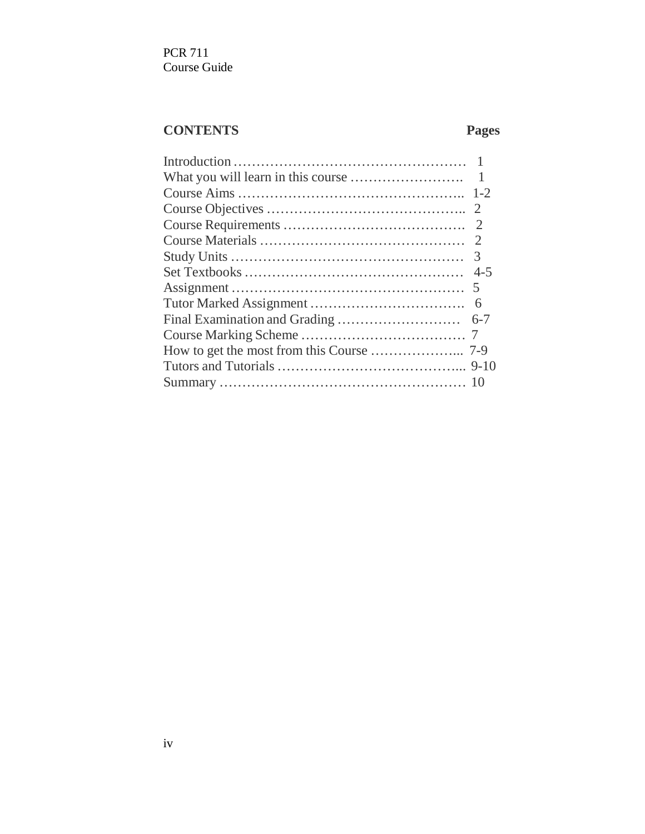PCR 711 Course Guide

## **CONTENTS Pages**

| $\mathbf{1}$ |
|--------------|
|              |
| 2            |
| - 2          |
|              |
| 3            |
| $4 - 5$      |
|              |
| 6            |
| $6 - 7$      |
|              |
|              |
|              |
|              |
|              |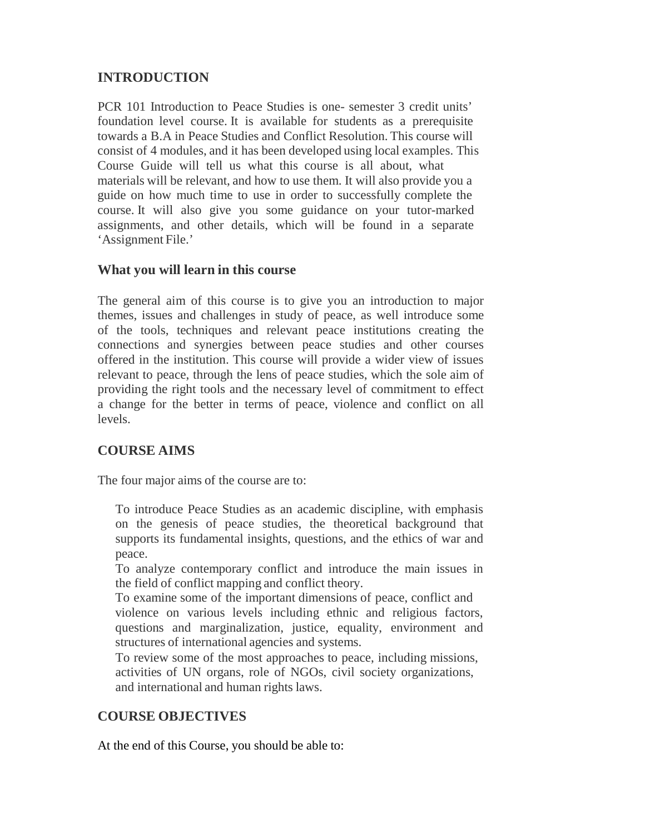## **INTRODUCTION**

PCR 101 Introduction to Peace Studies is one- semester 3 credit units' foundation level course. It is available for students as a prerequisite towards a B.A in Peace Studies and Conflict Resolution. This course will consist of 4 modules, and it has been developed using local examples. This Course Guide will tell us what this course is all about, what materials will be relevant, and how to use them. It will also provide you a guide on how much time to use in order to successfully complete the course. It will also give you some guidance on your tutor-marked assignments, and other details, which will be found in a separate 'Assignment File.'

## **What you will learn in this course**

The general aim of this course is to give you an introduction to major themes, issues and challenges in study of peace, as well introduce some of the tools, techniques and relevant peace institutions creating the connections and synergies between peace studies and other courses offered in the institution. This course will provide a wider view of issues relevant to peace, through the lens of peace studies, which the sole aim of providing the right tools and the necessary level of commitment to effect a change for the better in terms of peace, violence and conflict on all levels.

## **COURSE AIMS**

The four major aims of the course are to:

To introduce Peace Studies as an academic discipline, with emphasis on the genesis of peace studies, the theoretical background that supports its fundamental insights, questions, and the ethics of war and peace.

To analyze contemporary conflict and introduce the main issues in the field of conflict mapping and conflict theory.

To examine some of the important dimensions of peace, conflict and violence on various levels including ethnic and religious factors, questions and marginalization, justice, equality, environment and structures of international agencies and systems.

To review some of the most approaches to peace, including missions, activities of UN organs, role of NGOs, civil society organizations, and international and human rights laws.

## **COURSE OBJECTIVES**

At the end of this Course, you should be able to: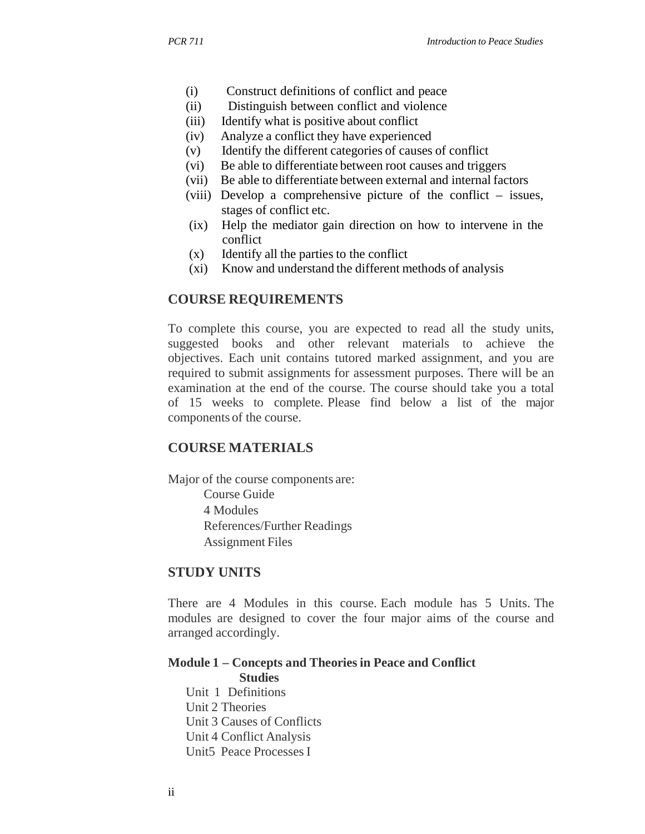- (i) Construct definitions of conflict and peace
- (ii) Distinguish between conflict and violence
- (iii) Identify what is positive about conflict
- (iv) Analyze a conflict they have experienced
- (v) Identify the different categories of causes of conflict
- (vi) Be able to differentiate between root causes and triggers
- (vii) Be able to differentiate between external and internal factors
- (viii) Develop a comprehensive picture of the conflict issues, stages of conflict etc.
- (ix) Help the mediator gain direction on how to intervene in the conflict
- (x) Identify all the parties to the conflict
- (xi) Know and understand the different methods of analysis

#### **COURSE REQUIREMENTS**

To complete this course, you are expected to read all the study units, suggested books and other relevant materials to achieve the objectives. Each unit contains tutored marked assignment, and you are required to submit assignments for assessment purposes. There will be an examination at the end of the course. The course should take you a total of 15 weeks to complete. Please find below a list of the major components of the course.

#### **COURSE MATERIALS**

Major of the course components are: Course Guide 4 Modules References/Further Readings Assignment Files

#### **STUDY UNITS**

There are 4 Modules in this course. Each module has 5 Units. The modules are designed to cover the four major aims of the course and arranged accordingly.

## **Module 1 – Concepts and Theories in Peace and Conflict**

**Studies**  Unit 1 Definitions Unit 2 Theories Unit 3 Causes of Conflicts Unit 4 Conflict Analysis Unit5 Peace Processes I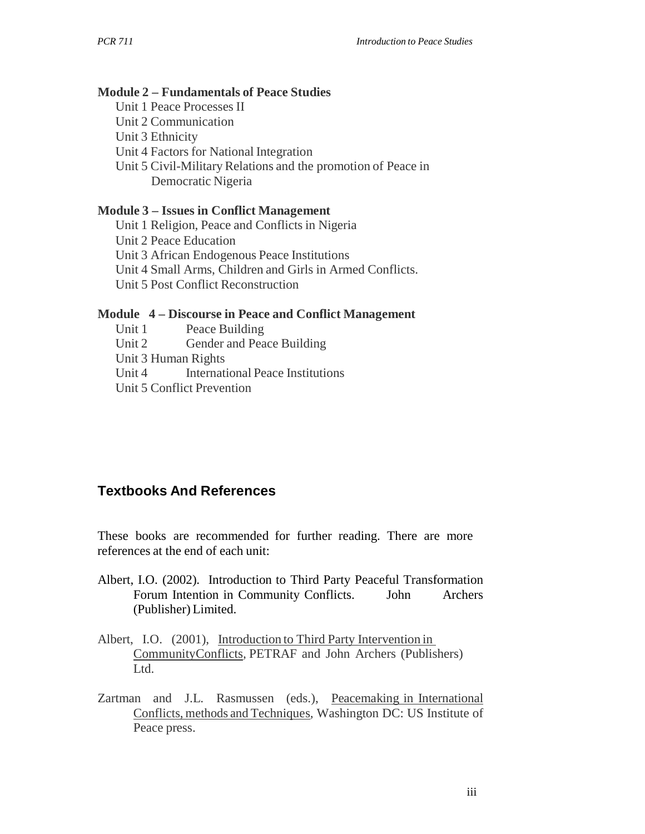#### **Module 2 – Fundamentals of Peace Studies**

- Unit 1 Peace Processes II
- Unit 2 Communication
- Unit 3 Ethnicity
- Unit 4 Factors for National Integration
- Unit 5 Civil-Military Relations and the promotion of Peace in Democratic Nigeria

#### **Module 3 – Issues in Conflict Management**

Unit 1 Religion, Peace and Conflicts in Nigeria Unit 2 Peace Education Unit 3 African Endogenous Peace Institutions Unit 4 Small Arms, Children and Girls in Armed Conflicts. Unit 5 Post Conflict Reconstruction

#### **Module 4 – Discourse in Peace and Conflict Management**

- Unit 1 Peace Building
- Unit 2 Gender and Peace Building
- Unit 3 Human Rights
- Unit 4 International Peace Institutions
- Unit 5 Conflict Prevention

## **Textbooks And References**

These books are recommended for further reading. There are more references at the end of each unit:

- Albert, I.O. (2002). Introduction to Third Party Peaceful Transformation Forum Intention in Community Conflicts. John Archers (Publisher) Limited.
- Albert, I.O. (2001), Introduction to Third Party Intervention in CommunityConflicts*,* PETRAF and John Archers (Publishers) Ltd.
- Zartman and J.L. Rasmussen (eds.), Peacemaking in International Conflicts, methods and Techniques*,* Washington DC: US Institute of Peace press.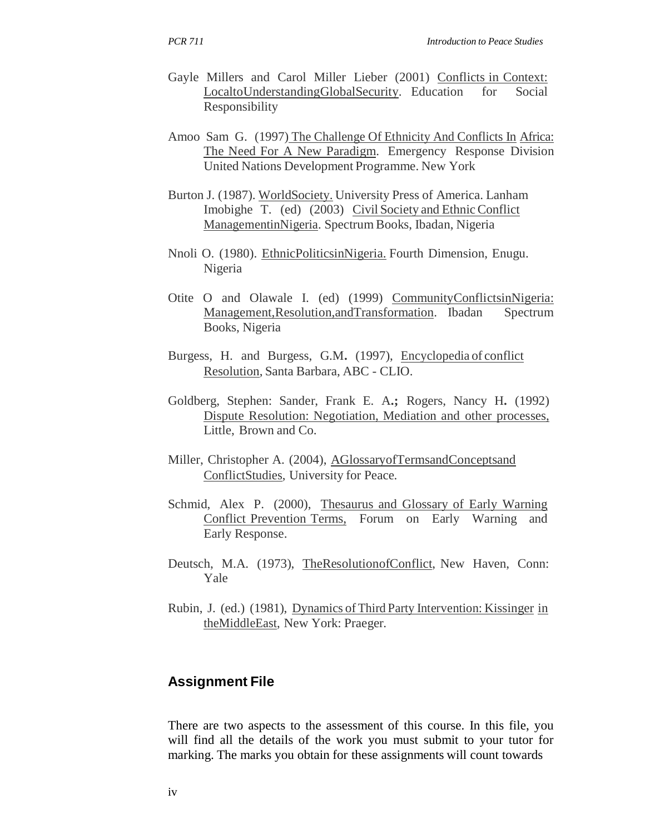- Gayle Millers and Carol Miller Lieber (2001) Conflicts in Context: LocaltoUnderstandingGlobalSecurity. Education for Social Responsibility
- Amoo Sam G. (1997) The Challenge Of Ethnicity And Conflicts In Africa: The Need For A New Paradigm. Emergency Response Division United Nations Development Programme. New York
- Burton J. (1987). WorldSociety. University Press of America. Lanham Imobighe T. (ed) (2003) Civil Society and Ethnic Conflict ManagementinNigeria. Spectrum Books, Ibadan, Nigeria
- Nnoli O. (1980). EthnicPoliticsinNigeria. Fourth Dimension, Enugu. Nigeria
- Otite O and Olawale I. (ed) (1999) CommunityConflictsinNigeria: Management, Resolution, and Transformation. Ibadan Spectrum Books, Nigeria
- Burgess, H. and Burgess, G.M**.** (1997), Encyclopedia of conflict Resolution, Santa Barbara, ABC - CLIO.
- Goldberg, Stephen: Sander, Frank E. A**.;** Rogers, Nancy H**.** (1992) Dispute Resolution: Negotiation, Mediation and other processes, Little, Brown and Co.
- Miller, Christopher A. (2004), AGlossaryofTermsandConceptsand ConflictStudies, University for Peace.
- Schmid, Alex P. (2000), Thesaurus and Glossary of Early Warning Conflict Prevention Terms, Forum on Early Warning and Early Response.
- Deutsch, M.A. (1973), TheResolutionofConflict, New Haven, Conn: Yale
- Rubin, J. (ed.) (1981), Dynamics of Third Party Intervention: Kissinger in theMiddleEast, New York: Praeger.

## **Assignment File**

There are two aspects to the assessment of this course. In this file, you will find all the details of the work you must submit to your tutor for marking. The marks you obtain for these assignments will count towards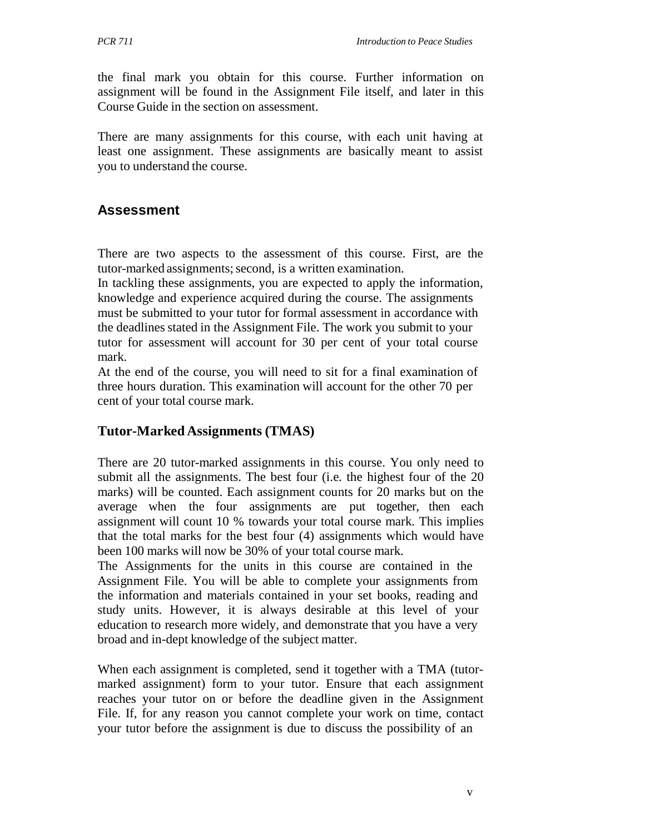the final mark you obtain for this course. Further information on assignment will be found in the Assignment File itself, and later in this Course Guide in the section on assessment.

There are many assignments for this course, with each unit having at least one assignment. These assignments are basically meant to assist you to understand the course.

#### **Assessment**

There are two aspects to the assessment of this course. First, are the tutor-marked assignments; second, is a written examination.

In tackling these assignments, you are expected to apply the information, knowledge and experience acquired during the course. The assignments must be submitted to your tutor for formal assessment in accordance with the deadlines stated in the Assignment File. The work you submit to your tutor for assessment will account for 30 per cent of your total course mark.

At the end of the course, you will need to sit for a final examination of three hours duration. This examination will account for the other 70 per cent of your total course mark.

#### **Tutor-Marked Assignments (TMAS)**

There are 20 tutor-marked assignments in this course. You only need to submit all the assignments. The best four (i.e. the highest four of the 20 marks) will be counted. Each assignment counts for 20 marks but on the average when the four assignments are put together, then each assignment will count 10 % towards your total course mark. This implies that the total marks for the best four (4) assignments which would have been 100 marks will now be 30% of your total course mark.

The Assignments for the units in this course are contained in the Assignment File. You will be able to complete your assignments from the information and materials contained in your set books, reading and study units. However, it is always desirable at this level of your education to research more widely, and demonstrate that you have a very broad and in-dept knowledge of the subject matter.

When each assignment is completed, send it together with a TMA (tutormarked assignment) form to your tutor. Ensure that each assignment reaches your tutor on or before the deadline given in the Assignment File. If, for any reason you cannot complete your work on time, contact your tutor before the assignment is due to discuss the possibility of an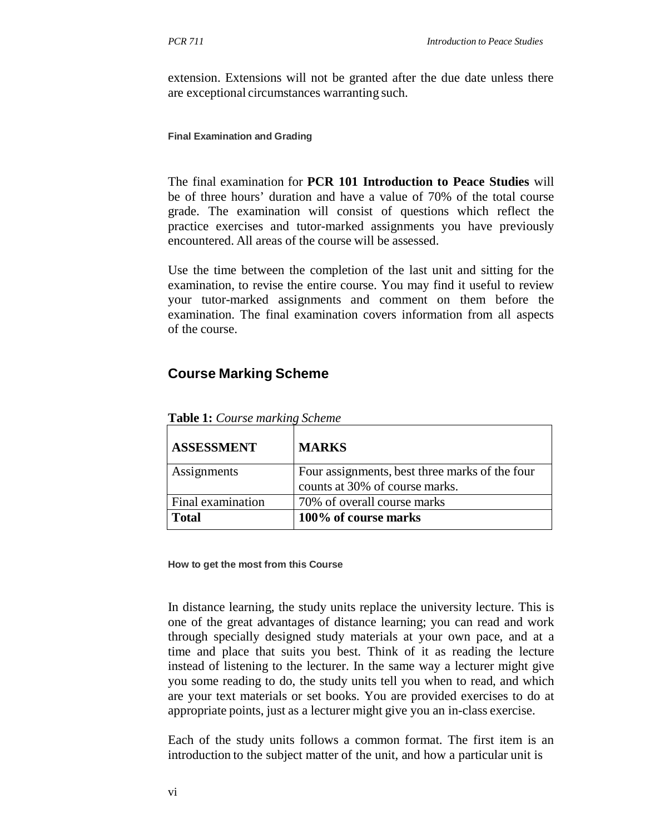extension. Extensions will not be granted after the due date unless there are exceptional circumstances warranting such.

**Final Examination and Grading**

The final examination for **PCR 101 Introduction to Peace Studies** will be of three hours' duration and have a value of 70% of the total course grade. The examination will consist of questions which reflect the practice exercises and tutor-marked assignments you have previously encountered. All areas of the course will be assessed.

Use the time between the completion of the last unit and sitting for the examination, to revise the entire course. You may find it useful to review your tutor-marked assignments and comment on them before the examination. The final examination covers information from all aspects of the course.

## **Course Marking Scheme**

| <b>ASSESSMENT</b> | <b>MARKS</b>                                                                     |
|-------------------|----------------------------------------------------------------------------------|
| Assignments       | Four assignments, best three marks of the four<br>counts at 30% of course marks. |
| Final examination | 70% of overall course marks                                                      |
| <b>Total</b>      | 100% of course marks                                                             |

**Table 1:** *Course marking Scheme*

**How to get the most from this Course**

In distance learning, the study units replace the university lecture. This is one of the great advantages of distance learning; you can read and work through specially designed study materials at your own pace, and at a time and place that suits you best. Think of it as reading the lecture instead of listening to the lecturer. In the same way a lecturer might give you some reading to do, the study units tell you when to read, and which are your text materials or set books. You are provided exercises to do at appropriate points, just as a lecturer might give you an in-class exercise.

Each of the study units follows a common format. The first item is an introduction to the subject matter of the unit, and how a particular unit is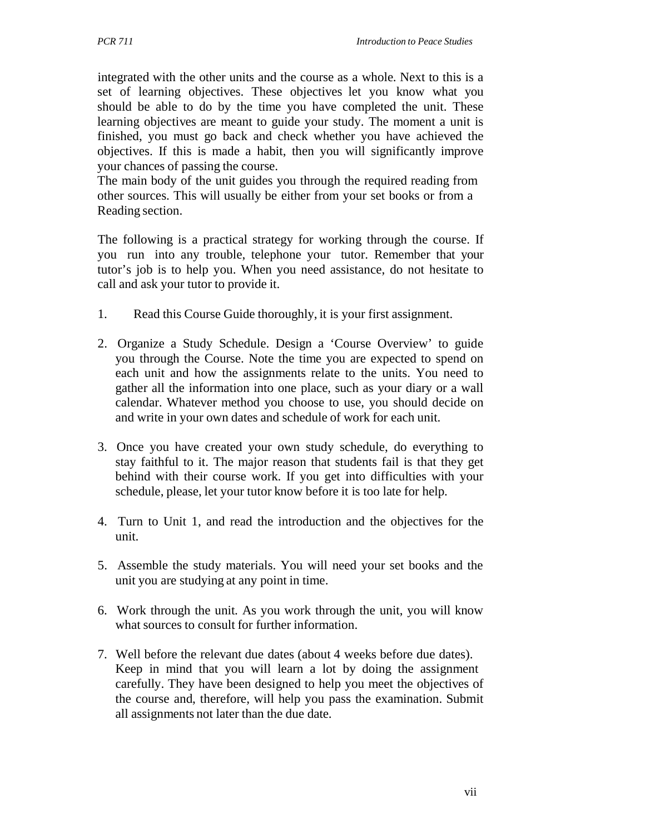integrated with the other units and the course as a whole. Next to this is a set of learning objectives. These objectives let you know what you should be able to do by the time you have completed the unit. These learning objectives are meant to guide your study. The moment a unit is finished, you must go back and check whether you have achieved the objectives. If this is made a habit, then you will significantly improve your chances of passing the course.

The main body of the unit guides you through the required reading from other sources. This will usually be either from your set books or from a Reading section.

The following is a practical strategy for working through the course. If you run into any trouble, telephone your tutor. Remember that your tutor's job is to help you. When you need assistance, do not hesitate to call and ask your tutor to provide it.

- 1. Read this Course Guide thoroughly, it is your first assignment.
- 2. Organize a Study Schedule. Design a 'Course Overview' to guide you through the Course. Note the time you are expected to spend on each unit and how the assignments relate to the units. You need to gather all the information into one place, such as your diary or a wall calendar. Whatever method you choose to use, you should decide on and write in your own dates and schedule of work for each unit.
- 3. Once you have created your own study schedule, do everything to stay faithful to it. The major reason that students fail is that they get behind with their course work. If you get into difficulties with your schedule, please, let your tutor know before it is too late for help.
- 4. Turn to Unit 1, and read the introduction and the objectives for the unit.
- 5. Assemble the study materials. You will need your set books and the unit you are studying at any point in time.
- 6. Work through the unit. As you work through the unit, you will know what sources to consult for further information.
- 7. Well before the relevant due dates (about 4 weeks before due dates). Keep in mind that you will learn a lot by doing the assignment carefully. They have been designed to help you meet the objectives of the course and, therefore, will help you pass the examination. Submit all assignments not later than the due date.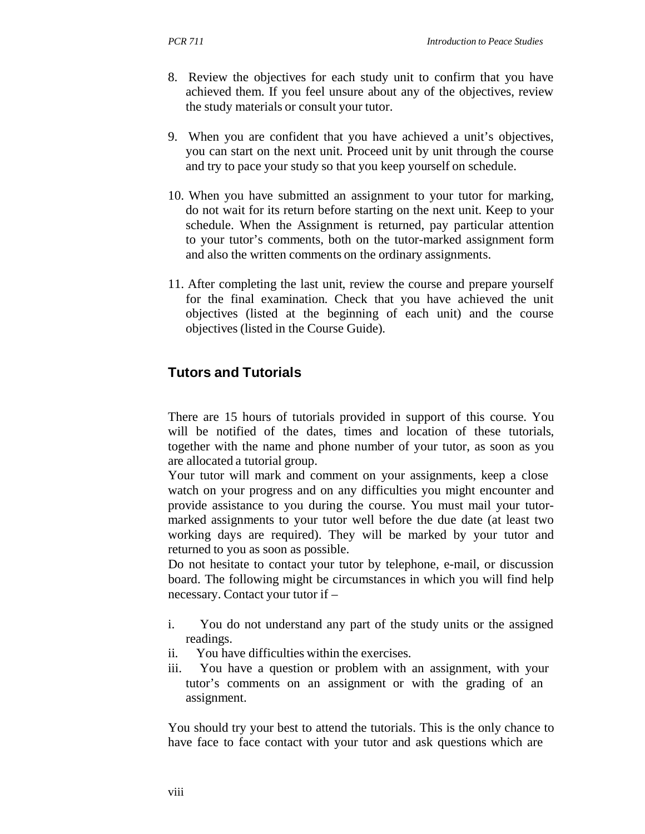- 8. Review the objectives for each study unit to confirm that you have achieved them. If you feel unsure about any of the objectives, review the study materials or consult your tutor.
- 9. When you are confident that you have achieved a unit's objectives, you can start on the next unit. Proceed unit by unit through the course and try to pace your study so that you keep yourself on schedule.
- 10. When you have submitted an assignment to your tutor for marking, do not wait for its return before starting on the next unit. Keep to your schedule. When the Assignment is returned, pay particular attention to your tutor's comments, both on the tutor-marked assignment form and also the written comments on the ordinary assignments.
- 11. After completing the last unit, review the course and prepare yourself for the final examination. Check that you have achieved the unit objectives (listed at the beginning of each unit) and the course objectives (listed in the Course Guide).

## **Tutors and Tutorials**

There are 15 hours of tutorials provided in support of this course. You will be notified of the dates, times and location of these tutorials, together with the name and phone number of your tutor, as soon as you are allocated a tutorial group.

Your tutor will mark and comment on your assignments, keep a close watch on your progress and on any difficulties you might encounter and provide assistance to you during the course. You must mail your tutormarked assignments to your tutor well before the due date (at least two working days are required). They will be marked by your tutor and returned to you as soon as possible.

Do not hesitate to contact your tutor by telephone, e-mail, or discussion board. The following might be circumstances in which you will find help necessary. Contact your tutor if –

- i. You do not understand any part of the study units or the assigned readings.
- ii. You have difficulties within the exercises.
- iii. You have a question or problem with an assignment, with your tutor's comments on an assignment or with the grading of an assignment.

You should try your best to attend the tutorials. This is the only chance to have face to face contact with your tutor and ask questions which are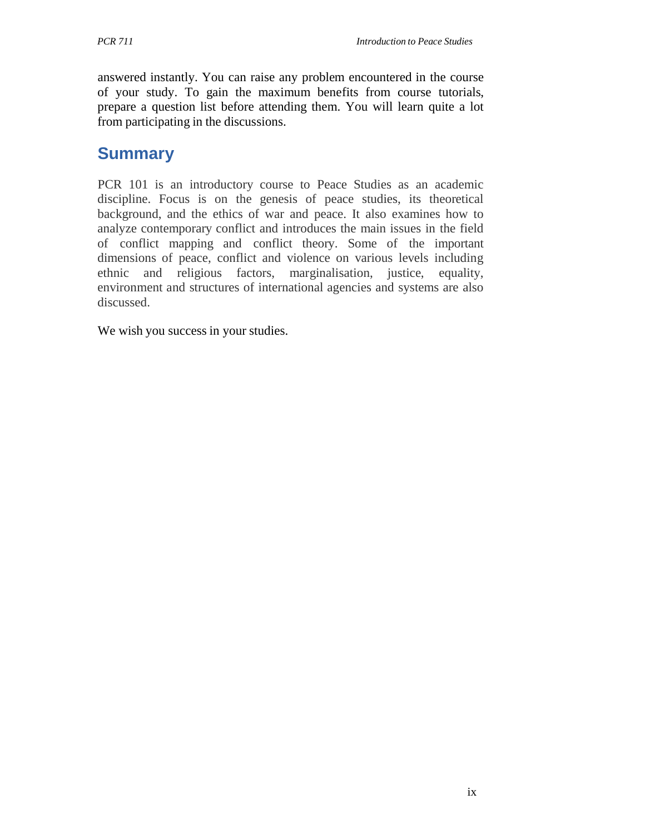answered instantly. You can raise any problem encountered in the course of your study. To gain the maximum benefits from course tutorials, prepare a question list before attending them. You will learn quite a lot from participating in the discussions.

## **Summary**

PCR 101 is an introductory course to Peace Studies as an academic discipline. Focus is on the genesis of peace studies, its theoretical background, and the ethics of war and peace. It also examines how to analyze contemporary conflict and introduces the main issues in the field of conflict mapping and conflict theory. Some of the important dimensions of peace, conflict and violence on various levels including ethnic and religious factors, marginalisation, justice, equality, environment and structures of international agencies and systems are also discussed.

We wish you success in your studies.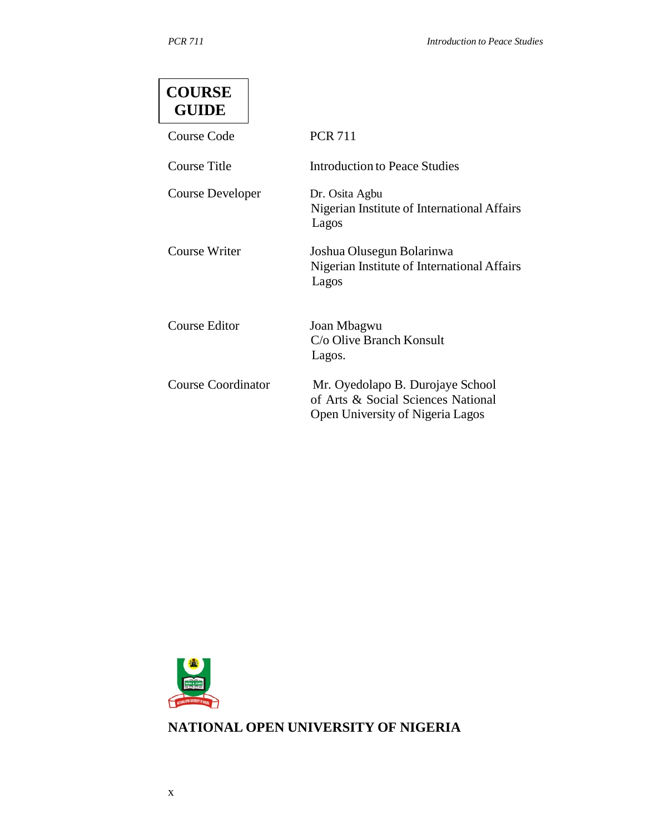| <b>COURSE</b><br><b>GUIDE</b> |                                                                                                            |
|-------------------------------|------------------------------------------------------------------------------------------------------------|
| Course Code                   | <b>PCR 711</b>                                                                                             |
| Course Title                  | Introduction to Peace Studies                                                                              |
| <b>Course Developer</b>       | Dr. Osita Agbu<br>Nigerian Institute of International Affairs<br>Lagos                                     |
| Course Writer                 | Joshua Olusegun Bolarinwa<br>Nigerian Institute of International Affairs<br>Lagos                          |
| Course Editor                 | Joan Mbagwu<br>C/o Olive Branch Konsult<br>Lagos.                                                          |
| Course Coordinator            | Mr. Oyedolapo B. Durojaye School<br>of Arts & Social Sciences National<br>Open University of Nigeria Lagos |



**NATIONAL OPEN UNIVERSITY OF NIGERIA**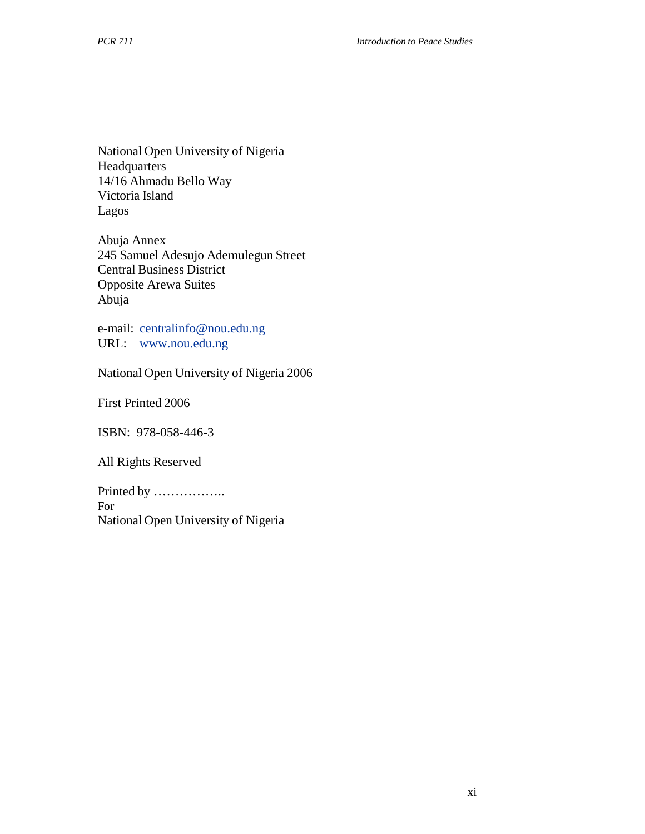National Open University of Nigeria Headquarters 14/16 Ahmadu Bello Way Victoria Island Lagos

Abuja Annex 245 Samuel Adesujo Ademulegun Street Central Business District Opposite Arewa Suites Abuja

e-mail: centralinfo@nou.edu.ng URL: www.nou.edu.ng

National Open University of Nigeria 2006

First Printed 2006

ISBN: 978-058-446-3

All Rights Reserved

Printed by …………….. For National Open University of Nigeria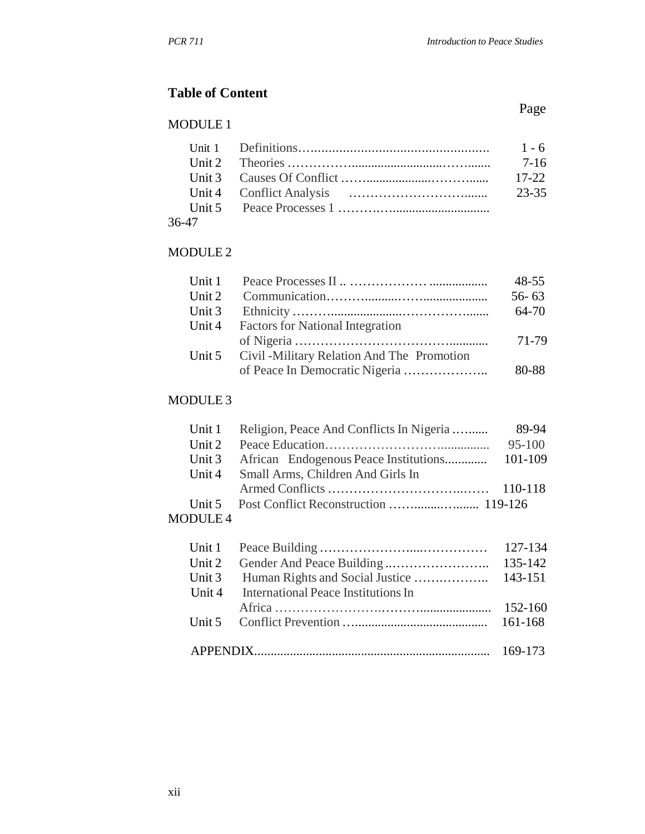## **Table of Content**

#### MODULE 1

|       | 7-16      |
|-------|-----------|
|       | $17 - 22$ |
|       | 23-35     |
|       |           |
| 36-47 |           |

## MODULE 2

|           |                                                    | $48 - 55$ |
|-----------|----------------------------------------------------|-----------|
| Unit $21$ |                                                    | $56 - 63$ |
|           |                                                    | 64-70     |
| Unit 4    | <b>Factors for National Integration</b>            |           |
|           |                                                    | 71-79     |
|           | Unit 5 Civil - Military Relation And The Promotion |           |
|           |                                                    | 80-88     |

## MODULE 3

|          | Unit 1 Religion, Peace And Conflicts In Nigeria | 89-94    |
|----------|-------------------------------------------------|----------|
|          |                                                 | $95-100$ |
|          |                                                 |          |
|          | Unit 4 Small Arms, Children And Girls In        |          |
|          |                                                 |          |
|          |                                                 |          |
| $\Omega$ |                                                 |          |

#### MODULE 4

| Unit 2 |                                     |  |
|--------|-------------------------------------|--|
|        |                                     |  |
| Unit 4 | International Peace Institutions In |  |
|        |                                     |  |
|        |                                     |  |
|        |                                     |  |
|        |                                     |  |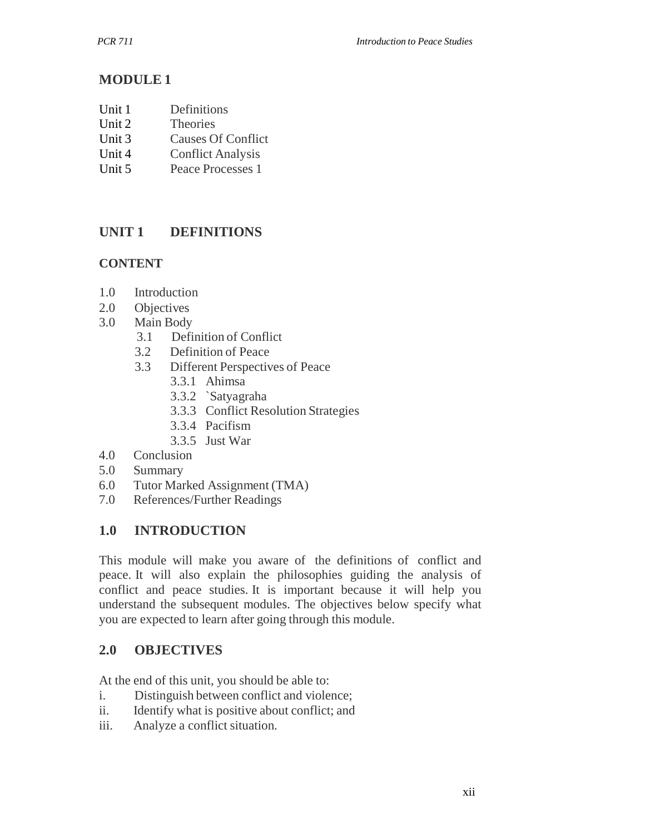## **MODULE 1**

- Unit 1 Definitions
- Unit 2 Theories
- Unit 3 Causes Of Conflict
- Unit 4 Conflict Analysis
- Unit 5 Peace Processes 1

## **UNIT 1 DEFINITIONS**

## **CONTENT**

- 1.0 Introduction
- 2.0 Objectives
- 3.0 Main Body
	- 3.1 Definition of Conflict
	- 3.2 Definition of Peace
	- 3.3 Different Perspectives of Peace
		- 3.3.1 Ahimsa
		- 3.3.2 `Satyagraha
		- 3.3.3 Conflict Resolution Strategies
		- 3.3.4 Pacifism
		- 3.3.5 Just War
- 4.0 Conclusion
- 5.0 Summary
- 6.0 Tutor Marked Assignment (TMA)
- 7.0 References/Further Readings

## **1.0 INTRODUCTION**

This module will make you aware of the definitions of conflict and peace. It will also explain the philosophies guiding the analysis of conflict and peace studies. It is important because it will help you understand the subsequent modules. The objectives below specify what you are expected to learn after going through this module.

## **2.0 OBJECTIVES**

At the end of this unit, you should be able to:

- i. Distinguish between conflict and violence;
- ii. Identify what is positive about conflict; and
- iii. Analyze a conflict situation.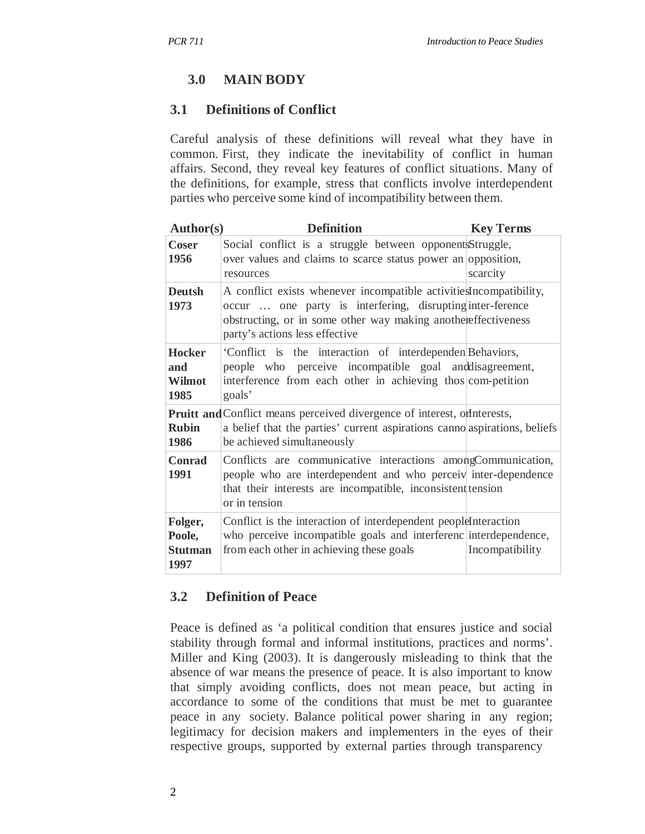## **3.0 MAIN BODY**

#### **3.1 Definitions of Conflict**

Careful analysis of these definitions will reveal what they have in common. First, they indicate the inevitability of conflict in human affairs. Second, they reveal key features of conflict situations. Many of the definitions, for example, stress that conflicts involve interdependent parties who perceive some kind of incompatibility between them.

| <b>Author(s)</b>                            | <b>Definition</b>                                                                                                                                                                                                                  | <b>Key Terms</b> |
|---------------------------------------------|------------------------------------------------------------------------------------------------------------------------------------------------------------------------------------------------------------------------------------|------------------|
| <b>Coser</b><br>1956                        | Social conflict is a struggle between opponents Struggle,<br>over values and claims to scarce status power an opposition,<br>resources                                                                                             | scarcity         |
| <b>Deutsh</b><br>1973                       | A conflict exists whenever incompatible activities ncompatibility,<br>occur  one party is interfering, disrupting inter-ference<br>obstructing, or in some other way making anothereffectiveness<br>party's actions less effective |                  |
| <b>Hocker</b><br>and<br>Wilmot<br>1985      | 'Conflict is the interaction of interdependen Behaviors,<br>people who perceive incompatible goal and disagreement,<br>interference from each other in achieving thos com-petition<br>goals'                                       |                  |
| <b>Rubin</b><br>1986                        | <b>Pruitt and Conflict means perceived divergence of interest, on enterests,</b><br>a belief that the parties' current aspirations canno aspirations, beliefs<br>be achieved simultaneously                                        |                  |
| <b>Conrad</b><br>1991                       | Conflicts are communicative interactions amongCommunication,<br>people who are interdependent and who perceiv inter-dependence<br>that their interests are incompatible, inconsistent tension<br>or in tension                     |                  |
| Folger,<br>Poole,<br><b>Stutman</b><br>1997 | Conflict is the interaction of interdependent peopleInteraction<br>who perceive incompatible goals and interferenc interdependence,<br>from each other in achieving these goals                                                    | Incompatibility  |

#### **3.2 Definition of Peace**

Peace is defined as 'a political condition that ensures justice and social stability through formal and informal institutions, practices and norms'. Miller and King (2003). It is dangerously misleading to think that the absence of war means the presence of peace. It is also important to know that simply avoiding conflicts, does not mean peace, but acting in accordance to some of the conditions that must be met to guarantee peace in any society. Balance political power sharing in any region; legitimacy for decision makers and implementers in the eyes of their respective groups, supported by external parties through transparency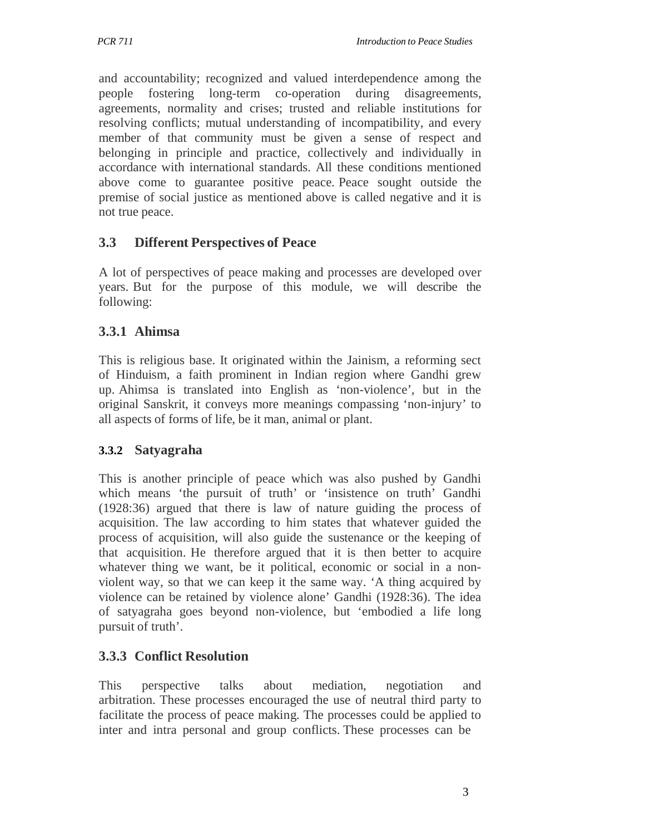and accountability; recognized and valued interdependence among the people fostering long-term co-operation during disagreements, agreements, normality and crises; trusted and reliable institutions for resolving conflicts; mutual understanding of incompatibility, and every member of that community must be given a sense of respect and belonging in principle and practice, collectively and individually in accordance with international standards. All these conditions mentioned above come to guarantee positive peace. Peace sought outside the premise of social justice as mentioned above is called negative and it is not true peace.

## **3.3 Different Perspectives of Peace**

A lot of perspectives of peace making and processes are developed over years. But for the purpose of this module, we will describe the following:

## **3.3.1 Ahimsa**

This is religious base. It originated within the Jainism, a reforming sect of Hinduism, a faith prominent in Indian region where Gandhi grew up. Ahimsa is translated into English as 'non-violence', but in the original Sanskrit, it conveys more meanings compassing 'non-injury' to all aspects of forms of life, be it man, animal or plant.

## **3.3.2 Satyagraha**

This is another principle of peace which was also pushed by Gandhi which means 'the pursuit of truth' or 'insistence on truth' Gandhi (1928:36) argued that there is law of nature guiding the process of acquisition. The law according to him states that whatever guided the process of acquisition, will also guide the sustenance or the keeping of that acquisition. He therefore argued that it is then better to acquire whatever thing we want, be it political, economic or social in a nonviolent way, so that we can keep it the same way. 'A thing acquired by violence can be retained by violence alone' Gandhi (1928:36). The idea of satyagraha goes beyond non-violence, but 'embodied a life long pursuit of truth'.

## **3.3.3 Conflict Resolution**

This perspective talks about mediation, negotiation and arbitration. These processes encouraged the use of neutral third party to facilitate the process of peace making. The processes could be applied to inter and intra personal and group conflicts. These processes can be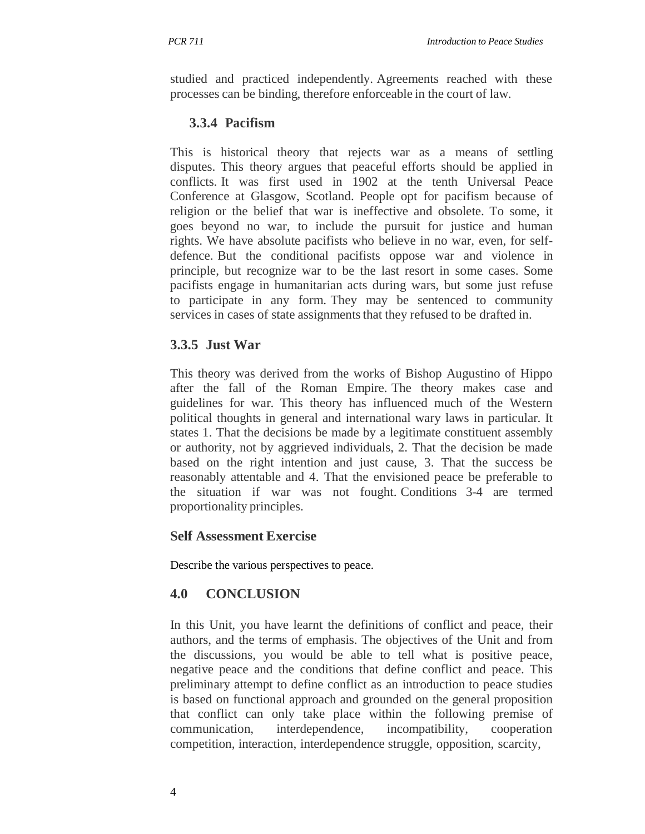studied and practiced independently. Agreements reached with these processes can be binding, therefore enforceable in the court of law.

## **3.3.4 Pacifism**

This is historical theory that rejects war as a means of settling disputes. This theory argues that peaceful efforts should be applied in conflicts. It was first used in 1902 at the tenth Universal Peace Conference at Glasgow, Scotland. People opt for pacifism because of religion or the belief that war is ineffective and obsolete. To some, it goes beyond no war, to include the pursuit for justice and human rights. We have absolute pacifists who believe in no war, even, for selfdefence. But the conditional pacifists oppose war and violence in principle, but recognize war to be the last resort in some cases. Some pacifists engage in humanitarian acts during wars, but some just refuse to participate in any form. They may be sentenced to community services in cases of state assignments that they refused to be drafted in.

## **3.3.5 Just War**

This theory was derived from the works of Bishop Augustino of Hippo after the fall of the Roman Empire. The theory makes case and guidelines for war. This theory has influenced much of the Western political thoughts in general and international wary laws in particular. It states 1. That the decisions be made by a legitimate constituent assembly or authority, not by aggrieved individuals, 2. That the decision be made based on the right intention and just cause, 3. That the success be reasonably attentable and 4. That the envisioned peace be preferable to the situation if war was not fought. Conditions 3-4 are termed proportionality principles.

## **Self Assessment Exercise**

Describe the various perspectives to peace.

## **4.0 CONCLUSION**

In this Unit, you have learnt the definitions of conflict and peace, their authors, and the terms of emphasis. The objectives of the Unit and from the discussions, you would be able to tell what is positive peace, negative peace and the conditions that define conflict and peace. This preliminary attempt to define conflict as an introduction to peace studies is based on functional approach and grounded on the general proposition that conflict can only take place within the following premise of communication, interdependence, incompatibility, cooperation competition, interaction, interdependence struggle, opposition, scarcity,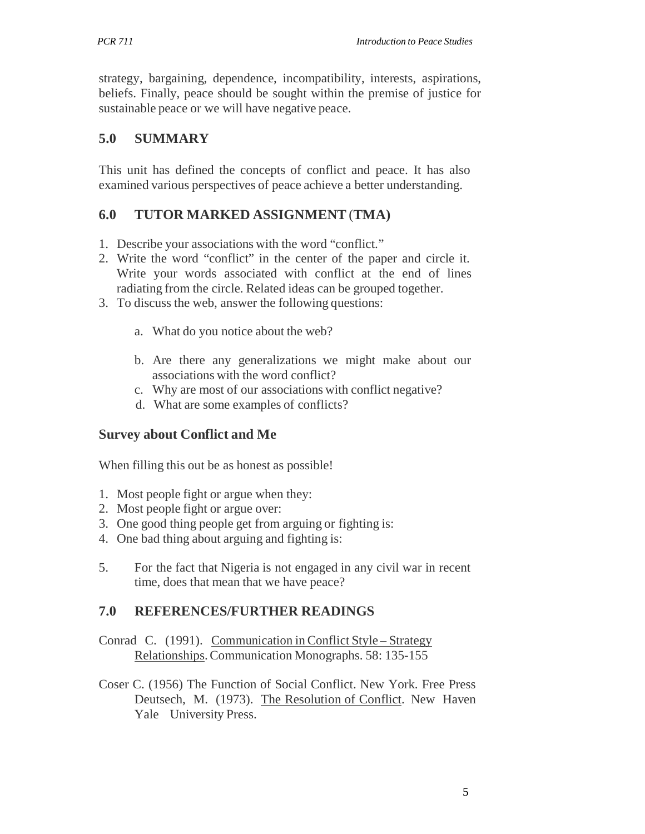strategy, bargaining, dependence, incompatibility, interests, aspirations, beliefs. Finally, peace should be sought within the premise of justice for sustainable peace or we will have negative peace.

## **5.0 SUMMARY**

This unit has defined the concepts of conflict and peace. It has also examined various perspectives of peace achieve a better understanding.

## **6.0 TUTOR MARKED ASSIGNMENT** (**TMA)**

- 1. Describe your associations with the word "conflict."
- 2. Write the word "conflict" in the center of the paper and circle it. Write your words associated with conflict at the end of lines radiating from the circle. Related ideas can be grouped together.
- 3. To discuss the web, answer the following questions:
	- a. What do you notice about the web?
	- b. Are there any generalizations we might make about our associations with the word conflict?
	- c. Why are most of our associations with conflict negative?
	- d. What are some examples of conflicts?

#### **Survey about Conflict and Me**

When filling this out be as honest as possible!

- 1. Most people fight or argue when they:
- 2. Most people fight or argue over:
- 3. One good thing people get from arguing or fighting is:
- 4. One bad thing about arguing and fighting is:
- 5. For the fact that Nigeria is not engaged in any civil war in recent time, does that mean that we have peace?

#### **7.0 REFERENCES/FURTHER READINGS**

- Conrad C. (1991). Communication in Conflict Style Strategy Relationships. Communication Monographs. 58: 135-155
- Coser C. (1956) The Function of Social Conflict. New York. Free Press Deutsech, M. (1973). The Resolution of Conflict. New Haven Yale University Press.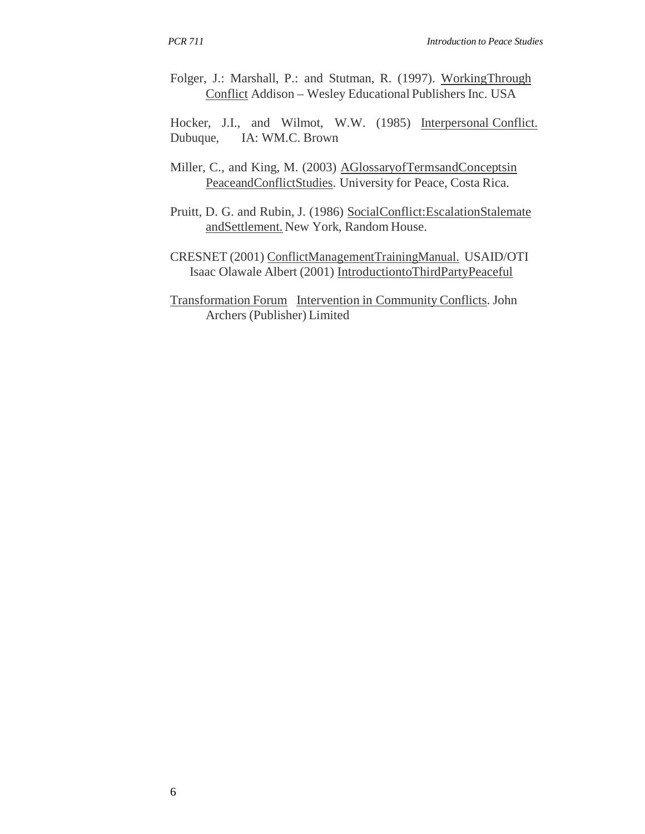Folger, J.: Marshall, P.: and Stutman, R. (1997). WorkingThrough Conflict Addison – Wesley Educational Publishers Inc. USA

Hocker, J.I., and Wilmot, W.W. (1985) Interpersonal Conflict. Dubuque, IA: WM.C. Brown

- Miller, C., and King, M. (2003) AGlossaryofTermsandConceptsin PeaceandConflictStudies. University for Peace, Costa Rica.
- Pruitt, D. G. and Rubin, J. (1986) SocialConflict:EscalationStalemate andSettlement. New York, Random House.
- CRESNET (2001) ConflictManagementTrainingManual. USAID/OTI Isaac Olawale Albert (2001) IntroductiontoThirdPartyPeaceful
- Transformation Forum Intervention in Community Conflicts. John Archers (Publisher) Limited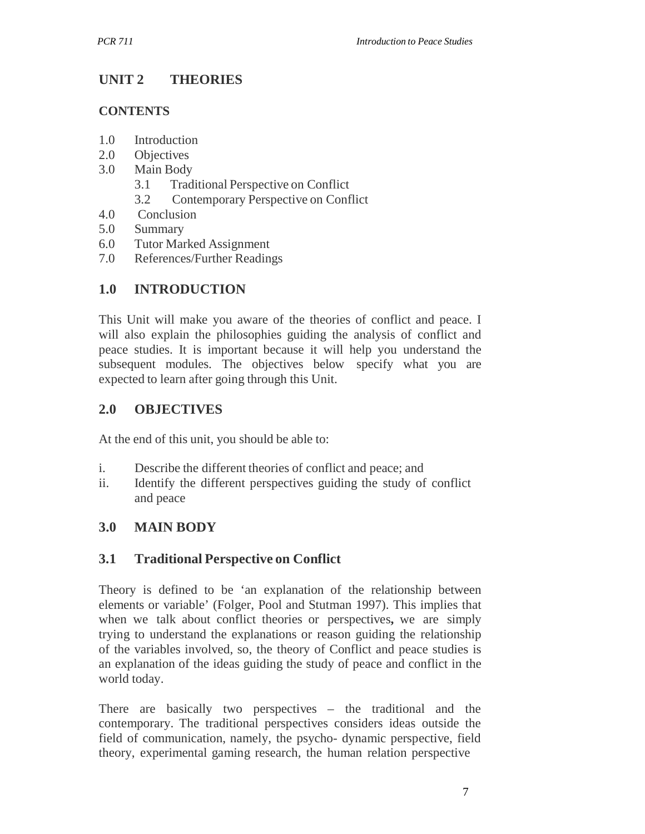## **UNIT 2 THEORIES**

#### **CONTENTS**

- 1.0 Introduction
- 2.0 Objectives
- 3.0 Main Body
	- 3.1 Traditional Perspective on Conflict
	- 3.2 Contemporary Perspective on Conflict
- 4.0 Conclusion
- 5.0 Summary
- 6.0 Tutor Marked Assignment
- 7.0 References/Further Readings

## **1.0 INTRODUCTION**

This Unit will make you aware of the theories of conflict and peace. I will also explain the philosophies guiding the analysis of conflict and peace studies. It is important because it will help you understand the subsequent modules. The objectives below specify what you are expected to learn after going through this Unit.

## **2.0 OBJECTIVES**

At the end of this unit, you should be able to:

- i. Describe the different theories of conflict and peace; and
- ii. Identify the different perspectives guiding the study of conflict and peace

## **3.0 MAIN BODY**

## **3.1 Traditional Perspective on Conflict**

Theory is defined to be 'an explanation of the relationship between elements or variable' (Folger, Pool and Stutman 1997). This implies that when we talk about conflict theories or perspectives**,** we are simply trying to understand the explanations or reason guiding the relationship of the variables involved, so, the theory of Conflict and peace studies is an explanation of the ideas guiding the study of peace and conflict in the world today.

There are basically two perspectives – the traditional and the contemporary. The traditional perspectives considers ideas outside the field of communication, namely, the psycho- dynamic perspective, field theory, experimental gaming research, the human relation perspective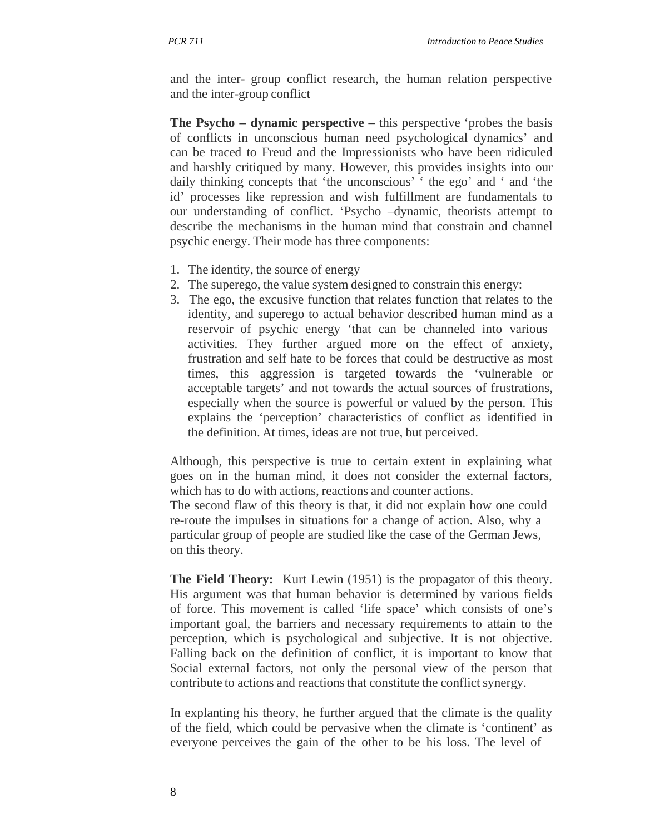and the inter- group conflict research, the human relation perspective and the inter-group conflict

**The Psycho – dynamic perspective** – this perspective 'probes the basis of conflicts in unconscious human need psychological dynamics' and can be traced to Freud and the Impressionists who have been ridiculed and harshly critiqued by many. However, this provides insights into our daily thinking concepts that 'the unconscious' ' the ego' and ' and 'the id' processes like repression and wish fulfillment are fundamentals to our understanding of conflict. 'Psycho –dynamic, theorists attempt to describe the mechanisms in the human mind that constrain and channel psychic energy. Their mode has three components:

- 1. The identity, the source of energy
- 2. The superego, the value system designed to constrain this energy:
- 3. The ego, the excusive function that relates function that relates to the identity, and superego to actual behavior described human mind as a reservoir of psychic energy 'that can be channeled into various activities. They further argued more on the effect of anxiety, frustration and self hate to be forces that could be destructive as most times, this aggression is targeted towards the 'vulnerable or acceptable targets' and not towards the actual sources of frustrations, especially when the source is powerful or valued by the person. This explains the 'perception' characteristics of conflict as identified in the definition. At times, ideas are not true, but perceived.

Although, this perspective is true to certain extent in explaining what goes on in the human mind, it does not consider the external factors, which has to do with actions, reactions and counter actions.

The second flaw of this theory is that, it did not explain how one could re-route the impulses in situations for a change of action. Also, why a particular group of people are studied like the case of the German Jews, on this theory.

**The Field Theory:** Kurt Lewin (1951) is the propagator of this theory. His argument was that human behavior is determined by various fields of force. This movement is called 'life space' which consists of one's important goal, the barriers and necessary requirements to attain to the perception, which is psychological and subjective. It is not objective. Falling back on the definition of conflict, it is important to know that Social external factors, not only the personal view of the person that contribute to actions and reactions that constitute the conflict synergy.

In explanting his theory, he further argued that the climate is the quality of the field, which could be pervasive when the climate is 'continent' as everyone perceives the gain of the other to be his loss. The level of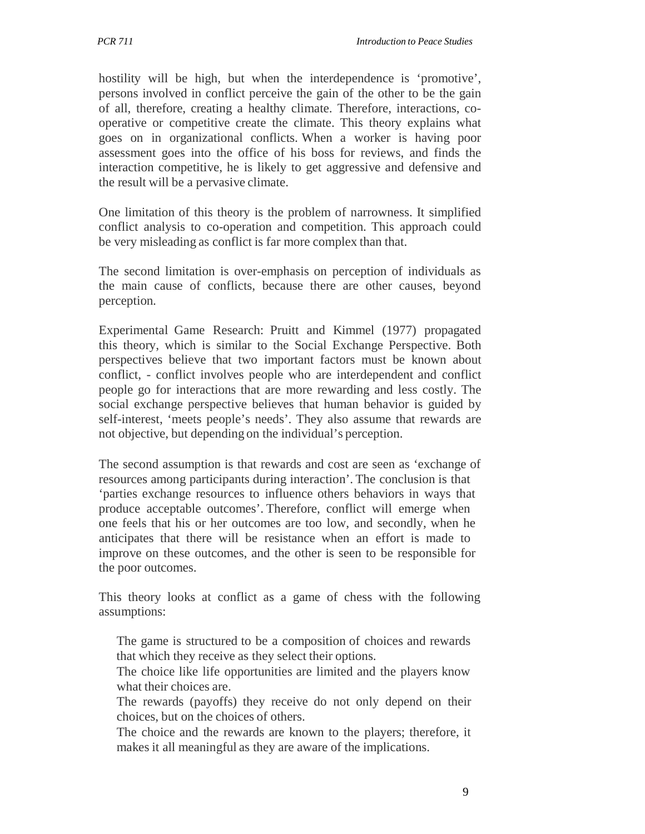hostility will be high, but when the interdependence is 'promotive', persons involved in conflict perceive the gain of the other to be the gain of all, therefore, creating a healthy climate. Therefore, interactions, cooperative or competitive create the climate. This theory explains what goes on in organizational conflicts. When a worker is having poor assessment goes into the office of his boss for reviews, and finds the interaction competitive, he is likely to get aggressive and defensive and the result will be a pervasive climate.

One limitation of this theory is the problem of narrowness. It simplified conflict analysis to co-operation and competition. This approach could be very misleading as conflict is far more complex than that.

The second limitation is over-emphasis on perception of individuals as the main cause of conflicts, because there are other causes, beyond perception.

Experimental Game Research: Pruitt and Kimmel (1977) propagated this theory, which is similar to the Social Exchange Perspective. Both perspectives believe that two important factors must be known about conflict, - conflict involves people who are interdependent and conflict people go for interactions that are more rewarding and less costly. The social exchange perspective believes that human behavior is guided by self-interest, 'meets people's needs'. They also assume that rewards are not objective, but depending on the individual's perception.

The second assumption is that rewards and cost are seen as 'exchange of resources among participants during interaction'. The conclusion is that 'parties exchange resources to influence others behaviors in ways that produce acceptable outcomes'. Therefore, conflict will emerge when one feels that his or her outcomes are too low, and secondly, when he anticipates that there will be resistance when an effort is made to improve on these outcomes, and the other is seen to be responsible for the poor outcomes.

This theory looks at conflict as a game of chess with the following assumptions:

The game is structured to be a composition of choices and rewards that which they receive as they select their options.

The choice like life opportunities are limited and the players know what their choices are.

The rewards (payoffs) they receive do not only depend on their choices, but on the choices of others.

The choice and the rewards are known to the players; therefore, it makes it all meaningful as they are aware of the implications.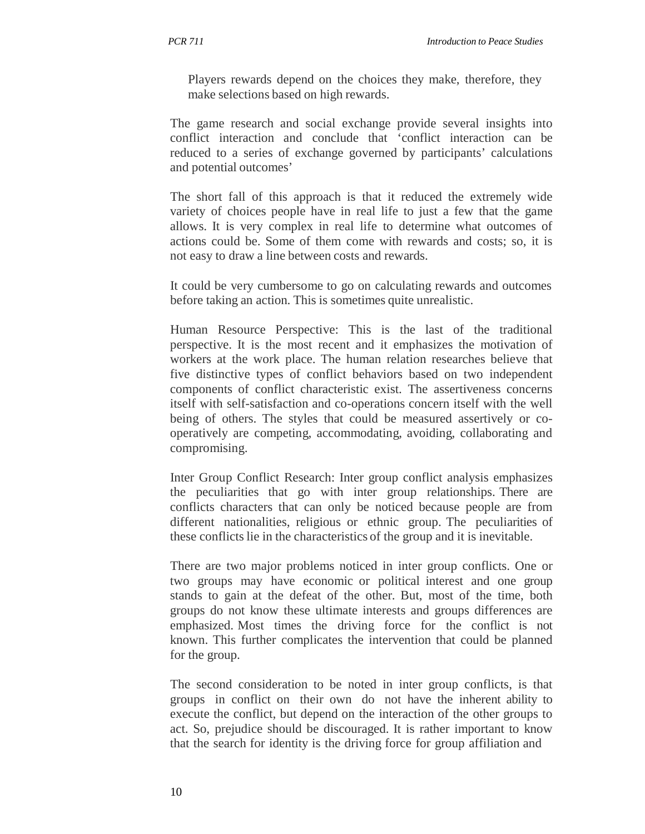Players rewards depend on the choices they make, therefore, they make selections based on high rewards.

The game research and social exchange provide several insights into conflict interaction and conclude that 'conflict interaction can be reduced to a series of exchange governed by participants' calculations and potential outcomes'

The short fall of this approach is that it reduced the extremely wide variety of choices people have in real life to just a few that the game allows. It is very complex in real life to determine what outcomes of actions could be. Some of them come with rewards and costs; so, it is not easy to draw a line between costs and rewards.

It could be very cumbersome to go on calculating rewards and outcomes before taking an action. This is sometimes quite unrealistic.

Human Resource Perspective: This is the last of the traditional perspective. It is the most recent and it emphasizes the motivation of workers at the work place. The human relation researches believe that five distinctive types of conflict behaviors based on two independent components of conflict characteristic exist. The assertiveness concerns itself with self-satisfaction and co-operations concern itself with the well being of others. The styles that could be measured assertively or cooperatively are competing, accommodating, avoiding, collaborating and compromising.

Inter Group Conflict Research: Inter group conflict analysis emphasizes the peculiarities that go with inter group relationships. There are conflicts characters that can only be noticed because people are from different nationalities, religious or ethnic group. The peculiarities of these conflicts lie in the characteristics of the group and it is inevitable.

There are two major problems noticed in inter group conflicts. One or two groups may have economic or political interest and one group stands to gain at the defeat of the other. But, most of the time, both groups do not know these ultimate interests and groups differences are emphasized. Most times the driving force for the conflict is not known. This further complicates the intervention that could be planned for the group.

The second consideration to be noted in inter group conflicts, is that groups in conflict on their own do not have the inherent ability to execute the conflict, but depend on the interaction of the other groups to act. So, prejudice should be discouraged. It is rather important to know that the search for identity is the driving force for group affiliation and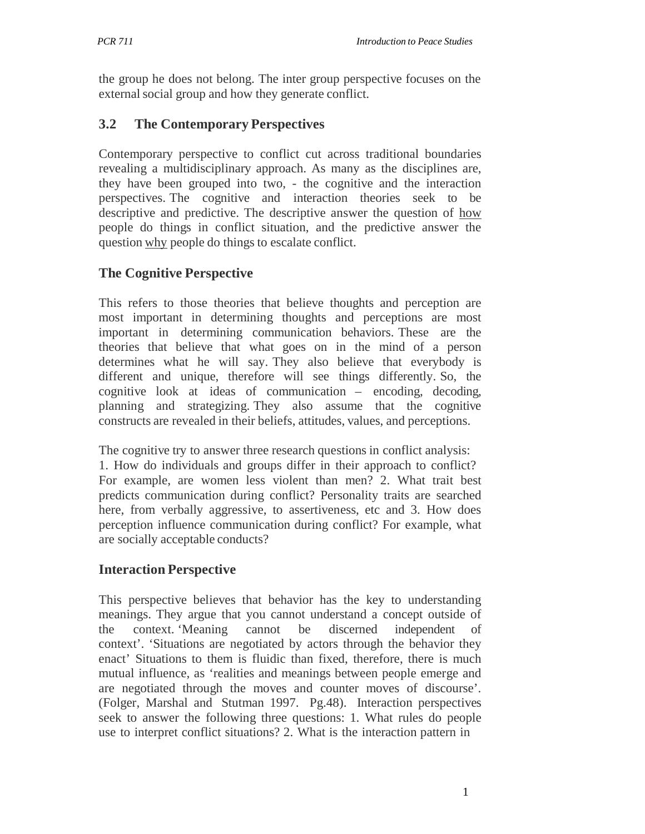the group he does not belong. The inter group perspective focuses on the external social group and how they generate conflict.

## **3.2 The Contemporary Perspectives**

Contemporary perspective to conflict cut across traditional boundaries revealing a multidisciplinary approach. As many as the disciplines are, they have been grouped into two, - the cognitive and the interaction perspectives. The cognitive and interaction theories seek to be descriptive and predictive. The descriptive answer the question of how people do things in conflict situation, and the predictive answer the question why people do things to escalate conflict.

## **The Cognitive Perspective**

This refers to those theories that believe thoughts and perception are most important in determining thoughts and perceptions are most important in determining communication behaviors. These are the theories that believe that what goes on in the mind of a person determines what he will say. They also believe that everybody is different and unique, therefore will see things differently. So, the cognitive look at ideas of communication – encoding, decoding, planning and strategizing. They also assume that the cognitive constructs are revealed in their beliefs, attitudes, values, and perceptions.

The cognitive try to answer three research questions in conflict analysis: 1. How do individuals and groups differ in their approach to conflict? For example, are women less violent than men? 2. What trait best predicts communication during conflict? Personality traits are searched here, from verbally aggressive, to assertiveness, etc and 3. How does perception influence communication during conflict? For example, what are socially acceptable conducts?

## **Interaction Perspective**

This perspective believes that behavior has the key to understanding meanings. They argue that you cannot understand a concept outside of the context. 'Meaning cannot be discerned independent of context'. 'Situations are negotiated by actors through the behavior they enact' Situations to them is fluidic than fixed, therefore, there is much mutual influence, as 'realities and meanings between people emerge and are negotiated through the moves and counter moves of discourse'. (Folger, Marshal and Stutman 1997. Pg.48). Interaction perspectives seek to answer the following three questions: 1. What rules do people use to interpret conflict situations? 2. What is the interaction pattern in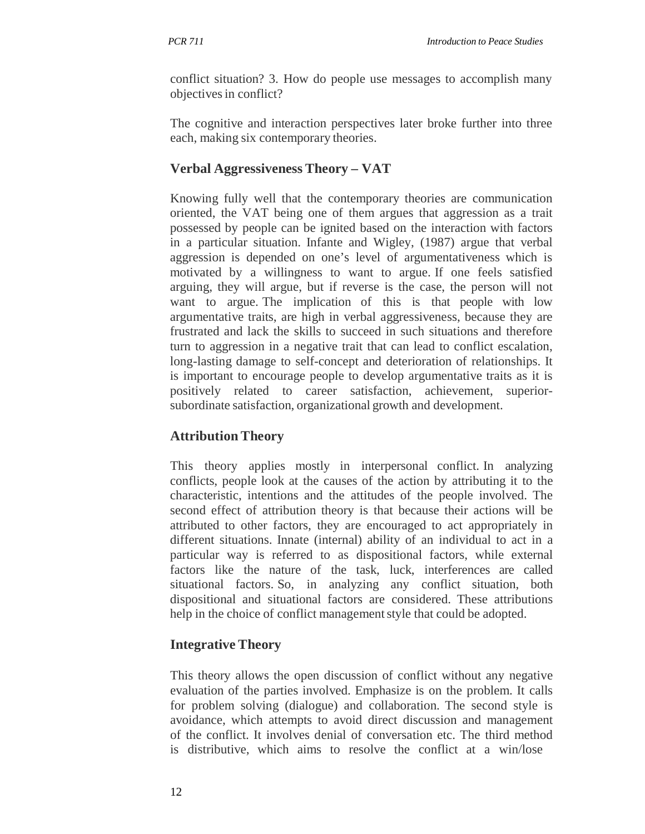conflict situation? 3. How do people use messages to accomplish many objectives in conflict?

The cognitive and interaction perspectives later broke further into three each, making six contemporary theories.

## **Verbal Aggressiveness Theory – VAT**

Knowing fully well that the contemporary theories are communication oriented, the VAT being one of them argues that aggression as a trait possessed by people can be ignited based on the interaction with factors in a particular situation. Infante and Wigley, (1987) argue that verbal aggression is depended on one's level of argumentativeness which is motivated by a willingness to want to argue. If one feels satisfied arguing, they will argue, but if reverse is the case, the person will not want to argue. The implication of this is that people with low argumentative traits, are high in verbal aggressiveness, because they are frustrated and lack the skills to succeed in such situations and therefore turn to aggression in a negative trait that can lead to conflict escalation, long-lasting damage to self-concept and deterioration of relationships. It is important to encourage people to develop argumentative traits as it is positively related to career satisfaction, achievement, superiorsubordinate satisfaction, organizational growth and development.

## **Attribution Theory**

This theory applies mostly in interpersonal conflict. In analyzing conflicts, people look at the causes of the action by attributing it to the characteristic, intentions and the attitudes of the people involved. The second effect of attribution theory is that because their actions will be attributed to other factors, they are encouraged to act appropriately in different situations. Innate (internal) ability of an individual to act in a particular way is referred to as dispositional factors, while external factors like the nature of the task, luck, interferences are called situational factors. So, in analyzing any conflict situation, both dispositional and situational factors are considered. These attributions help in the choice of conflict management style that could be adopted.

## **Integrative Theory**

This theory allows the open discussion of conflict without any negative evaluation of the parties involved. Emphasize is on the problem. It calls for problem solving (dialogue) and collaboration. The second style is avoidance, which attempts to avoid direct discussion and management of the conflict. It involves denial of conversation etc. The third method is distributive, which aims to resolve the conflict at a win/lose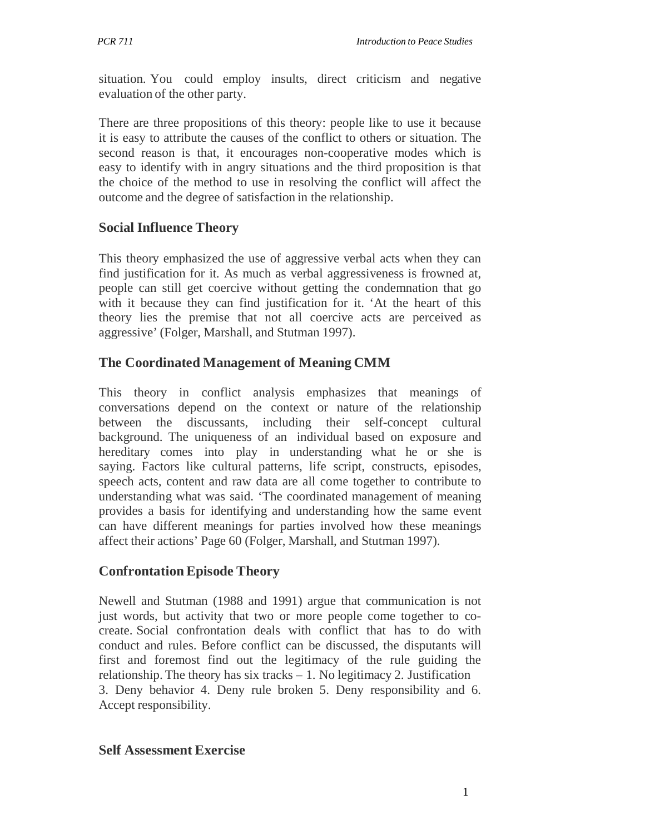situation. You could employ insults, direct criticism and negative evaluation of the other party.

There are three propositions of this theory: people like to use it because it is easy to attribute the causes of the conflict to others or situation. The second reason is that, it encourages non-cooperative modes which is easy to identify with in angry situations and the third proposition is that the choice of the method to use in resolving the conflict will affect the outcome and the degree of satisfaction in the relationship.

## **Social Influence Theory**

This theory emphasized the use of aggressive verbal acts when they can find justification for it. As much as verbal aggressiveness is frowned at, people can still get coercive without getting the condemnation that go with it because they can find justification for it. 'At the heart of this theory lies the premise that not all coercive acts are perceived as aggressive' (Folger, Marshall, and Stutman 1997).

## **The Coordinated Management of Meaning CMM**

This theory in conflict analysis emphasizes that meanings of conversations depend on the context or nature of the relationship between the discussants, including their self-concept cultural background. The uniqueness of an individual based on exposure and hereditary comes into play in understanding what he or she is saying. Factors like cultural patterns, life script, constructs, episodes, speech acts, content and raw data are all come together to contribute to understanding what was said. 'The coordinated management of meaning provides a basis for identifying and understanding how the same event can have different meanings for parties involved how these meanings affect their actions' Page 60 (Folger, Marshall, and Stutman 1997).

## **Confrontation Episode Theory**

Newell and Stutman (1988 and 1991) argue that communication is not just words, but activity that two or more people come together to cocreate. Social confrontation deals with conflict that has to do with conduct and rules. Before conflict can be discussed, the disputants will first and foremost find out the legitimacy of the rule guiding the relationship. The theory has six tracks – 1. No legitimacy 2. Justification 3. Deny behavior 4. Deny rule broken 5. Deny responsibility and 6. Accept responsibility.

## **Self Assessment Exercise**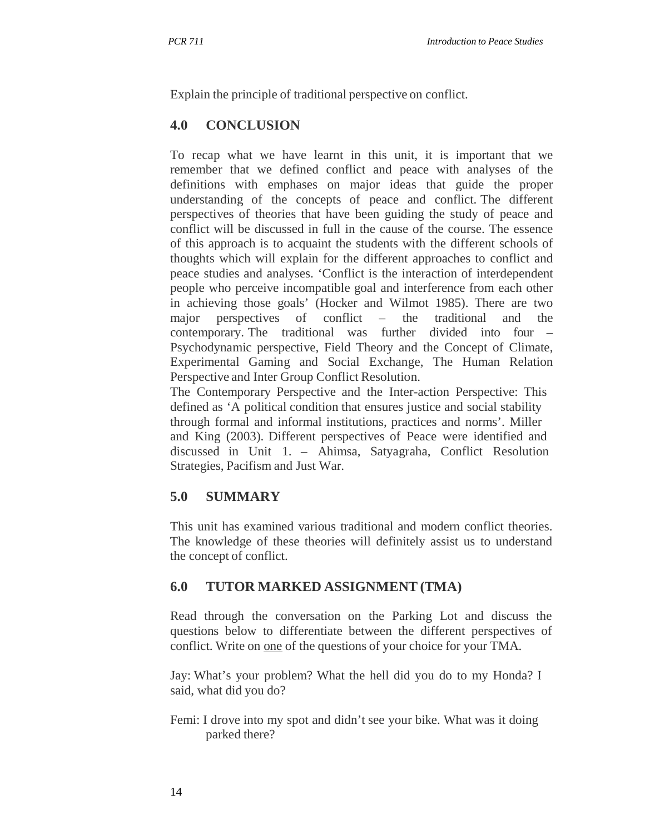Explain the principle of traditional perspective on conflict.

## **4.0 CONCLUSION**

To recap what we have learnt in this unit, it is important that we remember that we defined conflict and peace with analyses of the definitions with emphases on major ideas that guide the proper understanding of the concepts of peace and conflict. The different perspectives of theories that have been guiding the study of peace and conflict will be discussed in full in the cause of the course. The essence of this approach is to acquaint the students with the different schools of thoughts which will explain for the different approaches to conflict and peace studies and analyses. 'Conflict is the interaction of interdependent people who perceive incompatible goal and interference from each other in achieving those goals' (Hocker and Wilmot 1985). There are two major perspectives of conflict – the traditional and the contemporary. The traditional was further divided into four – Psychodynamic perspective, Field Theory and the Concept of Climate, Experimental Gaming and Social Exchange, The Human Relation Perspective and Inter Group Conflict Resolution.

The Contemporary Perspective and the Inter-action Perspective: This defined as 'A political condition that ensures justice and social stability through formal and informal institutions, practices and norms'. Miller and King (2003). Different perspectives of Peace were identified and discussed in Unit 1. – Ahimsa, Satyagraha, Conflict Resolution Strategies, Pacifism and Just War.

## **5.0 SUMMARY**

This unit has examined various traditional and modern conflict theories. The knowledge of these theories will definitely assist us to understand the concept of conflict.

## **6.0 TUTOR MARKED ASSIGNMENT (TMA)**

Read through the conversation on the Parking Lot and discuss the questions below to differentiate between the different perspectives of conflict. Write on one of the questions of your choice for your TMA.

Jay: What's your problem? What the hell did you do to my Honda? I said, what did you do?

Femi: I drove into my spot and didn't see your bike. What was it doing parked there?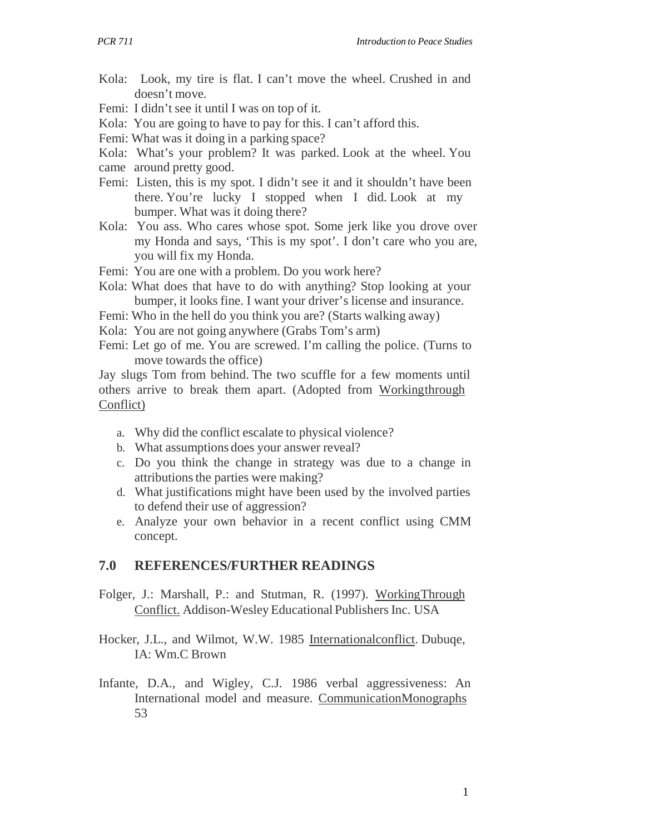- Kola: Look, my tire is flat. I can't move the wheel. Crushed in and doesn't move.
- Femi: I didn't see it until I was on top of it.
- Kola: You are going to have to pay for this. I can't afford this.
- Femi: What was it doing in a parking space?
- Kola: What's your problem? It was parked. Look at the wheel. You
- came around pretty good.
- Femi: Listen, this is my spot. I didn't see it and it shouldn't have been there. You're lucky I stopped when I did. Look at my bumper. What was it doing there?
- Kola: You ass. Who cares whose spot. Some jerk like you drove over my Honda and says, 'This is my spot'. I don't care who you are, you will fix my Honda.
- Femi: You are one with a problem. Do you work here?
- Kola: What does that have to do with anything? Stop looking at your bumper, it looks fine. I want your driver's license and insurance.
- Femi: Who in the hell do you think you are? (Starts walking away)
- Kola: You are not going anywhere (Grabs Tom's arm)
- Femi: Let go of me. You are screwed. I'm calling the police. (Turns to move towards the office)

Jay slugs Tom from behind. The two scuffle for a few moments until others arrive to break them apart. (Adopted from Working through Conflict)

- a. Why did the conflict escalate to physical violence?
- b. What assumptions does your answer reveal?
- c. Do you think the change in strategy was due to a change in attributions the parties were making?
- d. What justifications might have been used by the involved parties to defend their use of aggression?
- e. Analyze your own behavior in a recent conflict using CMM concept.

#### **7.0 REFERENCES/FURTHER READINGS**

- Folger, J.: Marshall, P.: and Stutman, R. (1997). Working Through Conflict. Addison-Wesley Educational Publishers Inc. USA
- Hocker, J.L., and Wilmot, W.W. 1985 Internationalconflict. Dubuqe, IA: Wm.C Brown
- Infante, D.A., and Wigley, C.J. 1986 verbal aggressiveness: An International model and measure. CommunicationMonographs 53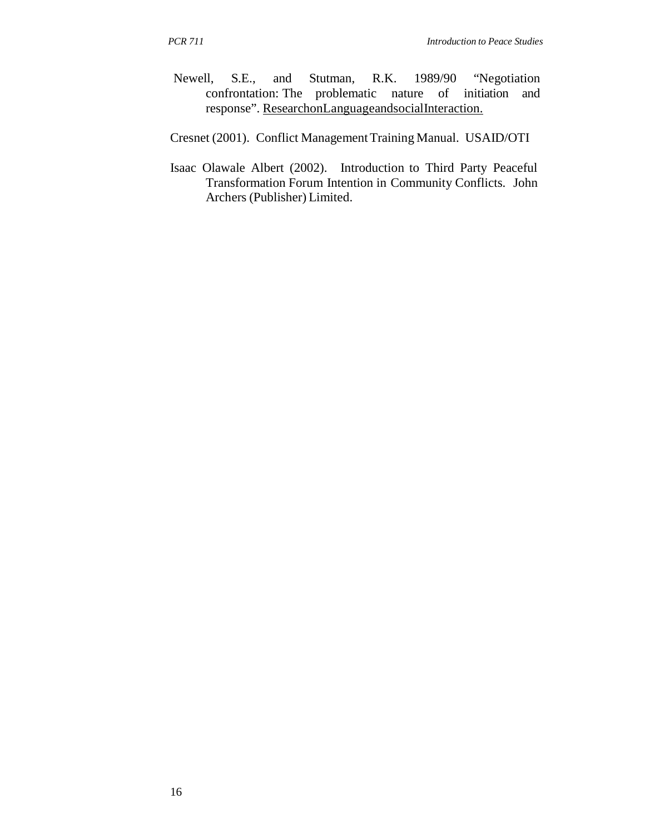- Newell, S.E., and Stutman, R.K. 1989/90 "Negotiation confrontation: The problematic nature of initiation and response". ResearchonLanguageandsocialInteraction.
- Cresnet (2001). Conflict Management Training Manual. USAID/OTI
- Isaac Olawale Albert (2002). Introduction to Third Party Peaceful Transformation Forum Intention in Community Conflicts. John Archers (Publisher) Limited.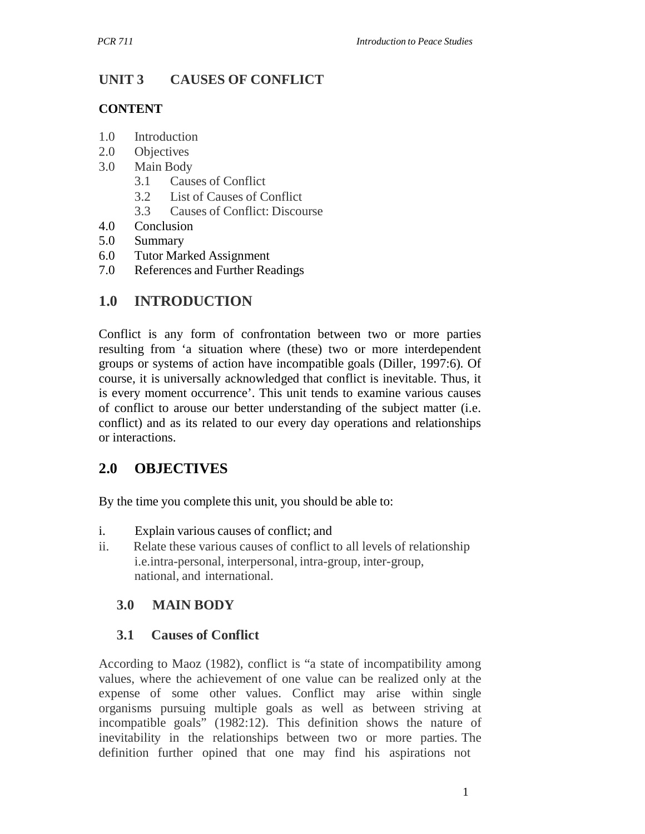## **UNIT 3 CAUSES OF CONFLICT**

#### **CONTENT**

- 1.0 Introduction
- 2.0 Objectives
- 3.0 Main Body
	- 3.1 Causes of Conflict
	- 3.2 List of Causes of Conflict
	- 3.3 Causes of Conflict: Discourse
- 4.0 Conclusion
- 5.0 Summary
- 6.0 Tutor Marked Assignment
- 7.0 References and Further Readings

## **1.0 INTRODUCTION**

Conflict is any form of confrontation between two or more parties resulting from 'a situation where (these) two or more interdependent groups or systems of action have incompatible goals (Diller, 1997:6). Of course, it is universally acknowledged that conflict is inevitable. Thus, it is every moment occurrence'. This unit tends to examine various causes of conflict to arouse our better understanding of the subject matter (i.e. conflict) and as its related to our every day operations and relationships or interactions.

## **2.0 OBJECTIVES**

By the time you complete this unit, you should be able to:

- i. Explain various causes of conflict; and
- ii. Relate these various causes of conflict to all levels of relationship i.e.intra-personal, interpersonal, intra-group, inter-group, national, and international.

## **3.0 MAIN BODY**

## **3.1 Causes of Conflict**

According to Maoz (1982), conflict is "a state of incompatibility among values, where the achievement of one value can be realized only at the expense of some other values. Conflict may arise within single organisms pursuing multiple goals as well as between striving at incompatible goals" (1982:12). This definition shows the nature of inevitability in the relationships between two or more parties. The definition further opined that one may find his aspirations not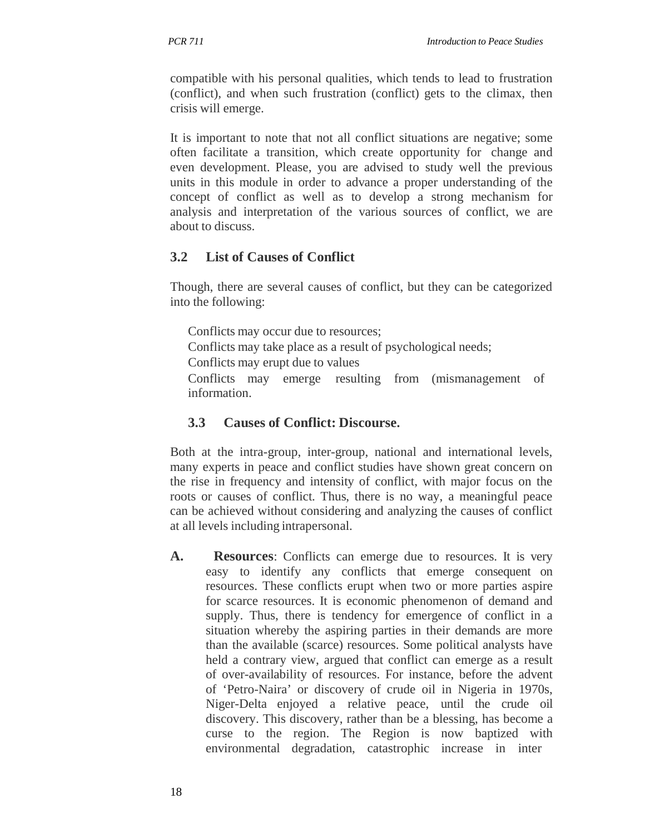compatible with his personal qualities, which tends to lead to frustration (conflict), and when such frustration (conflict) gets to the climax, then crisis will emerge.

It is important to note that not all conflict situations are negative; some often facilitate a transition, which create opportunity for change and even development. Please, you are advised to study well the previous units in this module in order to advance a proper understanding of the concept of conflict as well as to develop a strong mechanism for analysis and interpretation of the various sources of conflict, we are about to discuss.

## **3.2 List of Causes of Conflict**

Though, there are several causes of conflict, but they can be categorized into the following:

Conflicts may occur due to resources; Conflicts may take place as a result of psychological needs; Conflicts may erupt due to values Conflicts may emerge resulting from (mismanagement of information.

## **3.3 Causes of Conflict: Discourse.**

Both at the intra-group, inter-group, national and international levels, many experts in peace and conflict studies have shown great concern on the rise in frequency and intensity of conflict, with major focus on the roots or causes of conflict. Thus, there is no way, a meaningful peace can be achieved without considering and analyzing the causes of conflict at all levels including intrapersonal.

**A. Resources**: Conflicts can emerge due to resources. It is very easy to identify any conflicts that emerge consequent on resources. These conflicts erupt when two or more parties aspire for scarce resources. It is economic phenomenon of demand and supply. Thus, there is tendency for emergence of conflict in a situation whereby the aspiring parties in their demands are more than the available (scarce) resources. Some political analysts have held a contrary view, argued that conflict can emerge as a result of over-availability of resources. For instance, before the advent of 'Petro-Naira' or discovery of crude oil in Nigeria in 1970s, Niger-Delta enjoyed a relative peace, until the crude oil discovery. This discovery, rather than be a blessing, has become a curse to the region. The Region is now baptized with environmental degradation, catastrophic increase in inter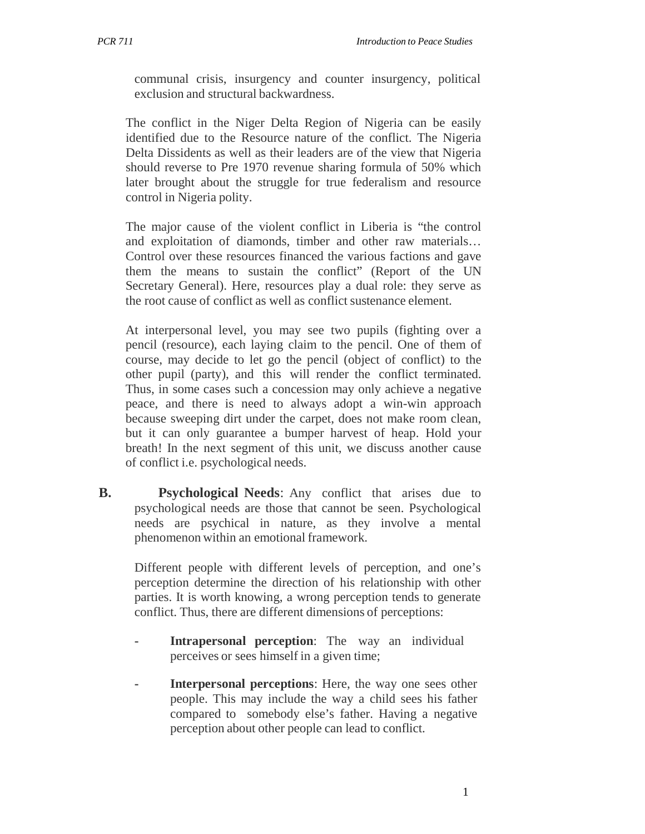communal crisis, insurgency and counter insurgency, political exclusion and structural backwardness.

The conflict in the Niger Delta Region of Nigeria can be easily identified due to the Resource nature of the conflict. The Nigeria Delta Dissidents as well as their leaders are of the view that Nigeria should reverse to Pre 1970 revenue sharing formula of 50% which later brought about the struggle for true federalism and resource control in Nigeria polity.

The major cause of the violent conflict in Liberia is "the control and exploitation of diamonds, timber and other raw materials… Control over these resources financed the various factions and gave them the means to sustain the conflict" (Report of the UN Secretary General). Here, resources play a dual role: they serve as the root cause of conflict as well as conflict sustenance element.

At interpersonal level, you may see two pupils (fighting over a pencil (resource), each laying claim to the pencil. One of them of course, may decide to let go the pencil (object of conflict) to the other pupil (party), and this will render the conflict terminated. Thus, in some cases such a concession may only achieve a negative peace, and there is need to always adopt a win-win approach because sweeping dirt under the carpet, does not make room clean, but it can only guarantee a bumper harvest of heap. Hold your breath! In the next segment of this unit, we discuss another cause of conflict i.e. psychological needs.

**B.** Psychological Needs: Any conflict that arises due to psychological needs are those that cannot be seen. Psychological needs are psychical in nature, as they involve a mental phenomenon within an emotional framework.

Different people with different levels of perception, and one's perception determine the direction of his relationship with other parties. It is worth knowing, a wrong perception tends to generate conflict. Thus, there are different dimensions of perceptions:

- **Intrapersonal perception:** The way an individual perceives or sees himself in a given time;
- **Interpersonal perceptions:** Here, the way one sees other people. This may include the way a child sees his father compared to somebody else's father. Having a negative perception about other people can lead to conflict.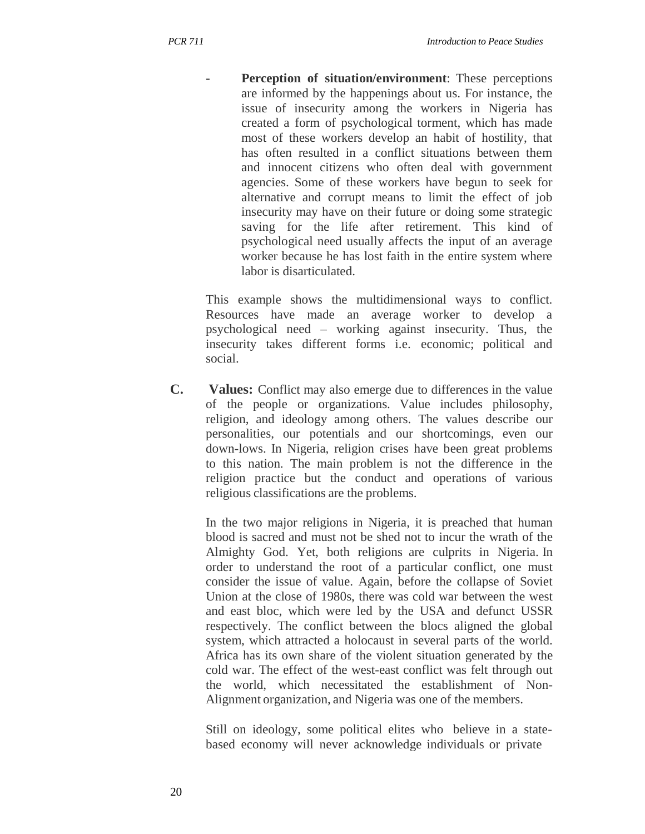**Perception of situation/environment:** These perceptions are informed by the happenings about us. For instance, the issue of insecurity among the workers in Nigeria has created a form of psychological torment, which has made most of these workers develop an habit of hostility, that has often resulted in a conflict situations between them and innocent citizens who often deal with government agencies. Some of these workers have begun to seek for alternative and corrupt means to limit the effect of job insecurity may have on their future or doing some strategic saving for the life after retirement. This kind of psychological need usually affects the input of an average worker because he has lost faith in the entire system where labor is disarticulated.

This example shows the multidimensional ways to conflict. Resources have made an average worker to develop a psychological need – working against insecurity. Thus, the insecurity takes different forms i.e. economic; political and social.

**C. Values:** Conflict may also emerge due to differences in the value of the people or organizations. Value includes philosophy, religion, and ideology among others. The values describe our personalities, our potentials and our shortcomings, even our down-lows. In Nigeria, religion crises have been great problems to this nation. The main problem is not the difference in the religion practice but the conduct and operations of various religious classifications are the problems.

In the two major religions in Nigeria, it is preached that human blood is sacred and must not be shed not to incur the wrath of the Almighty God. Yet, both religions are culprits in Nigeria. In order to understand the root of a particular conflict, one must consider the issue of value. Again, before the collapse of Soviet Union at the close of 1980s, there was cold war between the west and east bloc, which were led by the USA and defunct USSR respectively. The conflict between the blocs aligned the global system, which attracted a holocaust in several parts of the world. Africa has its own share of the violent situation generated by the cold war. The effect of the west-east conflict was felt through out the world, which necessitated the establishment of Non-Alignment organization, and Nigeria was one of the members.

Still on ideology, some political elites who believe in a statebased economy will never acknowledge individuals or private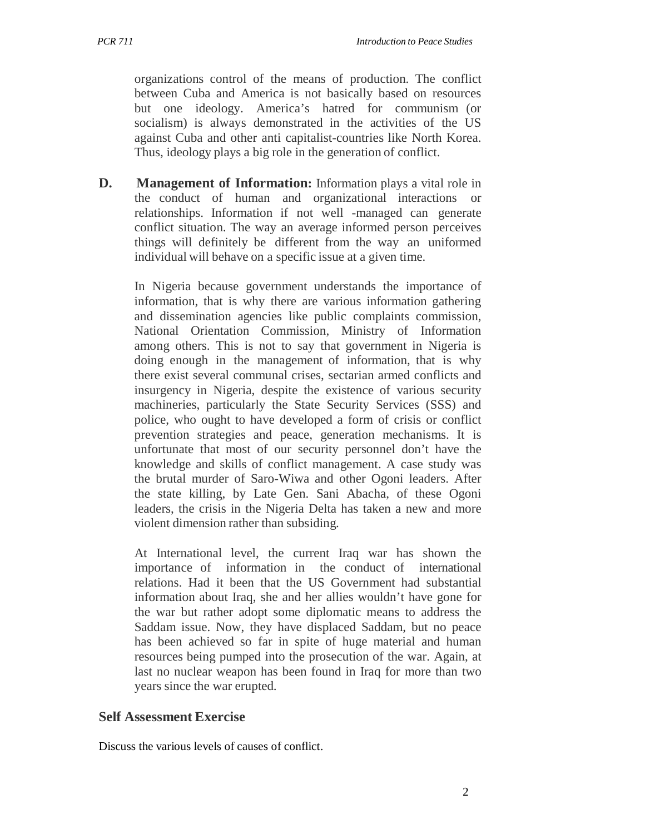organizations control of the means of production. The conflict between Cuba and America is not basically based on resources but one ideology. America's hatred for communism (or socialism) is always demonstrated in the activities of the US against Cuba and other anti capitalist-countries like North Korea. Thus, ideology plays a big role in the generation of conflict.

**D. Management of Information:** Information plays a vital role in the conduct of human and organizational interactions or relationships. Information if not well -managed can generate conflict situation. The way an average informed person perceives things will definitely be different from the way an uniformed individual will behave on a specific issue at a given time.

In Nigeria because government understands the importance of information, that is why there are various information gathering and dissemination agencies like public complaints commission, National Orientation Commission, Ministry of Information among others. This is not to say that government in Nigeria is doing enough in the management of information, that is why there exist several communal crises, sectarian armed conflicts and insurgency in Nigeria, despite the existence of various security machineries, particularly the State Security Services (SSS) and police, who ought to have developed a form of crisis or conflict prevention strategies and peace, generation mechanisms. It is unfortunate that most of our security personnel don't have the knowledge and skills of conflict management. A case study was the brutal murder of Saro-Wiwa and other Ogoni leaders. After the state killing, by Late Gen. Sani Abacha, of these Ogoni leaders, the crisis in the Nigeria Delta has taken a new and more violent dimension rather than subsiding.

At International level, the current Iraq war has shown the importance of information in the conduct of international relations. Had it been that the US Government had substantial information about Iraq, she and her allies wouldn't have gone for the war but rather adopt some diplomatic means to address the Saddam issue. Now, they have displaced Saddam, but no peace has been achieved so far in spite of huge material and human resources being pumped into the prosecution of the war. Again, at last no nuclear weapon has been found in Iraq for more than two years since the war erupted.

## **Self Assessment Exercise**

Discuss the various levels of causes of conflict.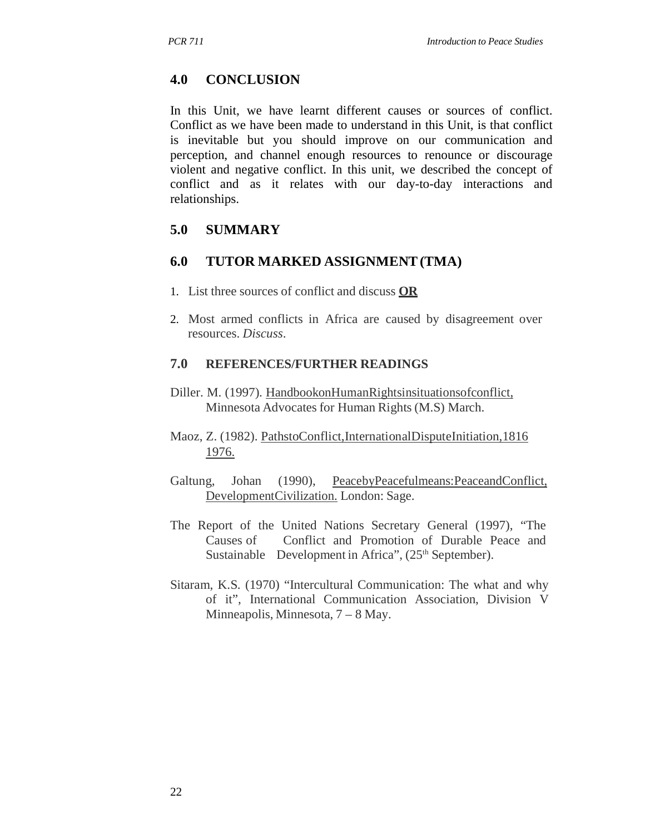#### **4.0 CONCLUSION**

In this Unit, we have learnt different causes or sources of conflict. Conflict as we have been made to understand in this Unit, is that conflict is inevitable but you should improve on our communication and perception, and channel enough resources to renounce or discourage violent and negative conflict. In this unit, we described the concept of conflict and as it relates with our day-to-day interactions and relationships.

#### **5.0 SUMMARY**

#### **6.0 TUTOR MARKED ASSIGNMENT (TMA)**

- 1. List three sources of conflict and discuss **OR**
- 2. Most armed conflicts in Africa are caused by disagreement over resources. *Discuss*.

#### **7.0 REFERENCES/FURTHER READINGS**

- Diller. M. (1997). HandbookonHumanRightsinsituationsofconflict, Minnesota Advocates for Human Rights (M.S) March.
- Maoz, Z. (1982). PathstoConflict,InternationalDisputeInitiation,1816 1976.
- Galtung, Johan (1990), PeacebyPeacefulmeans:PeaceandConflict, DevelopmentCivilization. London: Sage.
- The Report of the United Nations Secretary General (1997), "The Causes of Conflict and Promotion of Durable Peace and Sustainable Development in Africa",  $(25<sup>th</sup> September)$ .
- Sitaram, K.S. (1970) "Intercultural Communication: The what and why of it", International Communication Association, Division V Minneapolis, Minnesota, 7 – 8 May.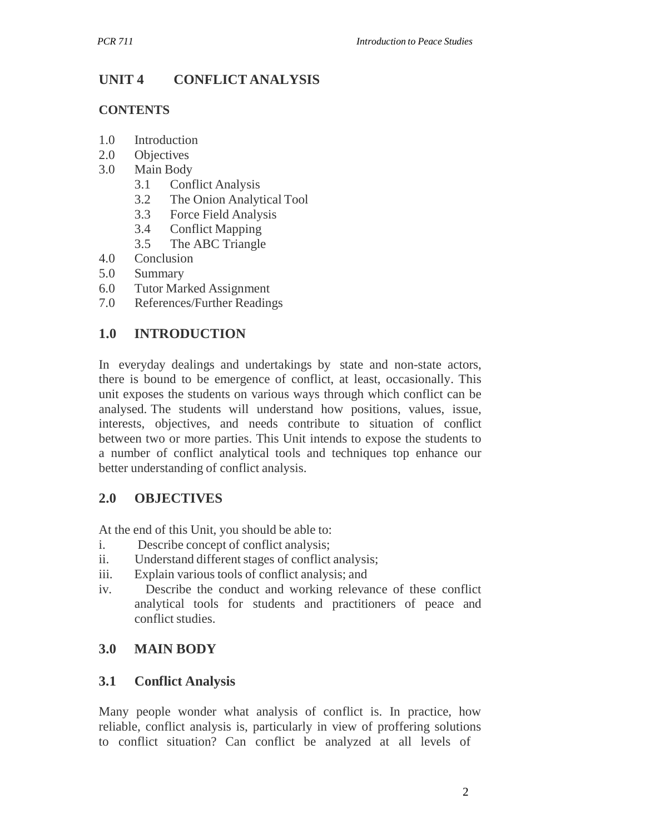# **UNIT 4 CONFLICT ANALYSIS**

#### **CONTENTS**

- 1.0 Introduction
- 2.0 Objectives
- 3.0 Main Body
	- 3.1 Conflict Analysis
	- 3.2 The Onion Analytical Tool
	- 3.3 Force Field Analysis
	- 3.4 Conflict Mapping
	- 3.5 The ABC Triangle
- 4.0 Conclusion
- 5.0 Summary
- 6.0 Tutor Marked Assignment
- 7.0 References/Further Readings

## **1.0 INTRODUCTION**

In everyday dealings and undertakings by state and non-state actors, there is bound to be emergence of conflict, at least, occasionally. This unit exposes the students on various ways through which conflict can be analysed. The students will understand how positions, values, issue, interests, objectives, and needs contribute to situation of conflict between two or more parties. This Unit intends to expose the students to a number of conflict analytical tools and techniques top enhance our better understanding of conflict analysis.

## **2.0 OBJECTIVES**

At the end of this Unit, you should be able to:

- i. Describe concept of conflict analysis;
- ii. Understand different stages of conflict analysis;
- iii. Explain various tools of conflict analysis; and
- iv. Describe the conduct and working relevance of these conflict analytical tools for students and practitioners of peace and conflict studies.

## **3.0 MAIN BODY**

## **3.1 Conflict Analysis**

Many people wonder what analysis of conflict is. In practice, how reliable, conflict analysis is, particularly in view of proffering solutions to conflict situation? Can conflict be analyzed at all levels of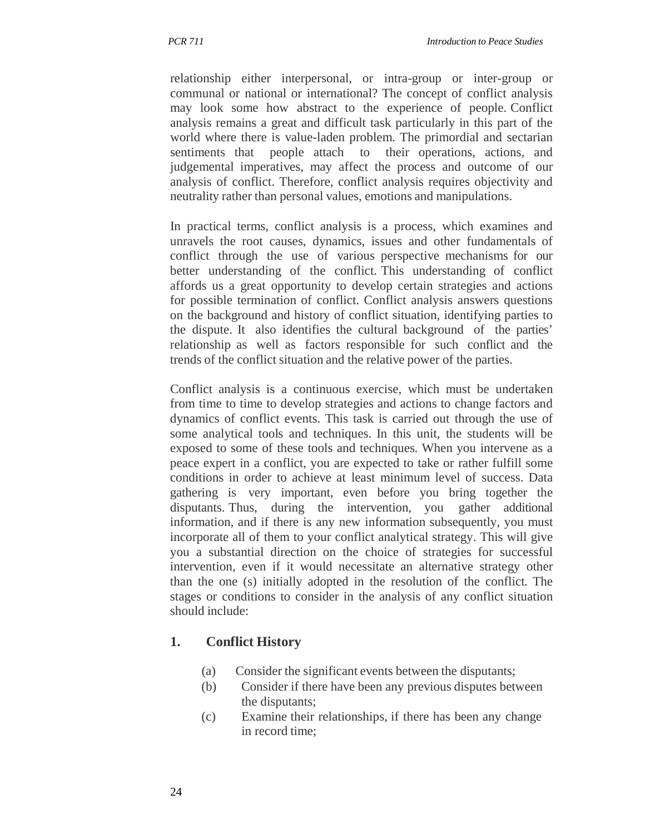relationship either interpersonal, or intra-group or inter-group or communal or national or international? The concept of conflict analysis may look some how abstract to the experience of people. Conflict analysis remains a great and difficult task particularly in this part of the world where there is value-laden problem. The primordial and sectarian sentiments that people attach to their operations, actions, and judgemental imperatives, may affect the process and outcome of our analysis of conflict. Therefore, conflict analysis requires objectivity and neutrality rather than personal values, emotions and manipulations.

In practical terms, conflict analysis is a process, which examines and unravels the root causes, dynamics, issues and other fundamentals of conflict through the use of various perspective mechanisms for our better understanding of the conflict. This understanding of conflict affords us a great opportunity to develop certain strategies and actions for possible termination of conflict. Conflict analysis answers questions on the background and history of conflict situation, identifying parties to the dispute. It also identifies the cultural background of the parties' relationship as well as factors responsible for such conflict and the trends of the conflict situation and the relative power of the parties.

Conflict analysis is a continuous exercise, which must be undertaken from time to time to develop strategies and actions to change factors and dynamics of conflict events. This task is carried out through the use of some analytical tools and techniques. In this unit, the students will be exposed to some of these tools and techniques. When you intervene as a peace expert in a conflict, you are expected to take or rather fulfill some conditions in order to achieve at least minimum level of success. Data gathering is very important, even before you bring together the disputants. Thus, during the intervention, you gather additional information, and if there is any new information subsequently, you must incorporate all of them to your conflict analytical strategy. This will give you a substantial direction on the choice of strategies for successful intervention, even if it would necessitate an alternative strategy other than the one (s) initially adopted in the resolution of the conflict. The stages or conditions to consider in the analysis of any conflict situation should include:

## **1. Conflict History**

- (a) Consider the significant events between the disputants;
- (b) Consider if there have been any previous disputes between the disputants;
- (c) Examine their relationships, if there has been any change in record time;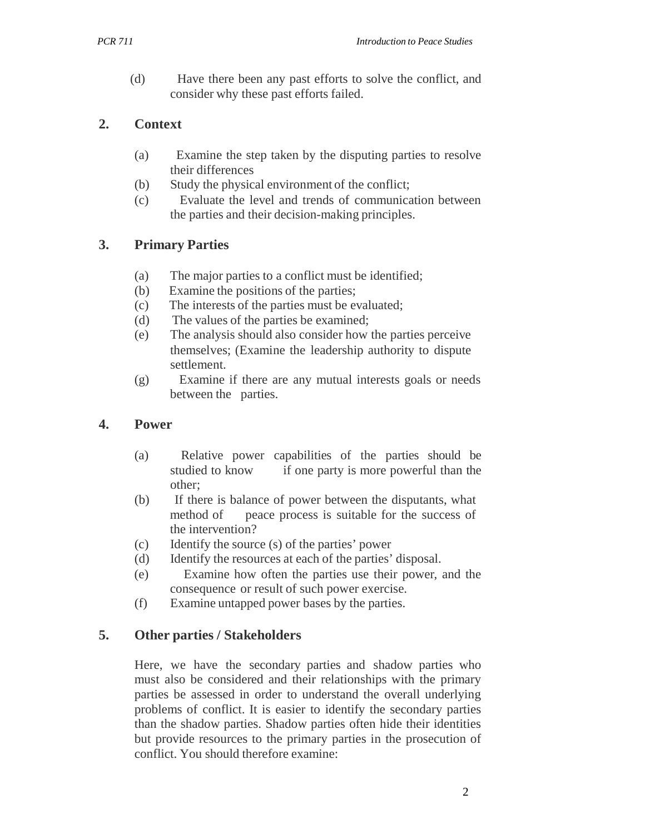(d) Have there been any past efforts to solve the conflict, and consider why these past efforts failed.

## **2. Context**

- (a) Examine the step taken by the disputing parties to resolve their differences
- (b) Study the physical environment of the conflict;
- (c) Evaluate the level and trends of communication between the parties and their decision-making principles.

# **3. Primary Parties**

- (a) The major parties to a conflict must be identified;
- (b) Examine the positions of the parties;
- (c) The interests of the parties must be evaluated;
- (d) The values of the parties be examined;
- (e) The analysis should also consider how the parties perceive themselves; (Examine the leadership authority to dispute settlement.
- (g) Examine if there are any mutual interests goals or needs between the parties.

## **4. Power**

- (a) Relative power capabilities of the parties should be studied to know if one party is more powerful than the other;
- (b) If there is balance of power between the disputants, what method of peace process is suitable for the success of the intervention?
- (c) Identify the source (s) of the parties' power
- (d) Identify the resources at each of the parties' disposal.
- (e) Examine how often the parties use their power, and the consequence or result of such power exercise.
- (f) Examine untapped power bases by the parties.

# **5. Other parties / Stakeholders**

Here, we have the secondary parties and shadow parties who must also be considered and their relationships with the primary parties be assessed in order to understand the overall underlying problems of conflict. It is easier to identify the secondary parties than the shadow parties. Shadow parties often hide their identities but provide resources to the primary parties in the prosecution of conflict. You should therefore examine: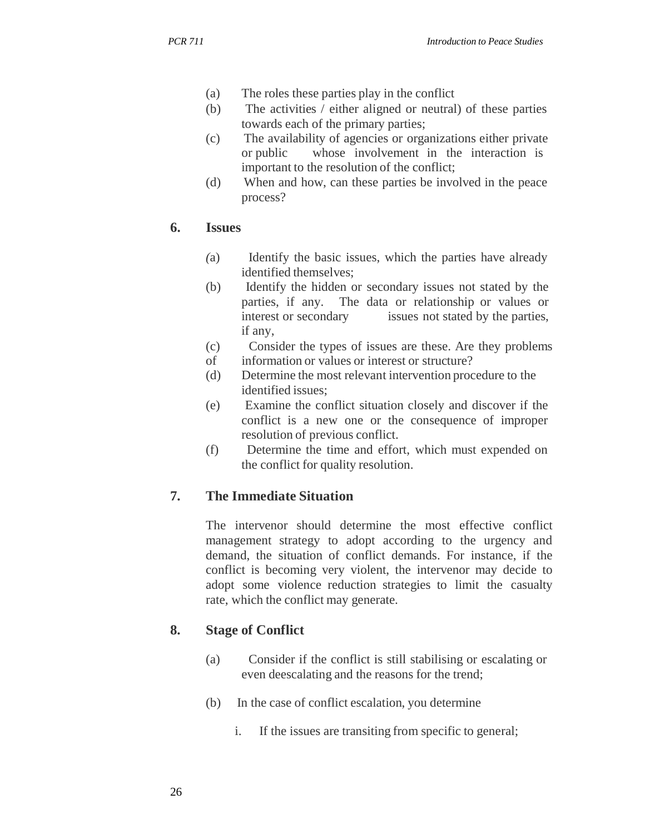- (a) The roles these parties play in the conflict
- (b) The activities / either aligned or neutral) of these parties towards each of the primary parties;
- (c) The availability of agencies or organizations either private or public whose involvement in the interaction is important to the resolution of the conflict;
- (d) When and how, can these parties be involved in the peace process?

## **6. Issues**

- *(*a) Identify the basic issues, which the parties have already identified themselves;
- (b) Identify the hidden or secondary issues not stated by the parties, if any. The data or relationship or values or interest or secondary issues not stated by the parties, if any,
- (c) Consider the types of issues are these. Are they problems
- of information or values or interest or structure?
- (d) Determine the most relevant intervention procedure to the identified issues;
- (e) Examine the conflict situation closely and discover if the conflict is a new one or the consequence of improper resolution of previous conflict.
- (f) Determine the time and effort, which must expended on the conflict for quality resolution.

# **7. The Immediate Situation**

The intervenor should determine the most effective conflict management strategy to adopt according to the urgency and demand, the situation of conflict demands. For instance, if the conflict is becoming very violent, the intervenor may decide to adopt some violence reduction strategies to limit the casualty rate, which the conflict may generate.

# **8. Stage of Conflict**

- (a) Consider if the conflict is still stabilising or escalating or even deescalating and the reasons for the trend;
- (b) In the case of conflict escalation, you determine
	- i. If the issues are transiting from specific to general;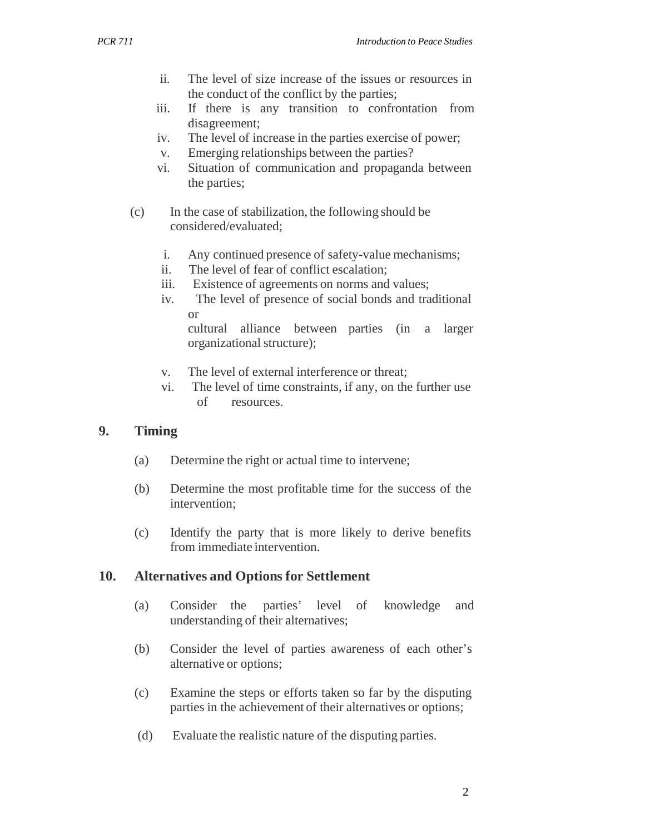- ii. The level of size increase of the issues or resources in the conduct of the conflict by the parties;
- iii. If there is any transition to confrontation from disagreement;
- iv. The level of increase in the parties exercise of power;
- v. Emerging relationships between the parties?
- vi. Situation of communication and propaganda between the parties;
- (c) In the case of stabilization, the following should be considered/evaluated;
	- i. Any continued presence of safety-value mechanisms;
	- ii. The level of fear of conflict escalation;
	- iii. Existence of agreements on norms and values;
	- iv. The level of presence of social bonds and traditional or

cultural alliance between parties (in a larger organizational structure);

- v. The level of external interference or threat;
- vi. The level of time constraints, if any, on the further use of resources.

## **9. Timing**

- (a) Determine the right or actual time to intervene;
- (b) Determine the most profitable time for the success of the intervention;
- (c) Identify the party that is more likely to derive benefits from immediate intervention.

#### **10. Alternatives and Options for Settlement**

- (a) Consider the parties' level of knowledge and understanding of their alternatives;
- (b) Consider the level of parties awareness of each other's alternative or options;
- (c) Examine the steps or efforts taken so far by the disputing parties in the achievement of their alternatives or options;
- (d) Evaluate the realistic nature of the disputing parties.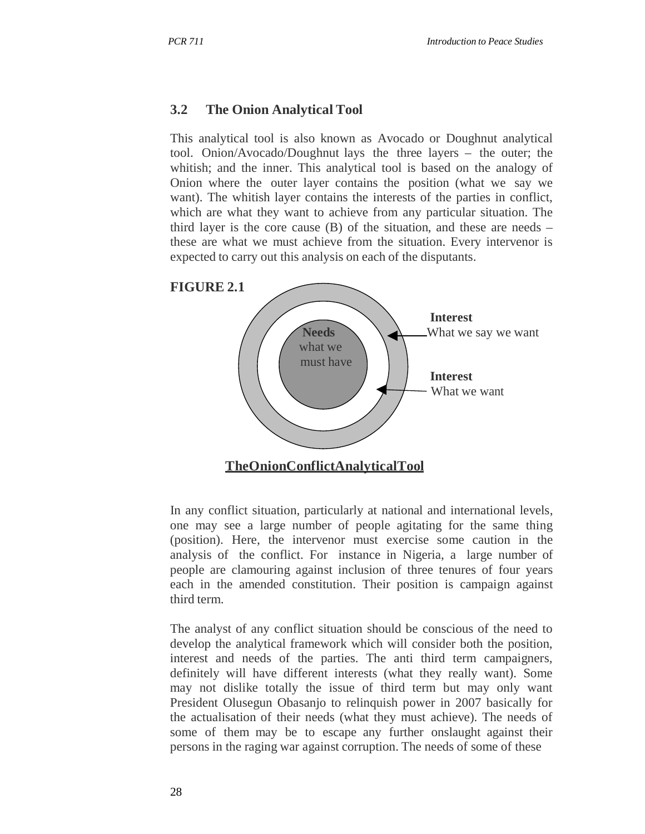#### **3.2 The Onion Analytical Tool**

This analytical tool is also known as Avocado or Doughnut analytical tool. Onion/Avocado/Doughnut lays the three layers – the outer; the whitish; and the inner. This analytical tool is based on the analogy of Onion where the outer layer contains the position (what we say we want). The whitish layer contains the interests of the parties in conflict, which are what they want to achieve from any particular situation. The third layer is the core cause  $(B)$  of the situation, and these are needs – these are what we must achieve from the situation. Every intervenor is expected to carry out this analysis on each of the disputants.



In any conflict situation, particularly at national and international levels, one may see a large number of people agitating for the same thing (position). Here, the intervenor must exercise some caution in the analysis of the conflict. For instance in Nigeria, a large number of people are clamouring against inclusion of three tenures of four years each in the amended constitution. Their position is campaign against third term.

The analyst of any conflict situation should be conscious of the need to develop the analytical framework which will consider both the position, interest and needs of the parties. The anti third term campaigners, definitely will have different interests (what they really want). Some may not dislike totally the issue of third term but may only want President Olusegun Obasanjo to relinquish power in 2007 basically for the actualisation of their needs (what they must achieve). The needs of some of them may be to escape any further onslaught against their persons in the raging war against corruption. The needs of some of these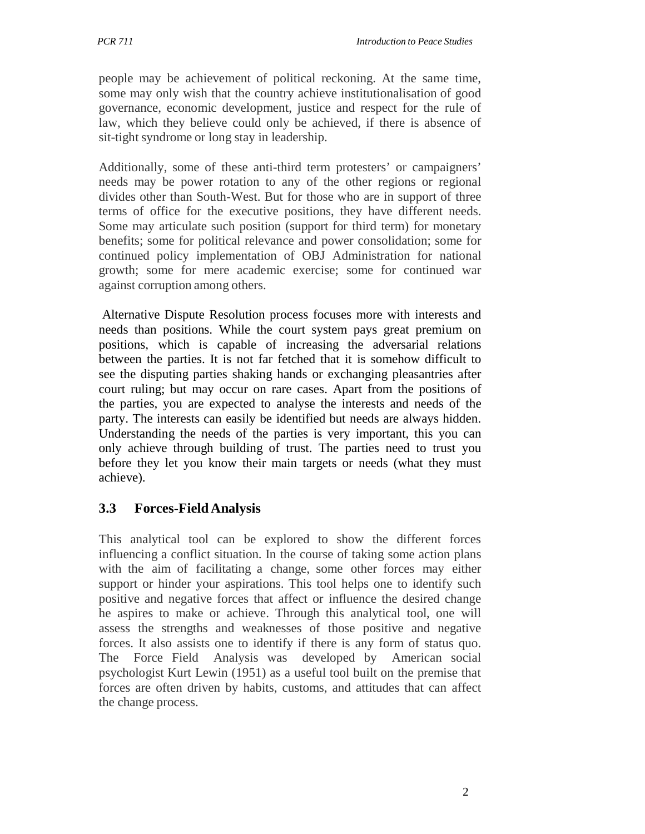people may be achievement of political reckoning. At the same time, some may only wish that the country achieve institutionalisation of good governance, economic development, justice and respect for the rule of law, which they believe could only be achieved, if there is absence of sit-tight syndrome or long stay in leadership.

Additionally, some of these anti-third term protesters' or campaigners' needs may be power rotation to any of the other regions or regional divides other than South-West. But for those who are in support of three terms of office for the executive positions, they have different needs. Some may articulate such position (support for third term) for monetary benefits; some for political relevance and power consolidation; some for continued policy implementation of OBJ Administration for national growth; some for mere academic exercise; some for continued war against corruption among others.

Alternative Dispute Resolution process focuses more with interests and needs than positions. While the court system pays great premium on positions, which is capable of increasing the adversarial relations between the parties. It is not far fetched that it is somehow difficult to see the disputing parties shaking hands or exchanging pleasantries after court ruling; but may occur on rare cases. Apart from the positions of the parties, you are expected to analyse the interests and needs of the party. The interests can easily be identified but needs are always hidden. Understanding the needs of the parties is very important, this you can only achieve through building of trust. The parties need to trust you before they let you know their main targets or needs (what they must achieve).

# **3.3 Forces-Field Analysis**

This analytical tool can be explored to show the different forces influencing a conflict situation. In the course of taking some action plans with the aim of facilitating a change, some other forces may either support or hinder your aspirations. This tool helps one to identify such positive and negative forces that affect or influence the desired change he aspires to make or achieve. Through this analytical tool, one will assess the strengths and weaknesses of those positive and negative forces. It also assists one to identify if there is any form of status quo. The Force Field Analysis was developed by American social psychologist Kurt Lewin (1951) as a useful tool built on the premise that forces are often driven by habits, customs, and attitudes that can affect the change process.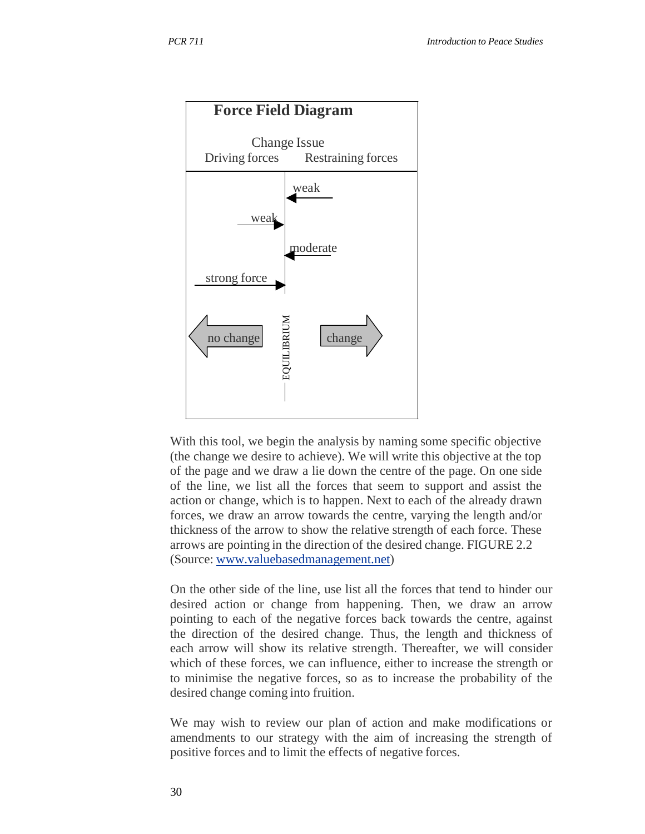

With this tool, we begin the analysis by naming some specific objective (the change we desire to achieve). We will write this objective at the top of the page and we draw a lie down the centre of the page. On one side of the line, we list all the forces that seem to support and assist the action or change, which is to happen. Next to each of the already drawn forces, we draw an arrow towards the centre, varying the length and/or thickness of the arrow to show the relative strength of each force. These arrows are pointing in the direction of the desired change. FIGURE 2.2 (Source: www.valuebasedmanagement.net)

On the other side of the line, use list all the forces that tend to hinder our desired action or change from happening. Then, we draw an arrow pointing to each of the negative forces back towards the centre, against the direction of the desired change. Thus, the length and thickness of each arrow will show its relative strength. Thereafter, we will consider which of these forces, we can influence, either to increase the strength or to minimise the negative forces, so as to increase the probability of the desired change coming into fruition.

We may wish to review our plan of action and make modifications or amendments to our strategy with the aim of increasing the strength of positive forces and to limit the effects of negative forces.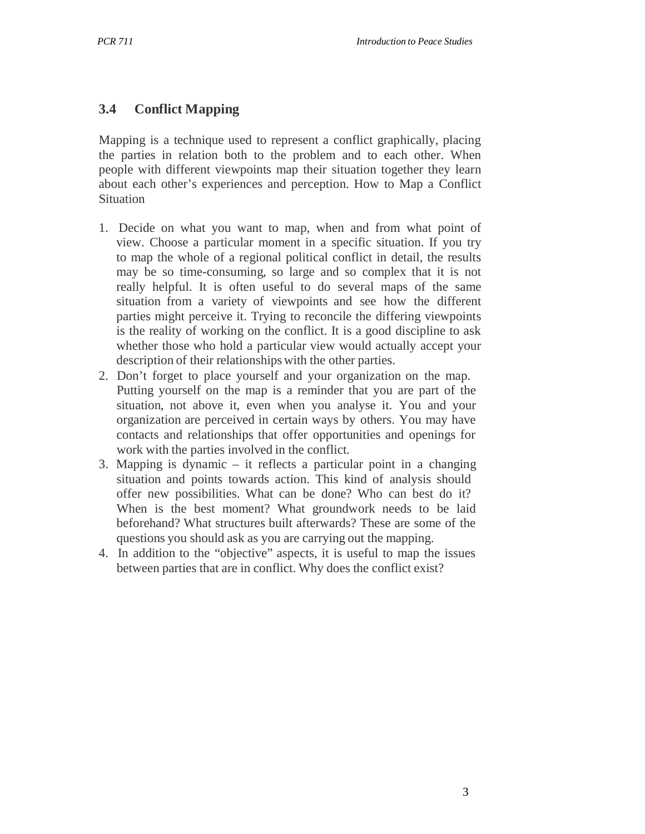#### **3.4 Conflict Mapping**

Mapping is a technique used to represent a conflict graphically, placing the parties in relation both to the problem and to each other. When people with different viewpoints map their situation together they learn about each other's experiences and perception. How to Map a Conflict **Situation** 

- 1. Decide on what you want to map, when and from what point of view. Choose a particular moment in a specific situation. If you try to map the whole of a regional political conflict in detail, the results may be so time-consuming, so large and so complex that it is not really helpful. It is often useful to do several maps of the same situation from a variety of viewpoints and see how the different parties might perceive it. Trying to reconcile the differing viewpoints is the reality of working on the conflict. It is a good discipline to ask whether those who hold a particular view would actually accept your description of their relationships with the other parties.
- 2. Don't forget to place yourself and your organization on the map. Putting yourself on the map is a reminder that you are part of the situation, not above it, even when you analyse it. You and your organization are perceived in certain ways by others. You may have contacts and relationships that offer opportunities and openings for work with the parties involved in the conflict.
- 3. Mapping is dynamic it reflects a particular point in a changing situation and points towards action. This kind of analysis should offer new possibilities. What can be done? Who can best do it? When is the best moment? What groundwork needs to be laid beforehand? What structures built afterwards? These are some of the questions you should ask as you are carrying out the mapping.
- 4. In addition to the "objective" aspects, it is useful to map the issues between parties that are in conflict. Why does the conflict exist?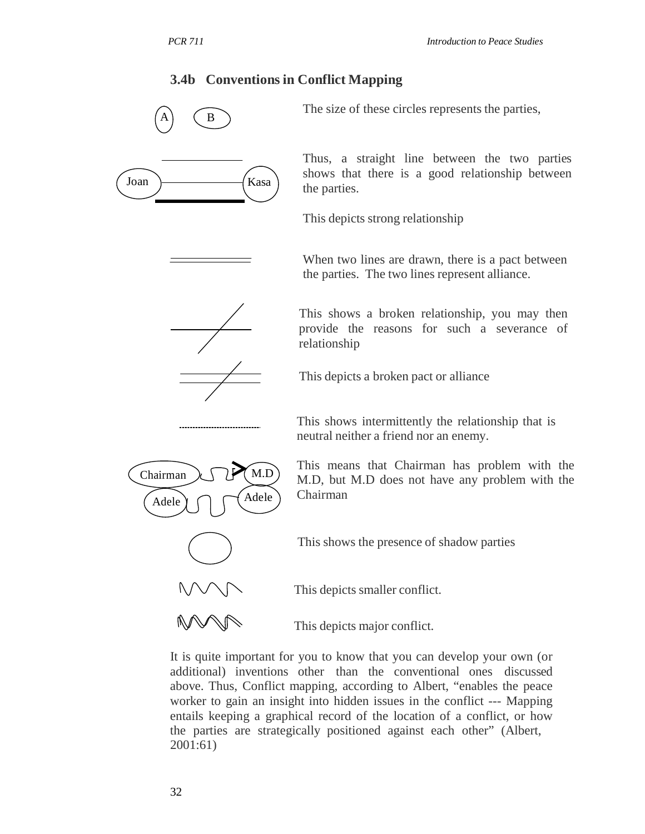#### **3.4b Conventions in Conflict Mapping**



It is quite important for you to know that you can develop your own (or additional) inventions other than the conventional ones discussed above. Thus, Conflict mapping, according to Albert, "enables the peace worker to gain an insight into hidden issues in the conflict --- Mapping entails keeping a graphical record of the location of a conflict, or how the parties are strategically positioned against each other" (Albert, 2001:61)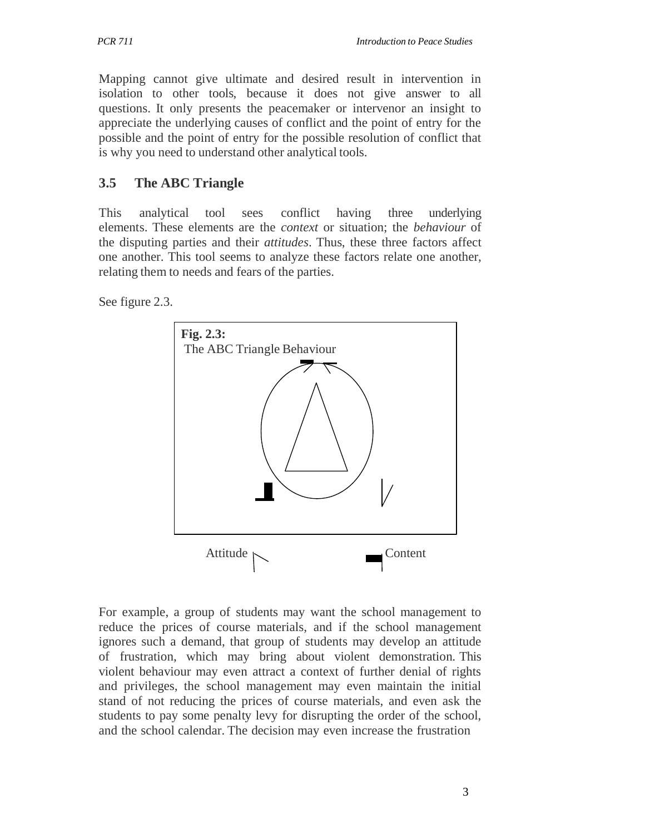Mapping cannot give ultimate and desired result in intervention in isolation to other tools, because it does not give answer to all questions. It only presents the peacemaker or intervenor an insight to appreciate the underlying causes of conflict and the point of entry for the possible and the point of entry for the possible resolution of conflict that is why you need to understand other analytical tools.

## **3.5 The ABC Triangle**

This analytical tool sees conflict having three underlying elements. These elements are the *context* or situation; the *behaviour* of the disputing parties and their *attitudes*. Thus, these three factors affect one another. This tool seems to analyze these factors relate one another, relating them to needs and fears of the parties.

See figure 2.3.



For example, a group of students may want the school management to reduce the prices of course materials, and if the school management ignores such a demand, that group of students may develop an attitude of frustration, which may bring about violent demonstration. This violent behaviour may even attract a context of further denial of rights and privileges, the school management may even maintain the initial stand of not reducing the prices of course materials, and even ask the students to pay some penalty levy for disrupting the order of the school, and the school calendar. The decision may even increase the frustration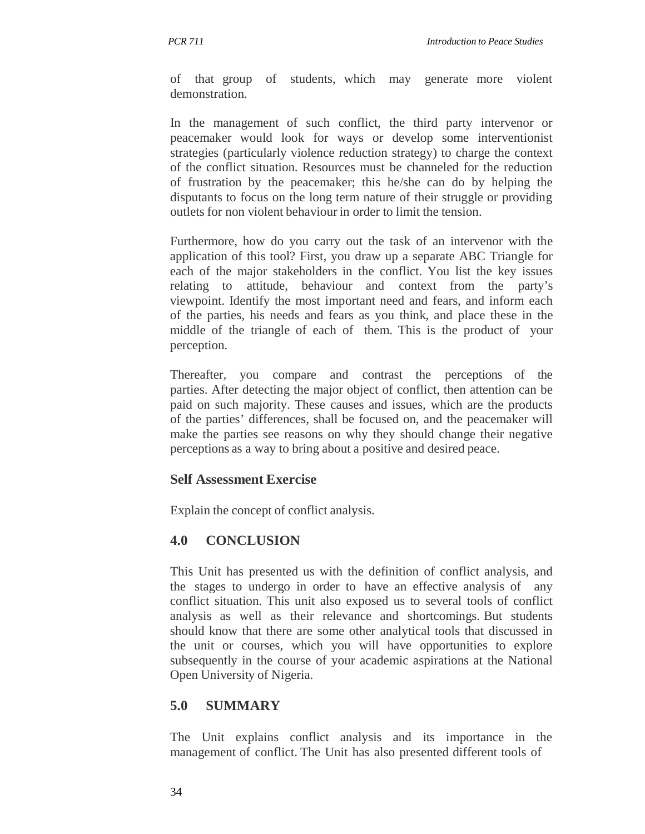of that group of students, which may generate more violent demonstration.

In the management of such conflict, the third party intervenor or peacemaker would look for ways or develop some interventionist strategies (particularly violence reduction strategy) to charge the context of the conflict situation. Resources must be channeled for the reduction of frustration by the peacemaker; this he/she can do by helping the disputants to focus on the long term nature of their struggle or providing outlets for non violent behaviour in order to limit the tension.

Furthermore, how do you carry out the task of an intervenor with the application of this tool? First, you draw up a separate ABC Triangle for each of the major stakeholders in the conflict. You list the key issues relating to attitude, behaviour and context from the party's viewpoint. Identify the most important need and fears, and inform each of the parties, his needs and fears as you think, and place these in the middle of the triangle of each of them. This is the product of your perception.

Thereafter, you compare and contrast the perceptions of the parties. After detecting the major object of conflict, then attention can be paid on such majority. These causes and issues, which are the products of the parties' differences, shall be focused on, and the peacemaker will make the parties see reasons on why they should change their negative perceptions as a way to bring about a positive and desired peace.

#### **Self Assessment Exercise**

Explain the concept of conflict analysis.

## **4.0 CONCLUSION**

This Unit has presented us with the definition of conflict analysis, and the stages to undergo in order to have an effective analysis of any conflict situation. This unit also exposed us to several tools of conflict analysis as well as their relevance and shortcomings. But students should know that there are some other analytical tools that discussed in the unit or courses, which you will have opportunities to explore subsequently in the course of your academic aspirations at the National Open University of Nigeria.

## **5.0 SUMMARY**

The Unit explains conflict analysis and its importance in the management of conflict. The Unit has also presented different tools of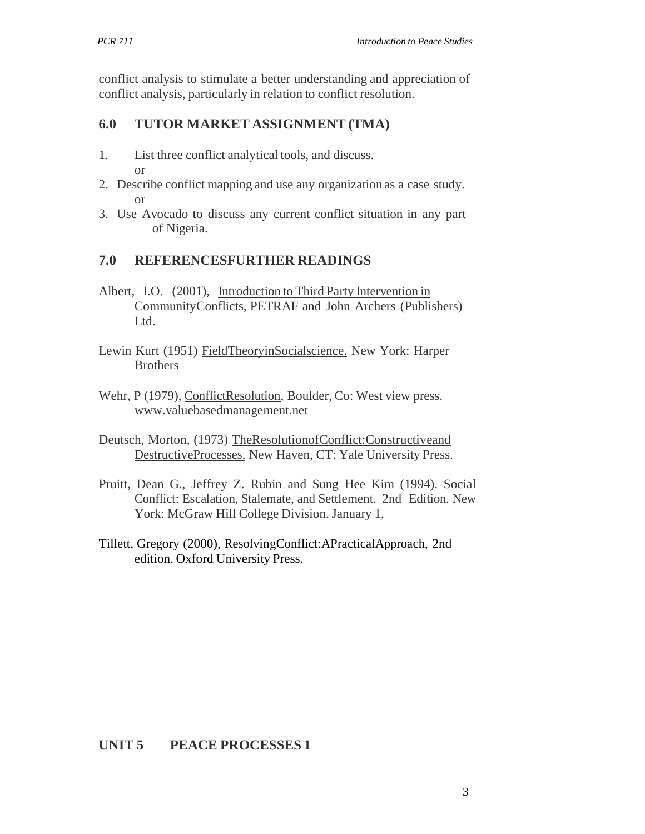conflict analysis to stimulate a better understanding and appreciation of conflict analysis, particularly in relation to conflict resolution.

#### **6.0 TUTOR MARKET ASSIGNMENT (TMA)**

- 1. List three conflict analytical tools, and discuss. or
- 2. Describe conflict mapping and use any organization as a case study. or
- 3. Use Avocado to discuss any current conflict situation in any part of Nigeria.

#### **7.0 REFERENCESFURTHER READINGS**

- Albert, I.O. (2001), Introduction to Third Party Intervention in CommunityConflicts*,* PETRAF and John Archers (Publishers) Ltd.
- Lewin Kurt (1951) FieldTheoryinSocialscience. New York: Harper **Brothers**
- Wehr, P (1979), ConflictResolution, Boulder, Co: West view press. www.valuebasedmanagement.net
- Deutsch, Morton, (1973) TheResolutionofConflict:Constructiveand DestructiveProcesses. New Haven, CT: Yale University Press.
- Pruitt, Dean G., Jeffrey Z. Rubin and Sung Hee Kim (1994). Social Conflict: Escalation, Stalemate, and Settlement. 2nd Edition. New York: McGraw Hill College Division. January 1,
- Tillett, Gregory (2000), ResolvingConflict:APracticalApproach, 2nd edition. Oxford University Press.

#### **UNIT 5 PEACE PROCESSES 1**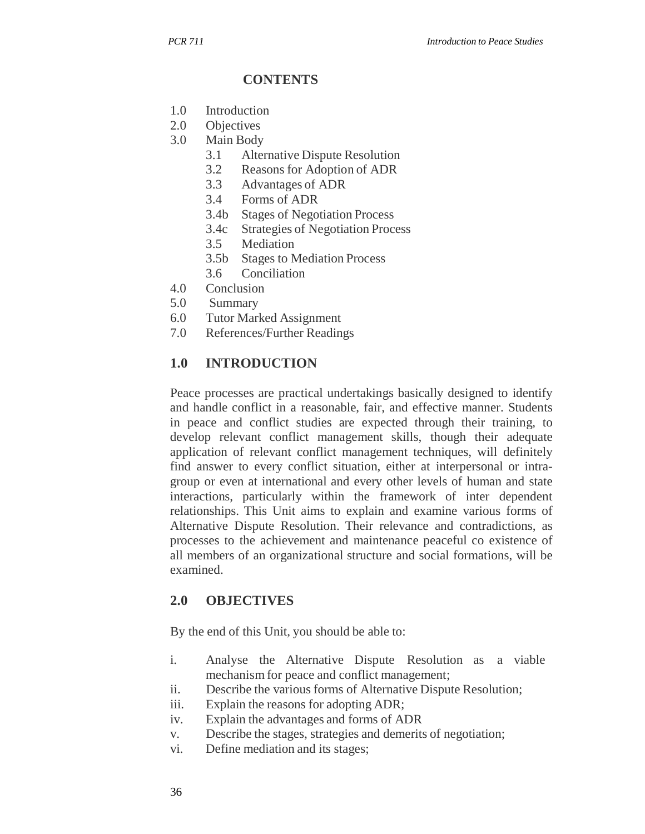#### **CONTENTS**

- 1.0 Introduction
- 2.0 Objectives
- 3.0 Main Body
	- 3.1 Alternative Dispute Resolution
	- 3.2 Reasons for Adoption of ADR
	- 3.3 Advantages of ADR
	- 3.4 Forms of ADR
	- 3.4b Stages of Negotiation Process
	- 3.4c Strategies of Negotiation Process
	- 3.5 Mediation
	- 3.5b Stages to Mediation Process
	- 3.6 Conciliation
- 4.0 Conclusion
- 5.0 Summary
- 6.0 Tutor Marked Assignment
- 7.0 References/Further Readings

#### **1.0 INTRODUCTION**

Peace processes are practical undertakings basically designed to identify and handle conflict in a reasonable, fair, and effective manner. Students in peace and conflict studies are expected through their training, to develop relevant conflict management skills, though their adequate application of relevant conflict management techniques, will definitely find answer to every conflict situation, either at interpersonal or intragroup or even at international and every other levels of human and state interactions, particularly within the framework of inter dependent relationships. This Unit aims to explain and examine various forms of Alternative Dispute Resolution. Their relevance and contradictions, as processes to the achievement and maintenance peaceful co existence of all members of an organizational structure and social formations, will be examined.

#### **2.0 OBJECTIVES**

By the end of this Unit, you should be able to:

- i. Analyse the Alternative Dispute Resolution as a viable mechanism for peace and conflict management;
- ii. Describe the various forms of Alternative Dispute Resolution;
- iii. Explain the reasons for adopting ADR;
- iv. Explain the advantages and forms of ADR
- v. Describe the stages, strategies and demerits of negotiation;
- vi. Define mediation and its stages;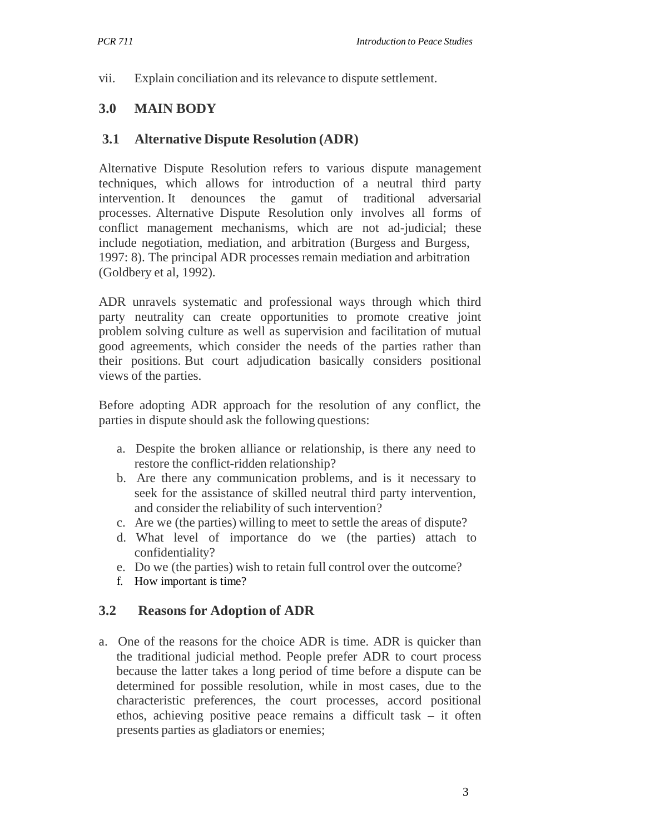vii. Explain conciliation and its relevance to dispute settlement.

#### **3.0 MAIN BODY**

#### **3.1 Alternative Dispute Resolution (ADR)**

Alternative Dispute Resolution refers to various dispute management techniques, which allows for introduction of a neutral third party intervention. It denounces the gamut of traditional adversarial processes. Alternative Dispute Resolution only involves all forms of conflict management mechanisms, which are not ad-judicial; these include negotiation, mediation, and arbitration (Burgess and Burgess, 1997: 8). The principal ADR processes remain mediation and arbitration (Goldbery et al, 1992).

ADR unravels systematic and professional ways through which third party neutrality can create opportunities to promote creative joint problem solving culture as well as supervision and facilitation of mutual good agreements, which consider the needs of the parties rather than their positions. But court adjudication basically considers positional views of the parties.

Before adopting ADR approach for the resolution of any conflict, the parties in dispute should ask the following questions:

- a. Despite the broken alliance or relationship, is there any need to restore the conflict-ridden relationship?
- b. Are there any communication problems, and is it necessary to seek for the assistance of skilled neutral third party intervention, and consider the reliability of such intervention?
- c. Are we (the parties) willing to meet to settle the areas of dispute?
- d. What level of importance do we (the parties) attach to confidentiality?
- e. Do we (the parties) wish to retain full control over the outcome?
- f. How important is time?

#### **3.2 Reasons for Adoption of ADR**

a. One of the reasons for the choice ADR is time. ADR is quicker than the traditional judicial method. People prefer ADR to court process because the latter takes a long period of time before a dispute can be determined for possible resolution, while in most cases, due to the characteristic preferences, the court processes, accord positional ethos, achieving positive peace remains a difficult task – it often presents parties as gladiators or enemies;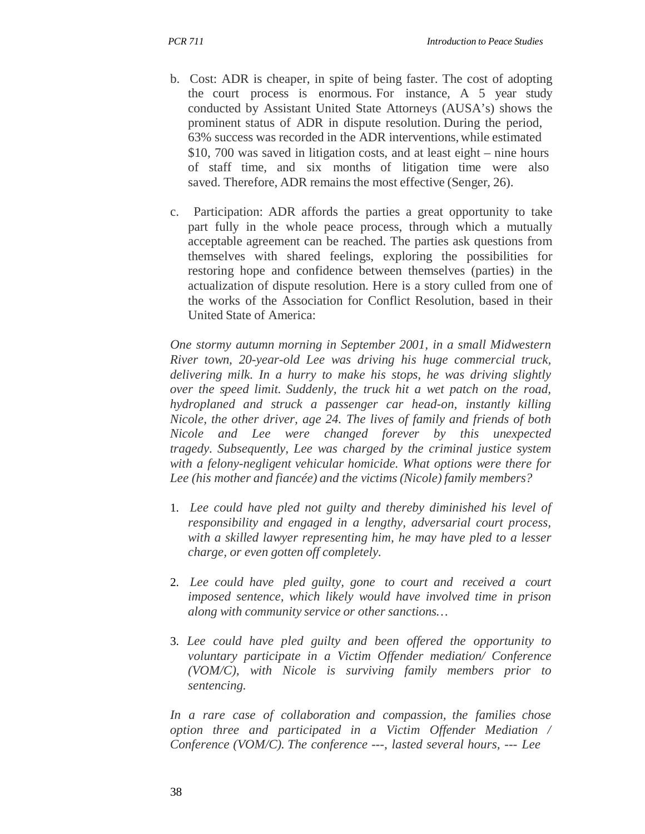- b. Cost: ADR is cheaper, in spite of being faster. The cost of adopting the court process is enormous. For instance, A 5 year study conducted by Assistant United State Attorneys (AUSA's) shows the prominent status of ADR in dispute resolution. During the period, 63% success was recorded in the ADR interventions, while estimated \$10, 700 was saved in litigation costs, and at least eight – nine hours of staff time, and six months of litigation time were also saved. Therefore, ADR remains the most effective (Senger, 26).
- c. Participation: ADR affords the parties a great opportunity to take part fully in the whole peace process, through which a mutually acceptable agreement can be reached. The parties ask questions from themselves with shared feelings, exploring the possibilities for restoring hope and confidence between themselves (parties) in the actualization of dispute resolution. Here is a story culled from one of the works of the Association for Conflict Resolution, based in their United State of America:

*One stormy autumn morning in September 2001, in a small Midwestern River town, 20-year-old Lee was driving his huge commercial truck, delivering milk. In a hurry to make his stops, he was driving slightly over the speed limit. Suddenly, the truck hit a wet patch on the road, hydroplaned and struck a passenger car head-on, instantly killing Nicole, the other driver, age 24. The lives of family and friends of both Nicole and Lee were changed forever by this unexpected tragedy. Subsequently, Lee was charged by the criminal justice system with a felony-negligent vehicular homicide. What options were there for Lee (his mother and fiancée) and the victims (Nicole) family members?*

- 1. *Lee could have pled not guilty and thereby diminished his level of responsibility and engaged in a lengthy, adversarial court process, with a skilled lawyer representing him, he may have pled to a lesser charge, or even gotten off completely.*
- 2. Lee could have pled guilty, gone to court and received a court *imposed sentence, which likely would have involved time in prison along with community service or other sanctions…*
- 3. *Lee could have pled guilty and been offered the opportunity to voluntary participate in a Victim Offender mediation/ Conference (VOM/C), with Nicole is surviving family members prior to sentencing.*

*In a rare case of collaboration and compassion, the families chose option three and participated in a Victim Offender Mediation / Conference (VOM/C). The conference ---, lasted several hours, --- Lee*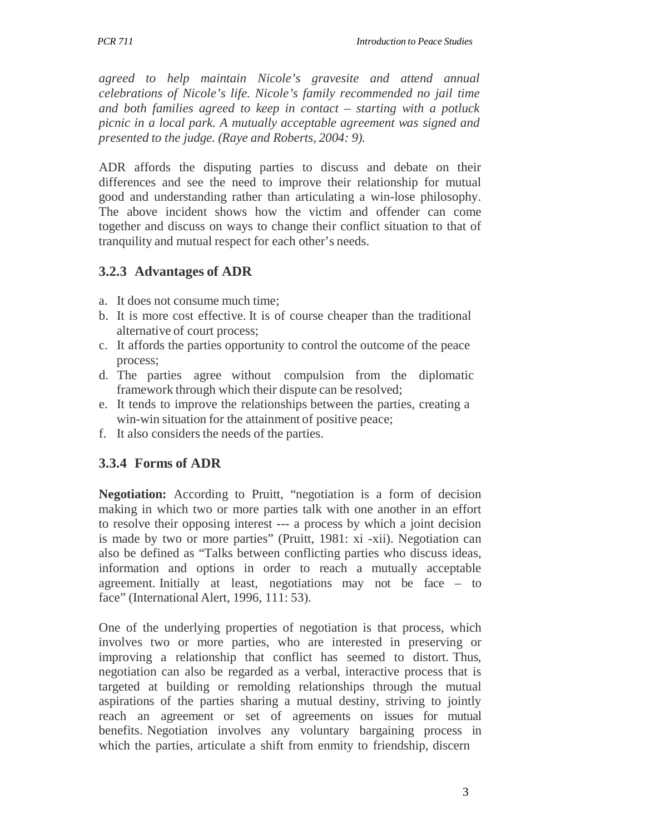*agreed to help maintain Nicole's gravesite and attend annual celebrations of Nicole's life. Nicole's family recommended no jail time and both families agreed to keep in contact – starting with a potluck picnic in a local park. A mutually acceptable agreement was signed and presented to the judge. (Raye and Roberts, 2004: 9).*

ADR affords the disputing parties to discuss and debate on their differences and see the need to improve their relationship for mutual good and understanding rather than articulating a win-lose philosophy. The above incident shows how the victim and offender can come together and discuss on ways to change their conflict situation to that of tranquility and mutual respect for each other's needs.

## **3.2.3 Advantages of ADR**

- a. It does not consume much time;
- b. It is more cost effective. It is of course cheaper than the traditional alternative of court process;
- c. It affords the parties opportunity to control the outcome of the peace process;
- d. The parties agree without compulsion from the diplomatic framework through which their dispute can be resolved;
- e. It tends to improve the relationships between the parties, creating a win-win situation for the attainment of positive peace;
- f. It also considers the needs of the parties.

## **3.3.4 Forms of ADR**

**Negotiation:** According to Pruitt, "negotiation is a form of decision making in which two or more parties talk with one another in an effort to resolve their opposing interest --- a process by which a joint decision is made by two or more parties" (Pruitt, 1981: xi -xii). Negotiation can also be defined as "Talks between conflicting parties who discuss ideas, information and options in order to reach a mutually acceptable agreement. Initially at least, negotiations may not be face – to face" (International Alert, 1996, 111: 53).

One of the underlying properties of negotiation is that process, which involves two or more parties, who are interested in preserving or improving a relationship that conflict has seemed to distort. Thus, negotiation can also be regarded as a verbal, interactive process that is targeted at building or remolding relationships through the mutual aspirations of the parties sharing a mutual destiny, striving to jointly reach an agreement or set of agreements on issues for mutual benefits. Negotiation involves any voluntary bargaining process in which the parties, articulate a shift from enmity to friendship, discern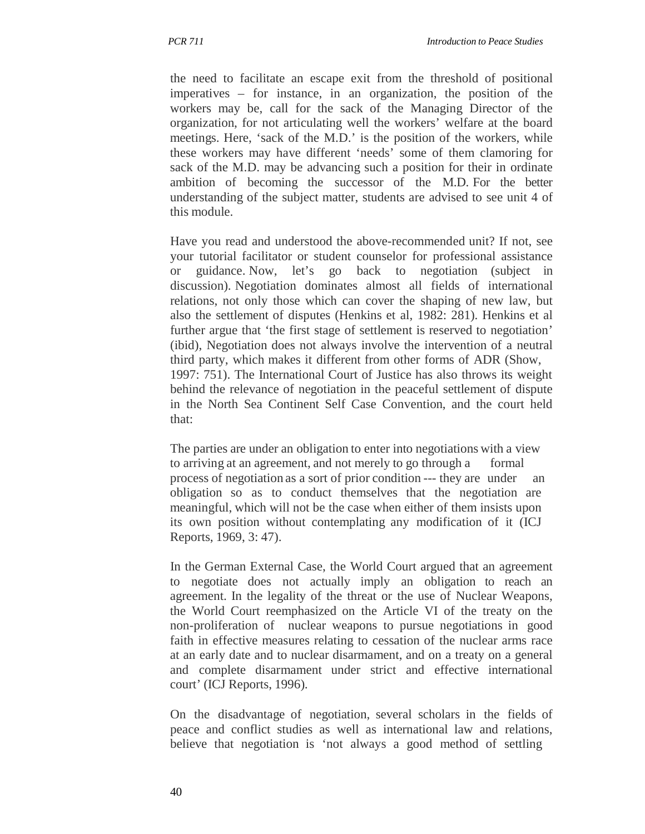the need to facilitate an escape exit from the threshold of positional imperatives – for instance, in an organization, the position of the workers may be, call for the sack of the Managing Director of the organization, for not articulating well the workers' welfare at the board meetings. Here, 'sack of the M.D.' is the position of the workers, while these workers may have different 'needs' some of them clamoring for sack of the M.D. may be advancing such a position for their in ordinate ambition of becoming the successor of the M.D. For the better understanding of the subject matter, students are advised to see unit 4 of this module.

Have you read and understood the above-recommended unit? If not, see your tutorial facilitator or student counselor for professional assistance or guidance. Now, let's go back to negotiation (subject in discussion). Negotiation dominates almost all fields of international relations, not only those which can cover the shaping of new law, but also the settlement of disputes (Henkins et al, 1982: 281). Henkins et al further argue that 'the first stage of settlement is reserved to negotiation' (ibid), Negotiation does not always involve the intervention of a neutral third party, which makes it different from other forms of ADR (Show, 1997: 751). The International Court of Justice has also throws its weight behind the relevance of negotiation in the peaceful settlement of dispute in the North Sea Continent Self Case Convention, and the court held that:

The parties are under an obligation to enter into negotiations with a view to arriving at an agreement, and not merely to go through a formal process of negotiation as a sort of prior condition --- they are under an obligation so as to conduct themselves that the negotiation are meaningful, which will not be the case when either of them insists upon its own position without contemplating any modification of it (ICJ Reports, 1969, 3: 47).

In the German External Case, the World Court argued that an agreement to negotiate does not actually imply an obligation to reach an agreement. In the legality of the threat or the use of Nuclear Weapons, the World Court reemphasized on the Article VI of the treaty on the non-proliferation of nuclear weapons to pursue negotiations in good faith in effective measures relating to cessation of the nuclear arms race at an early date and to nuclear disarmament, and on a treaty on a general and complete disarmament under strict and effective international court' (ICJ Reports, 1996).

On the disadvantage of negotiation, several scholars in the fields of peace and conflict studies as well as international law and relations, believe that negotiation is 'not always a good method of settling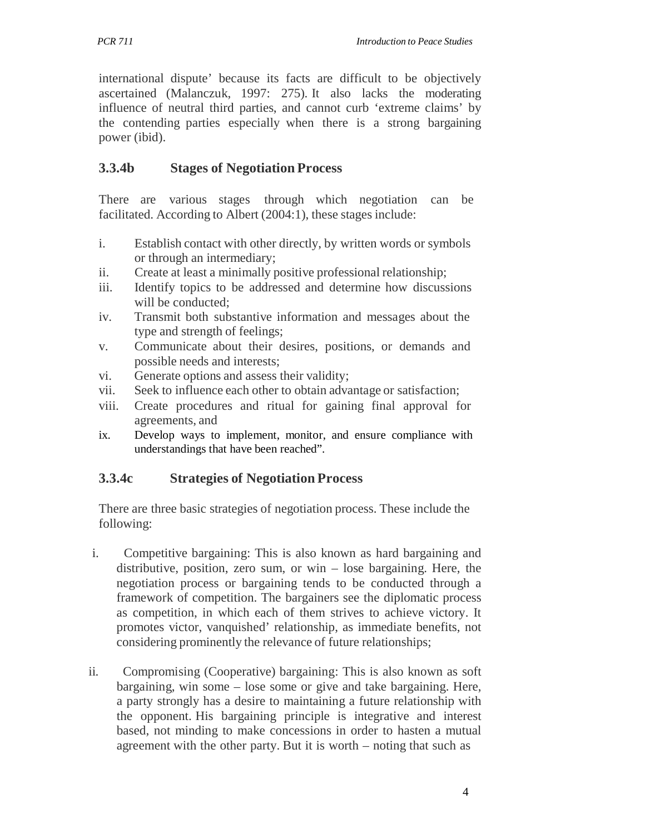international dispute' because its facts are difficult to be objectively ascertained (Malanczuk, 1997: 275). It also lacks the moderating influence of neutral third parties, and cannot curb 'extreme claims' by the contending parties especially when there is a strong bargaining power (ibid).

## **3.3.4b Stages of Negotiation Process**

There are various stages through which negotiation can be facilitated. According to Albert (2004:1), these stages include:

- i. Establish contact with other directly, by written words or symbols or through an intermediary;
- ii. Create at least a minimally positive professional relationship;
- iii. Identify topics to be addressed and determine how discussions will be conducted:
- iv. Transmit both substantive information and messages about the type and strength of feelings;
- v. Communicate about their desires, positions, or demands and possible needs and interests;
- vi. Generate options and assess their validity;
- vii. Seek to influence each other to obtain advantage or satisfaction;
- viii. Create procedures and ritual for gaining final approval for agreements, and
- ix. Develop ways to implement, monitor, and ensure compliance with understandings that have been reached".

## **3.3.4c Strategies of Negotiation Process**

There are three basic strategies of negotiation process. These include the following:

- i. Competitive bargaining: This is also known as hard bargaining and distributive, position, zero sum, or win – lose bargaining. Here, the negotiation process or bargaining tends to be conducted through a framework of competition. The bargainers see the diplomatic process as competition, in which each of them strives to achieve victory. It promotes victor, vanquished' relationship, as immediate benefits, not considering prominently the relevance of future relationships;
- ii. Compromising (Cooperative) bargaining: This is also known as soft bargaining, win some – lose some or give and take bargaining. Here, a party strongly has a desire to maintaining a future relationship with the opponent. His bargaining principle is integrative and interest based, not minding to make concessions in order to hasten a mutual agreement with the other party. But it is worth – noting that such as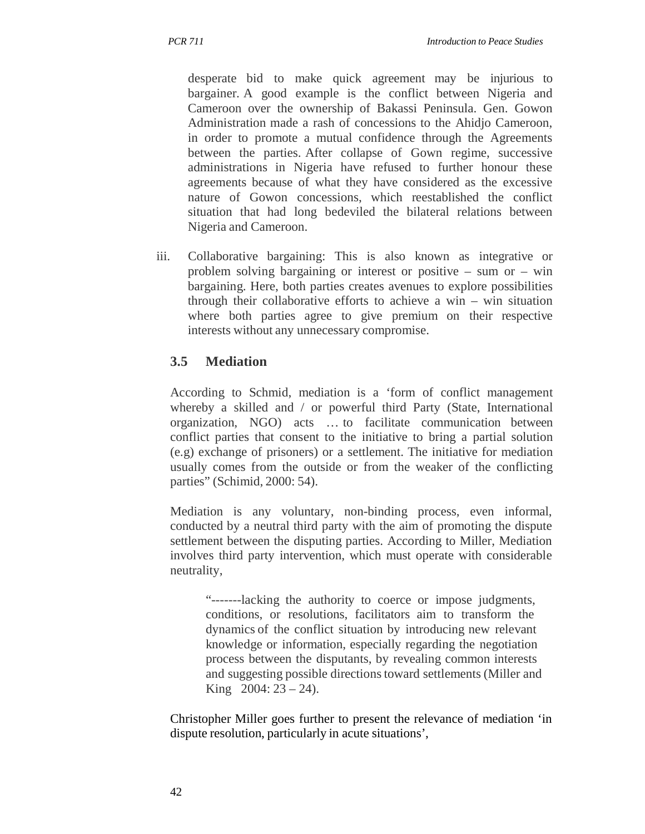desperate bid to make quick agreement may be injurious to bargainer. A good example is the conflict between Nigeria and Cameroon over the ownership of Bakassi Peninsula. Gen. Gowon Administration made a rash of concessions to the Ahidjo Cameroon, in order to promote a mutual confidence through the Agreements between the parties. After collapse of Gown regime, successive administrations in Nigeria have refused to further honour these agreements because of what they have considered as the excessive nature of Gowon concessions, which reestablished the conflict situation that had long bedeviled the bilateral relations between Nigeria and Cameroon.

iii. Collaborative bargaining: This is also known as integrative or problem solving bargaining or interest or positive – sum or – win bargaining. Here, both parties creates avenues to explore possibilities through their collaborative efforts to achieve a win – win situation where both parties agree to give premium on their respective interests without any unnecessary compromise.

## **3.5 Mediation**

According to Schmid, mediation is a 'form of conflict management whereby a skilled and / or powerful third Party (State, International organization, NGO) acts … to facilitate communication between conflict parties that consent to the initiative to bring a partial solution (e.g) exchange of prisoners) or a settlement. The initiative for mediation usually comes from the outside or from the weaker of the conflicting parties" (Schimid, 2000: 54).

Mediation is any voluntary, non-binding process, even informal, conducted by a neutral third party with the aim of promoting the dispute settlement between the disputing parties. According to Miller, Mediation involves third party intervention, which must operate with considerable neutrality,

"-------lacking the authority to coerce or impose judgments, conditions, or resolutions, facilitators aim to transform the dynamics of the conflict situation by introducing new relevant knowledge or information, especially regarding the negotiation process between the disputants, by revealing common interests and suggesting possible directions toward settlements (Miller and King  $2004: 23 - 24$ ).

Christopher Miller goes further to present the relevance of mediation 'in dispute resolution, particularly in acute situations',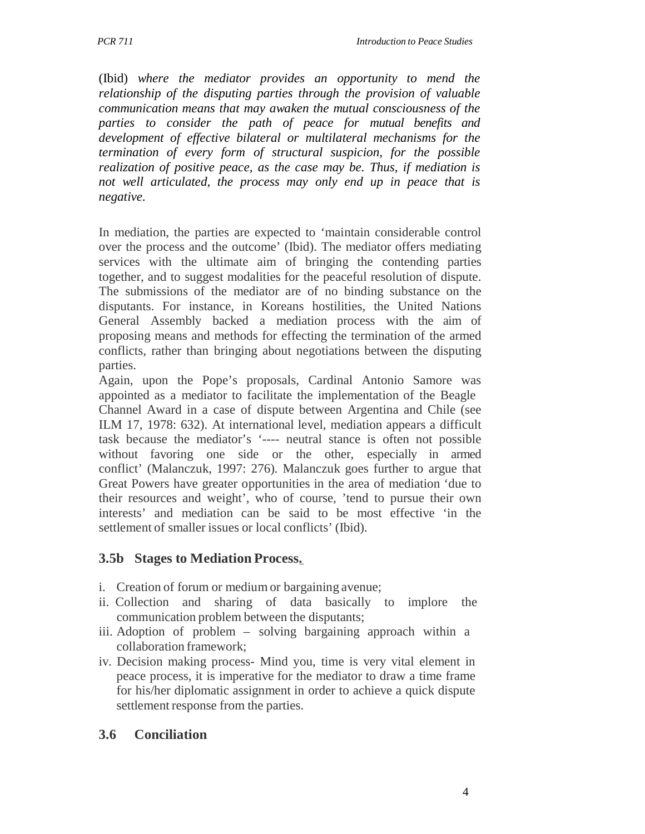(Ibid) *where the mediator provides an opportunity to mend the relationship of the disputing parties through the provision of valuable communication means that may awaken the mutual consciousness of the parties to consider the path of peace for mutual benefits and development of effective bilateral or multilateral mechanisms for the termination of every form of structural suspicion, for the possible realization of positive peace, as the case may be. Thus, if mediation is not well articulated, the process may only end up in peace that is negative.*

In mediation, the parties are expected to 'maintain considerable control over the process and the outcome' (Ibid). The mediator offers mediating services with the ultimate aim of bringing the contending parties together, and to suggest modalities for the peaceful resolution of dispute. The submissions of the mediator are of no binding substance on the disputants. For instance, in Koreans hostilities, the United Nations General Assembly backed a mediation process with the aim of proposing means and methods for effecting the termination of the armed conflicts, rather than bringing about negotiations between the disputing parties.

Again, upon the Pope's proposals, Cardinal Antonio Samore was appointed as a mediator to facilitate the implementation of the Beagle Channel Award in a case of dispute between Argentina and Chile (see ILM 17, 1978: 632). At international level, mediation appears a difficult task because the mediator's '---- neutral stance is often not possible without favoring one side or the other, especially in armed conflict' (Malanczuk, 1997: 276). Malanczuk goes further to argue that Great Powers have greater opportunities in the area of mediation 'due to their resources and weight', who of course, 'tend to pursue their own interests' and mediation can be said to be most effective 'in the settlement of smaller issues or local conflicts' (Ibid).

#### **3.5b Stages to Mediation Process.**

- i. Creation of forum or medium or bargaining avenue;
- ii. Collection and sharing of data basically to implore the communication problem between the disputants;
- iii. Adoption of problem solving bargaining approach within a collaboration framework;
- iv. Decision making process- Mind you, time is very vital element in peace process, it is imperative for the mediator to draw a time frame for his/her diplomatic assignment in order to achieve a quick dispute settlement response from the parties.

#### **3.6 Conciliation**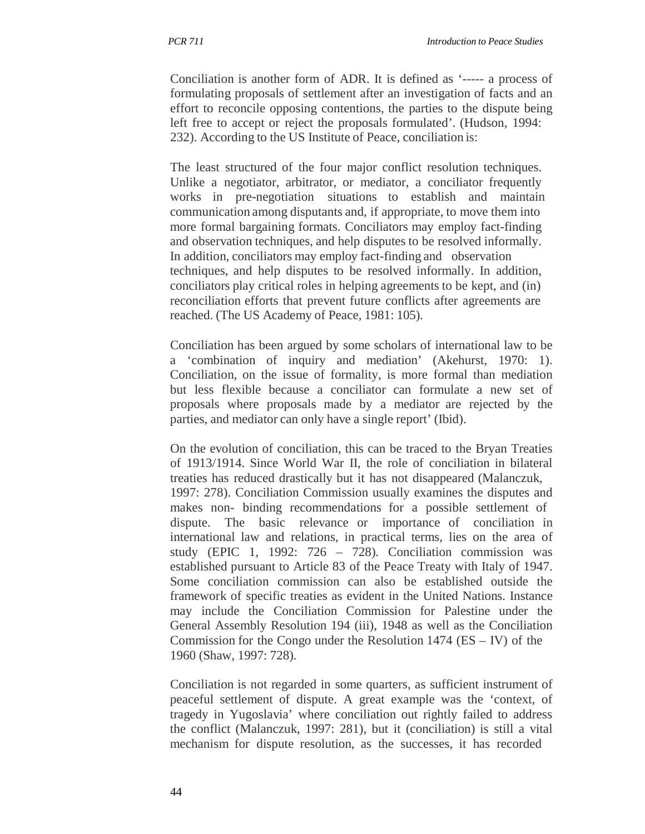Conciliation is another form of ADR. It is defined as '----- a process of formulating proposals of settlement after an investigation of facts and an effort to reconcile opposing contentions, the parties to the dispute being left free to accept or reject the proposals formulated'. (Hudson, 1994: 232). According to the US Institute of Peace, conciliation is:

The least structured of the four major conflict resolution techniques. Unlike a negotiator, arbitrator, or mediator, a conciliator frequently works in pre-negotiation situations to establish and maintain communication among disputants and, if appropriate, to move them into more formal bargaining formats. Conciliators may employ fact-finding and observation techniques, and help disputes to be resolved informally. In addition, conciliators may employ fact-finding and observation techniques, and help disputes to be resolved informally. In addition, conciliators play critical roles in helping agreements to be kept, and (in) reconciliation efforts that prevent future conflicts after agreements are reached. (The US Academy of Peace, 1981: 105).

Conciliation has been argued by some scholars of international law to be a 'combination of inquiry and mediation' (Akehurst, 1970: 1). Conciliation, on the issue of formality, is more formal than mediation but less flexible because a conciliator can formulate a new set of proposals where proposals made by a mediator are rejected by the parties, and mediator can only have a single report' (Ibid).

On the evolution of conciliation, this can be traced to the Bryan Treaties of 1913/1914. Since World War II, the role of conciliation in bilateral treaties has reduced drastically but it has not disappeared (Malanczuk, 1997: 278). Conciliation Commission usually examines the disputes and makes non- binding recommendations for a possible settlement of dispute. The basic relevance or importance of conciliation in international law and relations, in practical terms, lies on the area of study (EPIC 1, 1992: 726 – 728). Conciliation commission was established pursuant to Article 83 of the Peace Treaty with Italy of 1947. Some conciliation commission can also be established outside the framework of specific treaties as evident in the United Nations. Instance may include the Conciliation Commission for Palestine under the General Assembly Resolution 194 (iii), 1948 as well as the Conciliation Commission for the Congo under the Resolution  $1474$  (ES – IV) of the 1960 (Shaw, 1997: 728).

Conciliation is not regarded in some quarters, as sufficient instrument of peaceful settlement of dispute. A great example was the 'context, of tragedy in Yugoslavia' where conciliation out rightly failed to address the conflict (Malanczuk, 1997: 281), but it (conciliation) is still a vital mechanism for dispute resolution, as the successes, it has recorded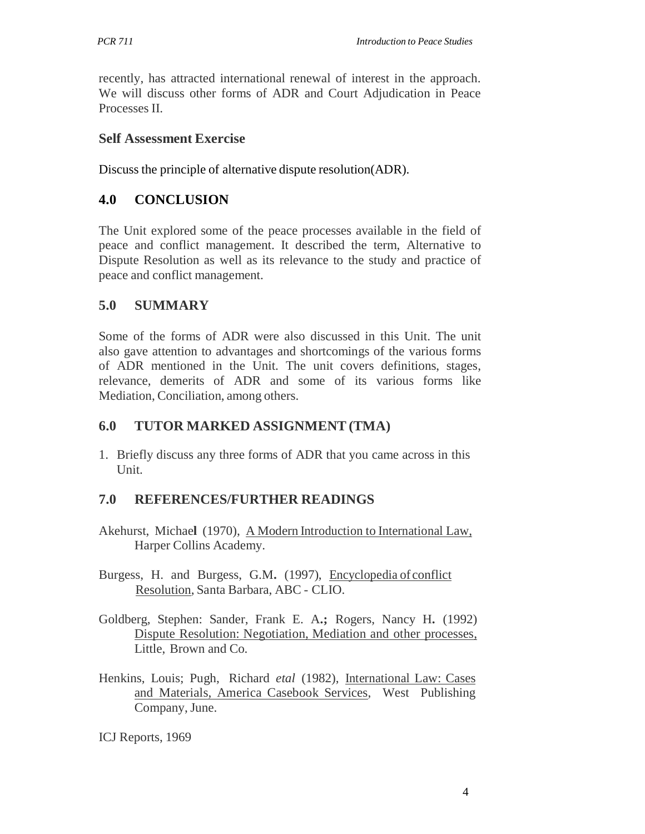recently, has attracted international renewal of interest in the approach. We will discuss other forms of ADR and Court Adjudication in Peace Processes II.

#### **Self Assessment Exercise**

Discuss the principle of alternative dispute resolution(ADR).

## **4.0 CONCLUSION**

The Unit explored some of the peace processes available in the field of peace and conflict management. It described the term, Alternative to Dispute Resolution as well as its relevance to the study and practice of peace and conflict management.

## **5.0 SUMMARY**

Some of the forms of ADR were also discussed in this Unit. The unit also gave attention to advantages and shortcomings of the various forms of ADR mentioned in the Unit. The unit covers definitions, stages, relevance, demerits of ADR and some of its various forms like Mediation, Conciliation, among others.

## **6.0 TUTOR MARKED ASSIGNMENT (TMA)**

1. Briefly discuss any three forms of ADR that you came across in this Unit.

## **7.0 REFERENCES/FURTHER READINGS**

- Akehurst, Michae**l** (1970), A Modern Introduction to International Law, Harper Collins Academy.
- Burgess, H. and Burgess, G.M**.** (1997), Encyclopedia of conflict Resolution, Santa Barbara, ABC - CLIO.
- Goldberg, Stephen: Sander, Frank E. A**.;** Rogers, Nancy H**.** (1992) Dispute Resolution: Negotiation, Mediation and other processes, Little, Brown and Co.
- Henkins, Louis; Pugh, Richard *etal* (1982), International Law: Cases and Materials, America Casebook Services, West Publishing Company, June.

ICJ Reports, 1969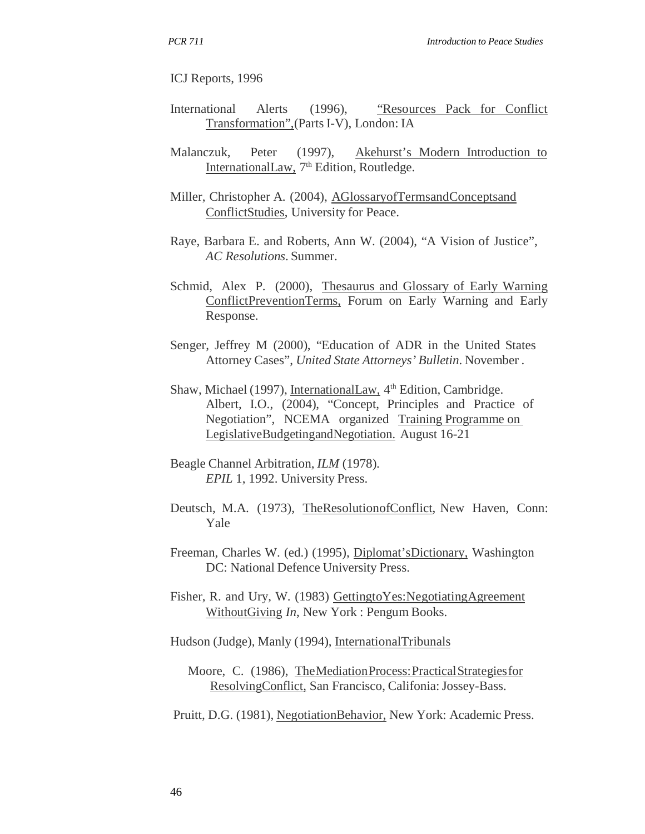ICJ Reports, 1996

- International Alerts (1996), "Resources Pack for Conflict Transformation",(Parts I-V), London: IA
- Malanczuk, Peter (1997), Akehurst's Modern Introduction to InternationalLaw,  $7<sup>th</sup>$  Edition, Routledge.
- Miller, Christopher A. (2004), AGlossaryofTermsandConceptsand ConflictStudies, University for Peace.
- Raye, Barbara E. and Roberts, Ann W. (2004), "A Vision of Justice", *AC Resolutions*. Summer.
- Schmid, Alex P. (2000), Thesaurus and Glossary of Early Warning ConflictPreventionTerms, Forum on Early Warning and Early Response.
- Senger, Jeffrey M (2000), "Education of ADR in the United States Attorney Cases", *United State Attorneys' Bulletin*. November .
- Shaw, Michael (1997), InternationalLaw, 4<sup>th</sup> Edition, Cambridge. Albert, I.O., (2004), "Concept, Principles and Practice of Negotiation", NCEMA organized Training Programme on LegislativeBudgetingandNegotiation. August 16-21
- Beagle Channel Arbitration, *ILM* (1978). *EPIL* 1, 1992. University Press.
- Deutsch, M.A. (1973), TheResolutionofConflict, New Haven, Conn: Yale
- Freeman, Charles W. (ed.) (1995), Diplomat'sDictionary, Washington DC: National Defence University Press.
- Fisher, R. and Ury, W. (1983) Gettingto Yes: Negotiating Agreement WithoutGiving *In*, New York : Pengum Books.
- Hudson (Judge), Manly (1994), InternationalTribunals
	- Moore, C. (1986), The Mediation Process: Practical Strategies for ResolvingConflict, San Francisco, Califonia: Jossey-Bass.
- Pruitt, D.G. (1981), NegotiationBehavior, New York: Academic Press.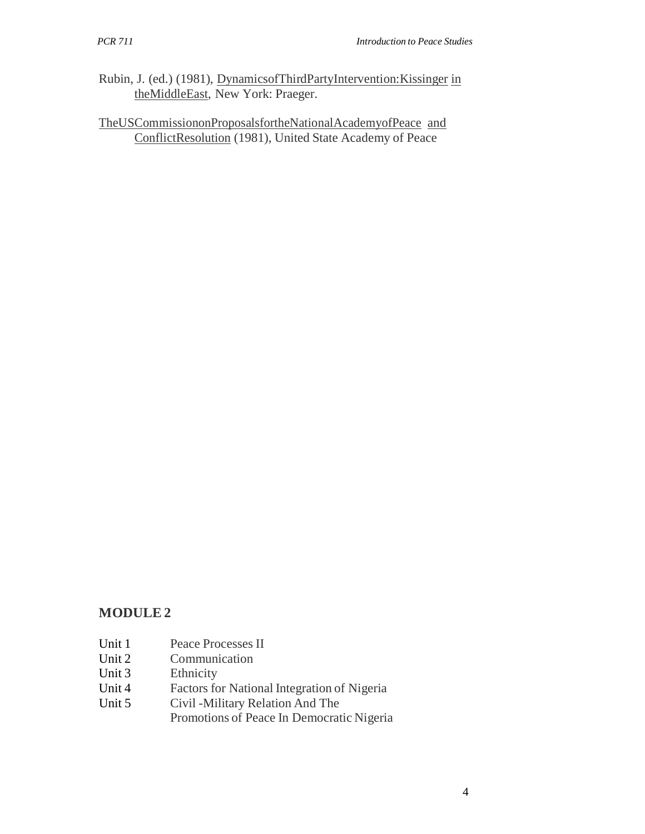- Rubin, J. (ed.) (1981), DynamicsofThirdPartyIntervention:Kissinger in theMiddleEast, New York: Praeger.
- TheUSCommissiononProposalsfortheNationalAcademyofPeace and ConflictResolution (1981), United State Academy of Peace

## **MODULE 2**

- Unit 1 Peace Processes II
- Unit 2 Communication<br>Unit 3 Ethnicity
- Ethnicity
- Unit 4 Factors for National Integration of Nigeria
- Unit 5 Civil -Military Relation And The Promotions of Peace In Democratic Nigeria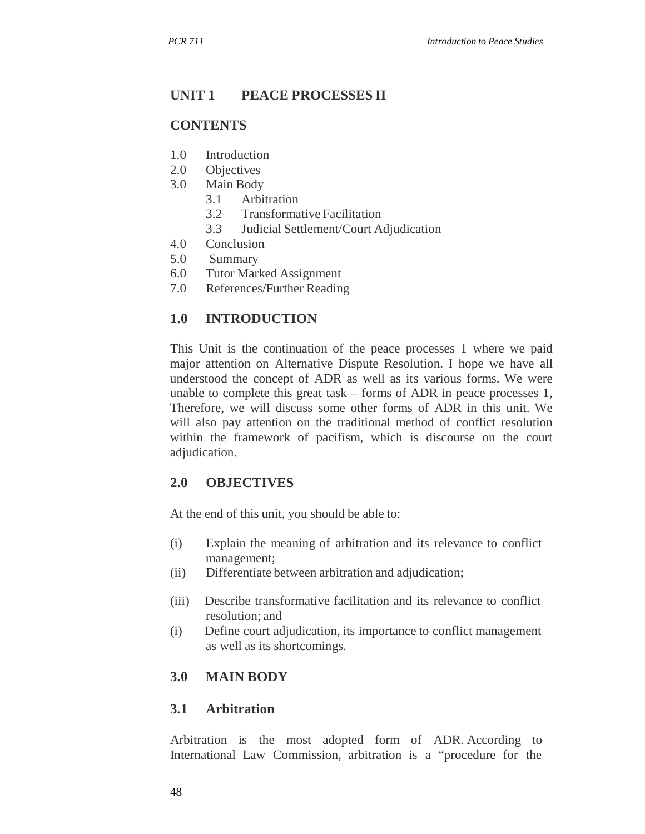## **UNIT 1 PEACE PROCESSES II**

#### **CONTENTS**

- 1.0 Introduction
- 2.0 Objectives
- 3.0 Main Body
	- 3.1 Arbitration
	- 3.2 Transformative Facilitation
	- 3.3 Judicial Settlement/Court Adjudication
- 4.0 Conclusion
- 5.0 Summary
- 6.0 Tutor Marked Assignment
- 7.0 References/Further Reading

#### **1.0 INTRODUCTION**

This Unit is the continuation of the peace processes 1 where we paid major attention on Alternative Dispute Resolution. I hope we have all understood the concept of ADR as well as its various forms. We were unable to complete this great task – forms of ADR in peace processes 1, Therefore, we will discuss some other forms of ADR in this unit. We will also pay attention on the traditional method of conflict resolution within the framework of pacifism, which is discourse on the court adjudication.

#### **2.0 OBJECTIVES**

At the end of this unit, you should be able to:

- (i) Explain the meaning of arbitration and its relevance to conflict management;
- (ii) Differentiate between arbitration and adjudication;
- (iii) Describe transformative facilitation and its relevance to conflict resolution; and
- (i) Define court adjudication, its importance to conflict management as well as its shortcomings.

## **3.0 MAIN BODY**

#### **3.1 Arbitration**

Arbitration is the most adopted form of ADR. According to International Law Commission, arbitration is a "procedure for the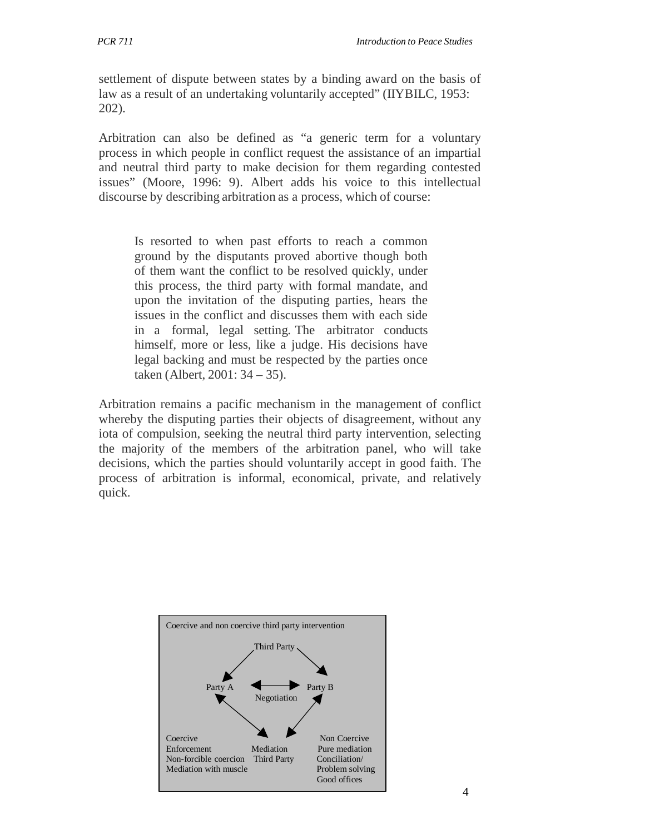settlement of dispute between states by a binding award on the basis of law as a result of an undertaking voluntarily accepted" (IIYBILC, 1953: 202).

Arbitration can also be defined as "a generic term for a voluntary process in which people in conflict request the assistance of an impartial and neutral third party to make decision for them regarding contested issues" (Moore, 1996: 9). Albert adds his voice to this intellectual discourse by describing arbitration as a process, which of course:

Is resorted to when past efforts to reach a common ground by the disputants proved abortive though both of them want the conflict to be resolved quickly, under this process, the third party with formal mandate, and upon the invitation of the disputing parties, hears the issues in the conflict and discusses them with each side in a formal, legal setting. The arbitrator conducts himself, more or less, like a judge. His decisions have legal backing and must be respected by the parties once taken (Albert, 2001: 34 – 35).

Arbitration remains a pacific mechanism in the management of conflict whereby the disputing parties their objects of disagreement, without any iota of compulsion, seeking the neutral third party intervention, selecting the majority of the members of the arbitration panel, who will take decisions, which the parties should voluntarily accept in good faith. The process of arbitration is informal, economical, private, and relatively quick.

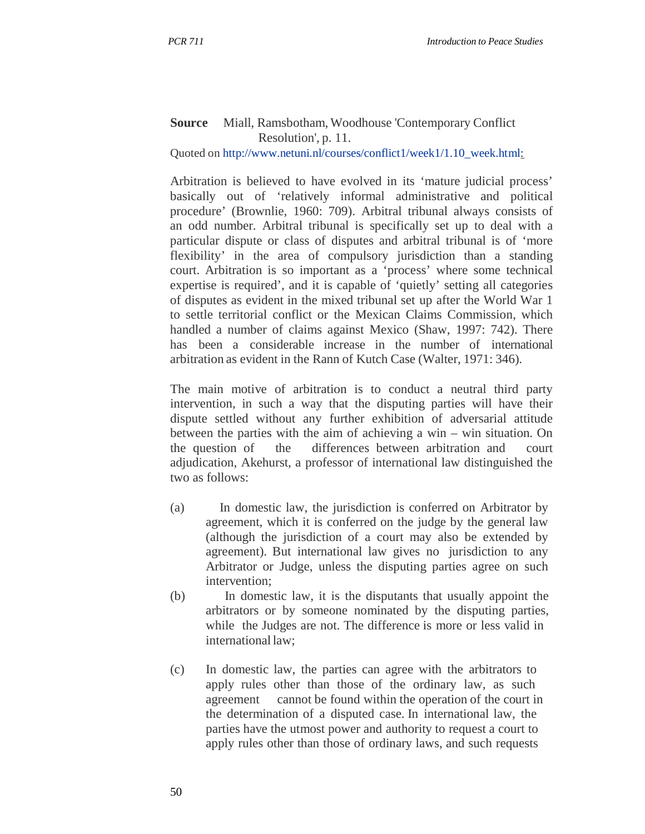#### **Source** Miall, Ramsbotham, Woodhouse 'Contemporary Conflict Resolution', p. 11.

Quoted on http://www.netuni.nl/courses/conflict1/week1/1.10\_week.html:

Arbitration is believed to have evolved in its 'mature judicial process' basically out of 'relatively informal administrative and political procedure' (Brownlie, 1960: 709). Arbitral tribunal always consists of an odd number. Arbitral tribunal is specifically set up to deal with a particular dispute or class of disputes and arbitral tribunal is of 'more flexibility' in the area of compulsory jurisdiction than a standing court. Arbitration is so important as a 'process' where some technical expertise is required', and it is capable of 'quietly' setting all categories of disputes as evident in the mixed tribunal set up after the World War 1 to settle territorial conflict or the Mexican Claims Commission, which handled a number of claims against Mexico (Shaw, 1997: 742). There has been a considerable increase in the number of international arbitration as evident in the Rann of Kutch Case (Walter, 1971: 346).

The main motive of arbitration is to conduct a neutral third party intervention, in such a way that the disputing parties will have their dispute settled without any further exhibition of adversarial attitude between the parties with the aim of achieving a win – win situation. On the question of the differences between arbitration and court adjudication, Akehurst, a professor of international law distinguished the two as follows:

- (a) In domestic law, the jurisdiction is conferred on Arbitrator by agreement, which it is conferred on the judge by the general law (although the jurisdiction of a court may also be extended by agreement). But international law gives no jurisdiction to any Arbitrator or Judge, unless the disputing parties agree on such intervention;
- (b) In domestic law, it is the disputants that usually appoint the arbitrators or by someone nominated by the disputing parties, while the Judges are not. The difference is more or less valid in international law;
- (c) In domestic law, the parties can agree with the arbitrators to apply rules other than those of the ordinary law, as such agreement cannot be found within the operation of the court in the determination of a disputed case. In international law, the parties have the utmost power and authority to request a court to apply rules other than those of ordinary laws, and such requests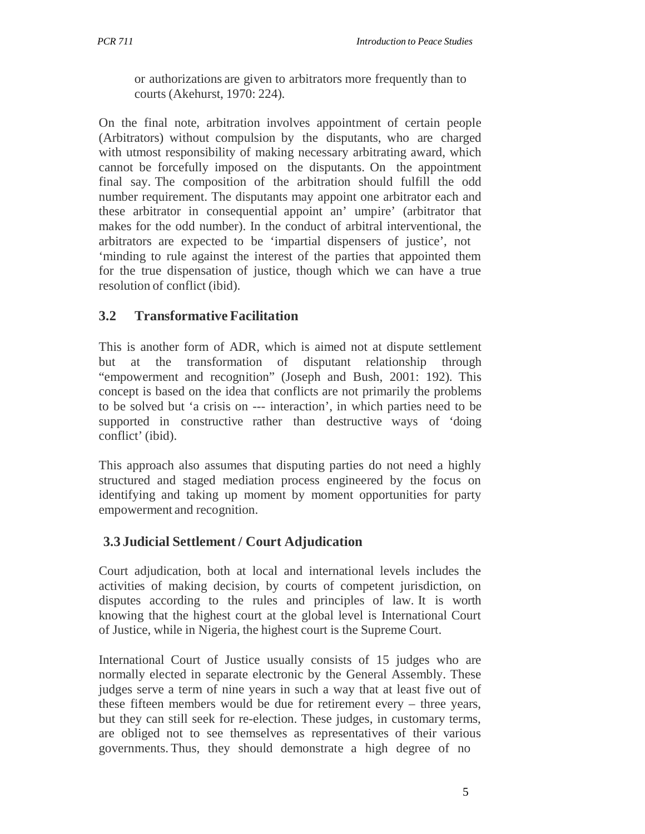or authorizations are given to arbitrators more frequently than to courts (Akehurst, 1970: 224).

On the final note, arbitration involves appointment of certain people (Arbitrators) without compulsion by the disputants, who are charged with utmost responsibility of making necessary arbitrating award, which cannot be forcefully imposed on the disputants. On the appointment final say. The composition of the arbitration should fulfill the odd number requirement. The disputants may appoint one arbitrator each and these arbitrator in consequential appoint an' umpire' (arbitrator that makes for the odd number). In the conduct of arbitral interventional, the arbitrators are expected to be 'impartial dispensers of justice', not 'minding to rule against the interest of the parties that appointed them for the true dispensation of justice, though which we can have a true resolution of conflict (ibid).

## **3.2 Transformative Facilitation**

This is another form of ADR, which is aimed not at dispute settlement but at the transformation of disputant relationship through "empowerment and recognition" (Joseph and Bush, 2001: 192). This concept is based on the idea that conflicts are not primarily the problems to be solved but 'a crisis on --- interaction', in which parties need to be supported in constructive rather than destructive ways of 'doing conflict' (ibid).

This approach also assumes that disputing parties do not need a highly structured and staged mediation process engineered by the focus on identifying and taking up moment by moment opportunities for party empowerment and recognition.

## **3.3 Judicial Settlement / Court Adjudication**

Court adjudication, both at local and international levels includes the activities of making decision, by courts of competent jurisdiction, on disputes according to the rules and principles of law. It is worth knowing that the highest court at the global level is International Court of Justice, while in Nigeria, the highest court is the Supreme Court.

International Court of Justice usually consists of 15 judges who are normally elected in separate electronic by the General Assembly. These judges serve a term of nine years in such a way that at least five out of these fifteen members would be due for retirement every – three years, but they can still seek for re-election. These judges, in customary terms, are obliged not to see themselves as representatives of their various governments. Thus, they should demonstrate a high degree of no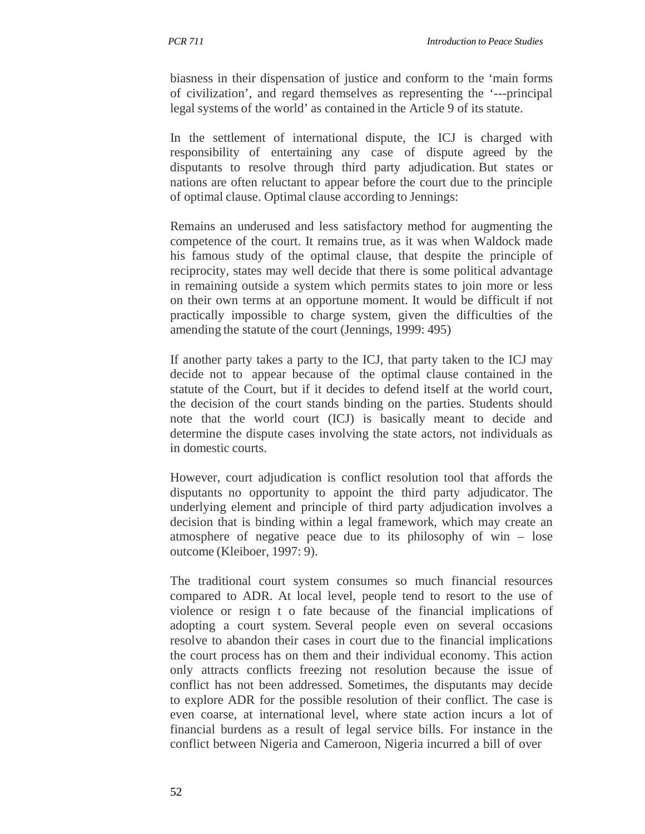biasness in their dispensation of justice and conform to the 'main forms of civilization', and regard themselves as representing the '---principal legal systems of the world' as contained in the Article 9 of its statute.

In the settlement of international dispute, the ICJ is charged with responsibility of entertaining any case of dispute agreed by the disputants to resolve through third party adjudication. But states or nations are often reluctant to appear before the court due to the principle of optimal clause. Optimal clause according to Jennings:

Remains an underused and less satisfactory method for augmenting the competence of the court. It remains true, as it was when Waldock made his famous study of the optimal clause, that despite the principle of reciprocity, states may well decide that there is some political advantage in remaining outside a system which permits states to join more or less on their own terms at an opportune moment. It would be difficult if not practically impossible to charge system, given the difficulties of the amending the statute of the court (Jennings, 1999: 495)

If another party takes a party to the ICJ, that party taken to the ICJ may decide not to appear because of the optimal clause contained in the statute of the Court, but if it decides to defend itself at the world court, the decision of the court stands binding on the parties. Students should note that the world court (ICJ) is basically meant to decide and determine the dispute cases involving the state actors, not individuals as in domestic courts.

However, court adjudication is conflict resolution tool that affords the disputants no opportunity to appoint the third party adjudicator. The underlying element and principle of third party adjudication involves a decision that is binding within a legal framework, which may create an atmosphere of negative peace due to its philosophy of win – lose outcome (Kleiboer, 1997: 9).

The traditional court system consumes so much financial resources compared to ADR. At local level, people tend to resort to the use of violence or resign t o fate because of the financial implications of adopting a court system. Several people even on several occasions resolve to abandon their cases in court due to the financial implications the court process has on them and their individual economy. This action only attracts conflicts freezing not resolution because the issue of conflict has not been addressed. Sometimes, the disputants may decide to explore ADR for the possible resolution of their conflict. The case is even coarse, at international level, where state action incurs a lot of financial burdens as a result of legal service bills. For instance in the conflict between Nigeria and Cameroon, Nigeria incurred a bill of over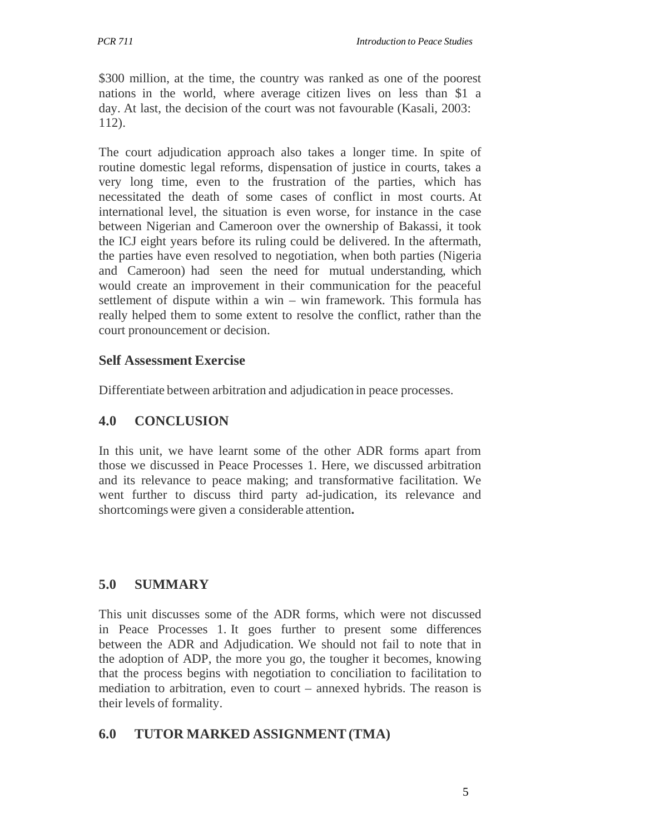\$300 million, at the time, the country was ranked as one of the poorest nations in the world, where average citizen lives on less than \$1 a day. At last, the decision of the court was not favourable (Kasali, 2003: 112).

The court adjudication approach also takes a longer time. In spite of routine domestic legal reforms, dispensation of justice in courts, takes a very long time, even to the frustration of the parties, which has necessitated the death of some cases of conflict in most courts. At international level, the situation is even worse, for instance in the case between Nigerian and Cameroon over the ownership of Bakassi, it took the ICJ eight years before its ruling could be delivered. In the aftermath, the parties have even resolved to negotiation, when both parties (Nigeria and Cameroon) had seen the need for mutual understanding, which would create an improvement in their communication for the peaceful settlement of dispute within a win – win framework. This formula has really helped them to some extent to resolve the conflict, rather than the court pronouncement or decision.

## **Self Assessment Exercise**

Differentiate between arbitration and adjudication in peace processes.

# **4.0 CONCLUSION**

In this unit, we have learnt some of the other ADR forms apart from those we discussed in Peace Processes 1. Here, we discussed arbitration and its relevance to peace making; and transformative facilitation. We went further to discuss third party ad-judication, its relevance and shortcomings were given a considerable attention**.**

# **5.0 SUMMARY**

This unit discusses some of the ADR forms, which were not discussed in Peace Processes 1. It goes further to present some differences between the ADR and Adjudication. We should not fail to note that in the adoption of ADP, the more you go, the tougher it becomes, knowing that the process begins with negotiation to conciliation to facilitation to mediation to arbitration, even to court – annexed hybrids. The reason is their levels of formality.

# **6.0 TUTOR MARKED ASSIGNMENT (TMA)**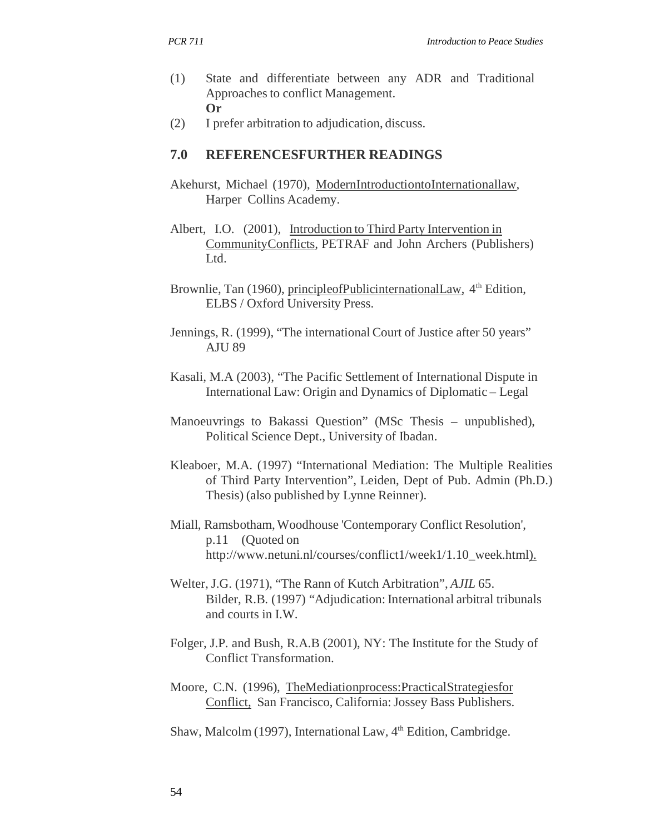- (1) State and differentiate between any ADR and Traditional Approaches to conflict Management. **Or**
- (2) I prefer arbitration to adjudication, discuss.

#### **7.0 REFERENCESFURTHER READINGS**

- Akehurst, Michael (1970), ModernIntroductiontoInternationallaw*,* Harper Collins Academy.
- Albert, I.O. (2001), Introduction to Third Party Intervention in CommunityConflicts*,* PETRAF and John Archers (Publishers) Ltd.
- Brownlie, Tan (1960), principleofPublicinternationalLaw, 4<sup>th</sup> Edition, ELBS / Oxford University Press.
- Jennings, R. (1999), "The international Court of Justice after 50 years" AJU 89
- Kasali, M.A (2003), "The Pacific Settlement of International Dispute in International Law: Origin and Dynamics of Diplomatic – Legal
- Manoeuvrings to Bakassi Question" (MSc Thesis unpublished), Political Science Dept., University of Ibadan.
- Kleaboer, M.A. (1997) "International Mediation: The Multiple Realities of Third Party Intervention", Leiden, Dept of Pub. Admin (Ph.D.) Thesis) (also published by Lynne Reinner).
- Miall, Ramsbotham, Woodhouse 'Contemporary Conflict Resolution', p.11 (Quoted on http://www.netuni.nl/courses/conflict1/week1/1.10\_week.html).
- Welter, J.G. (1971), "The Rann of Kutch Arbitration", *AJIL* 65. Bilder, R.B. (1997) "Adjudication: International arbitral tribunals and courts in I.W.
- Folger, J.P. and Bush, R.A.B (2001), NY: The Institute for the Study of Conflict Transformation.
- Moore, C.N. (1996), TheMediationprocess:PracticalStrategiesfor Conflict, San Francisco, California: Jossey Bass Publishers.
- Shaw, Malcolm (1997), International Law, 4<sup>th</sup> Edition, Cambridge.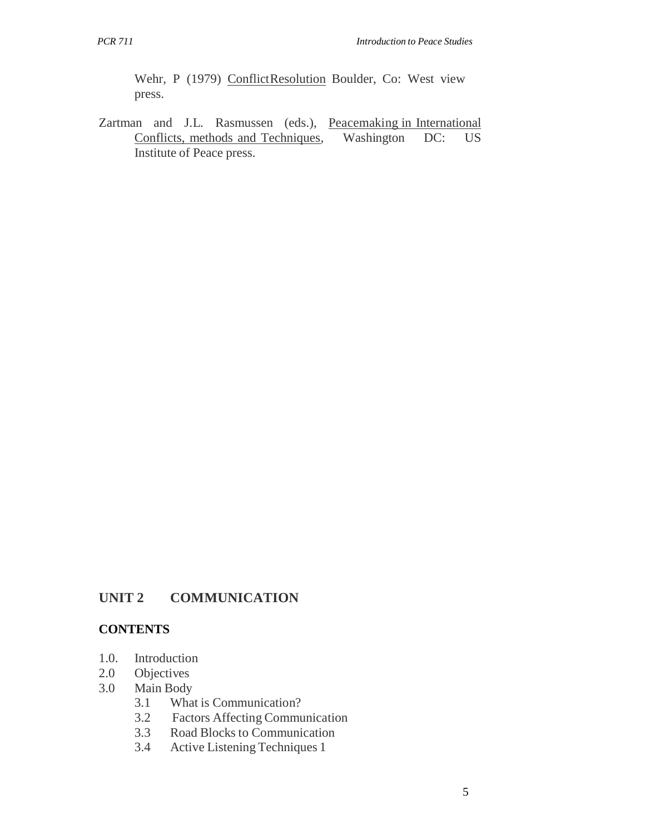Wehr, P (1979) Conflict Resolution Boulder, Co: West view press.

Zartman and J.L. Rasmussen (eds.), Peacemaking in International Conflicts, methods and Techniques*,* Washington DC: US Institute of Peace press.

## **UNIT 2 COMMUNICATION**

#### **CONTENTS**

- 1.0. Introduction
- 2.0 Objectives
- 3.0 Main Body
	- 3.1 What is Communication?<br>3.2 Factors Affecting Communication
	- 3.2 Factors Affecting Communication
	- 3.3 Road Blocks to Communication
	- 3.4 Active Listening Techniques 1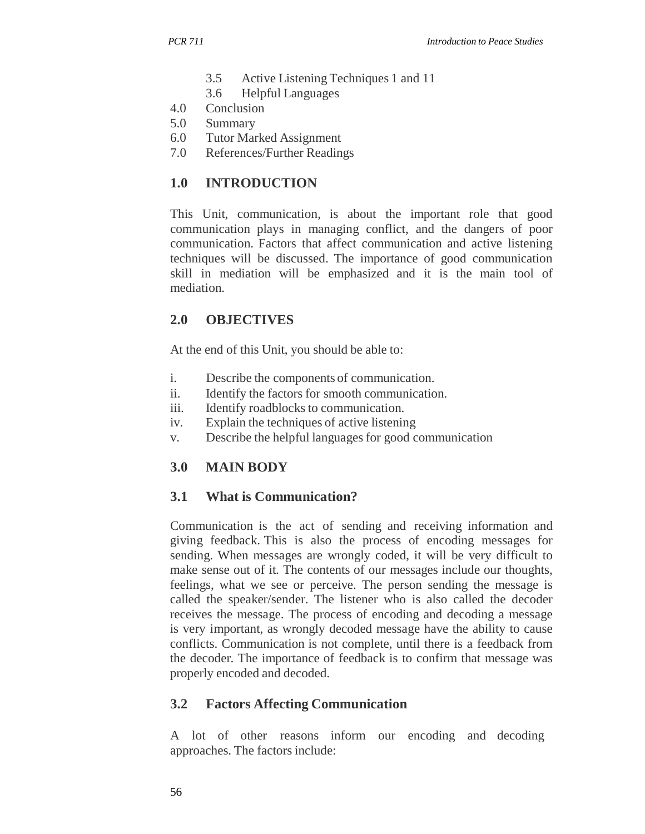- 3.5 Active Listening Techniques 1 and 11
- 3.6 Helpful Languages
- 4.0 Conclusion
- 5.0 Summary
- 6.0 Tutor Marked Assignment
- 7.0 References/Further Readings

## **1.0 INTRODUCTION**

This Unit, communication, is about the important role that good communication plays in managing conflict, and the dangers of poor communication. Factors that affect communication and active listening techniques will be discussed. The importance of good communication skill in mediation will be emphasized and it is the main tool of mediation.

## **2.0 OBJECTIVES**

At the end of this Unit, you should be able to:

- i. Describe the components of communication.
- ii. Identify the factors for smooth communication.
- iii. Identify roadblocks to communication.
- iv. Explain the techniques of active listening
- v. Describe the helpful languages for good communication

## **3.0 MAIN BODY**

## **3.1 What is Communication?**

Communication is the act of sending and receiving information and giving feedback. This is also the process of encoding messages for sending. When messages are wrongly coded, it will be very difficult to make sense out of it. The contents of our messages include our thoughts, feelings, what we see or perceive. The person sending the message is called the speaker/sender. The listener who is also called the decoder receives the message. The process of encoding and decoding a message is very important, as wrongly decoded message have the ability to cause conflicts. Communication is not complete, until there is a feedback from the decoder. The importance of feedback is to confirm that message was properly encoded and decoded.

## **3.2 Factors Affecting Communication**

A lot of other reasons inform our encoding and decoding approaches. The factors include: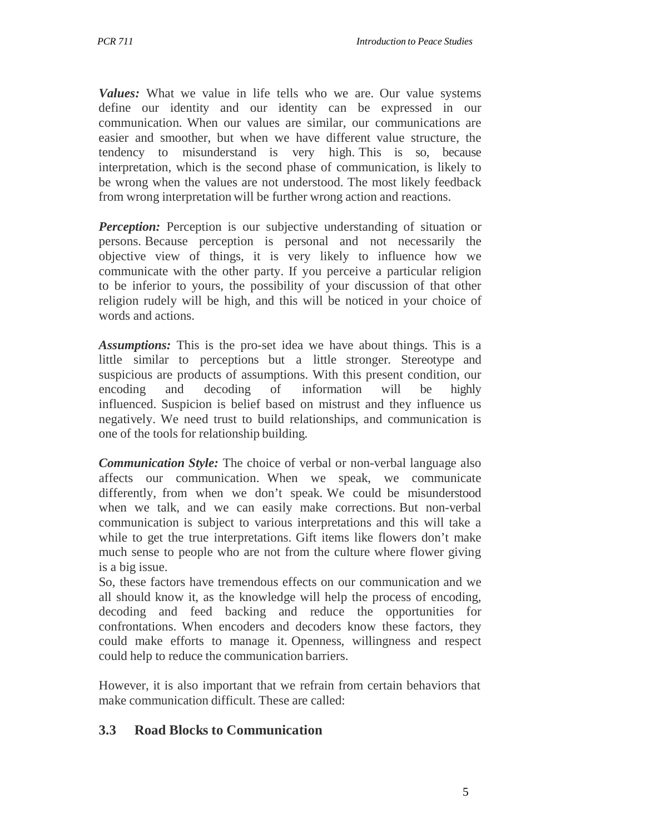*Values:* What we value in life tells who we are. Our value systems define our identity and our identity can be expressed in our communication. When our values are similar, our communications are easier and smoother, but when we have different value structure, the tendency to misunderstand is very high. This is so, because interpretation, which is the second phase of communication, is likely to be wrong when the values are not understood. The most likely feedback from wrong interpretation will be further wrong action and reactions.

*Perception:* Perception is our subjective understanding of situation or persons. Because perception is personal and not necessarily the objective view of things, it is very likely to influence how we communicate with the other party. If you perceive a particular religion to be inferior to yours, the possibility of your discussion of that other religion rudely will be high, and this will be noticed in your choice of words and actions.

*Assumptions:* This is the pro-set idea we have about things. This is a little similar to perceptions but a little stronger. Stereotype and suspicious are products of assumptions. With this present condition, our encoding and decoding of information will be highly influenced. Suspicion is belief based on mistrust and they influence us negatively. We need trust to build relationships, and communication is one of the tools for relationship building.

*Communication Style:* The choice of verbal or non-verbal language also affects our communication. When we speak, we communicate differently, from when we don't speak. We could be misunderstood when we talk, and we can easily make corrections. But non-verbal communication is subject to various interpretations and this will take a while to get the true interpretations. Gift items like flowers don't make much sense to people who are not from the culture where flower giving is a big issue.

So, these factors have tremendous effects on our communication and we all should know it, as the knowledge will help the process of encoding, decoding and feed backing and reduce the opportunities for confrontations. When encoders and decoders know these factors, they could make efforts to manage it. Openness, willingness and respect could help to reduce the communication barriers.

However, it is also important that we refrain from certain behaviors that make communication difficult. These are called:

### **3.3 Road Blocks to Communication**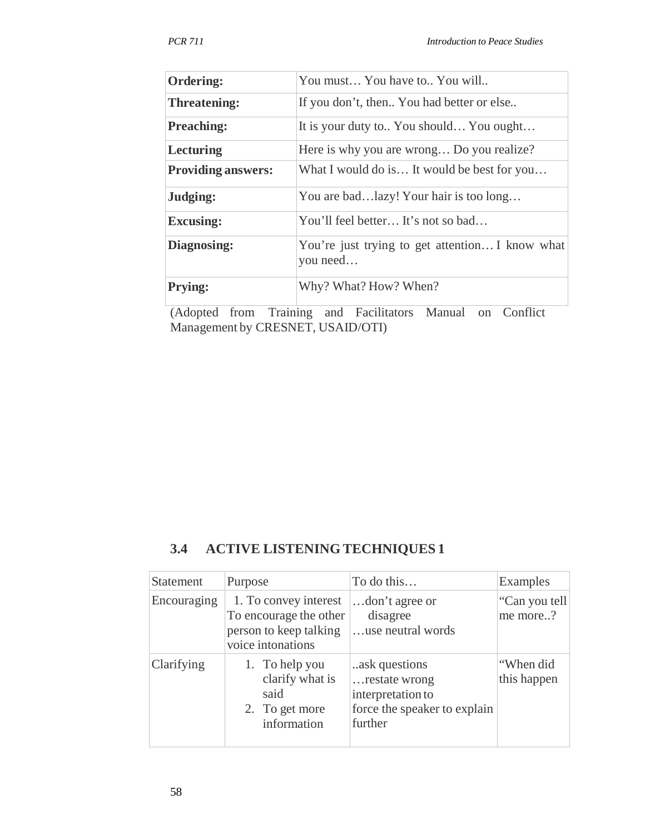| <b>Ordering:</b>          | You must You have to You will                               |  |
|---------------------------|-------------------------------------------------------------|--|
| <b>Threatening:</b>       | If you don't, then You had better or else                   |  |
| <b>Preaching:</b>         | It is your duty to You should You ought                     |  |
| Lecturing                 | Here is why you are wrong Do you realize?                   |  |
| <b>Providing answers:</b> | What I would do is It would be best for you                 |  |
| Judging:                  | You are badazy! Your hair is too long                       |  |
| <b>Excusing:</b>          | You'll feel better It's not so bad                          |  |
| Diagnosing:               | You're just trying to get attention I know what<br>you need |  |
| <b>Prying:</b>            | Why? What? How? When?                                       |  |
|                           |                                                             |  |

(Adopted from Training and Facilitators Manual on Conflict Management by CRESNET, USAID/OTI)

### **3.4 ACTIVE LISTENING TECHNIQUES 1**

| <b>Statement</b> | Purpose                                                                                        | To do this                                                                                      | Examples                  |
|------------------|------------------------------------------------------------------------------------------------|-------------------------------------------------------------------------------------------------|---------------------------|
| Encouraging      | 1. To convey interest<br>To encourage the other<br>person to keep talking<br>voice intonations | don't agree or<br>disagree<br>use neutral words                                                 | "Can you tell<br>me more? |
| Clarifying       | 1. To help you<br>clarify what is<br>said<br>2. To get more<br>information                     | ask questions.<br>restate wrong<br>interpretation to<br>force the speaker to explain<br>further | "When did<br>this happen  |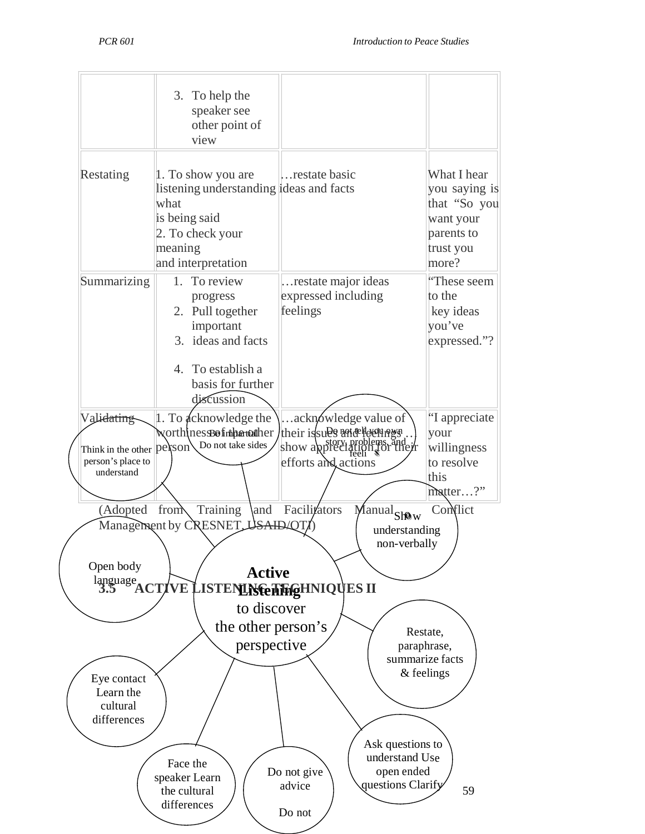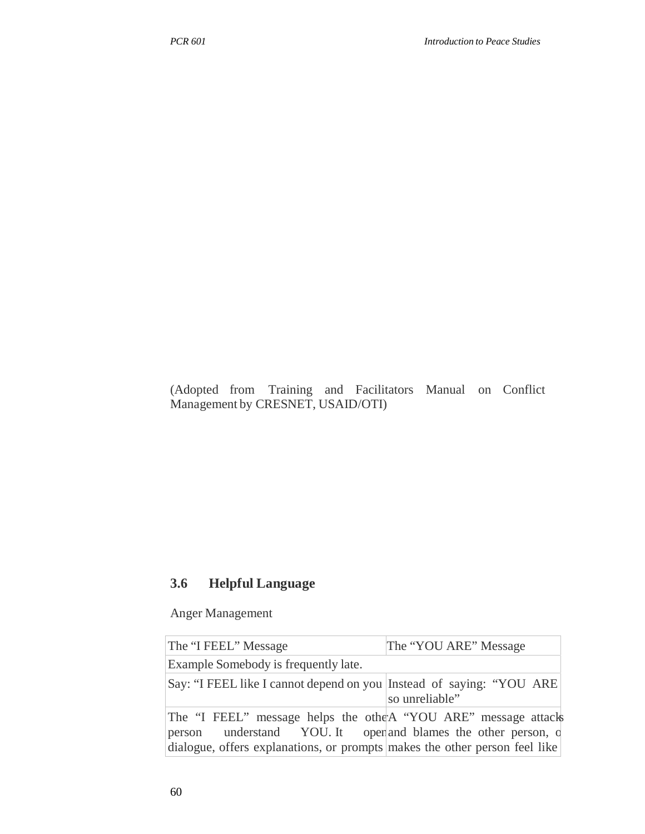(Adopted from Training and Facilitators Manual on Conflict Management by CRESNET, USAID/OTI)

## **3.6 Helpful Language**

Anger Management

| The "I FEEL" Message                                                                                                                                                                                           | The "YOU ARE" Message |
|----------------------------------------------------------------------------------------------------------------------------------------------------------------------------------------------------------------|-----------------------|
| Example Somebody is frequently late.                                                                                                                                                                           |                       |
| Say: "I FEEL like I cannot depend on you Instead of saying: "YOU ARE                                                                                                                                           | so unreliable"        |
| The "I FEEL" message helps the othe A "YOU ARE" message attacks<br>person understand YOU. It open and blames the other person, d<br>dialogue, offers explanations, or prompts makes the other person feel like |                       |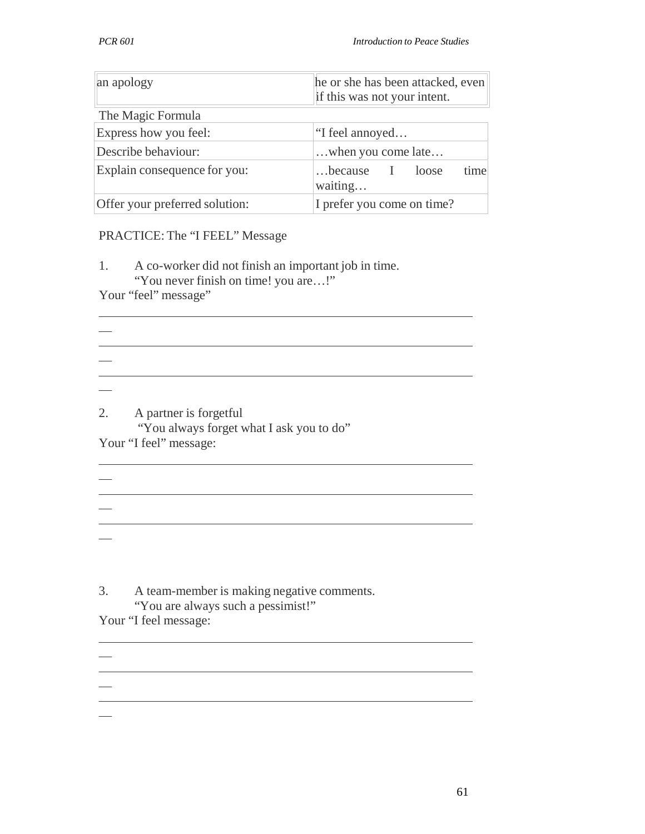| an apology                     | he or she has been attacked, even<br>if this was not your intent. |  |
|--------------------------------|-------------------------------------------------------------------|--|
| The Magic Formula              |                                                                   |  |
| Express how you feel:          | "I feel annoyed                                                   |  |
| Describe behaviour:            | when you come late                                                |  |
| Explain consequence for you:   | time<br>because<br>I loose<br>waiting                             |  |
| Offer your preferred solution: | I prefer you come on time?                                        |  |

#### PRACTICE: The "I FEEL" Message

1. A co-worker did not finish an important job in time. "You never finish on time! you are…!"

<u> 1989 - Johann Barn, mars ann an t-Amhain Aonaich an t-Aonaich an t-Aonaich an t-Aonaich an t-Aonaich an t-Aon</u>

<u> 1989 - Johann Barn, mars ann an t-Amhain ann an t-Amhain an t-Amhain ann an t-Amhain an t-Amhain an t-Amhain</u>

<u> 1989 - Johann Barbara, martxa alemaniar argumento de la contrada de la contrada de la contrada de la contrad</u>

<u> 1989 - Johann Stoff, deutscher Stoff, der Stoff, der Stoff, der Stoff, der Stoff, der Stoff, der Stoff, der S</u>

Your "feel" message"

 $\overline{\phantom{0}}$ 

 $\overline{\phantom{0}}$ 

 $\overline{\phantom{0}}$ 

 $\frac{1}{2}$ 

2. A partner is forgetful

"You always forget what I ask you to do" Your "I feel" message:

3. A team-member is making negative comments. "You are always such a pessimist!" Your "I feel message: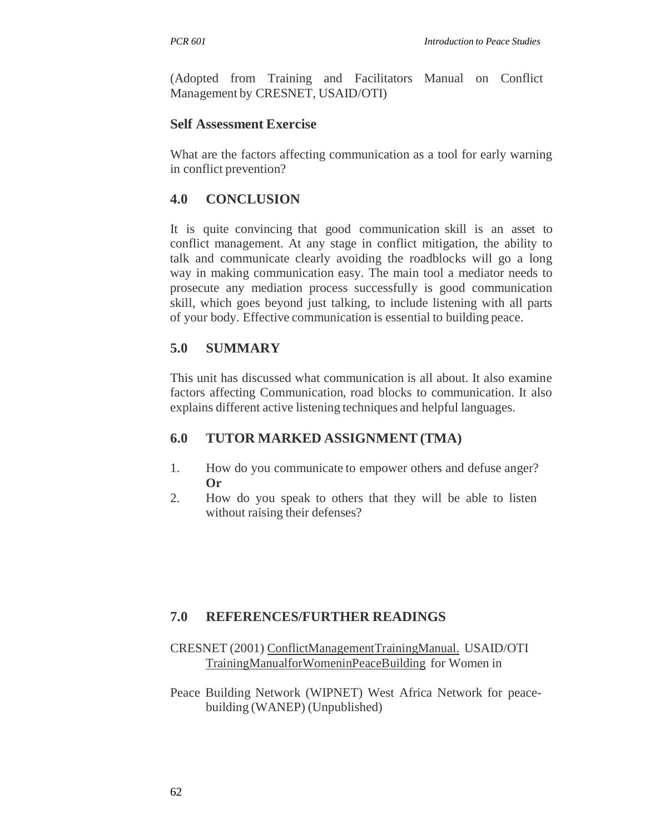(Adopted from Training and Facilitators Manual on Conflict Management by CRESNET, USAID/OTI)

### **Self Assessment Exercise**

What are the factors affecting communication as a tool for early warning in conflict prevention?

# **4.0 CONCLUSION**

It is quite convincing that good communication skill is an asset to conflict management. At any stage in conflict mitigation, the ability to talk and communicate clearly avoiding the roadblocks will go a long way in making communication easy. The main tool a mediator needs to prosecute any mediation process successfully is good communication skill, which goes beyond just talking, to include listening with all parts of your body. Effective communication is essential to building peace.

# **5.0 SUMMARY**

This unit has discussed what communication is all about. It also examine factors affecting Communication, road blocks to communication. It also explains different active listening techniques and helpful languages.

# **6.0 TUTOR MARKED ASSIGNMENT (TMA)**

- 1. How do you communicate to empower others and defuse anger? **Or**
- 2. How do you speak to others that they will be able to listen without raising their defenses?

### **7.0 REFERENCES/FURTHER READINGS**

### CRESNET (2001) ConflictManagementTrainingManual. USAID/OTI TrainingManualforWomeninPeaceBuilding for Women in

Peace Building Network (WIPNET) West Africa Network for peacebuilding (WANEP) (Unpublished)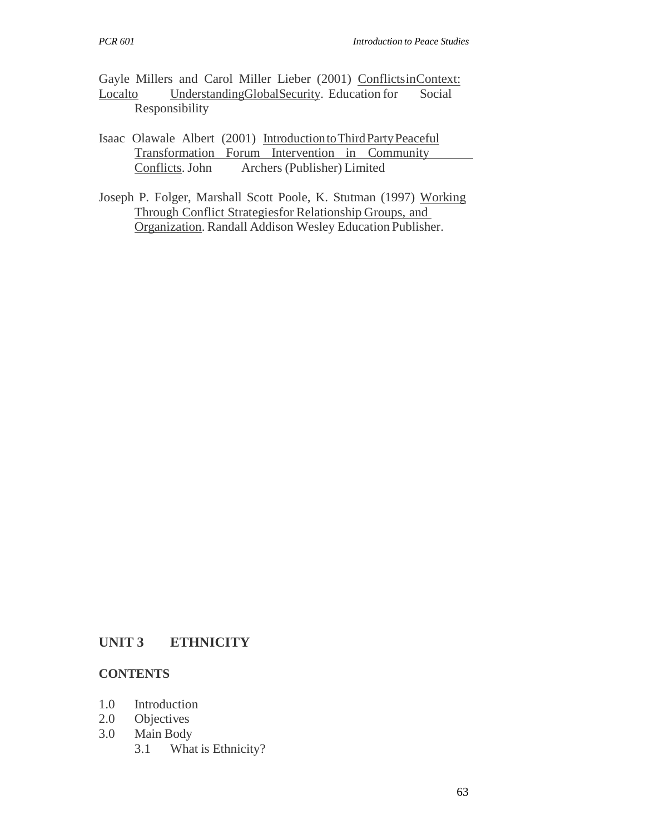Gayle Millers and Carol Miller Lieber (2001) ConflictsinContext: Localto UnderstandingGlobalSecurity. Education for Social Responsibility

- Isaac Olawale Albert (2001) Introduction to Third Party Peaceful Transformation Forum Intervention in Community Conflicts. John Archers (Publisher) Limited
- Joseph P. Folger, Marshall Scott Poole, K. Stutman (1997) Working Through Conflict Strategiesfor Relationship Groups, and Organization. Randall Addison Wesley Education Publisher.

### **UNIT 3 ETHNICITY**

#### **CONTENTS**

- 1.0 Introduction
- 2.0 Objectives
- 3.0 Main Body
	- 3.1 What is Ethnicity?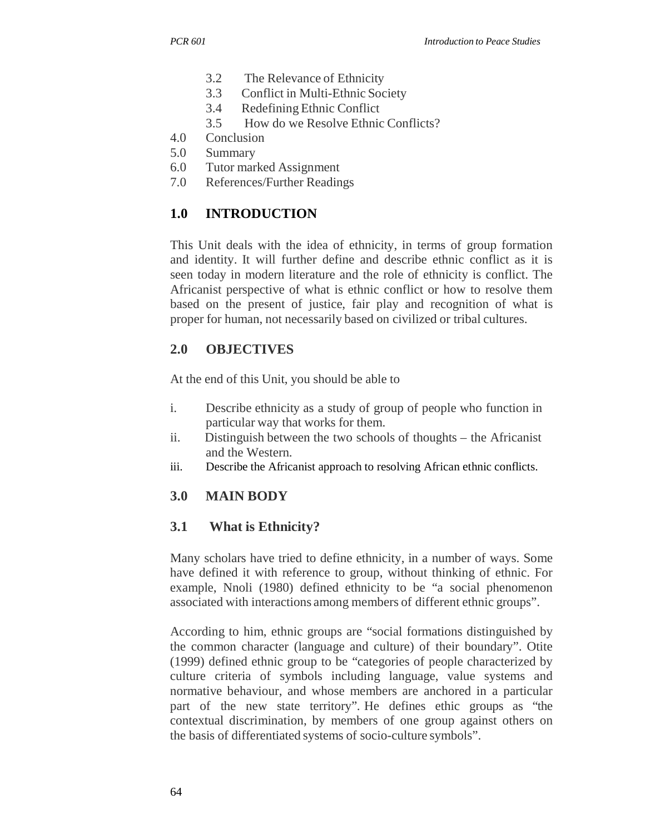- 3.2 The Relevance of Ethnicity
- 3.3 Conflict in Multi-Ethnic Society
- 3.4 Redefining Ethnic Conflict
- 3.5 How do we Resolve Ethnic Conflicts?
- 4.0 Conclusion
- 5.0 Summary
- 6.0 Tutor marked Assignment
- 7.0 References/Further Readings

# **1.0 INTRODUCTION**

This Unit deals with the idea of ethnicity, in terms of group formation and identity. It will further define and describe ethnic conflict as it is seen today in modern literature and the role of ethnicity is conflict. The Africanist perspective of what is ethnic conflict or how to resolve them based on the present of justice, fair play and recognition of what is proper for human, not necessarily based on civilized or tribal cultures.

## **2.0 OBJECTIVES**

At the end of this Unit, you should be able to

- i. Describe ethnicity as a study of group of people who function in particular way that works for them.
- ii. Distinguish between the two schools of thoughts the Africanist and the Western.
- iii. Describe the Africanist approach to resolving African ethnic conflicts.

# **3.0 MAIN BODY**

# **3.1 What is Ethnicity?**

Many scholars have tried to define ethnicity, in a number of ways. Some have defined it with reference to group, without thinking of ethnic. For example, Nnoli (1980) defined ethnicity to be "a social phenomenon associated with interactions among members of different ethnic groups".

According to him, ethnic groups are "social formations distinguished by the common character (language and culture) of their boundary". Otite (1999) defined ethnic group to be "categories of people characterized by culture criteria of symbols including language, value systems and normative behaviour, and whose members are anchored in a particular part of the new state territory". He defines ethic groups as "the contextual discrimination, by members of one group against others on the basis of differentiated systems of socio-culture symbols".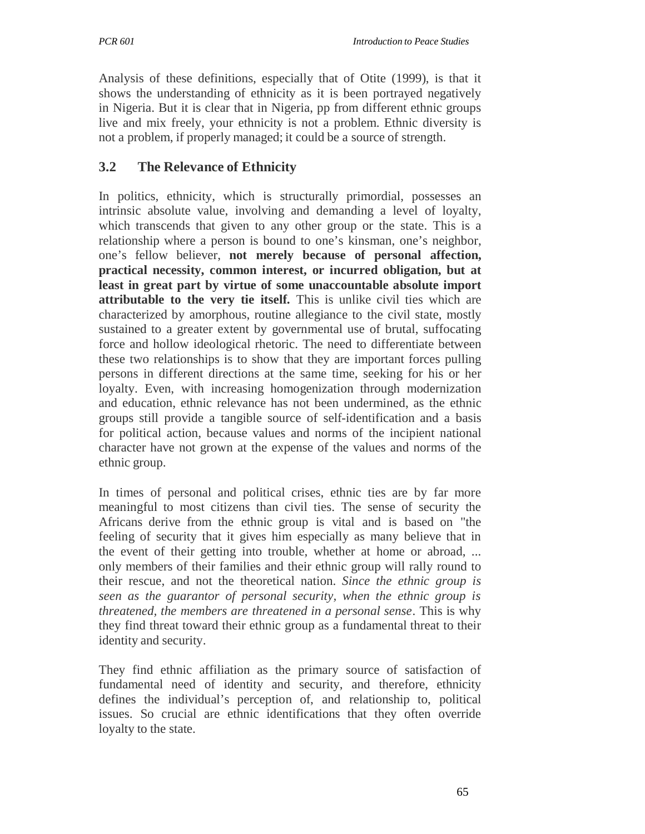Analysis of these definitions, especially that of Otite (1999), is that it shows the understanding of ethnicity as it is been portrayed negatively in Nigeria. But it is clear that in Nigeria, pp from different ethnic groups live and mix freely, your ethnicity is not a problem. Ethnic diversity is not a problem, if properly managed; it could be a source of strength.

# **3.2 The Relevance of Ethnicity**

In politics, ethnicity, which is structurally primordial, possesses an intrinsic absolute value, involving and demanding a level of loyalty, which transcends that given to any other group or the state. This is a relationship where a person is bound to one's kinsman, one's neighbor, one's fellow believer, **not merely because of personal affection, practical necessity, common interest, or incurred obligation, but at least in great part by virtue of some unaccountable absolute import attributable to the very tie itself.** This is unlike civil ties which are characterized by amorphous, routine allegiance to the civil state, mostly sustained to a greater extent by governmental use of brutal, suffocating force and hollow ideological rhetoric. The need to differentiate between these two relationships is to show that they are important forces pulling persons in different directions at the same time, seeking for his or her loyalty. Even, with increasing homogenization through modernization and education, ethnic relevance has not been undermined, as the ethnic groups still provide a tangible source of self-identification and a basis for political action, because values and norms of the incipient national character have not grown at the expense of the values and norms of the ethnic group.

In times of personal and political crises, ethnic ties are by far more meaningful to most citizens than civil ties. The sense of security the Africans derive from the ethnic group is vital and is based on "the feeling of security that it gives him especially as many believe that in the event of their getting into trouble, whether at home or abroad, ... only members of their families and their ethnic group will rally round to their rescue, and not the theoretical nation. *Since the ethnic group is seen as the guarantor of personal security, when the ethnic group is threatened, the members are threatened in a personal sense*. This is why they find threat toward their ethnic group as a fundamental threat to their identity and security.

They find ethnic affiliation as the primary source of satisfaction of fundamental need of identity and security, and therefore, ethnicity defines the individual's perception of, and relationship to, political issues. So crucial are ethnic identifications that they often override loyalty to the state.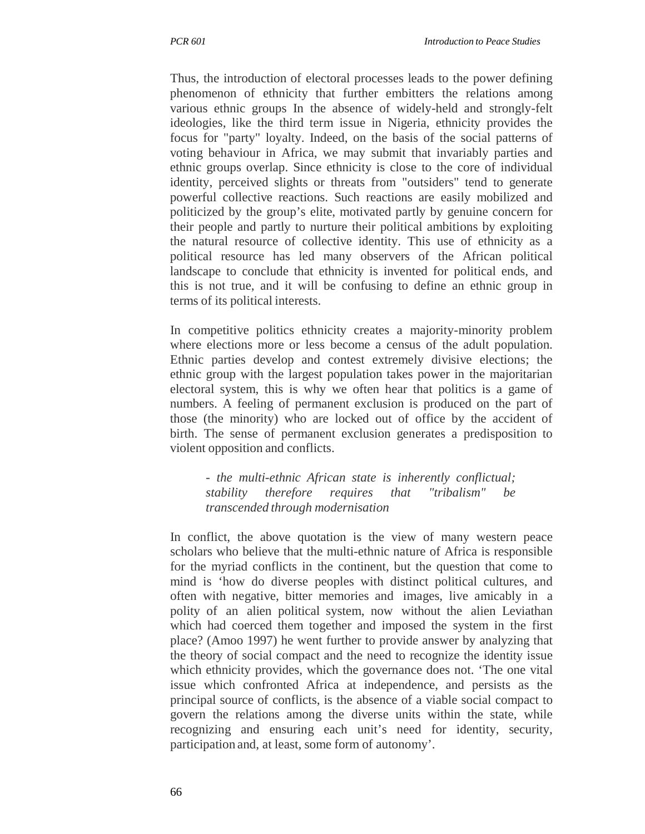Thus, the introduction of electoral processes leads to the power defining phenomenon of ethnicity that further embitters the relations among various ethnic groups In the absence of widely-held and strongly-felt ideologies, like the third term issue in Nigeria, ethnicity provides the focus for "party" loyalty. Indeed, on the basis of the social patterns of voting behaviour in Africa, we may submit that invariably parties and ethnic groups overlap. Since ethnicity is close to the core of individual identity, perceived slights or threats from "outsiders" tend to generate powerful collective reactions. Such reactions are easily mobilized and politicized by the group's elite, motivated partly by genuine concern for their people and partly to nurture their political ambitions by exploiting the natural resource of collective identity. This use of ethnicity as a political resource has led many observers of the African political landscape to conclude that ethnicity is invented for political ends, and this is not true, and it will be confusing to define an ethnic group in terms of its political interests.

In competitive politics ethnicity creates a majority-minority problem where elections more or less become a census of the adult population. Ethnic parties develop and contest extremely divisive elections; the ethnic group with the largest population takes power in the majoritarian electoral system, this is why we often hear that politics is a game of numbers. A feeling of permanent exclusion is produced on the part of those (the minority) who are locked out of office by the accident of birth. The sense of permanent exclusion generates a predisposition to violent opposition and conflicts.

- *the multi-ethnic African state is inherently conflictual; stability therefore requires that "tribalism" be transcended through modernisation*

In conflict, the above quotation is the view of many western peace scholars who believe that the multi-ethnic nature of Africa is responsible for the myriad conflicts in the continent, but the question that come to mind is 'how do diverse peoples with distinct political cultures, and often with negative, bitter memories and images, live amicably in a polity of an alien political system, now without the alien Leviathan which had coerced them together and imposed the system in the first place? (Amoo 1997) he went further to provide answer by analyzing that the theory of social compact and the need to recognize the identity issue which ethnicity provides, which the governance does not. 'The one vital issue which confronted Africa at independence, and persists as the principal source of conflicts, is the absence of a viable social compact to govern the relations among the diverse units within the state, while recognizing and ensuring each unit's need for identity, security, participation and, at least, some form of autonomy'.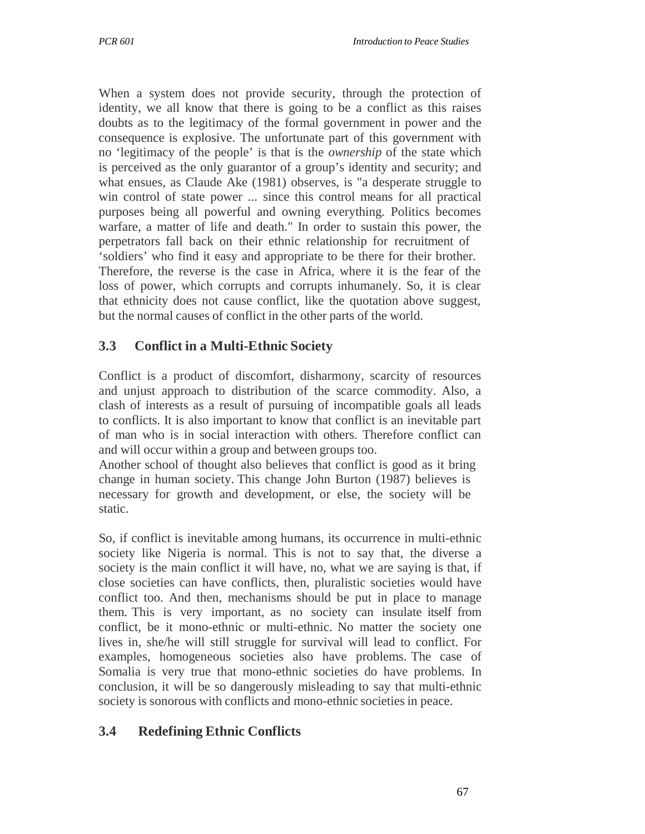When a system does not provide security, through the protection of identity, we all know that there is going to be a conflict as this raises doubts as to the legitimacy of the formal government in power and the consequence is explosive. The unfortunate part of this government with no 'legitimacy of the people' is that is the *ownership* of the state which is perceived as the only guarantor of a group's identity and security; and what ensues, as Claude Ake (1981) observes, is "a desperate struggle to win control of state power ... since this control means for all practical purposes being all powerful and owning everything. Politics becomes warfare, a matter of life and death." In order to sustain this power, the perpetrators fall back on their ethnic relationship for recruitment of 'soldiers' who find it easy and appropriate to be there for their brother. Therefore, the reverse is the case in Africa, where it is the fear of the loss of power, which corrupts and corrupts inhumanely. So, it is clear that ethnicity does not cause conflict, like the quotation above suggest, but the normal causes of conflict in the other parts of the world.

# **3.3 Conflict in a Multi-Ethnic Society**

Conflict is a product of discomfort, disharmony, scarcity of resources and unjust approach to distribution of the scarce commodity. Also, a clash of interests as a result of pursuing of incompatible goals all leads to conflicts. It is also important to know that conflict is an inevitable part of man who is in social interaction with others. Therefore conflict can and will occur within a group and between groups too.

Another school of thought also believes that conflict is good as it bring change in human society. This change John Burton (1987) believes is necessary for growth and development, or else, the society will be static.

So, if conflict is inevitable among humans, its occurrence in multi-ethnic society like Nigeria is normal. This is not to say that, the diverse a society is the main conflict it will have, no, what we are saying is that, if close societies can have conflicts, then, pluralistic societies would have conflict too. And then, mechanisms should be put in place to manage them. This is very important, as no society can insulate itself from conflict, be it mono-ethnic or multi-ethnic. No matter the society one lives in, she/he will still struggle for survival will lead to conflict. For examples, homogeneous societies also have problems. The case of Somalia is very true that mono-ethnic societies do have problems. In conclusion, it will be so dangerously misleading to say that multi-ethnic society is sonorous with conflicts and mono-ethnic societies in peace.

# **3.4 Redefining Ethnic Conflicts**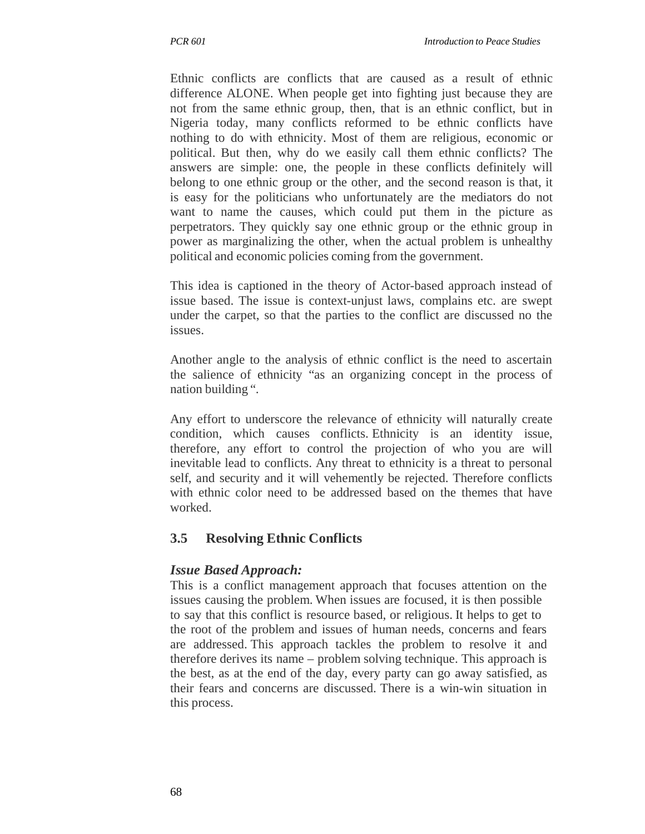Ethnic conflicts are conflicts that are caused as a result of ethnic difference ALONE. When people get into fighting just because they are not from the same ethnic group, then, that is an ethnic conflict, but in Nigeria today, many conflicts reformed to be ethnic conflicts have nothing to do with ethnicity. Most of them are religious, economic or political. But then, why do we easily call them ethnic conflicts? The answers are simple: one, the people in these conflicts definitely will belong to one ethnic group or the other, and the second reason is that, it is easy for the politicians who unfortunately are the mediators do not want to name the causes, which could put them in the picture as perpetrators. They quickly say one ethnic group or the ethnic group in power as marginalizing the other, when the actual problem is unhealthy political and economic policies coming from the government.

This idea is captioned in the theory of Actor-based approach instead of issue based. The issue is context-unjust laws, complains etc. are swept under the carpet, so that the parties to the conflict are discussed no the issues.

Another angle to the analysis of ethnic conflict is the need to ascertain the salience of ethnicity "as an organizing concept in the process of nation building ".

Any effort to underscore the relevance of ethnicity will naturally create condition, which causes conflicts. Ethnicity is an identity issue, therefore, any effort to control the projection of who you are will inevitable lead to conflicts. Any threat to ethnicity is a threat to personal self, and security and it will vehemently be rejected. Therefore conflicts with ethnic color need to be addressed based on the themes that have worked.

# **3.5 Resolving Ethnic Conflicts**

### *Issue Based Approach:*

This is a conflict management approach that focuses attention on the issues causing the problem. When issues are focused, it is then possible to say that this conflict is resource based, or religious. It helps to get to the root of the problem and issues of human needs, concerns and fears are addressed. This approach tackles the problem to resolve it and therefore derives its name – problem solving technique. This approach is the best, as at the end of the day, every party can go away satisfied, as their fears and concerns are discussed. There is a win-win situation in this process.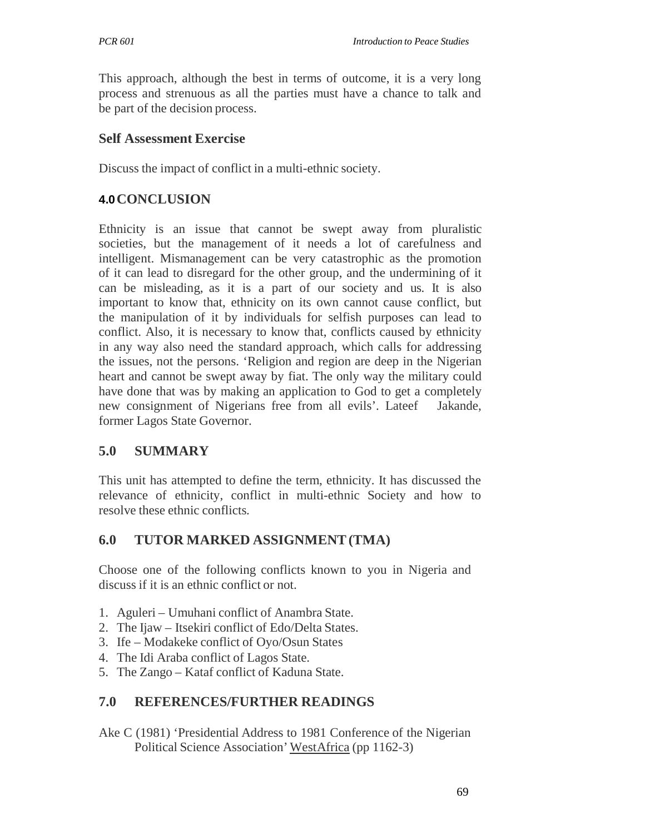This approach, although the best in terms of outcome, it is a very long process and strenuous as all the parties must have a chance to talk and be part of the decision process.

### **Self Assessment Exercise**

Discuss the impact of conflict in a multi-ethnic society.

## **4.0 CONCLUSION**

Ethnicity is an issue that cannot be swept away from pluralistic societies, but the management of it needs a lot of carefulness and intelligent. Mismanagement can be very catastrophic as the promotion of it can lead to disregard for the other group, and the undermining of it can be misleading, as it is a part of our society and us. It is also important to know that, ethnicity on its own cannot cause conflict, but the manipulation of it by individuals for selfish purposes can lead to conflict. Also, it is necessary to know that, conflicts caused by ethnicity in any way also need the standard approach, which calls for addressing the issues, not the persons. 'Religion and region are deep in the Nigerian heart and cannot be swept away by fiat. The only way the military could have done that was by making an application to God to get a completely new consignment of Nigerians free from all evils'. Lateef Jakande, former Lagos State Governor.

# **5.0 SUMMARY**

This unit has attempted to define the term, ethnicity. It has discussed the relevance of ethnicity, conflict in multi-ethnic Society and how to resolve these ethnic conflicts.

# **6.0 TUTOR MARKED ASSIGNMENT (TMA)**

Choose one of the following conflicts known to you in Nigeria and discuss if it is an ethnic conflict or not.

- 1. Aguleri Umuhani conflict of Anambra State.
- 2. The Ijaw Itsekiri conflict of Edo/Delta States.
- 3. Ife Modakeke conflict of Oyo/Osun States
- 4. The Idi Araba conflict of Lagos State.
- 5. The Zango Kataf conflict of Kaduna State.

### **7.0 REFERENCES/FURTHER READINGS**

Ake C (1981) 'Presidential Address to 1981 Conference of the Nigerian Political Science Association' WestAfrica (pp 1162-3)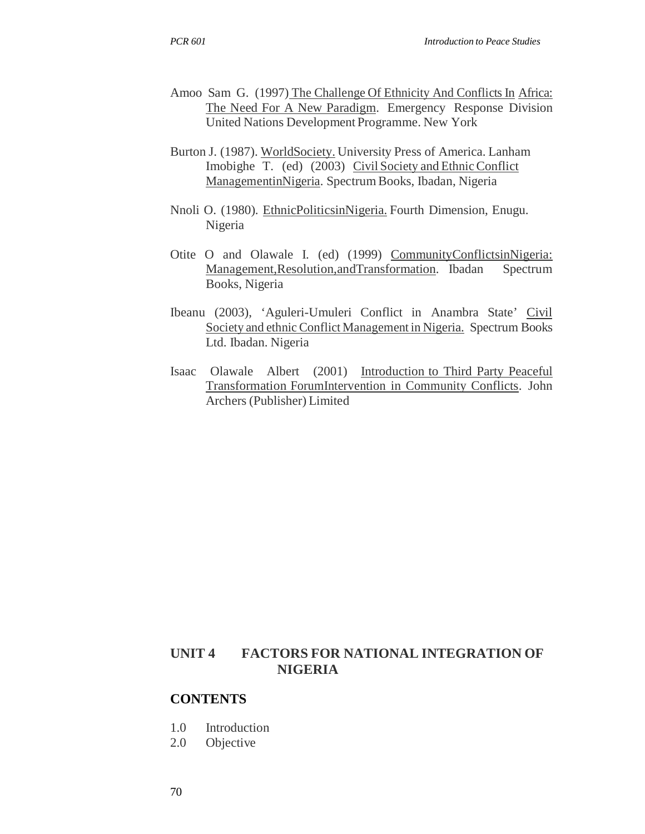- Amoo Sam G. (1997) The Challenge Of Ethnicity And Conflicts In Africa: The Need For A New Paradigm. Emergency Response Division United Nations Development Programme. New York
- Burton J. (1987). WorldSociety. University Press of America. Lanham Imobighe T. (ed) (2003) Civil Society and Ethnic Conflict ManagementinNigeria. Spectrum Books, Ibadan, Nigeria
- Nnoli O. (1980). EthnicPoliticsinNigeria. Fourth Dimension, Enugu. Nigeria
- Otite O and Olawale I. (ed) (1999) CommunityConflictsinNigeria: Management,Resolution,andTransformation. Ibadan Spectrum Books, Nigeria
- Ibeanu (2003), 'Aguleri-Umuleri Conflict in Anambra State' Civil Society and ethnic Conflict Management in Nigeria. Spectrum Books Ltd. Ibadan. Nigeria
- Isaac Olawale Albert (2001) Introduction to Third Party Peaceful Transformation ForumIntervention in Community Conflicts. John Archers (Publisher) Limited

### **UNIT 4 FACTORS FOR NATIONAL INTEGRATION OF NIGERIA**

#### **CONTENTS**

- 1.0 Introduction
- 2.0 Objective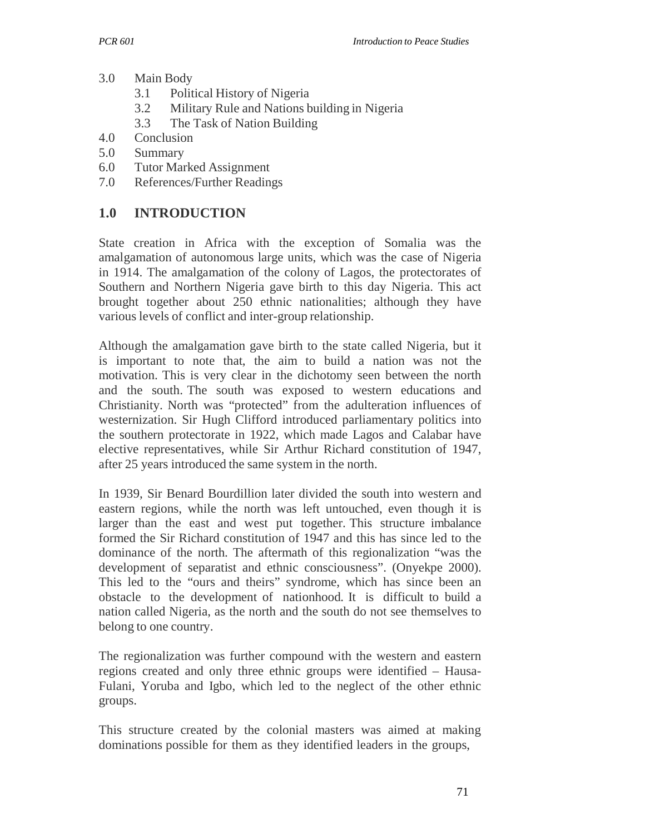- 3.0 Main Body
	- 3.1 Political History of Nigeria
	- 3.2 Military Rule and Nations building in Nigeria
	- 3.3 The Task of Nation Building
- 4.0 Conclusion
- 5.0 Summary
- 6.0 Tutor Marked Assignment
- 7.0 References/Further Readings

## **1.0 INTRODUCTION**

State creation in Africa with the exception of Somalia was the amalgamation of autonomous large units, which was the case of Nigeria in 1914. The amalgamation of the colony of Lagos, the protectorates of Southern and Northern Nigeria gave birth to this day Nigeria. This act brought together about 250 ethnic nationalities; although they have various levels of conflict and inter-group relationship.

Although the amalgamation gave birth to the state called Nigeria, but it is important to note that, the aim to build a nation was not the motivation. This is very clear in the dichotomy seen between the north and the south. The south was exposed to western educations and Christianity. North was "protected" from the adulteration influences of westernization. Sir Hugh Clifford introduced parliamentary politics into the southern protectorate in 1922, which made Lagos and Calabar have elective representatives, while Sir Arthur Richard constitution of 1947, after 25 years introduced the same system in the north.

In 1939, Sir Benard Bourdillion later divided the south into western and eastern regions, while the north was left untouched, even though it is larger than the east and west put together. This structure imbalance formed the Sir Richard constitution of 1947 and this has since led to the dominance of the north. The aftermath of this regionalization "was the development of separatist and ethnic consciousness". (Onyekpe 2000). This led to the "ours and theirs" syndrome, which has since been an obstacle to the development of nationhood. It is difficult to build a nation called Nigeria, as the north and the south do not see themselves to belong to one country.

The regionalization was further compound with the western and eastern regions created and only three ethnic groups were identified – Hausa-Fulani, Yoruba and Igbo, which led to the neglect of the other ethnic groups.

This structure created by the colonial masters was aimed at making dominations possible for them as they identified leaders in the groups,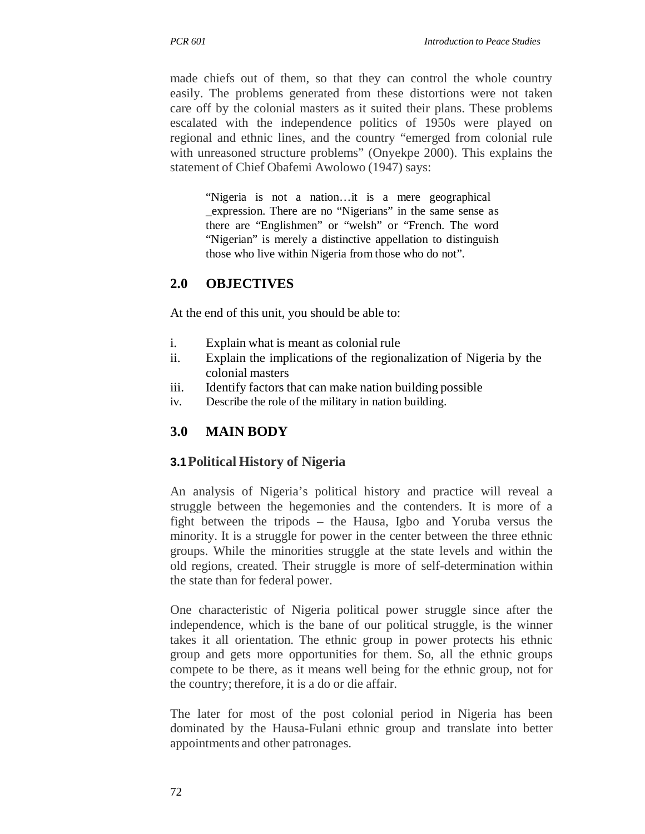made chiefs out of them, so that they can control the whole country easily. The problems generated from these distortions were not taken care off by the colonial masters as it suited their plans. These problems escalated with the independence politics of 1950s were played on regional and ethnic lines, and the country "emerged from colonial rule with unreasoned structure problems" (Onyekpe 2000). This explains the statement of Chief Obafemi Awolowo (1947) says:

"Nigeria is not a nation…it is a mere geographical \_expression. There are no "Nigerians" in the same sense as there are "Englishmen" or "welsh" or "French. The word "Nigerian" is merely a distinctive appellation to distinguish those who live within Nigeria from those who do not".

## **2.0 OBJECTIVES**

At the end of this unit, you should be able to:

- i. Explain what is meant as colonial rule
- ii. Explain the implications of the regionalization of Nigeria by the colonial masters
- iii. Identify factors that can make nation building possible
- iv. Describe the role of the military in nation building.

### **3.0 MAIN BODY**

### **3.1 Political History of Nigeria**

An analysis of Nigeria's political history and practice will reveal a struggle between the hegemonies and the contenders. It is more of a fight between the tripods – the Hausa, Igbo and Yoruba versus the minority. It is a struggle for power in the center between the three ethnic groups. While the minorities struggle at the state levels and within the old regions, created. Their struggle is more of self-determination within the state than for federal power.

One characteristic of Nigeria political power struggle since after the independence, which is the bane of our political struggle, is the winner takes it all orientation. The ethnic group in power protects his ethnic group and gets more opportunities for them. So, all the ethnic groups compete to be there, as it means well being for the ethnic group, not for the country; therefore, it is a do or die affair.

The later for most of the post colonial period in Nigeria has been dominated by the Hausa-Fulani ethnic group and translate into better appointments and other patronages.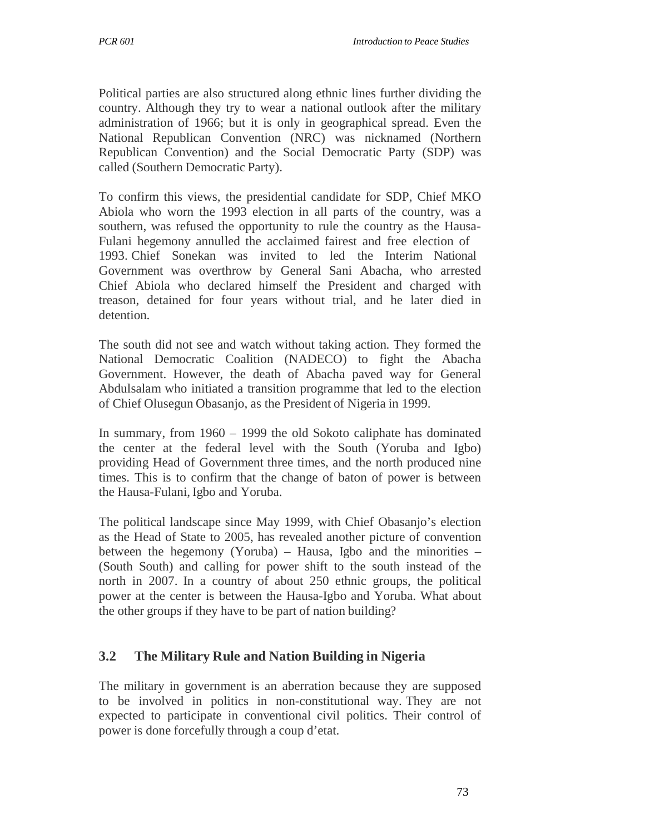Political parties are also structured along ethnic lines further dividing the country. Although they try to wear a national outlook after the military administration of 1966; but it is only in geographical spread. Even the National Republican Convention (NRC) was nicknamed (Northern Republican Convention) and the Social Democratic Party (SDP) was called (Southern Democratic Party).

To confirm this views, the presidential candidate for SDP, Chief MKO Abiola who worn the 1993 election in all parts of the country, was a southern, was refused the opportunity to rule the country as the Hausa-Fulani hegemony annulled the acclaimed fairest and free election of 1993. Chief Sonekan was invited to led the Interim National Government was overthrow by General Sani Abacha, who arrested Chief Abiola who declared himself the President and charged with treason, detained for four years without trial, and he later died in detention.

The south did not see and watch without taking action. They formed the National Democratic Coalition (NADECO) to fight the Abacha Government. However, the death of Abacha paved way for General Abdulsalam who initiated a transition programme that led to the election of Chief Olusegun Obasanjo, as the President of Nigeria in 1999.

In summary, from 1960 – 1999 the old Sokoto caliphate has dominated the center at the federal level with the South (Yoruba and Igbo) providing Head of Government three times, and the north produced nine times. This is to confirm that the change of baton of power is between the Hausa-Fulani, Igbo and Yoruba.

The political landscape since May 1999, with Chief Obasanjo's election as the Head of State to 2005, has revealed another picture of convention between the hegemony (Yoruba) – Hausa, Igbo and the minorities – (South South) and calling for power shift to the south instead of the north in 2007. In a country of about 250 ethnic groups, the political power at the center is between the Hausa-Igbo and Yoruba. What about the other groups if they have to be part of nation building?

# **3.2 The Military Rule and Nation Building in Nigeria**

The military in government is an aberration because they are supposed to be involved in politics in non-constitutional way. They are not expected to participate in conventional civil politics. Their control of power is done forcefully through a coup d'etat.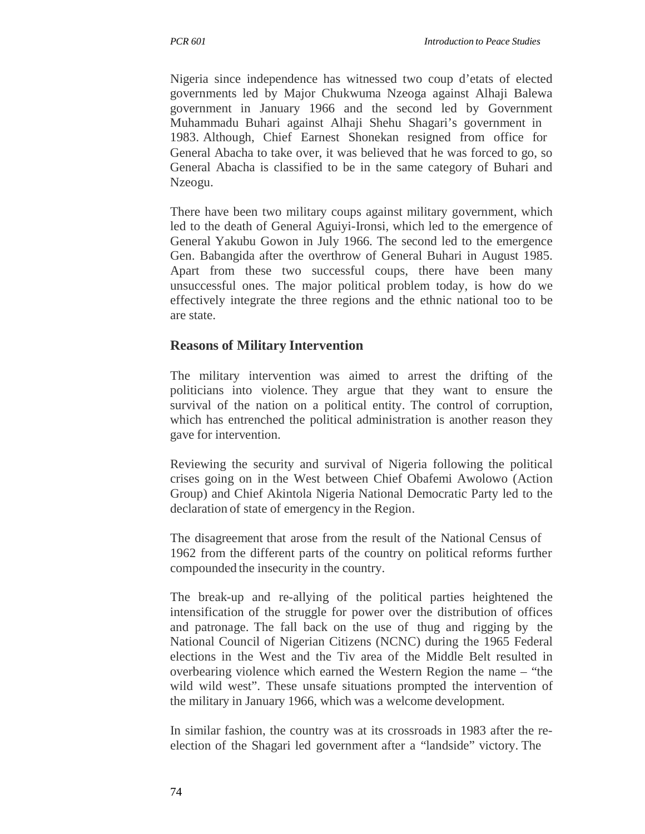Nigeria since independence has witnessed two coup d'etats of elected governments led by Major Chukwuma Nzeoga against Alhaji Balewa government in January 1966 and the second led by Government Muhammadu Buhari against Alhaji Shehu Shagari's government in 1983. Although, Chief Earnest Shonekan resigned from office for General Abacha to take over, it was believed that he was forced to go, so General Abacha is classified to be in the same category of Buhari and Nzeogu.

There have been two military coups against military government, which led to the death of General Aguiyi-Ironsi, which led to the emergence of General Yakubu Gowon in July 1966. The second led to the emergence Gen. Babangida after the overthrow of General Buhari in August 1985. Apart from these two successful coups, there have been many unsuccessful ones. The major political problem today, is how do we effectively integrate the three regions and the ethnic national too to be are state.

## **Reasons of Military Intervention**

The military intervention was aimed to arrest the drifting of the politicians into violence. They argue that they want to ensure the survival of the nation on a political entity. The control of corruption, which has entrenched the political administration is another reason they gave for intervention.

Reviewing the security and survival of Nigeria following the political crises going on in the West between Chief Obafemi Awolowo (Action Group) and Chief Akintola Nigeria National Democratic Party led to the declaration of state of emergency in the Region.

The disagreement that arose from the result of the National Census of 1962 from the different parts of the country on political reforms further compounded the insecurity in the country.

The break-up and re-allying of the political parties heightened the intensification of the struggle for power over the distribution of offices and patronage. The fall back on the use of thug and rigging by the National Council of Nigerian Citizens (NCNC) during the 1965 Federal elections in the West and the Tiv area of the Middle Belt resulted in overbearing violence which earned the Western Region the name – "the wild wild west". These unsafe situations prompted the intervention of the military in January 1966, which was a welcome development.

In similar fashion, the country was at its crossroads in 1983 after the reelection of the Shagari led government after a "landside" victory. The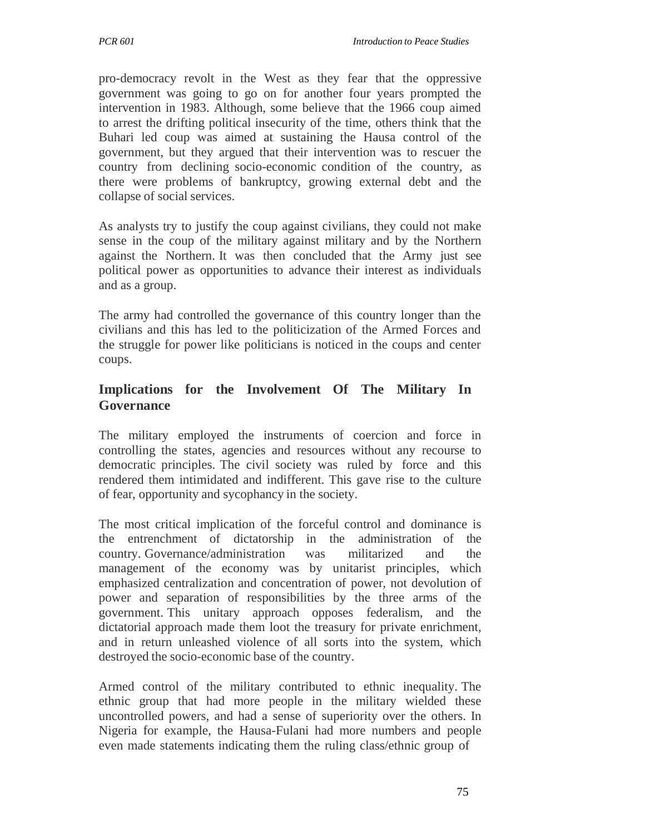pro-democracy revolt in the West as they fear that the oppressive government was going to go on for another four years prompted the intervention in 1983. Although, some believe that the 1966 coup aimed to arrest the drifting political insecurity of the time, others think that the Buhari led coup was aimed at sustaining the Hausa control of the government, but they argued that their intervention was to rescuer the country from declining socio-economic condition of the country, as there were problems of bankruptcy, growing external debt and the collapse of social services.

As analysts try to justify the coup against civilians, they could not make sense in the coup of the military against military and by the Northern against the Northern. It was then concluded that the Army just see political power as opportunities to advance their interest as individuals and as a group.

The army had controlled the governance of this country longer than the civilians and this has led to the politicization of the Armed Forces and the struggle for power like politicians is noticed in the coups and center coups.

## **Implications for the Involvement Of The Military In Governance**

The military employed the instruments of coercion and force in controlling the states, agencies and resources without any recourse to democratic principles. The civil society was ruled by force and this rendered them intimidated and indifferent. This gave rise to the culture of fear, opportunity and sycophancy in the society.

The most critical implication of the forceful control and dominance is the entrenchment of dictatorship in the administration of the country. Governance/administration was militarized and the management of the economy was by unitarist principles, which emphasized centralization and concentration of power, not devolution of power and separation of responsibilities by the three arms of the government. This unitary approach opposes federalism, and the dictatorial approach made them loot the treasury for private enrichment, and in return unleashed violence of all sorts into the system, which destroyed the socio-economic base of the country.

Armed control of the military contributed to ethnic inequality. The ethnic group that had more people in the military wielded these uncontrolled powers, and had a sense of superiority over the others. In Nigeria for example, the Hausa-Fulani had more numbers and people even made statements indicating them the ruling class/ethnic group of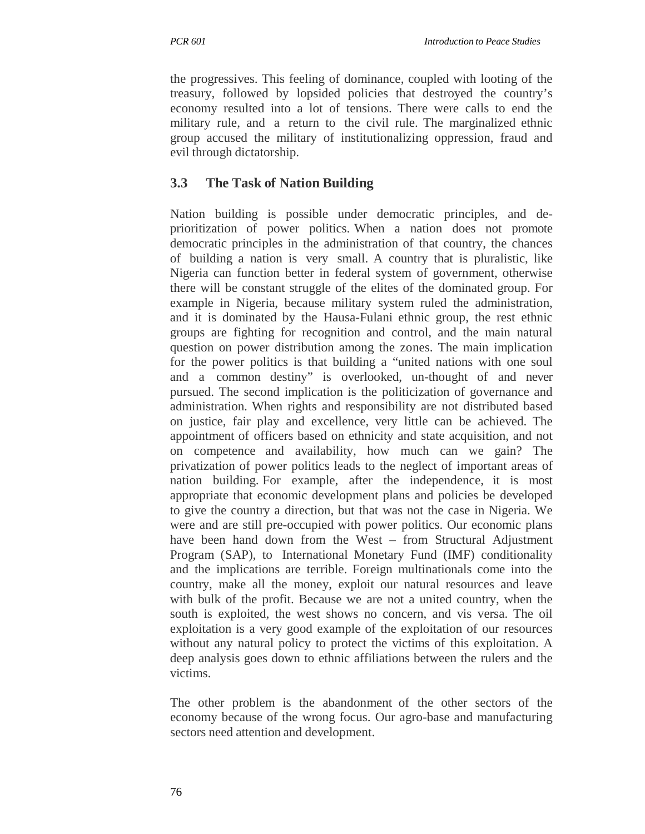the progressives. This feeling of dominance, coupled with looting of the treasury, followed by lopsided policies that destroyed the country's economy resulted into a lot of tensions. There were calls to end the military rule, and a return to the civil rule. The marginalized ethnic group accused the military of institutionalizing oppression, fraud and evil through dictatorship.

# **3.3 The Task of Nation Building**

Nation building is possible under democratic principles, and deprioritization of power politics. When a nation does not promote democratic principles in the administration of that country, the chances of building a nation is very small. A country that is pluralistic, like Nigeria can function better in federal system of government, otherwise there will be constant struggle of the elites of the dominated group. For example in Nigeria, because military system ruled the administration, and it is dominated by the Hausa-Fulani ethnic group, the rest ethnic groups are fighting for recognition and control, and the main natural question on power distribution among the zones. The main implication for the power politics is that building a "united nations with one soul and a common destiny" is overlooked, un-thought of and never pursued. The second implication is the politicization of governance and administration. When rights and responsibility are not distributed based on justice, fair play and excellence, very little can be achieved. The appointment of officers based on ethnicity and state acquisition, and not on competence and availability, how much can we gain? The privatization of power politics leads to the neglect of important areas of nation building. For example, after the independence, it is most appropriate that economic development plans and policies be developed to give the country a direction, but that was not the case in Nigeria. We were and are still pre-occupied with power politics. Our economic plans have been hand down from the West – from Structural Adjustment Program (SAP), to International Monetary Fund (IMF) conditionality and the implications are terrible. Foreign multinationals come into the country, make all the money, exploit our natural resources and leave with bulk of the profit. Because we are not a united country, when the south is exploited, the west shows no concern, and vis versa. The oil exploitation is a very good example of the exploitation of our resources without any natural policy to protect the victims of this exploitation. A deep analysis goes down to ethnic affiliations between the rulers and the victims.

The other problem is the abandonment of the other sectors of the economy because of the wrong focus. Our agro-base and manufacturing sectors need attention and development.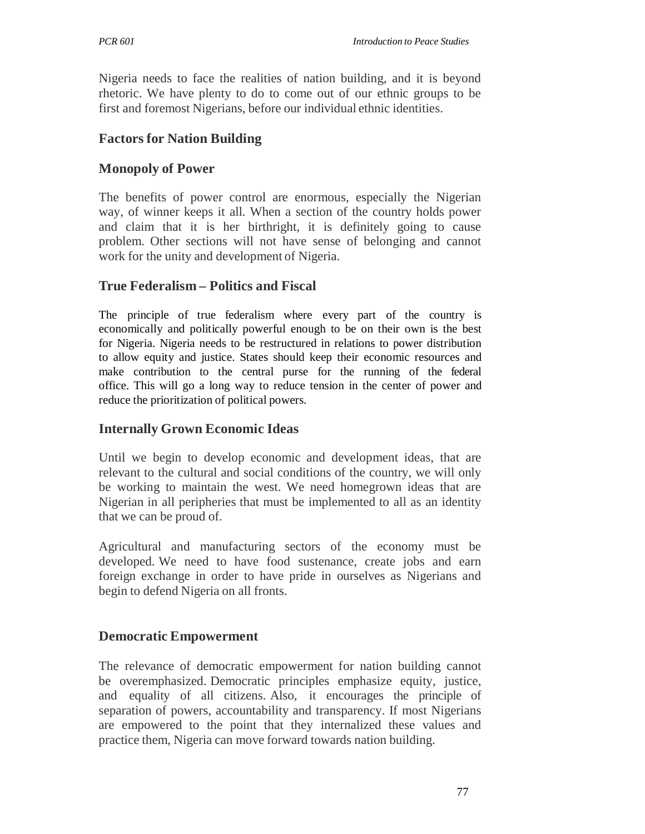Nigeria needs to face the realities of nation building, and it is beyond rhetoric. We have plenty to do to come out of our ethnic groups to be first and foremost Nigerians, before our individual ethnic identities.

### **Factors for Nation Building**

### **Monopoly of Power**

The benefits of power control are enormous, especially the Nigerian way, of winner keeps it all. When a section of the country holds power and claim that it is her birthright, it is definitely going to cause problem. Other sections will not have sense of belonging and cannot work for the unity and development of Nigeria.

## **True Federalism – Politics and Fiscal**

The principle of true federalism where every part of the country is economically and politically powerful enough to be on their own is the best for Nigeria. Nigeria needs to be restructured in relations to power distribution to allow equity and justice. States should keep their economic resources and make contribution to the central purse for the running of the federal office. This will go a long way to reduce tension in the center of power and reduce the prioritization of political powers.

### **Internally Grown Economic Ideas**

Until we begin to develop economic and development ideas, that are relevant to the cultural and social conditions of the country, we will only be working to maintain the west. We need homegrown ideas that are Nigerian in all peripheries that must be implemented to all as an identity that we can be proud of.

Agricultural and manufacturing sectors of the economy must be developed. We need to have food sustenance, create jobs and earn foreign exchange in order to have pride in ourselves as Nigerians and begin to defend Nigeria on all fronts.

### **Democratic Empowerment**

The relevance of democratic empowerment for nation building cannot be overemphasized. Democratic principles emphasize equity, justice, and equality of all citizens. Also, it encourages the principle of separation of powers, accountability and transparency. If most Nigerians are empowered to the point that they internalized these values and practice them, Nigeria can move forward towards nation building.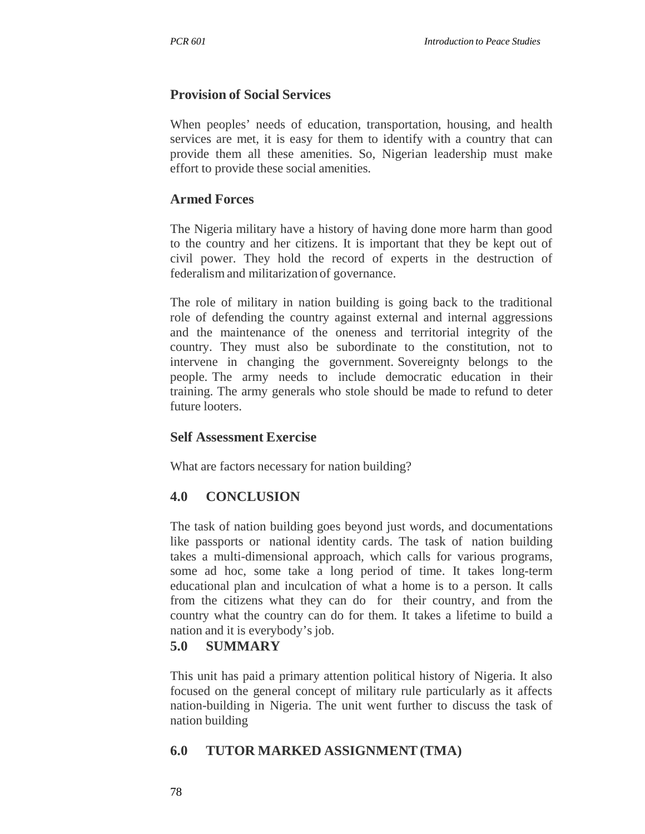# **Provision of Social Services**

When peoples' needs of education, transportation, housing, and health services are met, it is easy for them to identify with a country that can provide them all these amenities. So, Nigerian leadership must make effort to provide these social amenities.

# **Armed Forces**

The Nigeria military have a history of having done more harm than good to the country and her citizens. It is important that they be kept out of civil power. They hold the record of experts in the destruction of federalism and militarization of governance.

The role of military in nation building is going back to the traditional role of defending the country against external and internal aggressions and the maintenance of the oneness and territorial integrity of the country. They must also be subordinate to the constitution, not to intervene in changing the government. Sovereignty belongs to the people. The army needs to include democratic education in their training. The army generals who stole should be made to refund to deter future looters.

### **Self Assessment Exercise**

What are factors necessary for nation building?

# **4.0 CONCLUSION**

The task of nation building goes beyond just words, and documentations like passports or national identity cards. The task of nation building takes a multi-dimensional approach, which calls for various programs, some ad hoc, some take a long period of time. It takes long-term educational plan and inculcation of what a home is to a person. It calls from the citizens what they can do for their country, and from the country what the country can do for them. It takes a lifetime to build a nation and it is everybody's job.

# **5.0 SUMMARY**

This unit has paid a primary attention political history of Nigeria. It also focused on the general concept of military rule particularly as it affects nation-building in Nigeria. The unit went further to discuss the task of nation building

# **6.0 TUTOR MARKED ASSIGNMENT (TMA)**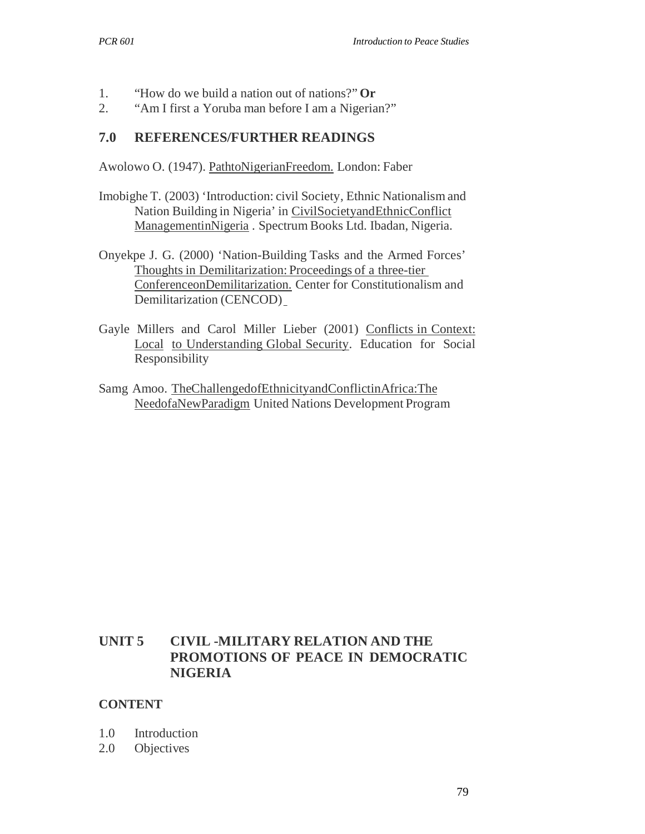- 1. "How do we build a nation out of nations?" **Or**
- 2. "Am I first a Yoruba man before I am a Nigerian?"

## **7.0 REFERENCES/FURTHER READINGS**

Awolowo O. (1947). PathtoNigerianFreedom. London: Faber

- Imobighe T. (2003) 'Introduction: civil Society, Ethnic Nationalism and Nation Building in Nigeria' in CivilSocietyandEthnicConflict ManagementinNigeria . Spectrum Books Ltd. Ibadan, Nigeria.
- Onyekpe J. G. (2000) 'Nation-Building Tasks and the Armed Forces' Thoughts in Demilitarization: Proceedings of a three-tier ConferenceonDemilitarization. Center for Constitutionalism and Demilitarization (CENCOD)
- Gayle Millers and Carol Miller Lieber (2001) Conflicts in Context: Local to Understanding Global Security. Education for Social Responsibility
- Samg Amoo. TheChallengedofEthnicityandConflictinAfrica:The NeedofaNewParadigm United Nations Development Program

# **UNIT 5 CIVIL -MILITARY RELATION AND THE PROMOTIONS OF PEACE IN DEMOCRATIC NIGERIA**

### **CONTENT**

- 1.0 Introduction
- 2.0 Objectives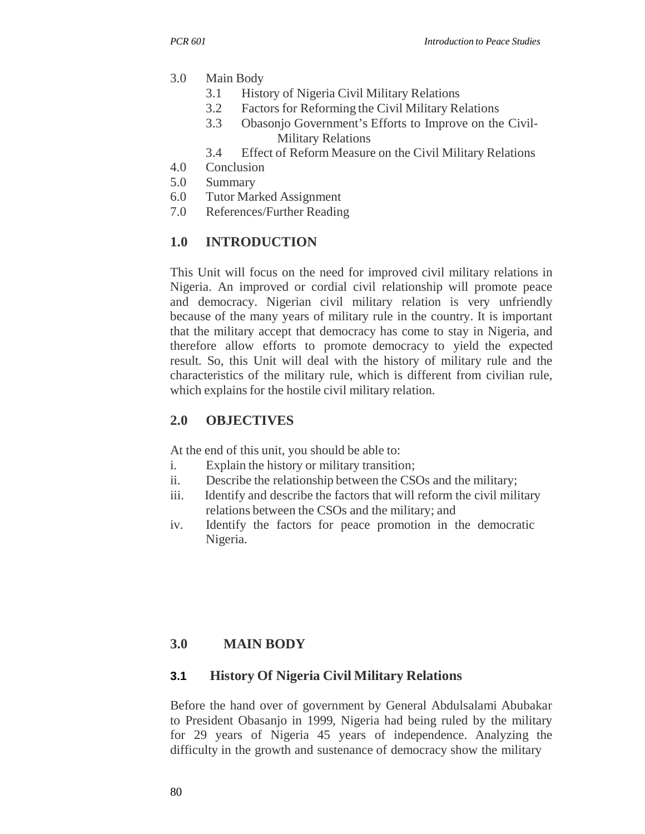- 3.0 Main Body
	- 3.1 History of Nigeria Civil Military Relations
	- 3.2 Factors for Reforming the Civil Military Relations
	- 3.3 Obasonjo Government's Efforts to Improve on the Civil-Military Relations
	- 3.4 Effect of Reform Measure on the Civil Military Relations
- 4.0 Conclusion
- 5.0 Summary
- 6.0 Tutor Marked Assignment
- 7.0 References/Further Reading

# **1.0 INTRODUCTION**

This Unit will focus on the need for improved civil military relations in Nigeria. An improved or cordial civil relationship will promote peace and democracy. Nigerian civil military relation is very unfriendly because of the many years of military rule in the country. It is important that the military accept that democracy has come to stay in Nigeria, and therefore allow efforts to promote democracy to yield the expected result. So, this Unit will deal with the history of military rule and the characteristics of the military rule, which is different from civilian rule, which explains for the hostile civil military relation.

# **2.0 OBJECTIVES**

At the end of this unit, you should be able to:

- i. Explain the history or military transition;
- ii. Describe the relationship between the CSOs and the military;
- iii. Identify and describe the factors that will reform the civil military relations between the CSOs and the military; and
- iv. Identify the factors for peace promotion in the democratic Nigeria.

# **3.0 MAIN BODY**

# **3.1 History Of Nigeria Civil Military Relations**

Before the hand over of government by General Abdulsalami Abubakar to President Obasanjo in 1999, Nigeria had being ruled by the military for 29 years of Nigeria 45 years of independence. Analyzing the difficulty in the growth and sustenance of democracy show the military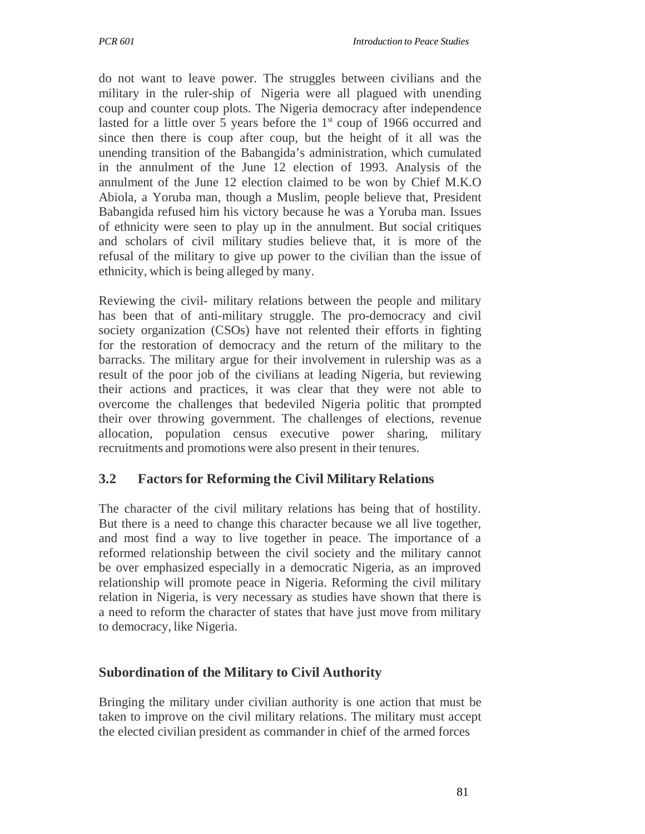do not want to leave power. The struggles between civilians and the military in the ruler-ship of Nigeria were all plagued with unending coup and counter coup plots. The Nigeria democracy after independence lasted for a little over 5 years before the  $1<sup>st</sup>$  coup of 1966 occurred and since then there is coup after coup, but the height of it all was the unending transition of the Babangida's administration, which cumulated in the annulment of the June 12 election of 1993. Analysis of the annulment of the June 12 election claimed to be won by Chief M.K.O Abiola, a Yoruba man, though a Muslim, people believe that, President Babangida refused him his victory because he was a Yoruba man. Issues of ethnicity were seen to play up in the annulment. But social critiques and scholars of civil military studies believe that, it is more of the refusal of the military to give up power to the civilian than the issue of ethnicity, which is being alleged by many.

Reviewing the civil- military relations between the people and military has been that of anti-military struggle. The pro-democracy and civil society organization (CSOs) have not relented their efforts in fighting for the restoration of democracy and the return of the military to the barracks. The military argue for their involvement in rulership was as a result of the poor job of the civilians at leading Nigeria, but reviewing their actions and practices, it was clear that they were not able to overcome the challenges that bedeviled Nigeria politic that prompted their over throwing government. The challenges of elections, revenue allocation, population census executive power sharing, military recruitments and promotions were also present in their tenures.

# **3.2 Factors for Reforming the Civil Military Relations**

The character of the civil military relations has being that of hostility. But there is a need to change this character because we all live together, and most find a way to live together in peace. The importance of a reformed relationship between the civil society and the military cannot be over emphasized especially in a democratic Nigeria, as an improved relationship will promote peace in Nigeria. Reforming the civil military relation in Nigeria, is very necessary as studies have shown that there is a need to reform the character of states that have just move from military to democracy, like Nigeria.

### **Subordination of the Military to Civil Authority**

Bringing the military under civilian authority is one action that must be taken to improve on the civil military relations. The military must accept the elected civilian president as commander in chief of the armed forces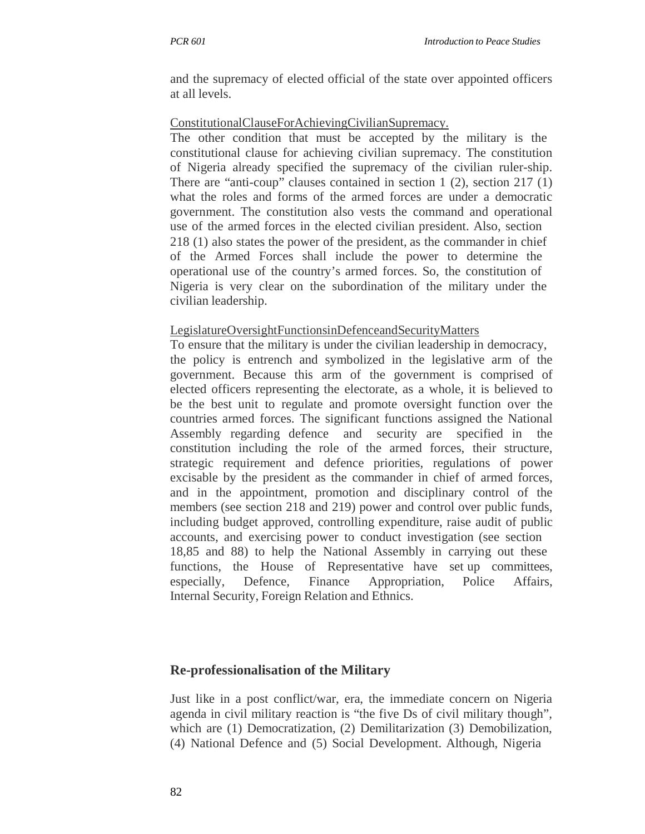and the supremacy of elected official of the state over appointed officers at all levels.

### ConstitutionalClauseForAchievingCivilianSupremacy.

The other condition that must be accepted by the military is the constitutional clause for achieving civilian supremacy. The constitution of Nigeria already specified the supremacy of the civilian ruler-ship. There are "anti-coup" clauses contained in section 1 (2), section 217 (1) what the roles and forms of the armed forces are under a democratic government. The constitution also vests the command and operational use of the armed forces in the elected civilian president. Also, section 218 (1) also states the power of the president, as the commander in chief of the Armed Forces shall include the power to determine the operational use of the country's armed forces. So, the constitution of Nigeria is very clear on the subordination of the military under the civilian leadership.

### LegislatureOversightFunctionsinDefenceandSecurityMatters

To ensure that the military is under the civilian leadership in democracy, the policy is entrench and symbolized in the legislative arm of the government. Because this arm of the government is comprised of elected officers representing the electorate, as a whole, it is believed to be the best unit to regulate and promote oversight function over the countries armed forces. The significant functions assigned the National Assembly regarding defence and security are specified in the constitution including the role of the armed forces, their structure, strategic requirement and defence priorities, regulations of power excisable by the president as the commander in chief of armed forces, and in the appointment, promotion and disciplinary control of the members (see section 218 and 219) power and control over public funds, including budget approved, controlling expenditure, raise audit of public accounts, and exercising power to conduct investigation (see section 18,85 and 88) to help the National Assembly in carrying out these functions, the House of Representative have set up committees, especially, Defence, Finance Appropriation, Police Affairs, Internal Security, Foreign Relation and Ethnics.

### **Re-professionalisation of the Military**

Just like in a post conflict/war, era, the immediate concern on Nigeria agenda in civil military reaction is "the five Ds of civil military though", which are (1) Democratization, (2) Demilitarization (3) Demobilization, (4) National Defence and (5) Social Development. Although, Nigeria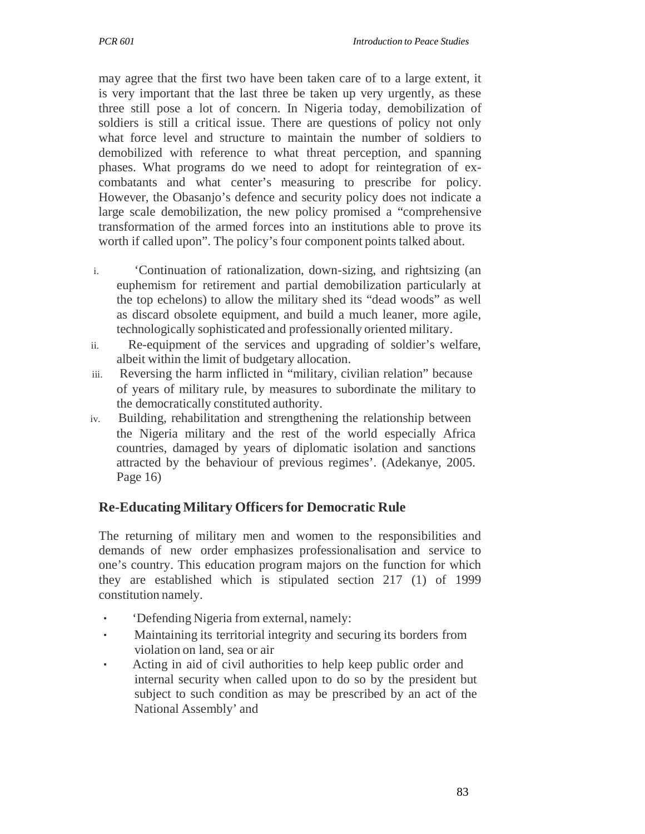may agree that the first two have been taken care of to a large extent, it is very important that the last three be taken up very urgently, as these three still pose a lot of concern. In Nigeria today, demobilization of soldiers is still a critical issue. There are questions of policy not only what force level and structure to maintain the number of soldiers to demobilized with reference to what threat perception, and spanning phases. What programs do we need to adopt for reintegration of excombatants and what center's measuring to prescribe for policy. However, the Obasanjo's defence and security policy does not indicate a large scale demobilization, the new policy promised a "comprehensive transformation of the armed forces into an institutions able to prove its worth if called upon". The policy's four component points talked about.

- i. 'Continuation of rationalization, down-sizing, and rightsizing (an euphemism for retirement and partial demobilization particularly at the top echelons) to allow the military shed its "dead woods" as well as discard obsolete equipment, and build a much leaner, more agile, technologically sophisticated and professionally oriented military.
- ii. Re-equipment of the services and upgrading of soldier's welfare, albeit within the limit of budgetary allocation.
- iii. Reversing the harm inflicted in "military, civilian relation" because of years of military rule, by measures to subordinate the military to the democratically constituted authority.
- iv. Building, rehabilitation and strengthening the relationship between the Nigeria military and the rest of the world especially Africa countries, damaged by years of diplomatic isolation and sanctions attracted by the behaviour of previous regimes'. (Adekanye, 2005. Page 16)

### **Re-Educating Military Officers for Democratic Rule**

The returning of military men and women to the responsibilities and demands of new order emphasizes professionalisation and service to one's country. This education program majors on the function for which they are established which is stipulated section 217 (1) of 1999 constitution namely.

- ・ 'Defending Nigeria from external, namely:
- ・ Maintaining its territorial integrity and securing its borders from violation on land, sea or air
- Acting in aid of civil authorities to help keep public order and internal security when called upon to do so by the president but subject to such condition as may be prescribed by an act of the National Assembly' and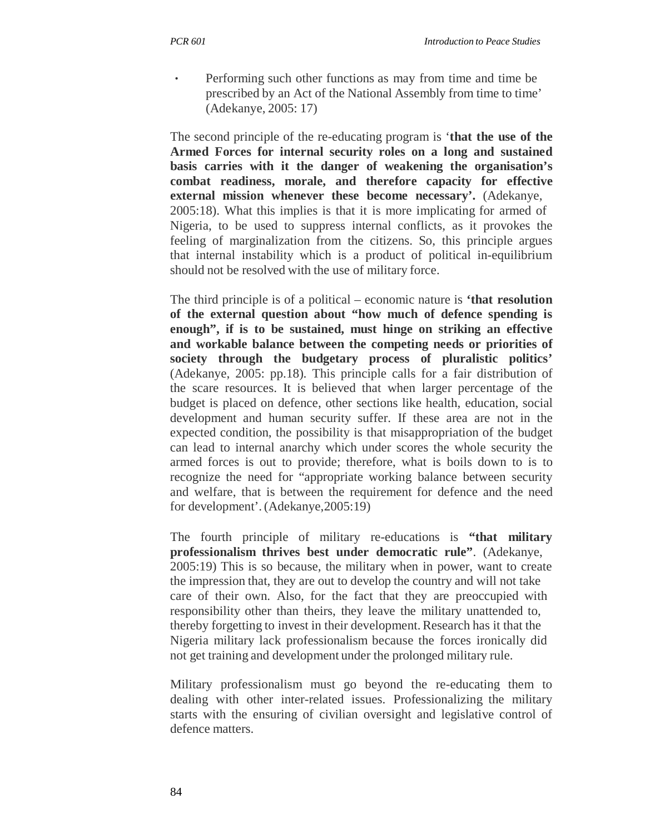Performing such other functions as may from time and time be prescribed by an Act of the National Assembly from time to time' (Adekanye, 2005: 17)

The second principle of the re-educating program is '**that the use of the Armed Forces for internal security roles on a long and sustained basis carries with it the danger of weakening the organisation's combat readiness, morale, and therefore capacity for effective external mission whenever these become necessary'.** (Adekanye, 2005:18). What this implies is that it is more implicating for armed of Nigeria, to be used to suppress internal conflicts, as it provokes the feeling of marginalization from the citizens. So, this principle argues that internal instability which is a product of political in-equilibrium should not be resolved with the use of military force.

The third principle is of a political – economic nature is **'that resolution of the external question about "how much of defence spending is enough", if is to be sustained, must hinge on striking an effective and workable balance between the competing needs or priorities of society through the budgetary process of pluralistic politics'**  (Adekanye, 2005: pp.18). This principle calls for a fair distribution of the scare resources. It is believed that when larger percentage of the budget is placed on defence, other sections like health, education, social development and human security suffer. If these area are not in the expected condition, the possibility is that misappropriation of the budget can lead to internal anarchy which under scores the whole security the armed forces is out to provide; therefore, what is boils down to is to recognize the need for "appropriate working balance between security and welfare, that is between the requirement for defence and the need for development'. (Adekanye,2005:19)

The fourth principle of military re-educations is **"that military professionalism thrives best under democratic rule"**. (Adekanye, 2005:19) This is so because, the military when in power, want to create the impression that, they are out to develop the country and will not take care of their own. Also, for the fact that they are preoccupied with responsibility other than theirs, they leave the military unattended to, thereby forgetting to invest in their development. Research has it that the Nigeria military lack professionalism because the forces ironically did not get training and development under the prolonged military rule.

Military professionalism must go beyond the re-educating them to dealing with other inter-related issues. Professionalizing the military starts with the ensuring of civilian oversight and legislative control of defence matters.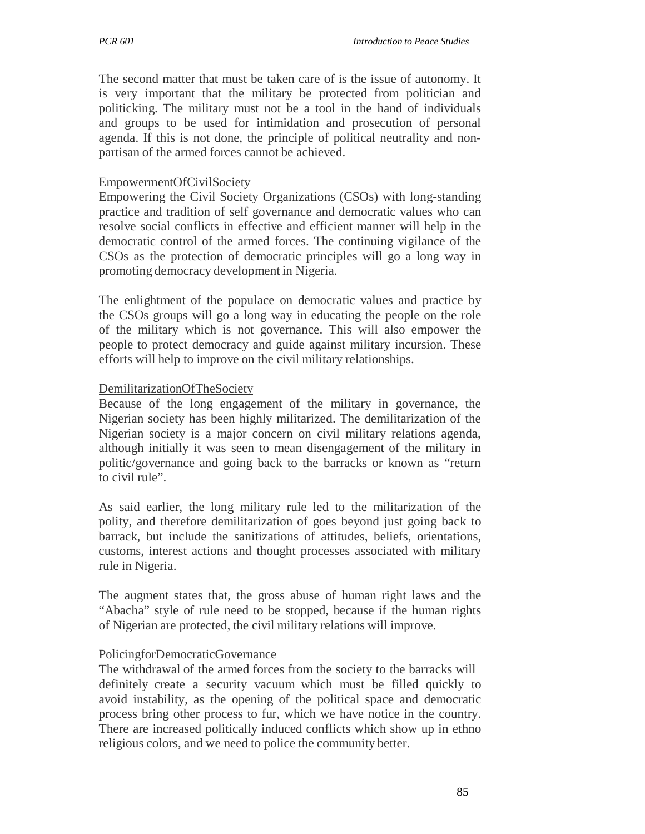The second matter that must be taken care of is the issue of autonomy. It is very important that the military be protected from politician and politicking. The military must not be a tool in the hand of individuals and groups to be used for intimidation and prosecution of personal agenda. If this is not done, the principle of political neutrality and nonpartisan of the armed forces cannot be achieved.

### EmpowermentOfCivilSociety

Empowering the Civil Society Organizations (CSOs) with long-standing practice and tradition of self governance and democratic values who can resolve social conflicts in effective and efficient manner will help in the democratic control of the armed forces. The continuing vigilance of the CSOs as the protection of democratic principles will go a long way in promoting democracy development in Nigeria.

The enlightment of the populace on democratic values and practice by the CSOs groups will go a long way in educating the people on the role of the military which is not governance. This will also empower the people to protect democracy and guide against military incursion. These efforts will help to improve on the civil military relationships.

### DemilitarizationOfTheSociety

Because of the long engagement of the military in governance, the Nigerian society has been highly militarized. The demilitarization of the Nigerian society is a major concern on civil military relations agenda, although initially it was seen to mean disengagement of the military in politic/governance and going back to the barracks or known as "return to civil rule".

As said earlier, the long military rule led to the militarization of the polity, and therefore demilitarization of goes beyond just going back to barrack, but include the sanitizations of attitudes, beliefs, orientations, customs, interest actions and thought processes associated with military rule in Nigeria.

The augment states that, the gross abuse of human right laws and the "Abacha" style of rule need to be stopped, because if the human rights of Nigerian are protected, the civil military relations will improve.

### PolicingforDemocraticGovernance

The withdrawal of the armed forces from the society to the barracks will definitely create a security vacuum which must be filled quickly to avoid instability, as the opening of the political space and democratic process bring other process to fur, which we have notice in the country. There are increased politically induced conflicts which show up in ethno religious colors, and we need to police the community better.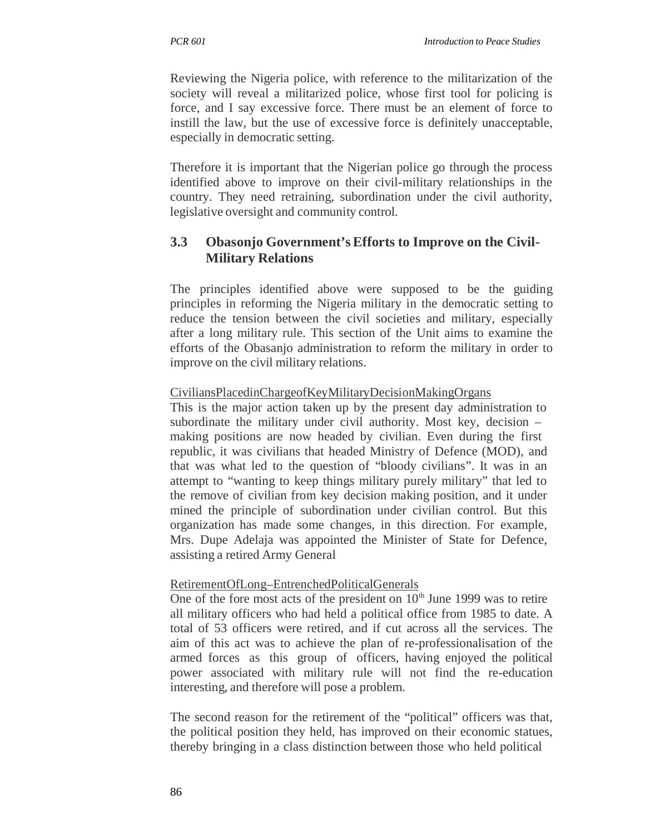Reviewing the Nigeria police, with reference to the militarization of the society will reveal a militarized police, whose first tool for policing is force, and I say excessive force. There must be an element of force to instill the law, but the use of excessive force is definitely unacceptable, especially in democratic setting.

Therefore it is important that the Nigerian police go through the process identified above to improve on their civil-military relationships in the country. They need retraining, subordination under the civil authority, legislative oversight and community control.

# **3.3 Obasonjo Government's Efforts to Improve on the Civil-Military Relations**

The principles identified above were supposed to be the guiding principles in reforming the Nigeria military in the democratic setting to reduce the tension between the civil societies and military, especially after a long military rule. This section of the Unit aims to examine the efforts of the Obasanjo administration to reform the military in order to improve on the civil military relations.

### CiviliansPlacedinChargeofKeyMilitaryDecisionMakingOrgans

This is the major action taken up by the present day administration to subordinate the military under civil authority. Most key, decision – making positions are now headed by civilian. Even during the first republic, it was civilians that headed Ministry of Defence (MOD), and that was what led to the question of "bloody civilians". It was in an attempt to "wanting to keep things military purely military" that led to the remove of civilian from key decision making position, and it under mined the principle of subordination under civilian control. But this organization has made some changes, in this direction. For example, Mrs. Dupe Adelaja was appointed the Minister of State for Defence, assisting a retired Army General

### RetirementOfLong–EntrenchedPoliticalGenerals

One of the fore most acts of the president on  $10<sup>th</sup>$  June 1999 was to retire all military officers who had held a political office from 1985 to date. A total of 53 officers were retired, and if cut across all the services. The aim of this act was to achieve the plan of re-professionalisation of the armed forces as this group of officers, having enjoyed the political power associated with military rule will not find the re-education interesting, and therefore will pose a problem.

The second reason for the retirement of the "political" officers was that, the political position they held, has improved on their economic statues, thereby bringing in a class distinction between those who held political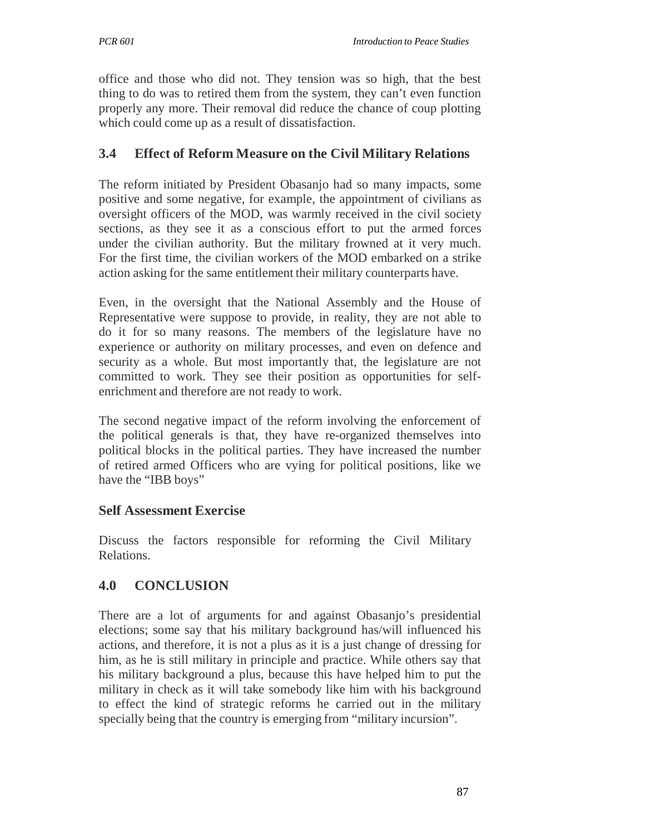office and those who did not. They tension was so high, that the best thing to do was to retired them from the system, they can't even function properly any more. Their removal did reduce the chance of coup plotting which could come up as a result of dissatisfaction.

### **3.4 Effect of Reform Measure on the Civil Military Relations**

The reform initiated by President Obasanjo had so many impacts, some positive and some negative, for example, the appointment of civilians as oversight officers of the MOD, was warmly received in the civil society sections, as they see it as a conscious effort to put the armed forces under the civilian authority. But the military frowned at it very much. For the first time, the civilian workers of the MOD embarked on a strike action asking for the same entitlement their military counterparts have.

Even, in the oversight that the National Assembly and the House of Representative were suppose to provide, in reality, they are not able to do it for so many reasons. The members of the legislature have no experience or authority on military processes, and even on defence and security as a whole. But most importantly that, the legislature are not committed to work. They see their position as opportunities for selfenrichment and therefore are not ready to work.

The second negative impact of the reform involving the enforcement of the political generals is that, they have re-organized themselves into political blocks in the political parties. They have increased the number of retired armed Officers who are vying for political positions, like we have the "IBB boys"

### **Self Assessment Exercise**

Discuss the factors responsible for reforming the Civil Military Relations.

### **4.0 CONCLUSION**

There are a lot of arguments for and against Obasanjo's presidential elections; some say that his military background has/will influenced his actions, and therefore, it is not a plus as it is a just change of dressing for him, as he is still military in principle and practice. While others say that his military background a plus, because this have helped him to put the military in check as it will take somebody like him with his background to effect the kind of strategic reforms he carried out in the military specially being that the country is emerging from "military incursion".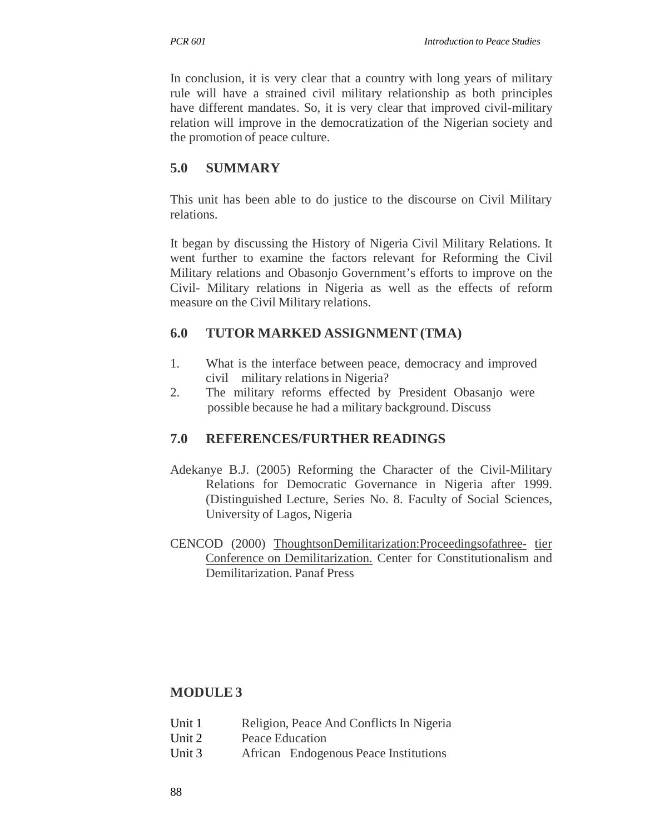In conclusion, it is very clear that a country with long years of military rule will have a strained civil military relationship as both principles have different mandates. So, it is very clear that improved civil-military relation will improve in the democratization of the Nigerian society and the promotion of peace culture.

# **5.0 SUMMARY**

This unit has been able to do justice to the discourse on Civil Military relations.

It began by discussing the History of Nigeria Civil Military Relations. It went further to examine the factors relevant for Reforming the Civil Military relations and Obasonjo Government's efforts to improve on the Civil- Military relations in Nigeria as well as the effects of reform measure on the Civil Military relations.

# **6.0 TUTOR MARKED ASSIGNMENT (TMA)**

- 1. What is the interface between peace, democracy and improved civil military relations in Nigeria?
- 2. The military reforms effected by President Obasanjo were possible because he had a military background. Discuss

# **7.0 REFERENCES/FURTHER READINGS**

- Adekanye B.J. (2005) Reforming the Character of the Civil-Military Relations for Democratic Governance in Nigeria after 1999. (Distinguished Lecture, Series No. 8. Faculty of Social Sciences, University of Lagos, Nigeria
- CENCOD (2000) ThoughtsonDemilitarization:Proceedingsofathree- tier Conference on Demilitarization. Center for Constitutionalism and Demilitarization. Panaf Press

# **MODULE 3**

- Unit 1 Religion, Peace And Conflicts In Nigeria
- Unit 2 Peace Education
- Unit 3 African Endogenous Peace Institutions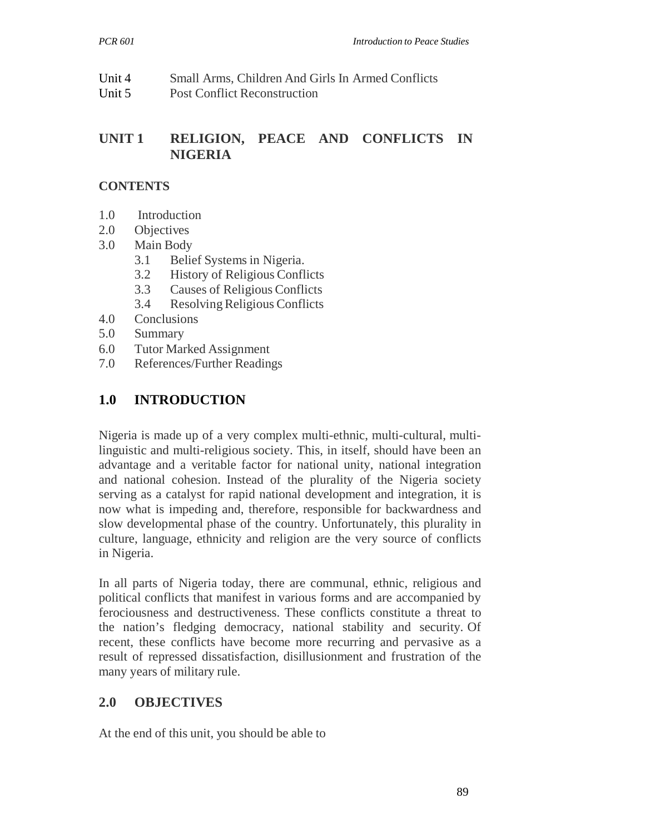| Unit 4 | Small Arms, Children And Girls In Armed Conflicts |
|--------|---------------------------------------------------|
| Unit 5 | Post Conflict Reconstruction                      |

# **UNIT 1 RELIGION, PEACE AND CONFLICTS IN NIGERIA**

### **CONTENTS**

- 1.0 Introduction
- 2.0 Objectives
- 3.0 Main Body
	- 3.1 Belief Systems in Nigeria.
	- 3.2 History of Religious Conflicts
	- 3.3 Causes of Religious Conflicts
	- 3.4 Resolving Religious Conflicts
- 4.0 Conclusions
- 5.0 Summary
- 6.0 Tutor Marked Assignment
- 7.0 References/Further Readings

# **1.0 INTRODUCTION**

Nigeria is made up of a very complex multi-ethnic, multi-cultural, multilinguistic and multi-religious society. This, in itself, should have been an advantage and a veritable factor for national unity, national integration and national cohesion. Instead of the plurality of the Nigeria society serving as a catalyst for rapid national development and integration, it is now what is impeding and, therefore, responsible for backwardness and slow developmental phase of the country. Unfortunately, this plurality in culture, language, ethnicity and religion are the very source of conflicts in Nigeria.

In all parts of Nigeria today, there are communal, ethnic, religious and political conflicts that manifest in various forms and are accompanied by ferociousness and destructiveness. These conflicts constitute a threat to the nation's fledging democracy, national stability and security. Of recent, these conflicts have become more recurring and pervasive as a result of repressed dissatisfaction, disillusionment and frustration of the many years of military rule.

### **2.0 OBJECTIVES**

At the end of this unit, you should be able to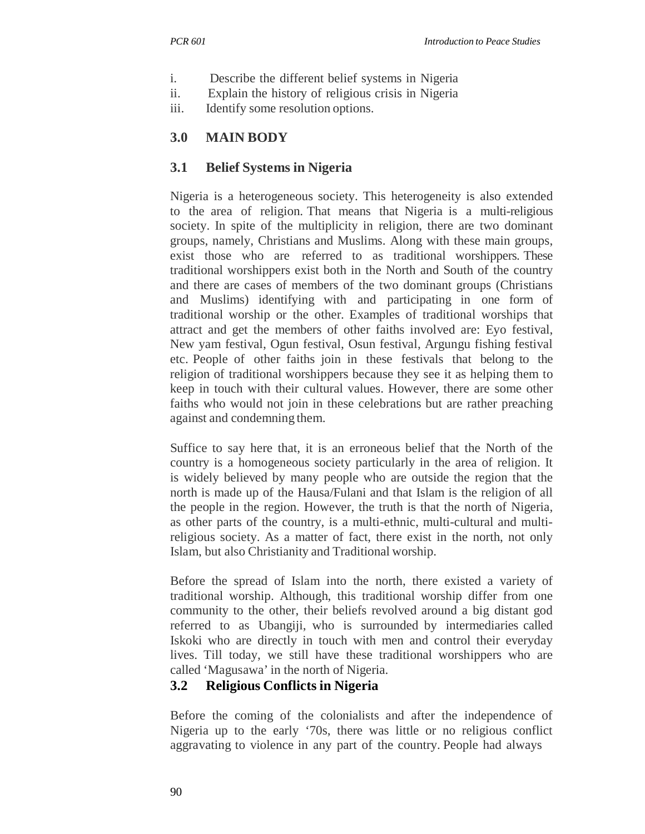- i. Describe the different belief systems in Nigeria
- ii. Explain the history of religious crisis in Nigeria
- iii. Identify some resolution options.

# **3.0 MAIN BODY**

## **3.1 Belief Systems in Nigeria**

Nigeria is a heterogeneous society. This heterogeneity is also extended to the area of religion. That means that Nigeria is a multi-religious society. In spite of the multiplicity in religion, there are two dominant groups, namely, Christians and Muslims. Along with these main groups, exist those who are referred to as traditional worshippers. These traditional worshippers exist both in the North and South of the country and there are cases of members of the two dominant groups (Christians and Muslims) identifying with and participating in one form of traditional worship or the other. Examples of traditional worships that attract and get the members of other faiths involved are: Eyo festival, New yam festival, Ogun festival, Osun festival, Argungu fishing festival etc. People of other faiths join in these festivals that belong to the religion of traditional worshippers because they see it as helping them to keep in touch with their cultural values. However, there are some other faiths who would not join in these celebrations but are rather preaching against and condemning them.

Suffice to say here that, it is an erroneous belief that the North of the country is a homogeneous society particularly in the area of religion. It is widely believed by many people who are outside the region that the north is made up of the Hausa/Fulani and that Islam is the religion of all the people in the region. However, the truth is that the north of Nigeria, as other parts of the country, is a multi-ethnic, multi-cultural and multireligious society. As a matter of fact, there exist in the north, not only Islam, but also Christianity and Traditional worship.

Before the spread of Islam into the north, there existed a variety of traditional worship. Although, this traditional worship differ from one community to the other, their beliefs revolved around a big distant god referred to as Ubangiji, who is surrounded by intermediaries called Iskoki who are directly in touch with men and control their everyday lives. Till today, we still have these traditional worshippers who are called 'Magusawa' in the north of Nigeria.

# **3.2 Religious Conflicts in Nigeria**

Before the coming of the colonialists and after the independence of Nigeria up to the early '70s, there was little or no religious conflict aggravating to violence in any part of the country. People had always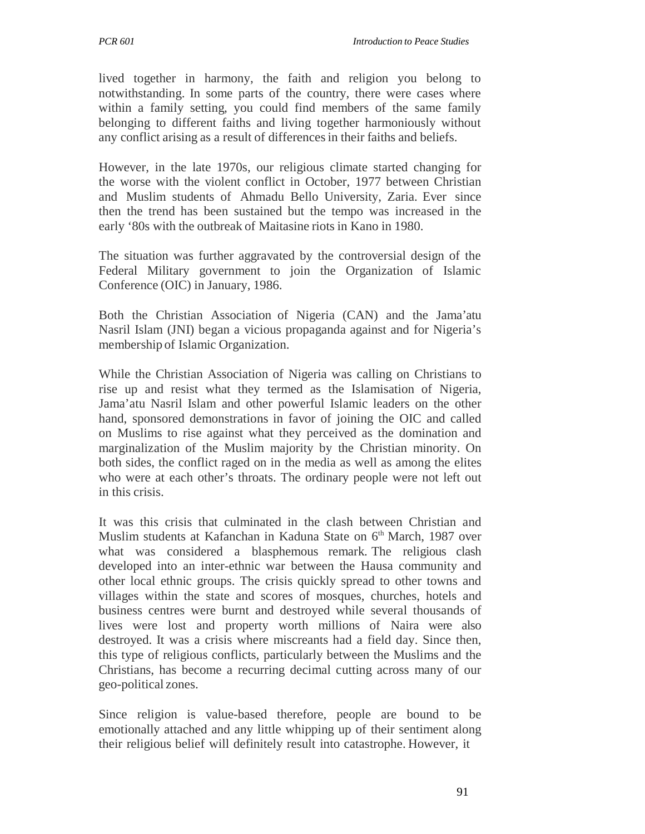lived together in harmony, the faith and religion you belong to notwithstanding. In some parts of the country, there were cases where within a family setting, you could find members of the same family belonging to different faiths and living together harmoniously without any conflict arising as a result of differences in their faiths and beliefs.

However, in the late 1970s, our religious climate started changing for the worse with the violent conflict in October, 1977 between Christian and Muslim students of Ahmadu Bello University, Zaria. Ever since then the trend has been sustained but the tempo was increased in the early '80s with the outbreak of Maitasine riots in Kano in 1980.

The situation was further aggravated by the controversial design of the Federal Military government to join the Organization of Islamic Conference (OIC) in January, 1986.

Both the Christian Association of Nigeria (CAN) and the Jama'atu Nasril Islam (JNI) began a vicious propaganda against and for Nigeria's membership of Islamic Organization.

While the Christian Association of Nigeria was calling on Christians to rise up and resist what they termed as the Islamisation of Nigeria, Jama'atu Nasril Islam and other powerful Islamic leaders on the other hand, sponsored demonstrations in favor of joining the OIC and called on Muslims to rise against what they perceived as the domination and marginalization of the Muslim majority by the Christian minority. On both sides, the conflict raged on in the media as well as among the elites who were at each other's throats. The ordinary people were not left out in this crisis.

It was this crisis that culminated in the clash between Christian and Muslim students at Kafanchan in Kaduna State on 6<sup>th</sup> March, 1987 over what was considered a blasphemous remark. The religious clash developed into an inter-ethnic war between the Hausa community and other local ethnic groups. The crisis quickly spread to other towns and villages within the state and scores of mosques, churches, hotels and business centres were burnt and destroyed while several thousands of lives were lost and property worth millions of Naira were also destroyed. It was a crisis where miscreants had a field day. Since then, this type of religious conflicts, particularly between the Muslims and the Christians, has become a recurring decimal cutting across many of our geo-political zones.

Since religion is value-based therefore, people are bound to be emotionally attached and any little whipping up of their sentiment along their religious belief will definitely result into catastrophe. However, it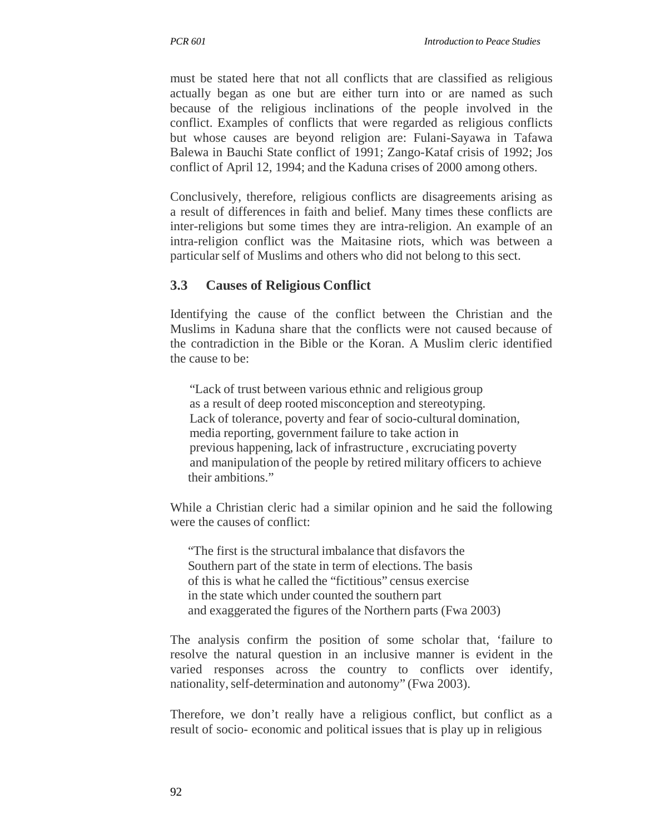must be stated here that not all conflicts that are classified as religious actually began as one but are either turn into or are named as such because of the religious inclinations of the people involved in the conflict. Examples of conflicts that were regarded as religious conflicts but whose causes are beyond religion are: Fulani-Sayawa in Tafawa Balewa in Bauchi State conflict of 1991; Zango-Kataf crisis of 1992; Jos conflict of April 12, 1994; and the Kaduna crises of 2000 among others.

Conclusively, therefore, religious conflicts are disagreements arising as a result of differences in faith and belief. Many times these conflicts are inter-religions but some times they are intra-religion. An example of an intra-religion conflict was the Maitasine riots, which was between a particular self of Muslims and others who did not belong to this sect.

# **3.3 Causes of Religious Conflict**

Identifying the cause of the conflict between the Christian and the Muslims in Kaduna share that the conflicts were not caused because of the contradiction in the Bible or the Koran. A Muslim cleric identified the cause to be:

"Lack of trust between various ethnic and religious group as a result of deep rooted misconception and stereotyping. Lack of tolerance, poverty and fear of socio-cultural domination, media reporting, government failure to take action in previous happening, lack of infrastructure , excruciating poverty and manipulation of the people by retired military officers to achieve their ambitions."

While a Christian cleric had a similar opinion and he said the following were the causes of conflict:

"The first is the structural imbalance that disfavors the Southern part of the state in term of elections. The basis of this is what he called the "fictitious" census exercise in the state which under counted the southern part and exaggerated the figures of the Northern parts (Fwa 2003)

The analysis confirm the position of some scholar that, 'failure to resolve the natural question in an inclusive manner is evident in the varied responses across the country to conflicts over identify, nationality, self-determination and autonomy" (Fwa 2003).

Therefore, we don't really have a religious conflict, but conflict as a result of socio- economic and political issues that is play up in religious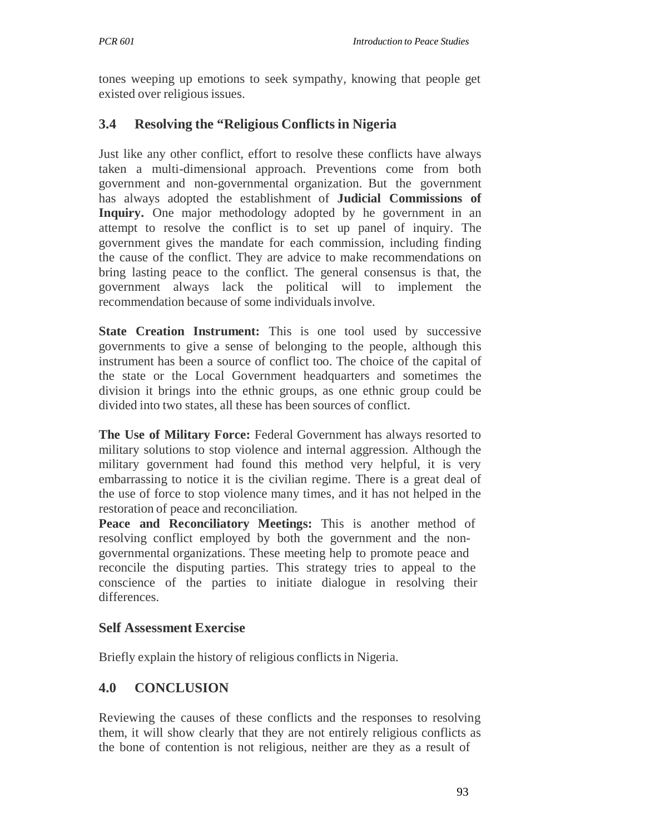tones weeping up emotions to seek sympathy, knowing that people get existed over religious issues.

# **3.4 Resolving the "Religious Conflicts in Nigeria**

Just like any other conflict, effort to resolve these conflicts have always taken a multi-dimensional approach. Preventions come from both government and non-governmental organization. But the government has always adopted the establishment of **Judicial Commissions of Inquiry.** One major methodology adopted by he government in an attempt to resolve the conflict is to set up panel of inquiry. The government gives the mandate for each commission, including finding the cause of the conflict. They are advice to make recommendations on bring lasting peace to the conflict. The general consensus is that, the government always lack the political will to implement the recommendation because of some individuals involve.

**State Creation Instrument:** This is one tool used by successive governments to give a sense of belonging to the people, although this instrument has been a source of conflict too. The choice of the capital of the state or the Local Government headquarters and sometimes the division it brings into the ethnic groups, as one ethnic group could be divided into two states, all these has been sources of conflict.

**The Use of Military Force:** Federal Government has always resorted to military solutions to stop violence and internal aggression. Although the military government had found this method very helpful, it is very embarrassing to notice it is the civilian regime. There is a great deal of the use of force to stop violence many times, and it has not helped in the restoration of peace and reconciliation.

Peace and Reconciliatory Meetings: This is another method of resolving conflict employed by both the government and the nongovernmental organizations. These meeting help to promote peace and reconcile the disputing parties. This strategy tries to appeal to the conscience of the parties to initiate dialogue in resolving their differences.

### **Self Assessment Exercise**

Briefly explain the history of religious conflicts in Nigeria.

# **4.0 CONCLUSION**

Reviewing the causes of these conflicts and the responses to resolving them, it will show clearly that they are not entirely religious conflicts as the bone of contention is not religious, neither are they as a result of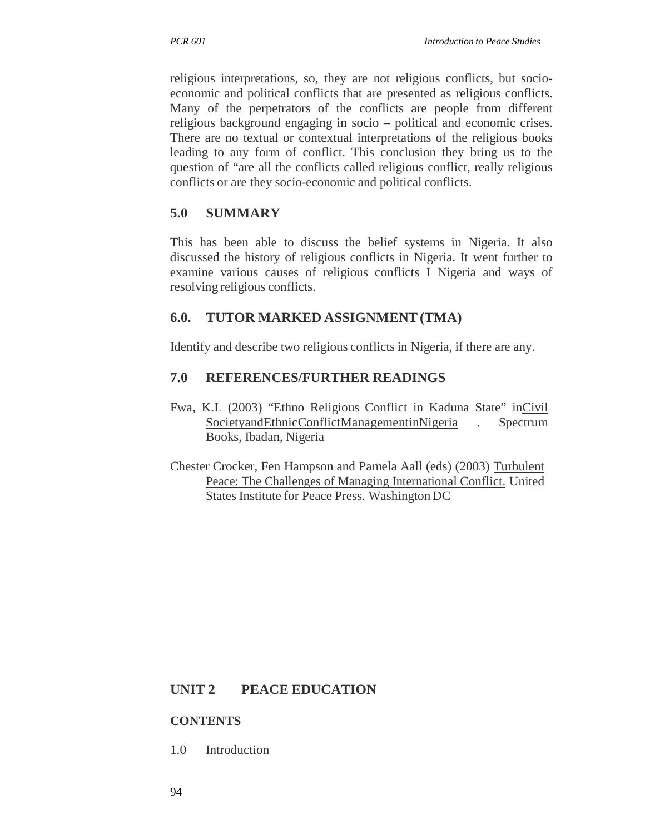religious interpretations, so, they are not religious conflicts, but socioeconomic and political conflicts that are presented as religious conflicts. Many of the perpetrators of the conflicts are people from different religious background engaging in socio – political and economic crises. There are no textual or contextual interpretations of the religious books leading to any form of conflict. This conclusion they bring us to the question of "are all the conflicts called religious conflict, really religious conflicts or are they socio-economic and political conflicts.

# **5.0 SUMMARY**

This has been able to discuss the belief systems in Nigeria. It also discussed the history of religious conflicts in Nigeria. It went further to examine various causes of religious conflicts I Nigeria and ways of resolving religious conflicts.

# **6.0. TUTOR MARKED ASSIGNMENT (TMA)**

Identify and describe two religious conflicts in Nigeria, if there are any.

# **7.0 REFERENCES/FURTHER READINGS**

- Fwa, K.L (2003) "Ethno Religious Conflict in Kaduna State" inCivil SocietyandEthnicConflictManagementinNigeria . Spectrum Books, Ibadan, Nigeria
- Chester Crocker, Fen Hampson and Pamela Aall (eds) (2003) Turbulent Peace: The Challenges of Managing International Conflict. United States Institute for Peace Press. Washington DC

# **UNIT 2 PEACE EDUCATION**

### **CONTENTS**

1.0 Introduction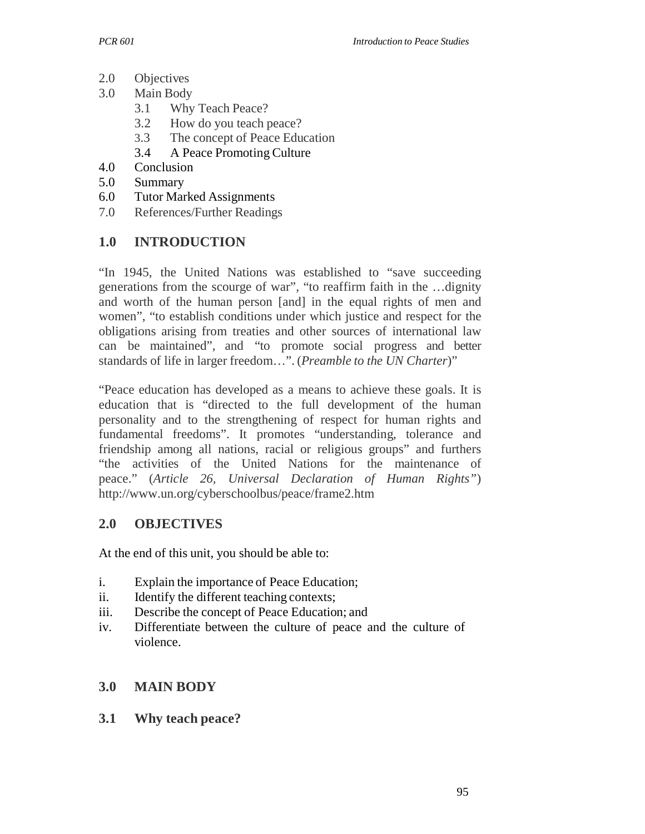- 2.0 Objectives
- 3.0 Main Body
	- 3.1 Why Teach Peace?
	- 3.2 How do you teach peace?
	- 3.3 The concept of Peace Education
	- 3.4 A Peace Promoting Culture
- 4.0 Conclusion
- 5.0 Summary
- 6.0 Tutor Marked Assignments
- 7.0 References/Further Readings

#### **1.0 INTRODUCTION**

"In 1945, the United Nations was established to "save succeeding generations from the scourge of war", "to reaffirm faith in the …dignity and worth of the human person [and] in the equal rights of men and women", "to establish conditions under which justice and respect for the obligations arising from treaties and other sources of international law can be maintained", and "to promote social progress and better standards of life in larger freedom…". (*Preamble to the UN Charter*)"

"Peace education has developed as a means to achieve these goals. It is education that is "directed to the full development of the human personality and to the strengthening of respect for human rights and fundamental freedoms". It promotes "understanding, tolerance and friendship among all nations, racial or religious groups" and furthers "the activities of the United Nations for the maintenance of peace." (*Article 26, Universal Declaration of Human Rights"*) http://www.un.org/cyberschoolbus/peace/frame2.htm

#### **2.0 OBJECTIVES**

At the end of this unit, you should be able to:

- i. Explain the importance of Peace Education;
- ii. Identify the different teaching contexts;
- iii. Describe the concept of Peace Education; and
- iv. Differentiate between the culture of peace and the culture of violence.

#### **3.0 MAIN BODY**

#### **3.1 Why teach peace?**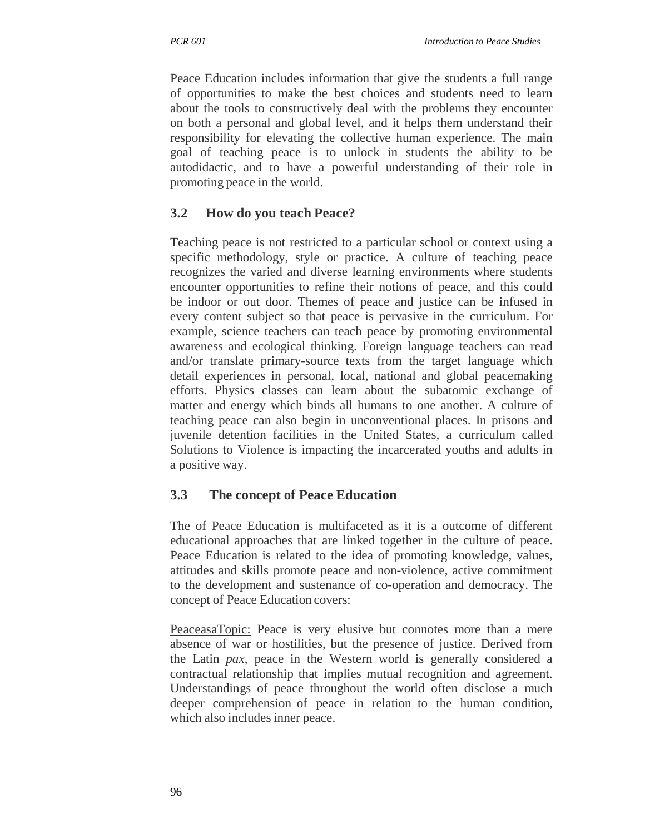Peace Education includes information that give the students a full range of opportunities to make the best choices and students need to learn about the tools to constructively deal with the problems they encounter on both a personal and global level, and it helps them understand their responsibility for elevating the collective human experience. The main goal of teaching peace is to unlock in students the ability to be autodidactic, and to have a powerful understanding of their role in promoting peace in the world.

# **3.2 How do you teach Peace?**

Teaching peace is not restricted to a particular school or context using a specific methodology, style or practice. A culture of teaching peace recognizes the varied and diverse learning environments where students encounter opportunities to refine their notions of peace, and this could be indoor or out door. Themes of peace and justice can be infused in every content subject so that peace is pervasive in the curriculum. For example, science teachers can teach peace by promoting environmental awareness and ecological thinking. Foreign language teachers can read and/or translate primary-source texts from the target language which detail experiences in personal, local, national and global peacemaking efforts. Physics classes can learn about the subatomic exchange of matter and energy which binds all humans to one another. A culture of teaching peace can also begin in unconventional places. In prisons and juvenile detention facilities in the United States, a curriculum called Solutions to Violence is impacting the incarcerated youths and adults in a positive way.

# **3.3 The concept of Peace Education**

The of Peace Education is multifaceted as it is a outcome of different educational approaches that are linked together in the culture of peace. Peace Education is related to the idea of promoting knowledge, values, attitudes and skills promote peace and non-violence, active commitment to the development and sustenance of co-operation and democracy. The concept of Peace Education covers:

PeaceasaTopic: Peace is very elusive but connotes more than a mere absence of war or hostilities, but the presence of justice. Derived from the Latin *pax*, peace in the Western world is generally considered a contractual relationship that implies mutual recognition and agreement. Understandings of peace throughout the world often disclose a much deeper comprehension of peace in relation to the human condition, which also includes inner peace.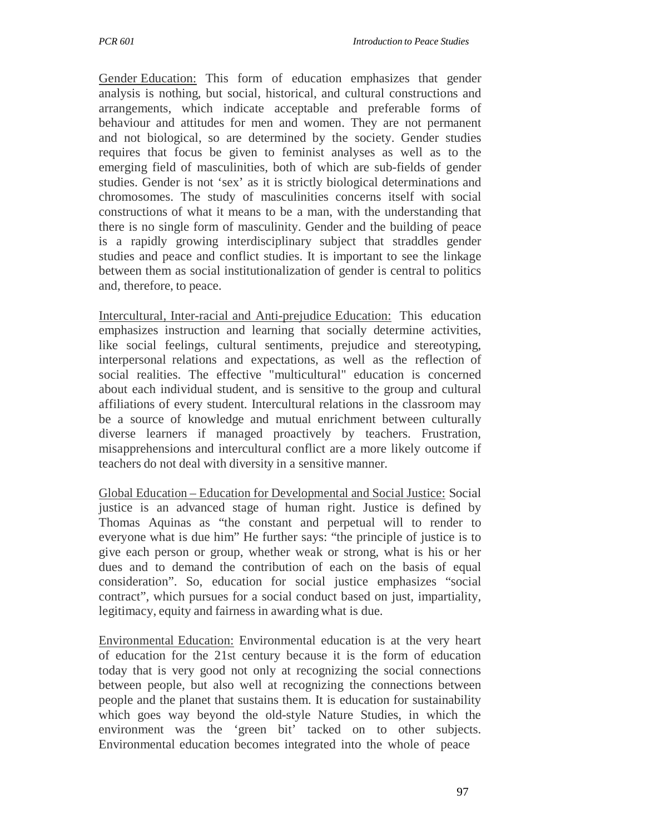Gender Education: This form of education emphasizes that gender analysis is nothing, but social, historical, and cultural constructions and arrangements, which indicate acceptable and preferable forms of behaviour and attitudes for men and women. They are not permanent and not biological, so are determined by the society. Gender studies requires that focus be given to feminist analyses as well as to the emerging field of masculinities, both of which are sub-fields of gender studies. Gender is not 'sex' as it is strictly biological determinations and chromosomes. The study of masculinities concerns itself with social constructions of what it means to be a man, with the understanding that there is no single form of masculinity. Gender and the building of peace is a rapidly growing interdisciplinary subject that straddles gender studies and peace and conflict studies. It is important to see the linkage between them as social institutionalization of gender is central to politics and, therefore, to peace.

Intercultural, Inter-racial and Anti-prejudice Education: This education emphasizes instruction and learning that socially determine activities, like social feelings, cultural sentiments, prejudice and stereotyping, interpersonal relations and expectations, as well as the reflection of social realities. The effective "multicultural" education is concerned about each individual student, and is sensitive to the group and cultural affiliations of every student. Intercultural relations in the classroom may be a source of knowledge and mutual enrichment between culturally diverse learners if managed proactively by teachers. Frustration, misapprehensions and intercultural conflict are a more likely outcome if teachers do not deal with diversity in a sensitive manner.

Global Education – Education for Developmental and Social Justice: Social justice is an advanced stage of human right. Justice is defined by Thomas Aquinas as "the constant and perpetual will to render to everyone what is due him" He further says: "the principle of justice is to give each person or group, whether weak or strong, what is his or her dues and to demand the contribution of each on the basis of equal consideration". So, education for social justice emphasizes "social contract", which pursues for a social conduct based on just, impartiality, legitimacy, equity and fairness in awarding what is due.

Environmental Education: Environmental education is at the very heart of education for the 21st century because it is the form of education today that is very good not only at recognizing the social connections between people, but also well at recognizing the connections between people and the planet that sustains them. It is education for sustainability which goes way beyond the old-style Nature Studies, in which the environment was the 'green bit' tacked on to other subjects. Environmental education becomes integrated into the whole of peace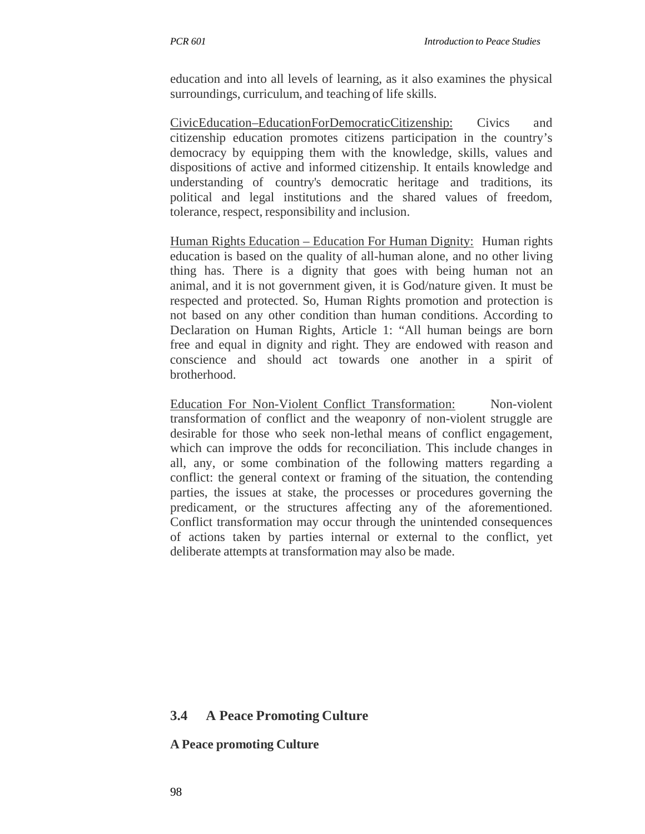education and into all levels of learning, as it also examines the physical surroundings, curriculum, and teaching of life skills.

CivicEducation–EducationForDemocraticCitizenship: Civics and citizenship education promotes citizens participation in the country's democracy by equipping them with the knowledge, skills, values and dispositions of active and informed citizenship. It entails knowledge and understanding of country's democratic heritage and traditions, its political and legal institutions and the shared values of freedom, tolerance, respect, responsibility and inclusion.

Human Rights Education – Education For Human Dignity: Human rights education is based on the quality of all-human alone, and no other living thing has. There is a dignity that goes with being human not an animal, and it is not government given, it is God/nature given. It must be respected and protected. So, Human Rights promotion and protection is not based on any other condition than human conditions. According to Declaration on Human Rights, Article 1: "All human beings are born free and equal in dignity and right. They are endowed with reason and conscience and should act towards one another in a spirit of brotherhood.

Education For Non-Violent Conflict Transformation: Non-violent transformation of conflict and the weaponry of non-violent struggle are desirable for those who seek non-lethal means of conflict engagement, which can improve the odds for reconciliation. This include changes in all, any, or some combination of the following matters regarding a conflict: the general context or framing of the situation, the contending parties, the issues at stake, the processes or procedures governing the predicament, or the structures affecting any of the aforementioned. Conflict transformation may occur through the unintended consequences of actions taken by parties internal or external to the conflict, yet deliberate attempts at transformation may also be made.

#### **3.4 A Peace Promoting Culture**

**A Peace promoting Culture**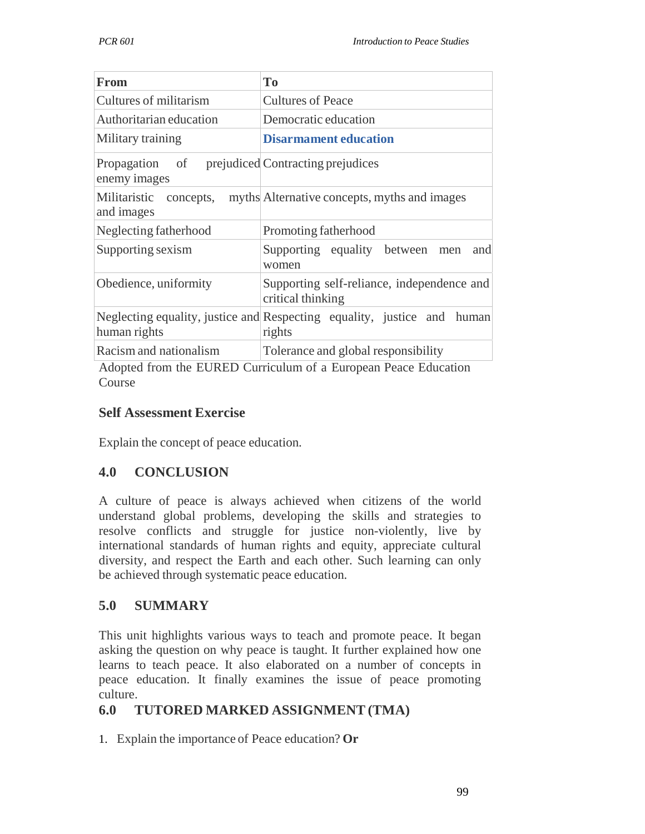| <b>From</b>                                                      | T <sub>o</sub>                                                                    |  |  |
|------------------------------------------------------------------|-----------------------------------------------------------------------------------|--|--|
| Cultures of militarism                                           | <b>Cultures of Peace</b>                                                          |  |  |
| Authoritarian education                                          | Democratic education                                                              |  |  |
| Military training                                                | <b>Disarmament education</b>                                                      |  |  |
| Propagation of prejudiced Contracting prejudices<br>enemy images |                                                                                   |  |  |
| and images                                                       | Militaristic concepts, myths Alternative concepts, myths and images               |  |  |
| Neglecting fatherhood                                            | Promoting fatherhood                                                              |  |  |
| Supporting sexism                                                | Supporting equality between<br>and<br>men<br>women                                |  |  |
| Obedience, uniformity                                            | Supporting self-reliance, independence and<br>critical thinking                   |  |  |
| human rights                                                     | Neglecting equality, justice and Respecting equality, justice and human<br>rights |  |  |
| Racism and nationalism                                           | Tolerance and global responsibility                                               |  |  |

Adopted from the EURED Curriculum of a European Peace Education Course

## **Self Assessment Exercise**

Explain the concept of peace education.

### **4.0 CONCLUSION**

A culture of peace is always achieved when citizens of the world understand global problems, developing the skills and strategies to resolve conflicts and struggle for justice non-violently, live by international standards of human rights and equity, appreciate cultural diversity, and respect the Earth and each other. Such learning can only be achieved through systematic peace education.

# **5.0 SUMMARY**

This unit highlights various ways to teach and promote peace. It began asking the question on why peace is taught. It further explained how one learns to teach peace. It also elaborated on a number of concepts in peace education. It finally examines the issue of peace promoting culture.

# **6.0 TUTORED MARKED ASSIGNMENT (TMA)**

1. Explain the importance of Peace education? **Or**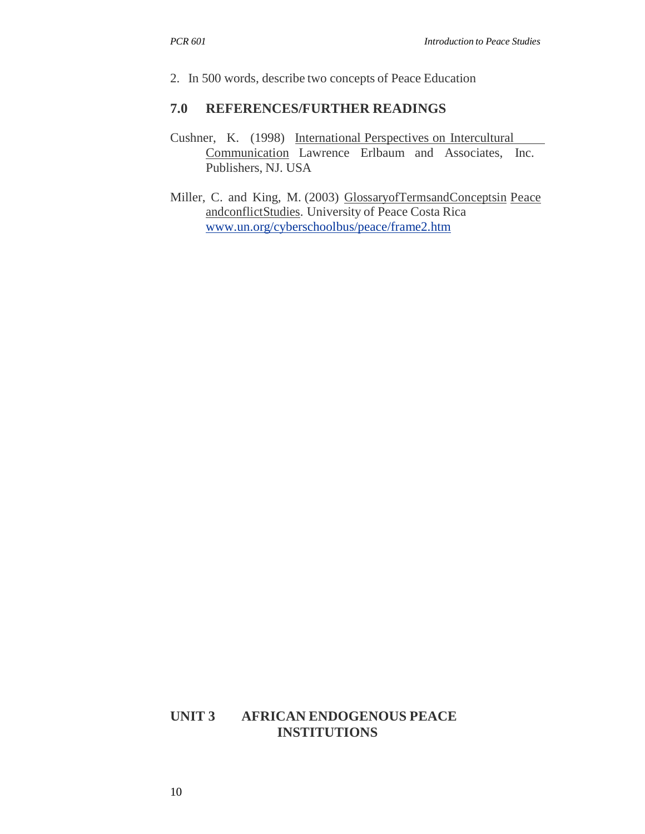2. In 500 words, describe two concepts of Peace Education

#### **7.0 REFERENCES/FURTHER READINGS**

- Cushner, K. (1998) International Perspectives on Intercultural  $\overline{\phantom{a}}$ Communication Lawrence Erlbaum and Associates, Inc. Publishers, NJ. USA
- Miller, C. and King, M. (2003) GlossaryofTermsandConceptsin Peace andconflictStudies. University of Peace Costa Rica www.un.org/cyberschoolbus/peace/frame2.htm

### **UNIT 3 AFRICAN ENDOGENOUS PEACE INSTITUTIONS**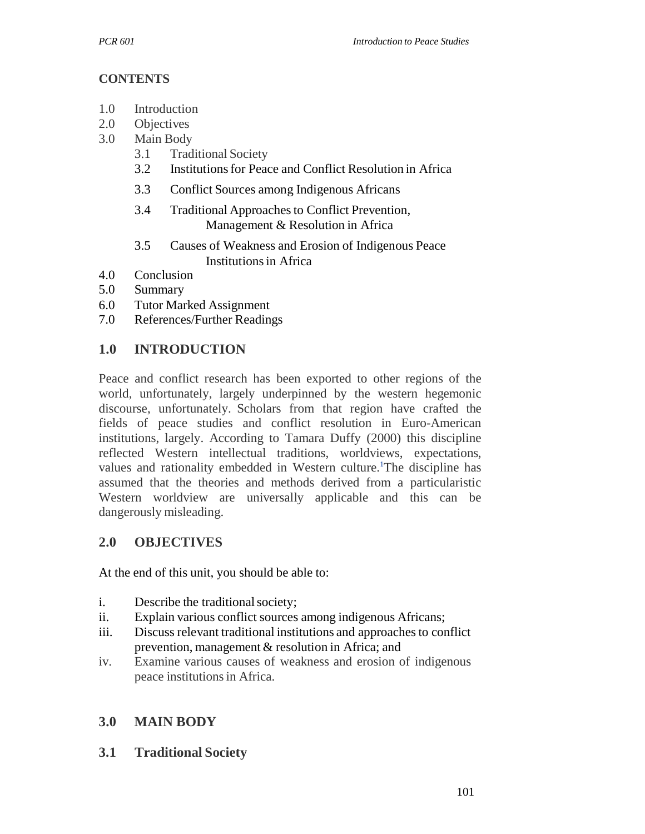## **CONTENTS**

- 1.0 Introduction
- 2.0 Objectives
- 3.0 Main Body
	- 3.1 Traditional Society
	- 3.2 Institutions for Peace and Conflict Resolution in Africa
	- 3.3 Conflict Sources among Indigenous Africans
	- 3.4 Traditional Approaches to Conflict Prevention, Management & Resolution in Africa
	- 3.5 Causes of Weakness and Erosion of Indigenous Peace Institutions in Africa
- 4.0 Conclusion
- 5.0 Summary
- 6.0 Tutor Marked Assignment
- 7.0 References/Further Readings

# **1.0 INTRODUCTION**

Peace and conflict research has been exported to other regions of the world, unfortunately, largely underpinned by the western hegemonic discourse, unfortunately. Scholars from that region have crafted the fields of peace studies and conflict resolution in Euro-American institutions, largely. According to Tamara Duffy (2000) this discipline reflected Western intellectual traditions, worldviews, expectations, values and rationality embedded in Western culture.<sup>1</sup>The discipline has assumed that the theories and methods derived from a particularistic Western worldview are universally applicable and this can be dangerously misleading.

# **2.0 OBJECTIVES**

At the end of this unit, you should be able to:

- i. Describe the traditional society;
- ii. Explain various conflict sources among indigenous Africans;
- iii. Discuss relevant traditional institutions and approaches to conflict prevention, management & resolution in Africa; and
- iv. Examine various causes of weakness and erosion of indigenous peace institutions in Africa.

# **3.0 MAIN BODY**

**3.1 Traditional Society**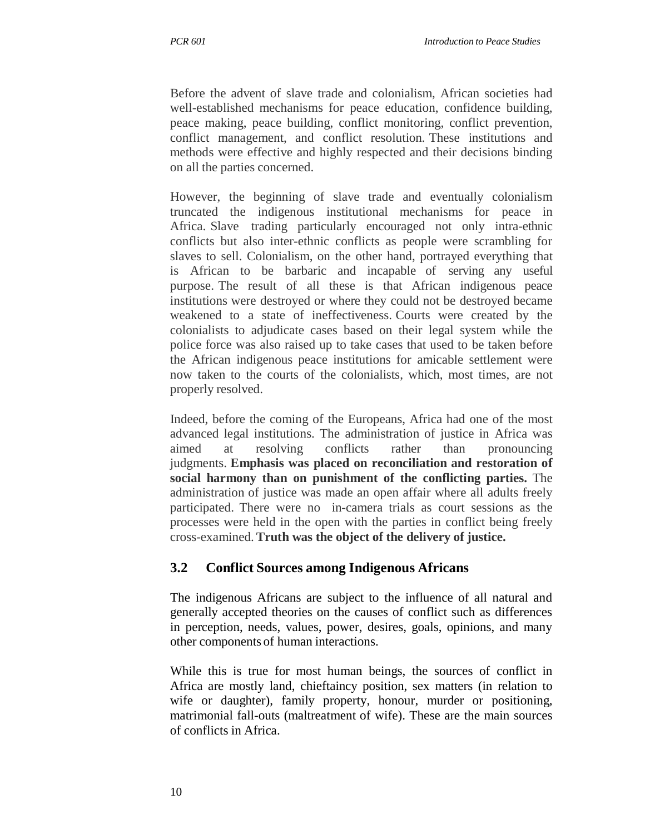Before the advent of slave trade and colonialism, African societies had well-established mechanisms for peace education, confidence building, peace making, peace building, conflict monitoring, conflict prevention, conflict management, and conflict resolution. These institutions and methods were effective and highly respected and their decisions binding on all the parties concerned.

However, the beginning of slave trade and eventually colonialism truncated the indigenous institutional mechanisms for peace in Africa. Slave trading particularly encouraged not only intra-ethnic conflicts but also inter-ethnic conflicts as people were scrambling for slaves to sell. Colonialism, on the other hand, portrayed everything that is African to be barbaric and incapable of serving any useful purpose. The result of all these is that African indigenous peace institutions were destroyed or where they could not be destroyed became weakened to a state of ineffectiveness. Courts were created by the colonialists to adjudicate cases based on their legal system while the police force was also raised up to take cases that used to be taken before the African indigenous peace institutions for amicable settlement were now taken to the courts of the colonialists, which, most times, are not properly resolved.

Indeed, before the coming of the Europeans, Africa had one of the most advanced legal institutions. The administration of justice in Africa was aimed at resolving conflicts rather than pronouncing judgments. **Emphasis was placed on reconciliation and restoration of social harmony than on punishment of the conflicting parties.** The administration of justice was made an open affair where all adults freely participated. There were no in-camera trials as court sessions as the processes were held in the open with the parties in conflict being freely cross-examined. **Truth was the object of the delivery of justice.**

# **3.2 Conflict Sources among Indigenous Africans**

The indigenous Africans are subject to the influence of all natural and generally accepted theories on the causes of conflict such as differences in perception, needs, values, power, desires, goals, opinions, and many other components of human interactions.

While this is true for most human beings, the sources of conflict in Africa are mostly land, chieftaincy position, sex matters (in relation to wife or daughter), family property, honour, murder or positioning, matrimonial fall-outs (maltreatment of wife). These are the main sources of conflicts in Africa.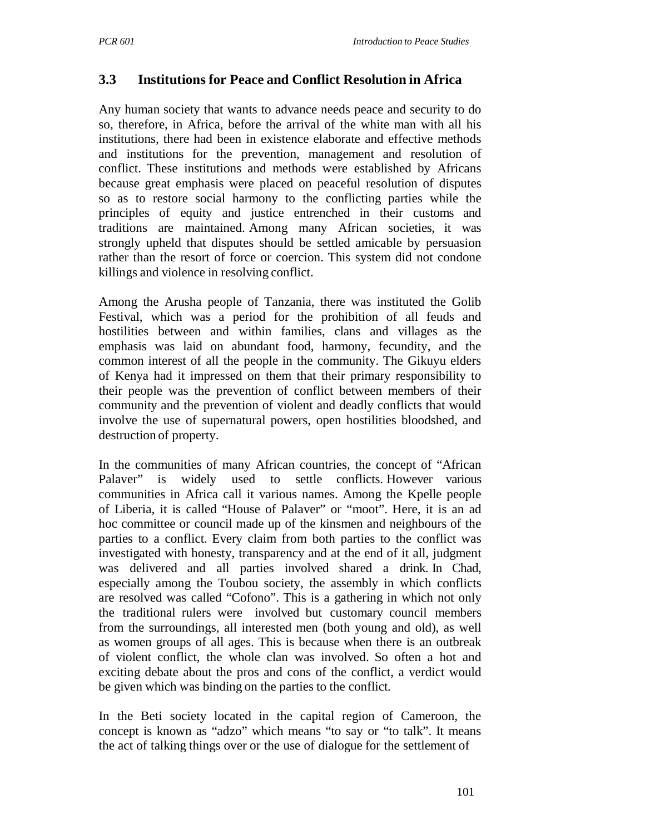# **3.3 Institutions for Peace and Conflict Resolution in Africa**

Any human society that wants to advance needs peace and security to do so, therefore, in Africa, before the arrival of the white man with all his institutions, there had been in existence elaborate and effective methods and institutions for the prevention, management and resolution of conflict. These institutions and methods were established by Africans because great emphasis were placed on peaceful resolution of disputes so as to restore social harmony to the conflicting parties while the principles of equity and justice entrenched in their customs and traditions are maintained. Among many African societies, it was strongly upheld that disputes should be settled amicable by persuasion rather than the resort of force or coercion. This system did not condone killings and violence in resolving conflict.

Among the Arusha people of Tanzania, there was instituted the Golib Festival, which was a period for the prohibition of all feuds and hostilities between and within families, clans and villages as the emphasis was laid on abundant food, harmony, fecundity, and the common interest of all the people in the community. The Gikuyu elders of Kenya had it impressed on them that their primary responsibility to their people was the prevention of conflict between members of their community and the prevention of violent and deadly conflicts that would involve the use of supernatural powers, open hostilities bloodshed, and destruction of property.

In the communities of many African countries, the concept of "African Palaver" is widely used to settle conflicts. However various communities in Africa call it various names. Among the Kpelle people of Liberia, it is called "House of Palaver" or "moot". Here, it is an ad hoc committee or council made up of the kinsmen and neighbours of the parties to a conflict. Every claim from both parties to the conflict was investigated with honesty, transparency and at the end of it all, judgment was delivered and all parties involved shared a drink. In Chad, especially among the Toubou society, the assembly in which conflicts are resolved was called "Cofono". This is a gathering in which not only the traditional rulers were involved but customary council members from the surroundings, all interested men (both young and old), as well as women groups of all ages. This is because when there is an outbreak of violent conflict, the whole clan was involved. So often a hot and exciting debate about the pros and cons of the conflict, a verdict would be given which was binding on the parties to the conflict.

In the Beti society located in the capital region of Cameroon, the concept is known as "adzo" which means "to say or "to talk". It means the act of talking things over or the use of dialogue for the settlement of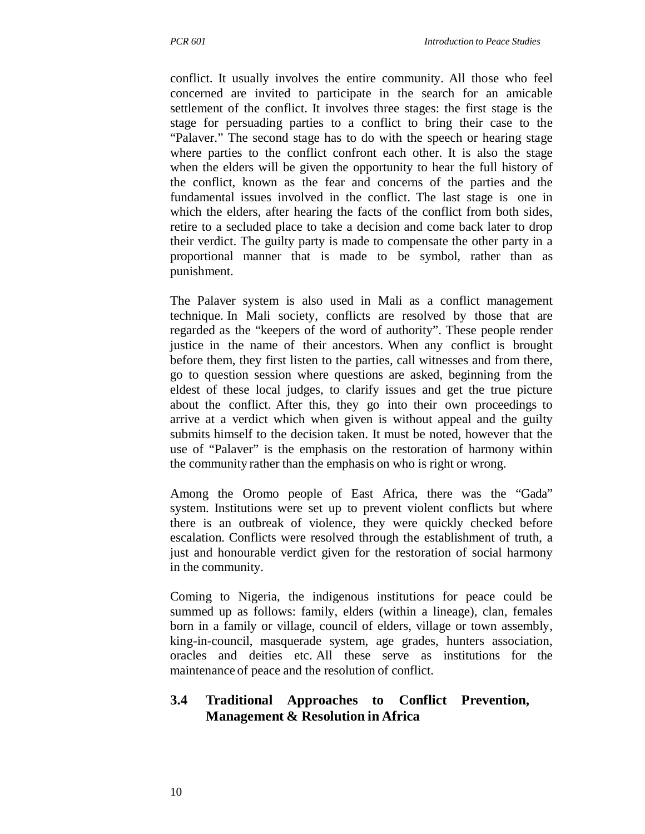conflict. It usually involves the entire community. All those who feel concerned are invited to participate in the search for an amicable settlement of the conflict. It involves three stages: the first stage is the stage for persuading parties to a conflict to bring their case to the "Palaver." The second stage has to do with the speech or hearing stage where parties to the conflict confront each other. It is also the stage when the elders will be given the opportunity to hear the full history of the conflict, known as the fear and concerns of the parties and the fundamental issues involved in the conflict. The last stage is one in which the elders, after hearing the facts of the conflict from both sides, retire to a secluded place to take a decision and come back later to drop their verdict. The guilty party is made to compensate the other party in a proportional manner that is made to be symbol, rather than as punishment.

The Palaver system is also used in Mali as a conflict management technique. In Mali society, conflicts are resolved by those that are regarded as the "keepers of the word of authority". These people render justice in the name of their ancestors. When any conflict is brought before them, they first listen to the parties, call witnesses and from there, go to question session where questions are asked, beginning from the eldest of these local judges, to clarify issues and get the true picture about the conflict. After this, they go into their own proceedings to arrive at a verdict which when given is without appeal and the guilty submits himself to the decision taken. It must be noted, however that the use of "Palaver" is the emphasis on the restoration of harmony within the community rather than the emphasis on who is right or wrong.

Among the Oromo people of East Africa, there was the "Gada" system. Institutions were set up to prevent violent conflicts but where there is an outbreak of violence, they were quickly checked before escalation. Conflicts were resolved through the establishment of truth, a just and honourable verdict given for the restoration of social harmony in the community.

Coming to Nigeria, the indigenous institutions for peace could be summed up as follows: family, elders (within a lineage), clan, females born in a family or village, council of elders, village or town assembly, king-in-council, masquerade system, age grades, hunters association, oracles and deities etc. All these serve as institutions for the maintenance of peace and the resolution of conflict.

### **3.4 Traditional Approaches to Conflict Prevention, Management & Resolution in Africa**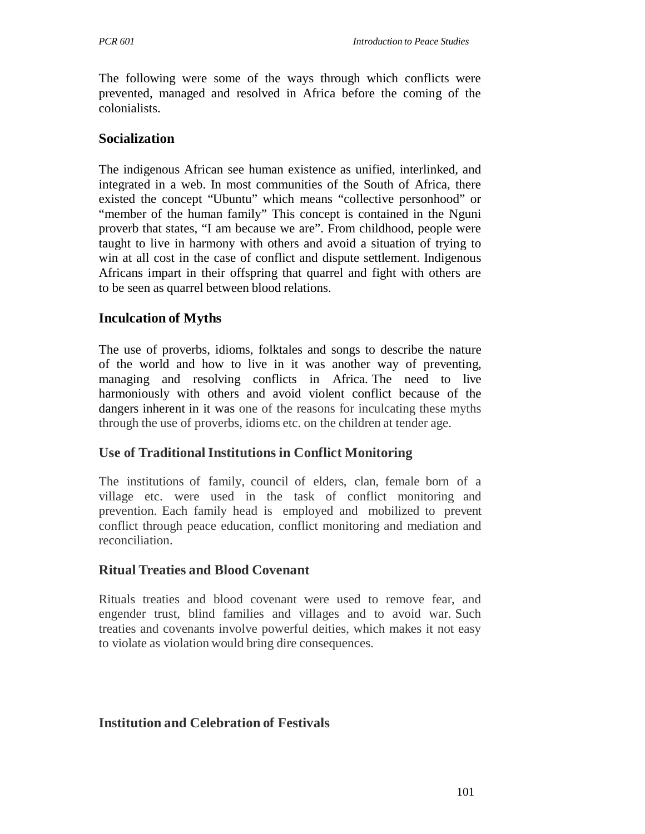The following were some of the ways through which conflicts were prevented, managed and resolved in Africa before the coming of the colonialists.

#### **Socialization**

The indigenous African see human existence as unified, interlinked, and integrated in a web. In most communities of the South of Africa, there existed the concept "Ubuntu" which means "collective personhood" or "member of the human family" This concept is contained in the Nguni proverb that states, "I am because we are". From childhood, people were taught to live in harmony with others and avoid a situation of trying to win at all cost in the case of conflict and dispute settlement. Indigenous Africans impart in their offspring that quarrel and fight with others are to be seen as quarrel between blood relations.

### **Inculcation of Myths**

The use of proverbs, idioms, folktales and songs to describe the nature of the world and how to live in it was another way of preventing, managing and resolving conflicts in Africa. The need to live harmoniously with others and avoid violent conflict because of the dangers inherent in it was one of the reasons for inculcating these myths through the use of proverbs, idioms etc. on the children at tender age.

### **Use of Traditional Institutions in Conflict Monitoring**

The institutions of family, council of elders, clan, female born of a village etc. were used in the task of conflict monitoring and prevention. Each family head is employed and mobilized to prevent conflict through peace education, conflict monitoring and mediation and reconciliation.

#### **Ritual Treaties and Blood Covenant**

Rituals treaties and blood covenant were used to remove fear, and engender trust, blind families and villages and to avoid war. Such treaties and covenants involve powerful deities, which makes it not easy to violate as violation would bring dire consequences.

### **Institution and Celebration of Festivals**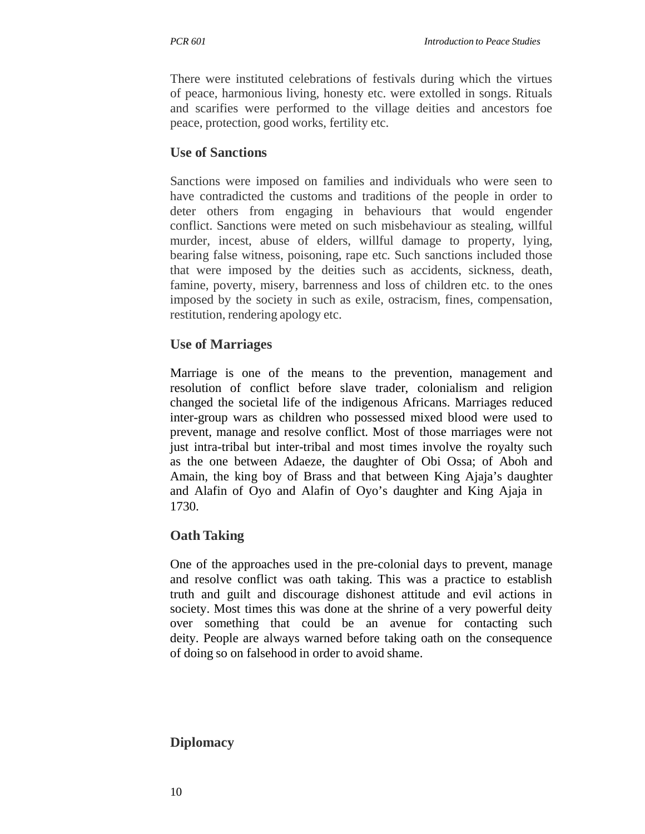There were instituted celebrations of festivals during which the virtues of peace, harmonious living, honesty etc. were extolled in songs. Rituals and scarifies were performed to the village deities and ancestors foe peace, protection, good works, fertility etc.

### **Use of Sanctions**

Sanctions were imposed on families and individuals who were seen to have contradicted the customs and traditions of the people in order to deter others from engaging in behaviours that would engender conflict. Sanctions were meted on such misbehaviour as stealing, willful murder, incest, abuse of elders, willful damage to property, lying, bearing false witness, poisoning, rape etc. Such sanctions included those that were imposed by the deities such as accidents, sickness, death, famine, poverty, misery, barrenness and loss of children etc. to the ones imposed by the society in such as exile, ostracism, fines, compensation, restitution, rendering apology etc.

### **Use of Marriages**

Marriage is one of the means to the prevention, management and resolution of conflict before slave trader, colonialism and religion changed the societal life of the indigenous Africans. Marriages reduced inter-group wars as children who possessed mixed blood were used to prevent, manage and resolve conflict. Most of those marriages were not just intra-tribal but inter-tribal and most times involve the royalty such as the one between Adaeze, the daughter of Obi Ossa; of Aboh and Amain, the king boy of Brass and that between King Ajaja's daughter and Alafin of Oyo and Alafin of Oyo's daughter and King Ajaja in 1730.

### **Oath Taking**

One of the approaches used in the pre-colonial days to prevent, manage and resolve conflict was oath taking. This was a practice to establish truth and guilt and discourage dishonest attitude and evil actions in society. Most times this was done at the shrine of a very powerful deity over something that could be an avenue for contacting such deity. People are always warned before taking oath on the consequence of doing so on falsehood in order to avoid shame.

### **Diplomacy**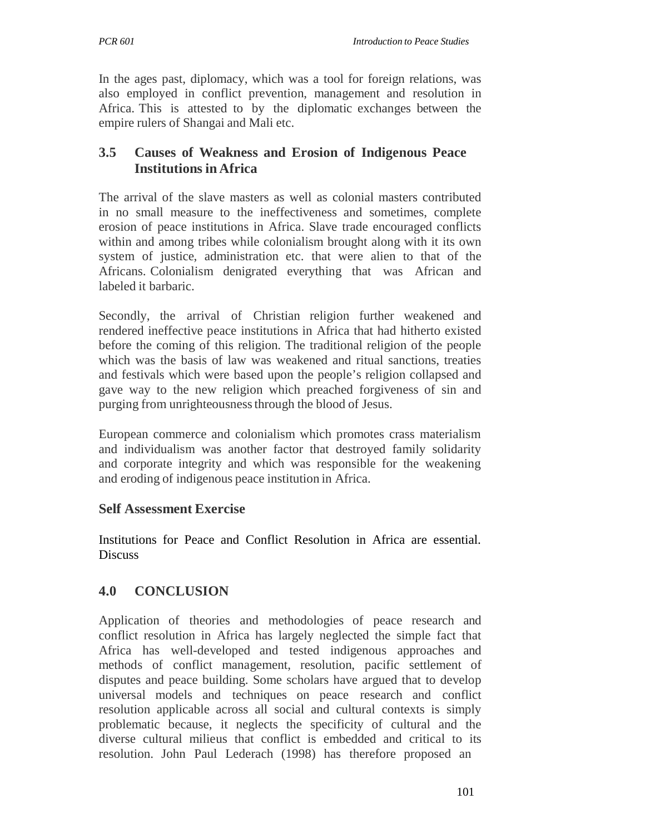In the ages past, diplomacy, which was a tool for foreign relations, was also employed in conflict prevention, management and resolution in Africa. This is attested to by the diplomatic exchanges between the empire rulers of Shangai and Mali etc.

## **3.5 Causes of Weakness and Erosion of Indigenous Peace Institutions in Africa**

The arrival of the slave masters as well as colonial masters contributed in no small measure to the ineffectiveness and sometimes, complete erosion of peace institutions in Africa. Slave trade encouraged conflicts within and among tribes while colonialism brought along with it its own system of justice, administration etc. that were alien to that of the Africans. Colonialism denigrated everything that was African and labeled it barbaric.

Secondly, the arrival of Christian religion further weakened and rendered ineffective peace institutions in Africa that had hitherto existed before the coming of this religion. The traditional religion of the people which was the basis of law was weakened and ritual sanctions, treaties and festivals which were based upon the people's religion collapsed and gave way to the new religion which preached forgiveness of sin and purging from unrighteousness through the blood of Jesus.

European commerce and colonialism which promotes crass materialism and individualism was another factor that destroyed family solidarity and corporate integrity and which was responsible for the weakening and eroding of indigenous peace institution in Africa.

### **Self Assessment Exercise**

Institutions for Peace and Conflict Resolution in Africa are essential. Discuss

# **4.0 CONCLUSION**

Application of theories and methodologies of peace research and conflict resolution in Africa has largely neglected the simple fact that Africa has well-developed and tested indigenous approaches and methods of conflict management, resolution, pacific settlement of disputes and peace building. Some scholars have argued that to develop universal models and techniques on peace research and conflict resolution applicable across all social and cultural contexts is simply problematic because, it neglects the specificity of cultural and the diverse cultural milieus that conflict is embedded and critical to its resolution. John Paul Lederach (1998) has therefore proposed an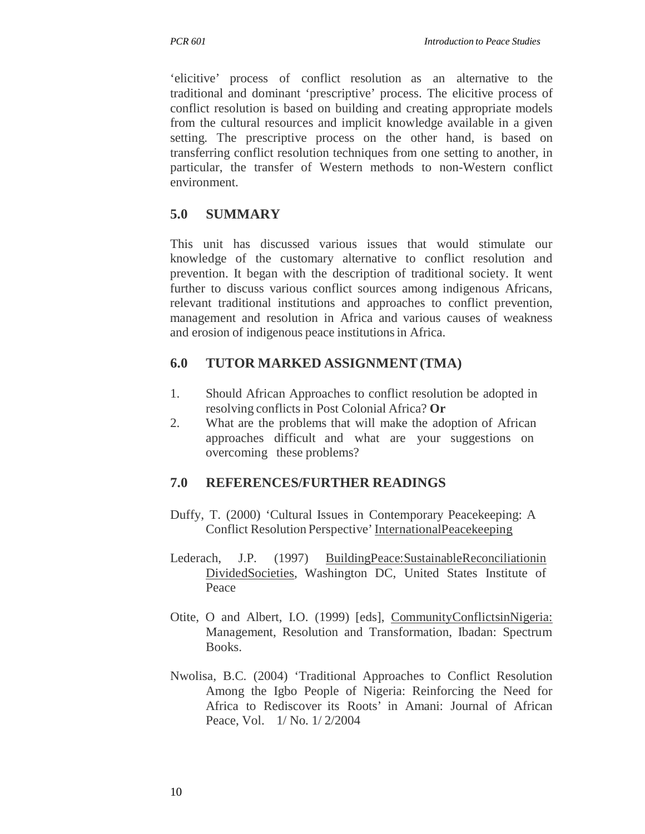'elicitive' process of conflict resolution as an alternative to the traditional and dominant 'prescriptive' process. The elicitive process of conflict resolution is based on building and creating appropriate models from the cultural resources and implicit knowledge available in a given setting. The prescriptive process on the other hand, is based on transferring conflict resolution techniques from one setting to another, in particular, the transfer of Western methods to non-Western conflict environment.

# **5.0 SUMMARY**

This unit has discussed various issues that would stimulate our knowledge of the customary alternative to conflict resolution and prevention. It began with the description of traditional society. It went further to discuss various conflict sources among indigenous Africans, relevant traditional institutions and approaches to conflict prevention, management and resolution in Africa and various causes of weakness and erosion of indigenous peace institutions in Africa.

# **6.0 TUTOR MARKED ASSIGNMENT (TMA)**

- 1. Should African Approaches to conflict resolution be adopted in resolving conflicts in Post Colonial Africa? **Or**
- 2. What are the problems that will make the adoption of African approaches difficult and what are your suggestions on overcoming these problems?

# **7.0 REFERENCES/FURTHER READINGS**

- Duffy, T. (2000) 'Cultural Issues in Contemporary Peacekeeping: A Conflict Resolution Perspective' InternationalPeacekeeping
- Lederach, J.P. (1997) BuildingPeace:SustainableReconciliationin DividedSocieties, Washington DC, United States Institute of Peace
- Otite, O and Albert, I.O. (1999) [eds], CommunityConflictsinNigeria: Management, Resolution and Transformation, Ibadan: Spectrum Books.
- Nwolisa, B.C. (2004) 'Traditional Approaches to Conflict Resolution Among the Igbo People of Nigeria: Reinforcing the Need for Africa to Rediscover its Roots' in Amani: Journal of African Peace, Vol. 1/ No. 1/ 2/2004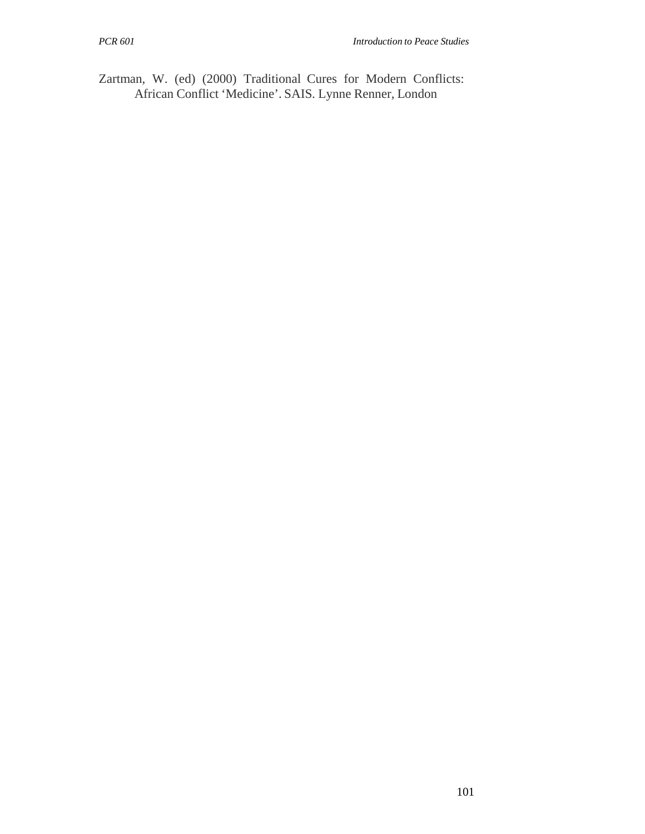Zartman, W. (ed) (2000) Traditional Cures for Modern Conflicts: African Conflict 'Medicine'. SAIS. Lynne Renner, London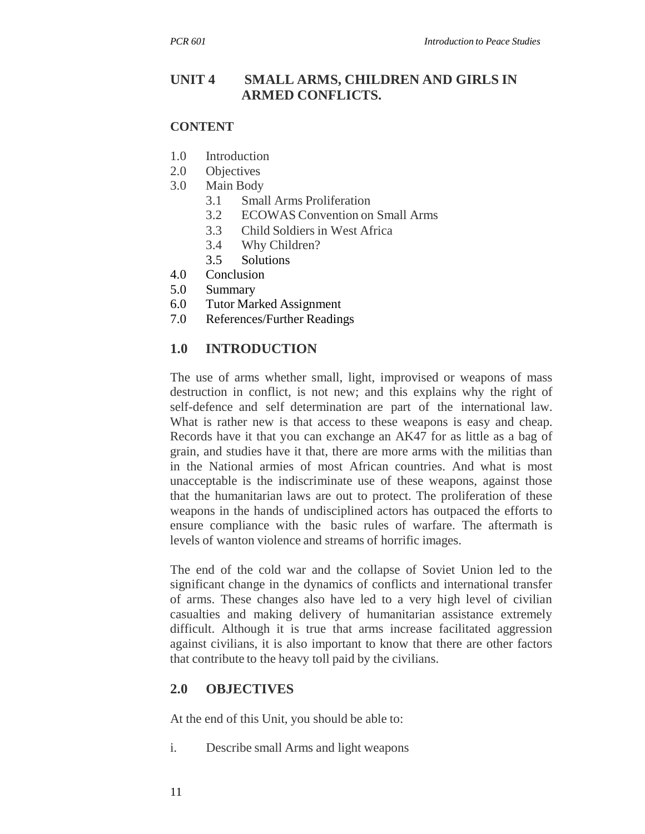# **UNIT 4 SMALL ARMS, CHILDREN AND GIRLS IN ARMED CONFLICTS.**

#### **CONTENT**

- 1.0 Introduction
- 2.0 Objectives
- 3.0 Main Body
	- 3.1 Small Arms Proliferation
	- 3.2 ECOWAS Convention on Small Arms
	- 3.3 Child Soldiers in West Africa
	- 3.4 Why Children?
	- 3.5 Solutions
- 4.0 Conclusion
- 5.0 Summary
- 6.0 Tutor Marked Assignment
- 7.0 References/Further Readings

#### **1.0 INTRODUCTION**

The use of arms whether small, light, improvised or weapons of mass destruction in conflict, is not new; and this explains why the right of self-defence and self determination are part of the international law. What is rather new is that access to these weapons is easy and cheap. Records have it that you can exchange an AK47 for as little as a bag of grain, and studies have it that, there are more arms with the militias than in the National armies of most African countries. And what is most unacceptable is the indiscriminate use of these weapons, against those that the humanitarian laws are out to protect. The proliferation of these weapons in the hands of undisciplined actors has outpaced the efforts to ensure compliance with the basic rules of warfare. The aftermath is levels of wanton violence and streams of horrific images.

The end of the cold war and the collapse of Soviet Union led to the significant change in the dynamics of conflicts and international transfer of arms. These changes also have led to a very high level of civilian casualties and making delivery of humanitarian assistance extremely difficult. Although it is true that arms increase facilitated aggression against civilians, it is also important to know that there are other factors that contribute to the heavy toll paid by the civilians.

#### **2.0 OBJECTIVES**

At the end of this Unit, you should be able to:

i. Describe small Arms and light weapons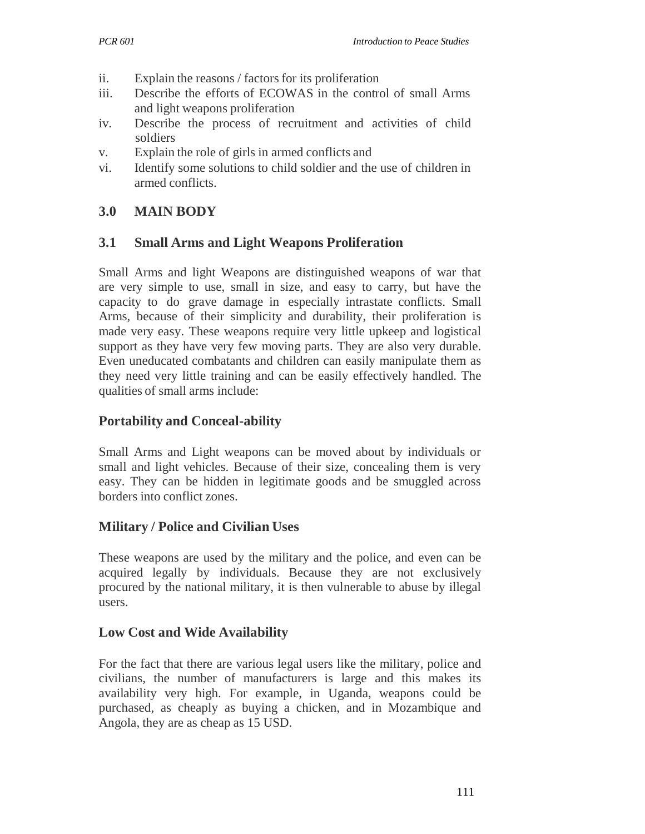- ii. Explain the reasons / factors for its proliferation
- iii. Describe the efforts of ECOWAS in the control of small Arms and light weapons proliferation
- iv. Describe the process of recruitment and activities of child soldiers
- v. Explain the role of girls in armed conflicts and
- vi. Identify some solutions to child soldier and the use of children in armed conflicts.

# **3.0 MAIN BODY**

### **3.1 Small Arms and Light Weapons Proliferation**

Small Arms and light Weapons are distinguished weapons of war that are very simple to use, small in size, and easy to carry, but have the capacity to do grave damage in especially intrastate conflicts. Small Arms, because of their simplicity and durability, their proliferation is made very easy. These weapons require very little upkeep and logistical support as they have very few moving parts. They are also very durable. Even uneducated combatants and children can easily manipulate them as they need very little training and can be easily effectively handled. The qualities of small arms include:

### **Portability and Conceal-ability**

Small Arms and Light weapons can be moved about by individuals or small and light vehicles. Because of their size, concealing them is very easy. They can be hidden in legitimate goods and be smuggled across borders into conflict zones.

### **Military / Police and Civilian Uses**

These weapons are used by the military and the police, and even can be acquired legally by individuals. Because they are not exclusively procured by the national military, it is then vulnerable to abuse by illegal users.

### **Low Cost and Wide Availability**

For the fact that there are various legal users like the military, police and civilians, the number of manufacturers is large and this makes its availability very high. For example, in Uganda, weapons could be purchased, as cheaply as buying a chicken, and in Mozambique and Angola, they are as cheap as 15 USD.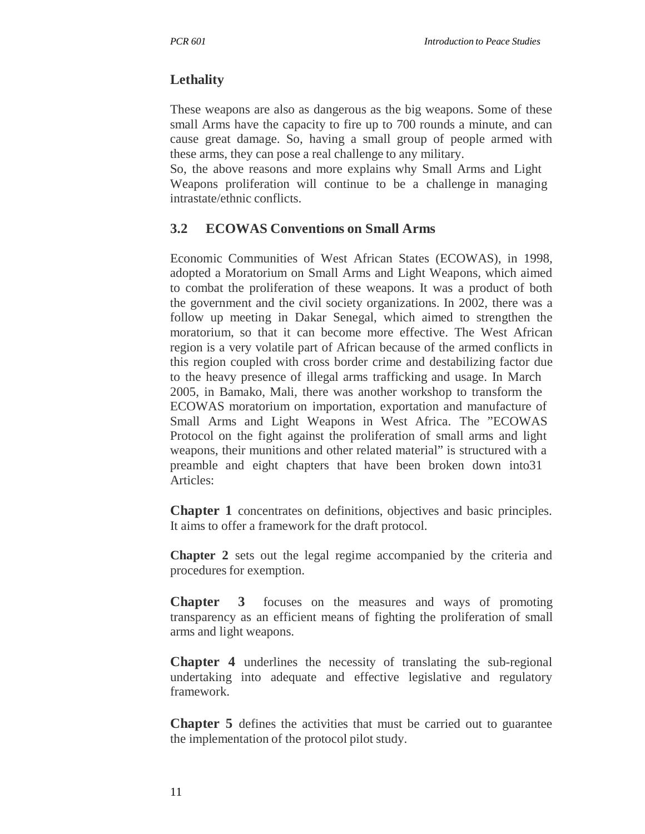# **Lethality**

These weapons are also as dangerous as the big weapons. Some of these small Arms have the capacity to fire up to 700 rounds a minute, and can cause great damage. So, having a small group of people armed with these arms, they can pose a real challenge to any military.

So, the above reasons and more explains why Small Arms and Light Weapons proliferation will continue to be a challenge in managing intrastate/ethnic conflicts.

# **3.2 ECOWAS Conventions on Small Arms**

Economic Communities of West African States (ECOWAS), in 1998, adopted a Moratorium on Small Arms and Light Weapons, which aimed to combat the proliferation of these weapons. It was a product of both the government and the civil society organizations. In 2002, there was a follow up meeting in Dakar Senegal, which aimed to strengthen the moratorium, so that it can become more effective. The West African region is a very volatile part of African because of the armed conflicts in this region coupled with cross border crime and destabilizing factor due to the heavy presence of illegal arms trafficking and usage. In March 2005, in Bamako, Mali, there was another workshop to transform the ECOWAS moratorium on importation, exportation and manufacture of Small Arms and Light Weapons in West Africa. The "ECOWAS Protocol on the fight against the proliferation of small arms and light weapons, their munitions and other related material" is structured with a preamble and eight chapters that have been broken down into31 Articles:

**Chapter 1** concentrates on definitions, objectives and basic principles. It aims to offer a framework for the draft protocol.

**Chapter 2** sets out the legal regime accompanied by the criteria and procedures for exemption.

**Chapter 3** focuses on the measures and ways of promoting transparency as an efficient means of fighting the proliferation of small arms and light weapons.

**Chapter 4** underlines the necessity of translating the sub-regional undertaking into adequate and effective legislative and regulatory framework.

**Chapter 5** defines the activities that must be carried out to guarantee the implementation of the protocol pilot study.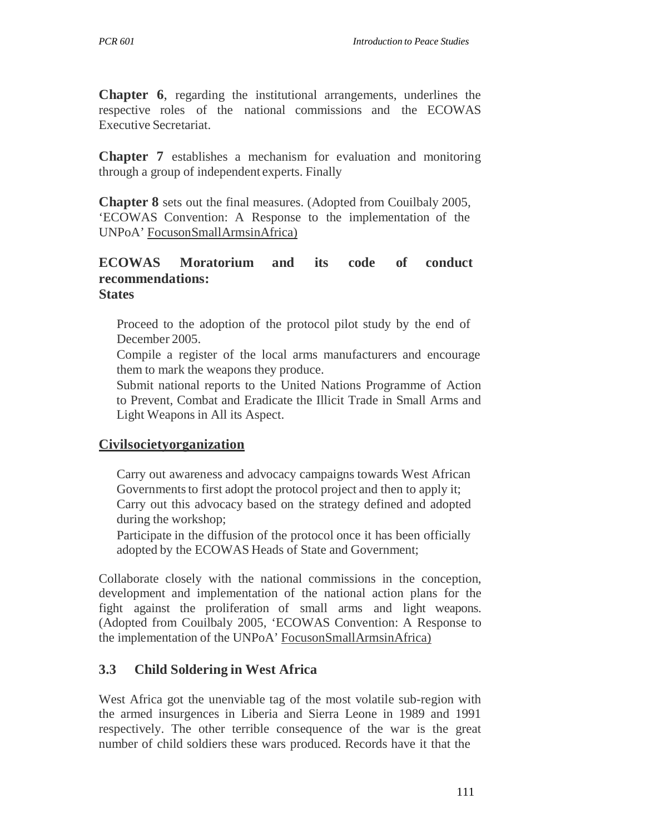**Chapter 6**, regarding the institutional arrangements, underlines the respective roles of the national commissions and the ECOWAS Executive Secretariat.

**Chapter 7** establishes a mechanism for evaluation and monitoring through a group of independent experts. Finally

**Chapter 8** sets out the final measures. (Adopted from Couilbaly 2005, 'ECOWAS Convention: A Response to the implementation of the UNPoA' FocusonSmallArmsinAfrica)

#### **ECOWAS Moratorium and its code of conduct recommendations: States**

Proceed to the adoption of the protocol pilot study by the end of December 2005.

Compile a register of the local arms manufacturers and encourage them to mark the weapons they produce.

Submit national reports to the United Nations Programme of Action to Prevent, Combat and Eradicate the Illicit Trade in Small Arms and Light Weapons in All its Aspect.

#### **Civilsocietyorganization**

Carry out awareness and advocacy campaigns towards West African Governments to first adopt the protocol project and then to apply it; Carry out this advocacy based on the strategy defined and adopted during the workshop;

Participate in the diffusion of the protocol once it has been officially adopted by the ECOWAS Heads of State and Government;

Collaborate closely with the national commissions in the conception, development and implementation of the national action plans for the fight against the proliferation of small arms and light weapons. (Adopted from Couilbaly 2005, 'ECOWAS Convention: A Response to the implementation of the UNPoA' FocusonSmallArmsinAfrica)

#### **3.3 Child Soldering in West Africa**

West Africa got the unenviable tag of the most volatile sub-region with the armed insurgences in Liberia and Sierra Leone in 1989 and 1991 respectively. The other terrible consequence of the war is the great number of child soldiers these wars produced. Records have it that the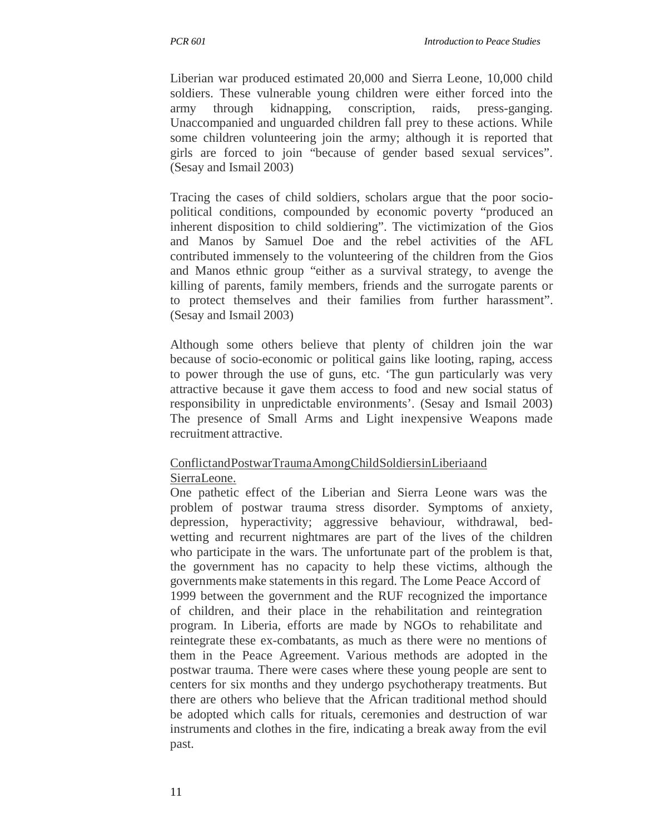Liberian war produced estimated 20,000 and Sierra Leone, 10,000 child soldiers. These vulnerable young children were either forced into the army through kidnapping, conscription, raids, press-ganging. Unaccompanied and unguarded children fall prey to these actions. While some children volunteering join the army; although it is reported that girls are forced to join "because of gender based sexual services". (Sesay and Ismail 2003)

Tracing the cases of child soldiers, scholars argue that the poor sociopolitical conditions, compounded by economic poverty "produced an inherent disposition to child soldiering". The victimization of the Gios and Manos by Samuel Doe and the rebel activities of the AFL contributed immensely to the volunteering of the children from the Gios and Manos ethnic group "either as a survival strategy, to avenge the killing of parents, family members, friends and the surrogate parents or to protect themselves and their families from further harassment". (Sesay and Ismail 2003)

Although some others believe that plenty of children join the war because of socio-economic or political gains like looting, raping, access to power through the use of guns, etc. 'The gun particularly was very attractive because it gave them access to food and new social status of responsibility in unpredictable environments'. (Sesay and Ismail 2003) The presence of Small Arms and Light inexpensive Weapons made recruitment attractive.

## ConflictandPostwarTraumaAmongChildSoldiersinLiberiaand SierraLeone.

One pathetic effect of the Liberian and Sierra Leone wars was the problem of postwar trauma stress disorder. Symptoms of anxiety, depression, hyperactivity; aggressive behaviour, withdrawal, bedwetting and recurrent nightmares are part of the lives of the children who participate in the wars. The unfortunate part of the problem is that, the government has no capacity to help these victims, although the governments make statements in this regard. The Lome Peace Accord of 1999 between the government and the RUF recognized the importance of children, and their place in the rehabilitation and reintegration program. In Liberia, efforts are made by NGOs to rehabilitate and reintegrate these ex-combatants, as much as there were no mentions of them in the Peace Agreement. Various methods are adopted in the postwar trauma. There were cases where these young people are sent to centers for six months and they undergo psychotherapy treatments. But there are others who believe that the African traditional method should be adopted which calls for rituals, ceremonies and destruction of war instruments and clothes in the fire, indicating a break away from the evil past.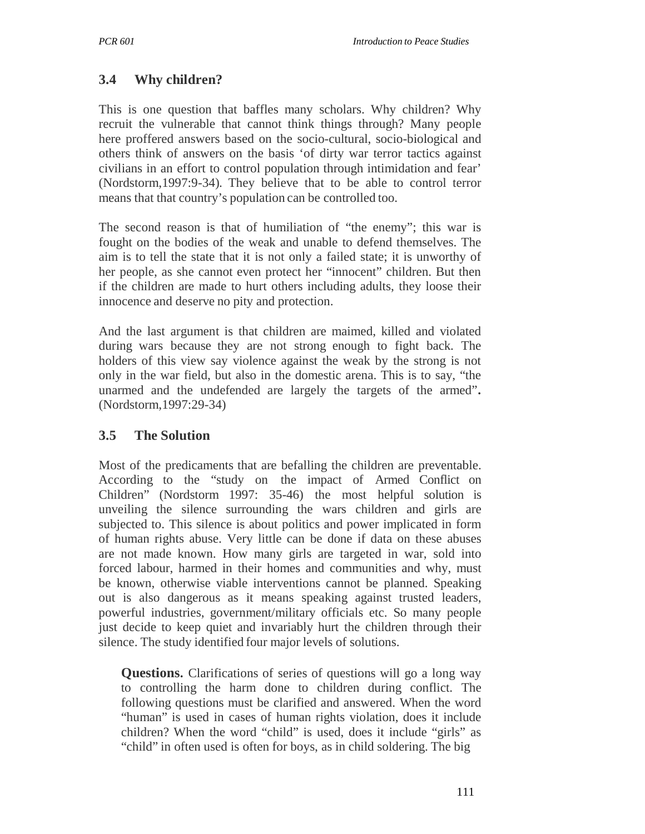# **3.4 Why children?**

This is one question that baffles many scholars. Why children? Why recruit the vulnerable that cannot think things through? Many people here proffered answers based on the socio-cultural, socio-biological and others think of answers on the basis 'of dirty war terror tactics against civilians in an effort to control population through intimidation and fear' (Nordstorm,1997:9-34). They believe that to be able to control terror means that that country's population can be controlled too.

The second reason is that of humiliation of "the enemy"; this war is fought on the bodies of the weak and unable to defend themselves. The aim is to tell the state that it is not only a failed state; it is unworthy of her people, as she cannot even protect her "innocent" children. But then if the children are made to hurt others including adults, they loose their innocence and deserve no pity and protection.

And the last argument is that children are maimed, killed and violated during wars because they are not strong enough to fight back. The holders of this view say violence against the weak by the strong is not only in the war field, but also in the domestic arena. This is to say, "the unarmed and the undefended are largely the targets of the armed"**.**  (Nordstorm,1997:29-34)

### **3.5 The Solution**

Most of the predicaments that are befalling the children are preventable. According to the "study on the impact of Armed Conflict on Children" (Nordstorm 1997: 35-46) the most helpful solution is unveiling the silence surrounding the wars children and girls are subjected to. This silence is about politics and power implicated in form of human rights abuse. Very little can be done if data on these abuses are not made known. How many girls are targeted in war, sold into forced labour, harmed in their homes and communities and why, must be known, otherwise viable interventions cannot be planned. Speaking out is also dangerous as it means speaking against trusted leaders, powerful industries, government/military officials etc. So many people just decide to keep quiet and invariably hurt the children through their silence. The study identified four major levels of solutions.

**Questions.** Clarifications of series of questions will go a long way to controlling the harm done to children during conflict. The following questions must be clarified and answered. When the word "human" is used in cases of human rights violation, does it include children? When the word "child" is used, does it include "girls" as "child" in often used is often for boys, as in child soldering. The big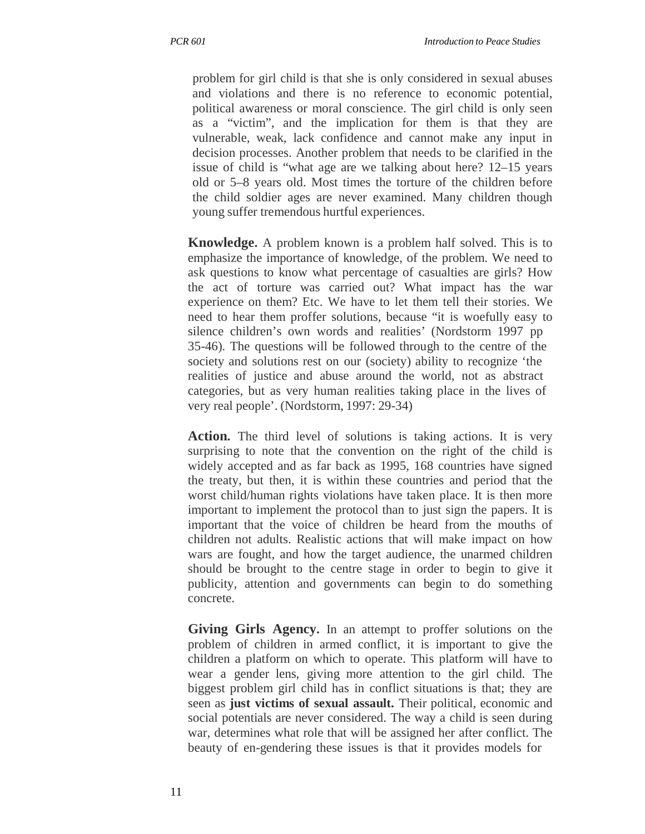problem for girl child is that she is only considered in sexual abuses and violations and there is no reference to economic potential, political awareness or moral conscience. The girl child is only seen as a "victim", and the implication for them is that they are vulnerable, weak, lack confidence and cannot make any input in decision processes. Another problem that needs to be clarified in the issue of child is "what age are we talking about here? 12–15 years old or 5–8 years old. Most times the torture of the children before the child soldier ages are never examined. Many children though young suffer tremendous hurtful experiences.

**Knowledge.** A problem known is a problem half solved. This is to emphasize the importance of knowledge, of the problem. We need to ask questions to know what percentage of casualties are girls? How the act of torture was carried out? What impact has the war experience on them? Etc. We have to let them tell their stories. We need to hear them proffer solutions, because "it is woefully easy to silence children's own words and realities' (Nordstorm 1997 pp 35-46). The questions will be followed through to the centre of the society and solutions rest on our (society) ability to recognize 'the realities of justice and abuse around the world, not as abstract categories, but as very human realities taking place in the lives of very real people'. (Nordstorm, 1997: 29-34)

**Action.** The third level of solutions is taking actions. It is very surprising to note that the convention on the right of the child is widely accepted and as far back as 1995, 168 countries have signed the treaty, but then, it is within these countries and period that the worst child/human rights violations have taken place. It is then more important to implement the protocol than to just sign the papers. It is important that the voice of children be heard from the mouths of children not adults. Realistic actions that will make impact on how wars are fought, and how the target audience, the unarmed children should be brought to the centre stage in order to begin to give it publicity, attention and governments can begin to do something concrete.

**Giving Girls Agency.** In an attempt to proffer solutions on the problem of children in armed conflict, it is important to give the children a platform on which to operate. This platform will have to wear a gender lens, giving more attention to the girl child. The biggest problem girl child has in conflict situations is that; they are seen as **just victims of sexual assault.** Their political, economic and social potentials are never considered. The way a child is seen during war, determines what role that will be assigned her after conflict. The beauty of en-gendering these issues is that it provides models for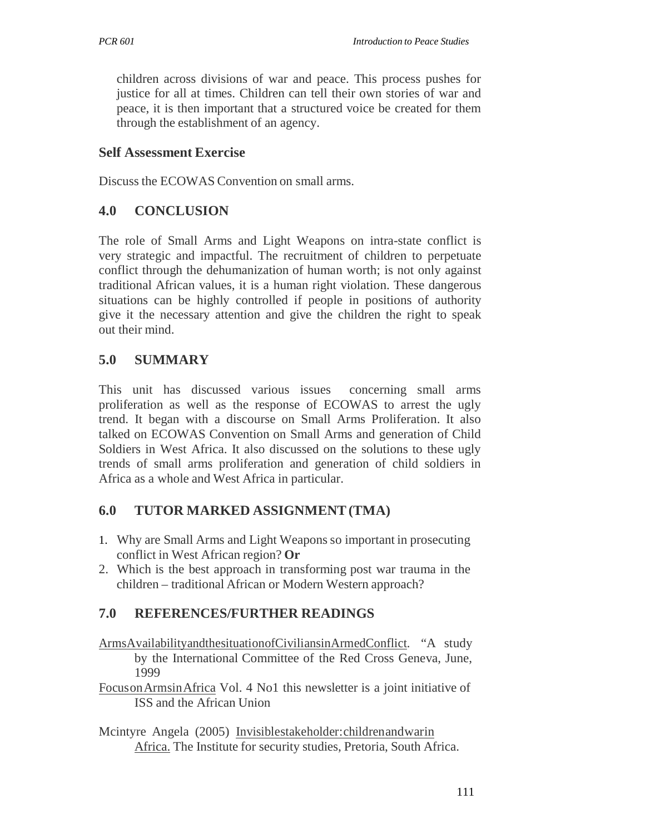children across divisions of war and peace. This process pushes for justice for all at times. Children can tell their own stories of war and peace, it is then important that a structured voice be created for them through the establishment of an agency.

#### **Self Assessment Exercise**

Discuss the ECOWAS Convention on small arms.

#### **4.0 CONCLUSION**

The role of Small Arms and Light Weapons on intra-state conflict is very strategic and impactful. The recruitment of children to perpetuate conflict through the dehumanization of human worth; is not only against traditional African values, it is a human right violation. These dangerous situations can be highly controlled if people in positions of authority give it the necessary attention and give the children the right to speak out their mind.

### **5.0 SUMMARY**

This unit has discussed various issues concerning small arms proliferation as well as the response of ECOWAS to arrest the ugly trend. It began with a discourse on Small Arms Proliferation. It also talked on ECOWAS Convention on Small Arms and generation of Child Soldiers in West Africa. It also discussed on the solutions to these ugly trends of small arms proliferation and generation of child soldiers in Africa as a whole and West Africa in particular.

### **6.0 TUTOR MARKED ASSIGNMENT (TMA)**

- 1. Why are Small Arms and Light Weapons so important in prosecuting conflict in West African region? **Or**
- 2. Which is the best approach in transforming post war trauma in the children – traditional African or Modern Western approach?

### **7.0 REFERENCES/FURTHER READINGS**

- ArmsAvailabilityandthesituationofCiviliansinArmedConflict. "A study by the International Committee of the Red Cross Geneva, June, 1999
- Focus on Armsin Africa Vol. 4 No1 this newsletter is a joint initiative of ISS and the African Union
- Mcintyre Angela (2005) Invisiblestakeholder: children andwarin Africa. The Institute for security studies, Pretoria, South Africa.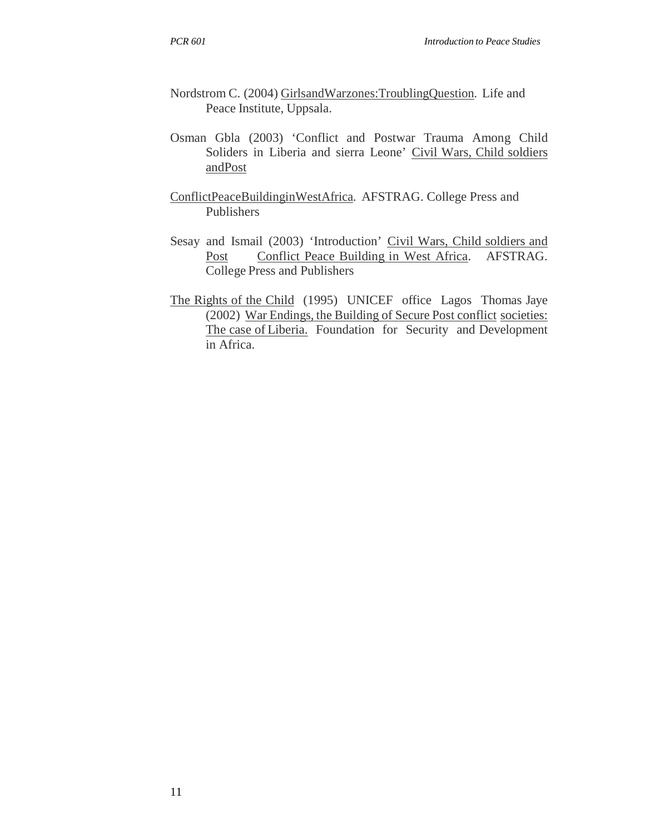- Nordstrom C. (2004) GirlsandWarzones:TroublingQuestion. Life and Peace Institute, Uppsala.
- Osman Gbla (2003) 'Conflict and Postwar Trauma Among Child Soliders in Liberia and sierra Leone' Civil Wars, Child soldiers andPost
- ConflictPeaceBuildinginWestAfrica. AFSTRAG. College Press and Publishers
- Sesay and Ismail (2003) 'Introduction' Civil Wars, Child soldiers and Post Conflict Peace Building in West Africa. AFSTRAG. College Press and Publishers
- The Rights of the Child (1995) UNICEF office Lagos Thomas Jaye (2002) War Endings, the Building of Secure Post conflict societies: The case of Liberia. Foundation for Security and Development in Africa.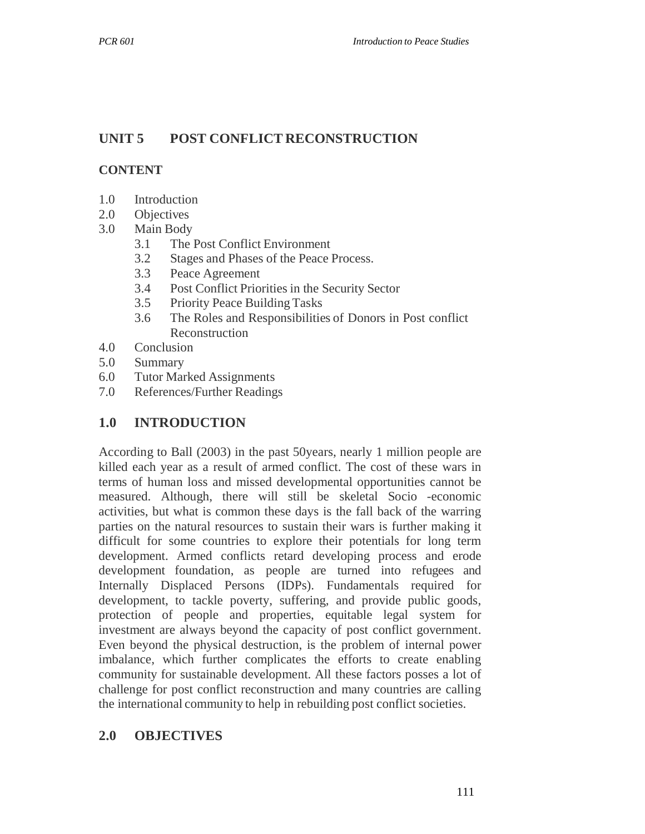# **UNIT 5 POST CONFLICT RECONSTRUCTION**

## **CONTENT**

- 1.0 Introduction
- 2.0 Objectives
- 3.0 Main Body
	- 3.1 The Post Conflict Environment
	- 3.2 Stages and Phases of the Peace Process.
	- 3.3 Peace Agreement
	- 3.4 Post Conflict Priorities in the Security Sector
	- 3.5 Priority Peace Building Tasks
	- 3.6 The Roles and Responsibilities of Donors in Post conflict Reconstruction
- 4.0 Conclusion
- 5.0 Summary
- 6.0 Tutor Marked Assignments
- 7.0 References/Further Readings

## **1.0 INTRODUCTION**

According to Ball (2003) in the past 50years, nearly 1 million people are killed each year as a result of armed conflict. The cost of these wars in terms of human loss and missed developmental opportunities cannot be measured. Although, there will still be skeletal Socio -economic activities, but what is common these days is the fall back of the warring parties on the natural resources to sustain their wars is further making it difficult for some countries to explore their potentials for long term development. Armed conflicts retard developing process and erode development foundation, as people are turned into refugees and Internally Displaced Persons (IDPs). Fundamentals required for development, to tackle poverty, suffering, and provide public goods, protection of people and properties, equitable legal system for investment are always beyond the capacity of post conflict government. Even beyond the physical destruction, is the problem of internal power imbalance, which further complicates the efforts to create enabling community for sustainable development. All these factors posses a lot of challenge for post conflict reconstruction and many countries are calling the international community to help in rebuilding post conflict societies.

# **2.0 OBJECTIVES**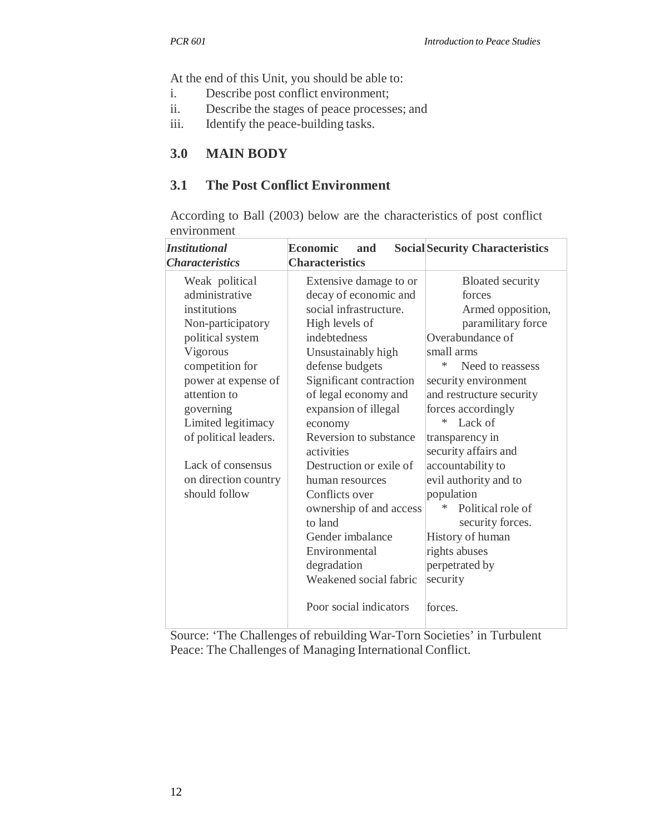At the end of this Unit, you should be able to:

- i. Describe post conflict environment;
- ii. Describe the stages of peace processes; and
- iii. Identify the peace-building tasks.

#### **3.0 MAIN BODY**

#### **3.1 The Post Conflict Environment**

According to Ball (2003) below are the characteristics of post conflict environment

| <b>Institutional</b><br><b>Characteristics</b> | <b>Economic</b><br>and<br><b>Characteristics</b> | <b>Social Security Characteristics</b> |  |
|------------------------------------------------|--------------------------------------------------|----------------------------------------|--|
| Weak political                                 | Extensive damage to or                           | <b>Bloated security</b>                |  |
| administrative                                 | decay of economic and                            | forces                                 |  |
| institutions                                   | social infrastructure.                           | Armed opposition,                      |  |
| Non-participatory                              | High levels of                                   | paramilitary force                     |  |
| political system                               | indebtedness                                     | Overabundance of                       |  |
| Vigorous                                       | Unsustainably high                               | small arms                             |  |
| competition for                                | defense budgets                                  | ∗<br>Need to reassess                  |  |
| power at expense of                            | Significant contraction                          | security environment                   |  |
| attention to                                   | of legal economy and                             | and restructure security               |  |
| governing                                      | expansion of illegal                             | forces accordingly                     |  |
| Limited legitimacy                             | economy                                          | Lack of<br>∗                           |  |
| of political leaders.                          | Reversion to substance                           | transparency in                        |  |
|                                                | activities                                       | security affairs and                   |  |
| Lack of consensus                              | Destruction or exile of                          | accountability to                      |  |
| on direction country                           | human resources                                  | evil authority and to                  |  |
| should follow                                  | Conflicts over                                   | population                             |  |
|                                                | ownership of and access                          | *<br>Political role of                 |  |
|                                                | to land                                          | security forces.                       |  |
|                                                | Gender imbalance                                 | History of human                       |  |
|                                                | Environmental                                    | rights abuses                          |  |
|                                                | degradation                                      | perpetrated by                         |  |
|                                                | Weakened social fabric                           | security                               |  |
|                                                | Poor social indicators                           | forces.                                |  |

Source: 'The Challenges of rebuilding War-Torn Societies' in Turbulent Peace: The Challenges of Managing International Conflict.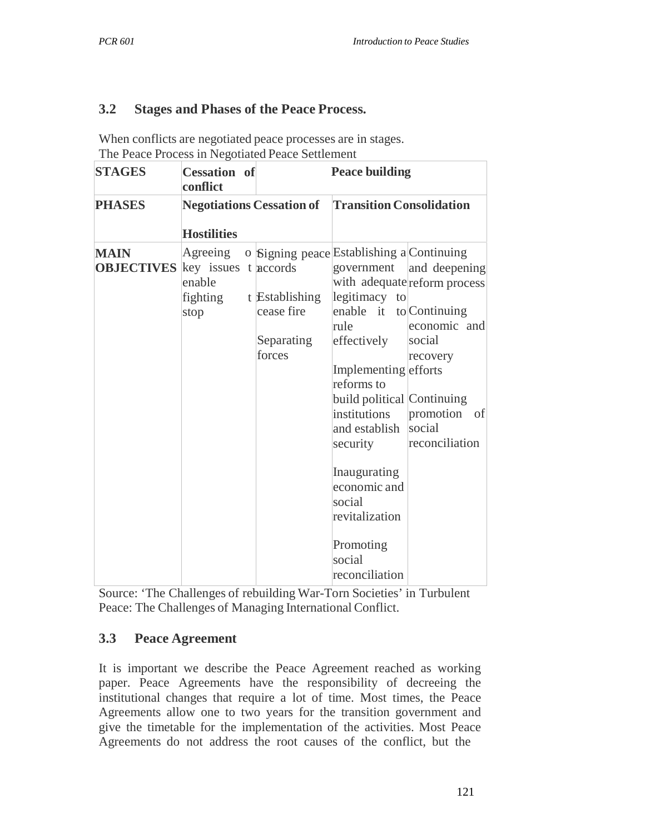### **3.2 Stages and Phases of the Peace Process.**

When conflicts are negotiated peace processes are in stages. The Peace Process in Negotiated Peace Settlement

| <b>STAGES</b>                                         | <b>Cessation</b> of<br>conflict        |  | <b>Peace building</b>                                |                                                                                                                                                                                                                                                                                                                                                         |                                                                                                                          |  |
|-------------------------------------------------------|----------------------------------------|--|------------------------------------------------------|---------------------------------------------------------------------------------------------------------------------------------------------------------------------------------------------------------------------------------------------------------------------------------------------------------------------------------------------------------|--------------------------------------------------------------------------------------------------------------------------|--|
| <b>PHASES</b>                                         | <b>Negotiations Cessation of</b>       |  |                                                      | <b>Transition Consolidation</b>                                                                                                                                                                                                                                                                                                                         |                                                                                                                          |  |
|                                                       | <b>Hostilities</b>                     |  |                                                      |                                                                                                                                                                                                                                                                                                                                                         |                                                                                                                          |  |
| <b>MAIN</b><br><b>OBJECTIVES</b> key issues t accords | Agreeing<br>enable<br>fighting<br>stop |  | t Establishing<br>cease fire<br>Separating<br>forces | o Signing peace Establishing a Continuing<br>government<br>legitimacy to<br>enable it to Continuing<br>rule<br>effectively<br>Implementing efforts<br>reforms to<br>build political Continuing<br>institutions<br>and establish social<br>security<br>Inaugurating<br>economic and<br>social<br>revitalization<br>Promoting<br>social<br>reconciliation | and deepening<br>with adequate reform process<br>economic and<br>social<br>recovery<br>promotion<br>of<br>reconciliation |  |

Source: 'The Challenges of rebuilding War-Torn Societies' in Turbulent Peace: The Challenges of Managing International Conflict.

### **3.3 Peace Agreement**

It is important we describe the Peace Agreement reached as working paper. Peace Agreements have the responsibility of decreeing the institutional changes that require a lot of time. Most times, the Peace Agreements allow one to two years for the transition government and give the timetable for the implementation of the activities. Most Peace Agreements do not address the root causes of the conflict, but the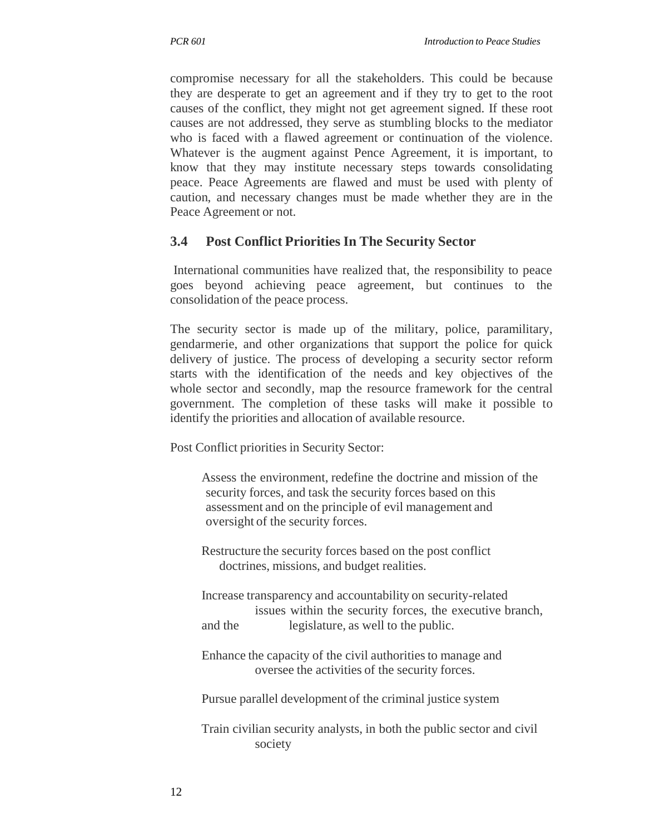compromise necessary for all the stakeholders. This could be because they are desperate to get an agreement and if they try to get to the root causes of the conflict, they might not get agreement signed. If these root causes are not addressed, they serve as stumbling blocks to the mediator who is faced with a flawed agreement or continuation of the violence. Whatever is the augment against Pence Agreement, it is important, to know that they may institute necessary steps towards consolidating peace. Peace Agreements are flawed and must be used with plenty of caution, and necessary changes must be made whether they are in the Peace Agreement or not.

## **3.4 Post Conflict Priorities In The Security Sector**

International communities have realized that, the responsibility to peace goes beyond achieving peace agreement, but continues to the consolidation of the peace process.

The security sector is made up of the military, police, paramilitary, gendarmerie, and other organizations that support the police for quick delivery of justice. The process of developing a security sector reform starts with the identification of the needs and key objectives of the whole sector and secondly, map the resource framework for the central government. The completion of these tasks will make it possible to identify the priorities and allocation of available resource.

Post Conflict priorities in Security Sector:

Assess the environment, redefine the doctrine and mission of the security forces, and task the security forces based on this assessment and on the principle of evil management and oversight of the security forces.

Restructure the security forces based on the post conflict doctrines, missions, and budget realities.

Increase transparency and accountability on security-related issues within the security forces, the executive branch, and the legislature, as well to the public.

Enhance the capacity of the civil authorities to manage and oversee the activities of the security forces.

Pursue parallel development of the criminal justice system

Train civilian security analysts, in both the public sector and civil society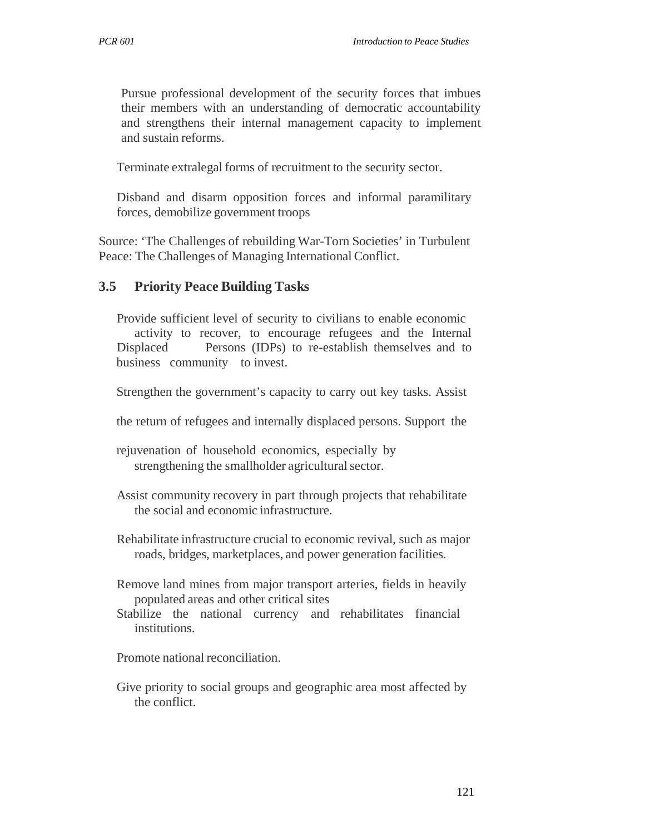Pursue professional development of the security forces that imbues their members with an understanding of democratic accountability and strengthens their internal management capacity to implement and sustain reforms.

Terminate extralegal forms of recruitment to the security sector.

Disband and disarm opposition forces and informal paramilitary forces, demobilize government troops

Source: 'The Challenges of rebuilding War-Torn Societies' in Turbulent Peace: The Challenges of Managing International Conflict.

#### **3.5 Priority Peace Building Tasks**

Provide sufficient level of security to civilians to enable economic activity to recover, to encourage refugees and the Internal Displaced Persons (IDPs) to re-establish themselves and to business community to invest.

Strengthen the government's capacity to carry out key tasks. Assist

the return of refugees and internally displaced persons. Support the

rejuvenation of household economics, especially by strengthening the smallholder agricultural sector.

- Assist community recovery in part through projects that rehabilitate the social and economic infrastructure.
- Rehabilitate infrastructure crucial to economic revival, such as major roads, bridges, marketplaces, and power generation facilities.
- Remove land mines from major transport arteries, fields in heavily populated areas and other critical sites
- Stabilize the national currency and rehabilitates financial institutions.

Promote national reconciliation.

Give priority to social groups and geographic area most affected by the conflict.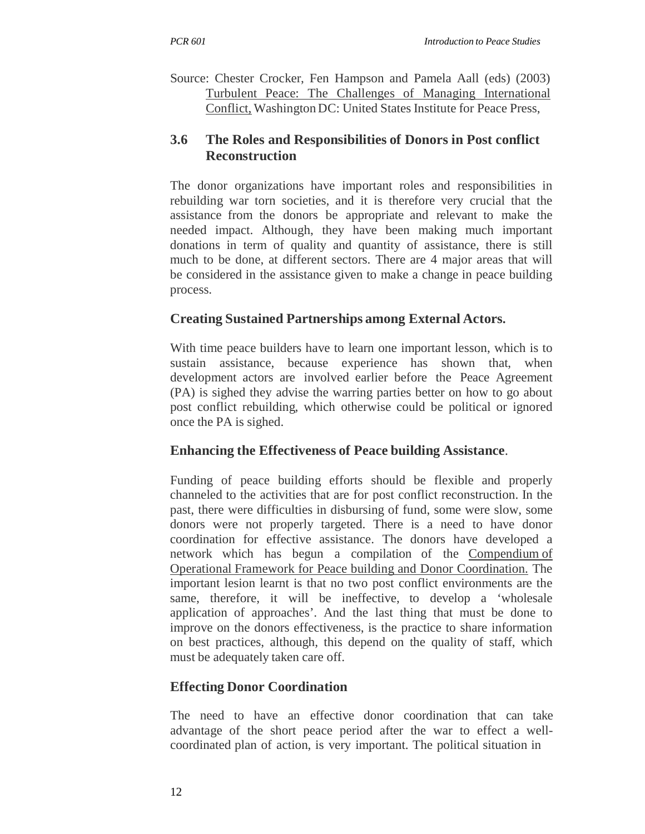Source: Chester Crocker, Fen Hampson and Pamela Aall (eds) (2003) Turbulent Peace: The Challenges of Managing International Conflict, Washington DC: United States Institute for Peace Press,

## **3.6 The Roles and Responsibilities of Donors in Post conflict Reconstruction**

The donor organizations have important roles and responsibilities in rebuilding war torn societies, and it is therefore very crucial that the assistance from the donors be appropriate and relevant to make the needed impact. Although, they have been making much important donations in term of quality and quantity of assistance, there is still much to be done, at different sectors. There are 4 major areas that will be considered in the assistance given to make a change in peace building process.

# **Creating Sustained Partnerships among External Actors.**

With time peace builders have to learn one important lesson, which is to sustain assistance, because experience has shown that, when development actors are involved earlier before the Peace Agreement (PA) is sighed they advise the warring parties better on how to go about post conflict rebuilding, which otherwise could be political or ignored once the PA is sighed.

### **Enhancing the Effectiveness of Peace building Assistance**.

Funding of peace building efforts should be flexible and properly channeled to the activities that are for post conflict reconstruction. In the past, there were difficulties in disbursing of fund, some were slow, some donors were not properly targeted. There is a need to have donor coordination for effective assistance. The donors have developed a network which has begun a compilation of the Compendium of Operational Framework for Peace building and Donor Coordination. The important lesion learnt is that no two post conflict environments are the same, therefore, it will be ineffective, to develop a 'wholesale application of approaches'. And the last thing that must be done to improve on the donors effectiveness, is the practice to share information on best practices, although, this depend on the quality of staff, which must be adequately taken care off.

# **Effecting Donor Coordination**

The need to have an effective donor coordination that can take advantage of the short peace period after the war to effect a wellcoordinated plan of action, is very important. The political situation in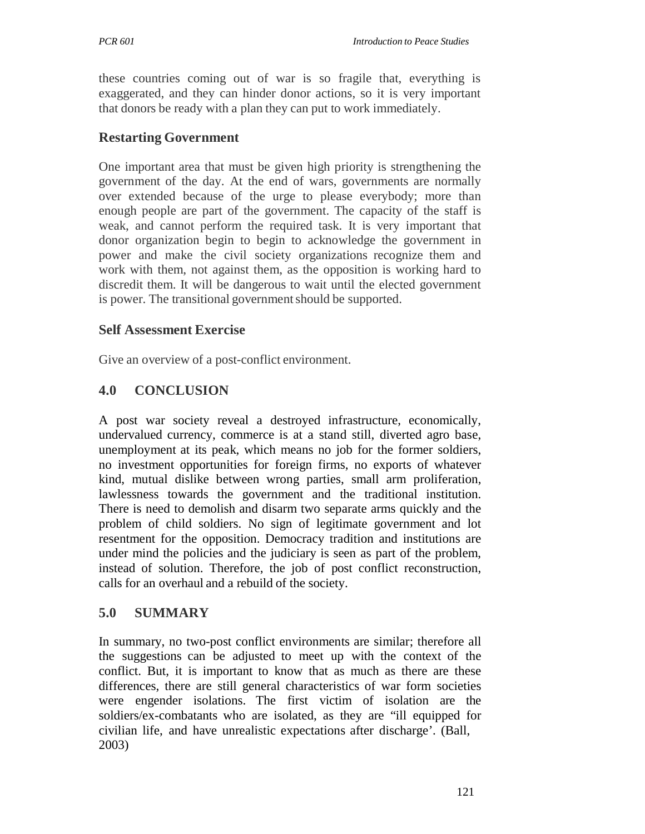these countries coming out of war is so fragile that, everything is exaggerated, and they can hinder donor actions, so it is very important that donors be ready with a plan they can put to work immediately.

## **Restarting Government**

One important area that must be given high priority is strengthening the government of the day. At the end of wars, governments are normally over extended because of the urge to please everybody; more than enough people are part of the government. The capacity of the staff is weak, and cannot perform the required task. It is very important that donor organization begin to begin to acknowledge the government in power and make the civil society organizations recognize them and work with them, not against them, as the opposition is working hard to discredit them. It will be dangerous to wait until the elected government is power. The transitional government should be supported.

## **Self Assessment Exercise**

Give an overview of a post-conflict environment.

# **4.0 CONCLUSION**

A post war society reveal a destroyed infrastructure, economically, undervalued currency, commerce is at a stand still, diverted agro base, unemployment at its peak, which means no job for the former soldiers, no investment opportunities for foreign firms, no exports of whatever kind, mutual dislike between wrong parties, small arm proliferation, lawlessness towards the government and the traditional institution. There is need to demolish and disarm two separate arms quickly and the problem of child soldiers. No sign of legitimate government and lot resentment for the opposition. Democracy tradition and institutions are under mind the policies and the judiciary is seen as part of the problem, instead of solution. Therefore, the job of post conflict reconstruction, calls for an overhaul and a rebuild of the society.

# **5.0 SUMMARY**

In summary, no two-post conflict environments are similar; therefore all the suggestions can be adjusted to meet up with the context of the conflict. But, it is important to know that as much as there are these differences, there are still general characteristics of war form societies were engender isolations. The first victim of isolation are the soldiers/ex-combatants who are isolated, as they are "ill equipped for civilian life, and have unrealistic expectations after discharge'. (Ball, 2003)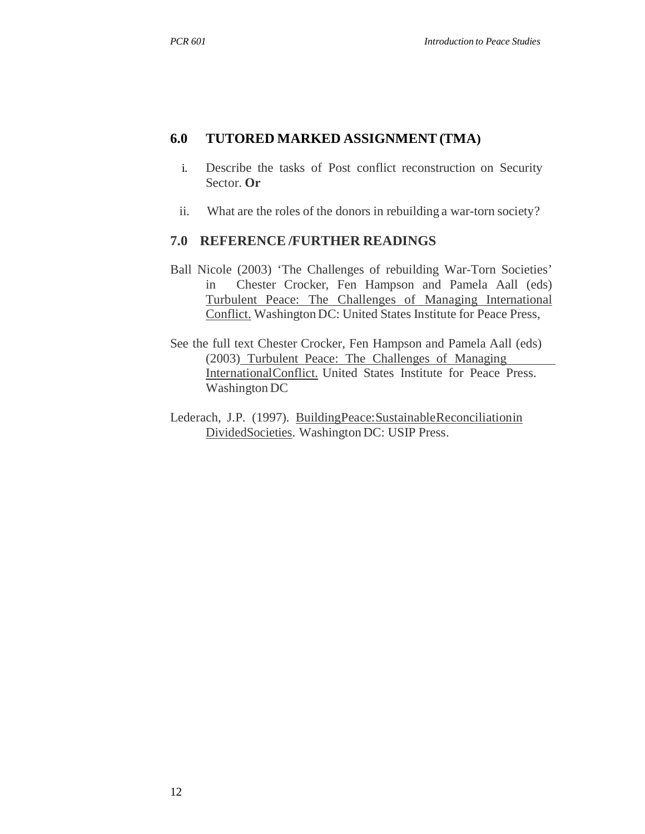#### **6.0 TUTORED MARKED ASSIGNMENT (TMA)**

- i. Describe the tasks of Post conflict reconstruction on Security Sector. **Or**
- ii. What are the roles of the donors in rebuilding a war-torn society?

#### **7.0 REFERENCE /FURTHER READINGS**

- Ball Nicole (2003) 'The Challenges of rebuilding War-Torn Societies' in Chester Crocker, Fen Hampson and Pamela Aall (eds) Turbulent Peace: The Challenges of Managing International Conflict. Washington DC: United States Institute for Peace Press,
- See the full text Chester Crocker, Fen Hampson and Pamela Aall (eds) (2003) Turbulent Peace: The Challenges of Managing InternationalConflict. United States Institute for Peace Press. Washington DC
- Lederach, J.P. (1997). BuildingPeace:SustainableReconciliationin DividedSocieties. Washington DC: USIP Press.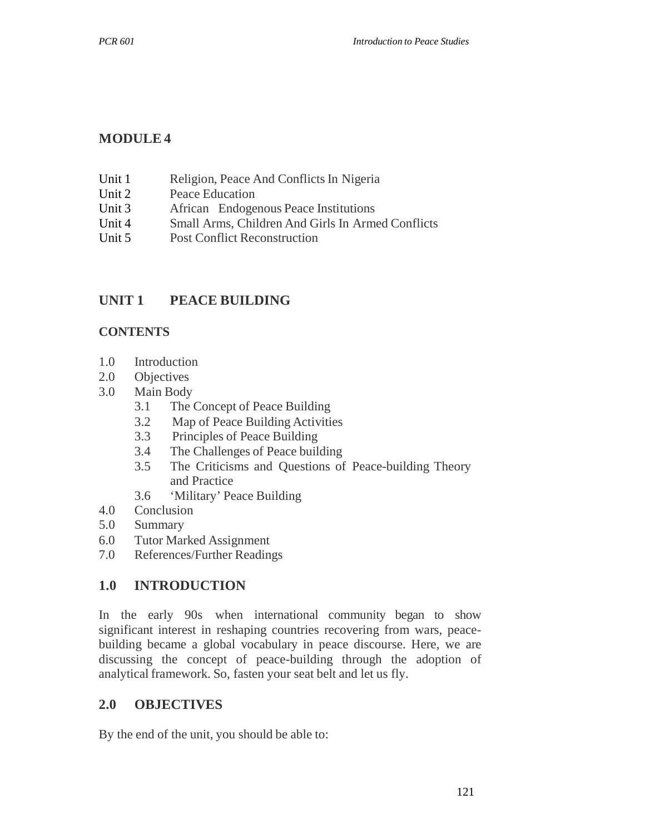## **MODULE 4**

- Unit 1 Religion, Peace And Conflicts In Nigeria
- Unit 2 Peace Education
- Unit 3 African Endogenous Peace Institutions
- Unit 4 Small Arms, Children And Girls In Armed Conflicts
- Unit 5 Post Conflict Reconstruction

## **UNIT 1 PEACE BUILDING**

#### **CONTENTS**

- 1.0 Introduction
- 2.0 Objectives
- 3.0 Main Body
	- 3.1 The Concept of Peace Building
	- 3.2 Map of Peace Building Activities
	- 3.3 Principles of Peace Building
	- 3.4 The Challenges of Peace building
	- 3.5 The Criticisms and Questions of Peace-building Theory and Practice
	- 3.6 'Military' Peace Building
- 4.0 Conclusion
- 5.0 Summary
- 6.0 Tutor Marked Assignment
- 7.0 References/Further Readings

### **1.0 INTRODUCTION**

In the early 90s when international community began to show significant interest in reshaping countries recovering from wars, peacebuilding became a global vocabulary in peace discourse. Here, we are discussing the concept of peace-building through the adoption of analytical framework. So, fasten your seat belt and let us fly.

### **2.0 OBJECTIVES**

By the end of the unit, you should be able to: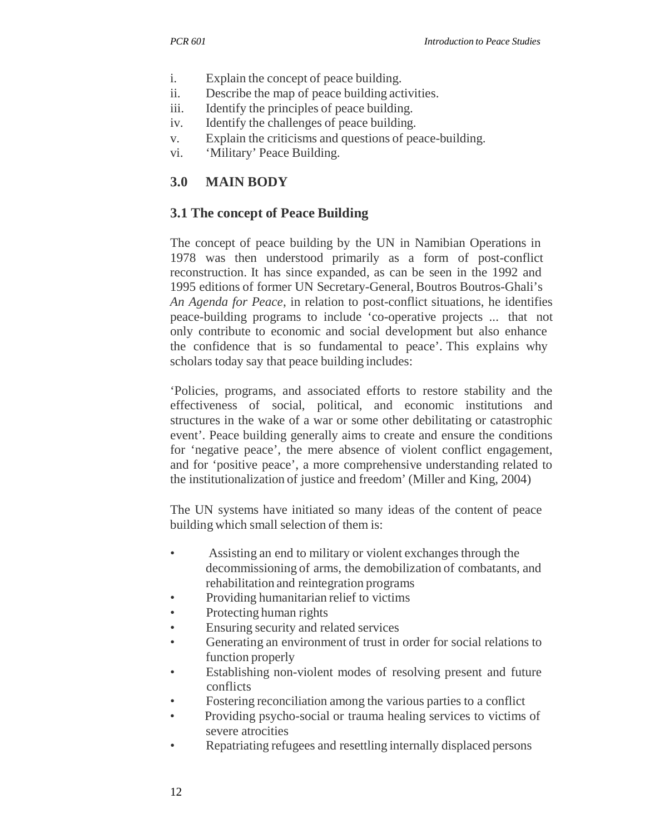- i. Explain the concept of peace building.
- ii. Describe the map of peace building activities.
- iii. Identify the principles of peace building.
- iv. Identify the challenges of peace building.
- v. Explain the criticisms and questions of peace-building.
- vi. 'Military' Peace Building.

# **3.0 MAIN BODY**

# **3.1 The concept of Peace Building**

The concept of peace building by the UN in Namibian Operations in 1978 was then understood primarily as a form of post-conflict reconstruction. It has since expanded, as can be seen in the 1992 and 1995 editions of former UN Secretary-General, Boutros Boutros-Ghali's *An Agenda for Peace*, in relation to post-conflict situations, he identifies peace-building programs to include 'co-operative projects ... that not only contribute to economic and social development but also enhance the confidence that is so fundamental to peace'. This explains why scholars today say that peace building includes:

'Policies, programs, and associated efforts to restore stability and the effectiveness of social, political, and economic institutions and structures in the wake of a war or some other debilitating or catastrophic event'. Peace building generally aims to create and ensure the conditions for 'negative peace', the mere absence of violent conflict engagement, and for 'positive peace', a more comprehensive understanding related to the institutionalization of justice and freedom' (Miller and King, 2004)

The UN systems have initiated so many ideas of the content of peace building which small selection of them is:

- Assisting an end to military or violent exchanges through the decommissioning of arms, the demobilization of combatants, and rehabilitation and reintegration programs
- Providing humanitarian relief to victims
- Protecting human rights
- Ensuring security and related services
- Generating an environment of trust in order for social relations to function properly
- Establishing non-violent modes of resolving present and future conflicts
- Fostering reconciliation among the various parties to a conflict
- Providing psycho-social or trauma healing services to victims of severe atrocities
- Repatriating refugees and resettling internally displaced persons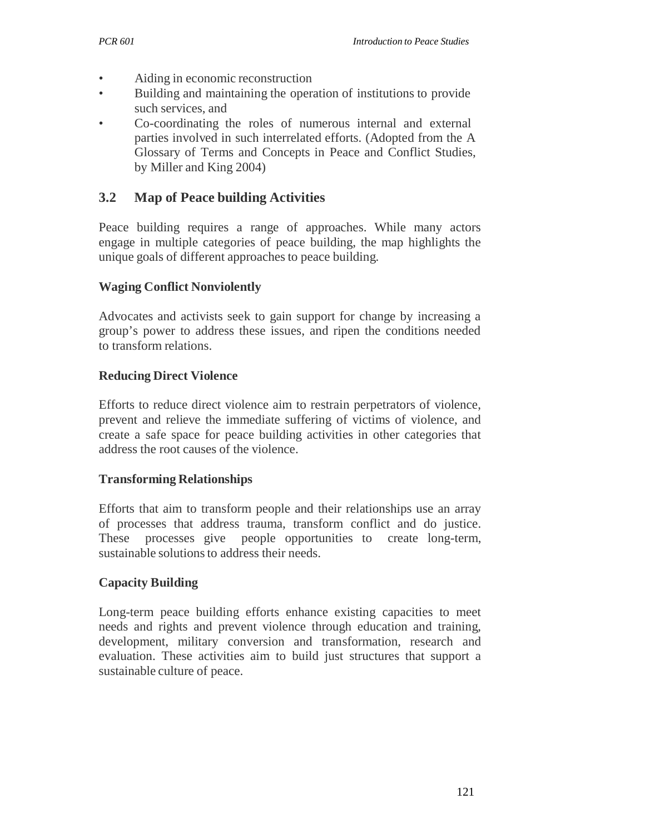- Aiding in economic reconstruction
- Building and maintaining the operation of institutions to provide such services, and
- Co-coordinating the roles of numerous internal and external parties involved in such interrelated efforts. (Adopted from the A Glossary of Terms and Concepts in Peace and Conflict Studies, by Miller and King 2004)

## **3.2 Map of Peace building Activities**

Peace building requires a range of approaches. While many actors engage in multiple categories of peace building, the map highlights the unique goals of different approaches to peace building.

### **Waging Conflict Nonviolently**

Advocates and activists seek to gain support for change by increasing a group's power to address these issues, and ripen the conditions needed to transform relations.

### **Reducing Direct Violence**

Efforts to reduce direct violence aim to restrain perpetrators of violence, prevent and relieve the immediate suffering of victims of violence, and create a safe space for peace building activities in other categories that address the root causes of the violence.

### **Transforming Relationships**

Efforts that aim to transform people and their relationships use an array of processes that address trauma, transform conflict and do justice. These processes give people opportunities to create long-term, sustainable solutions to address their needs.

### **Capacity Building**

Long-term peace building efforts enhance existing capacities to meet needs and rights and prevent violence through education and training, development, military conversion and transformation, research and evaluation. These activities aim to build just structures that support a sustainable culture of peace.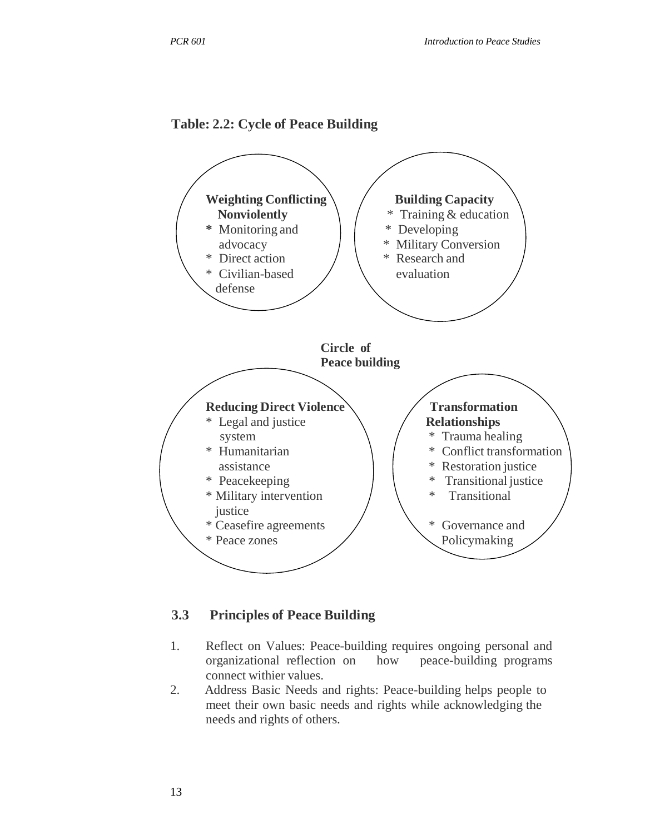



#### **3.3 Principles of Peace Building**

- 1. Reflect on Values: Peace-building requires ongoing personal and organizational reflection on how peace-building programs connect withier values.
- 2. Address Basic Needs and rights: Peace-building helps people to meet their own basic needs and rights while acknowledging the needs and rights of others.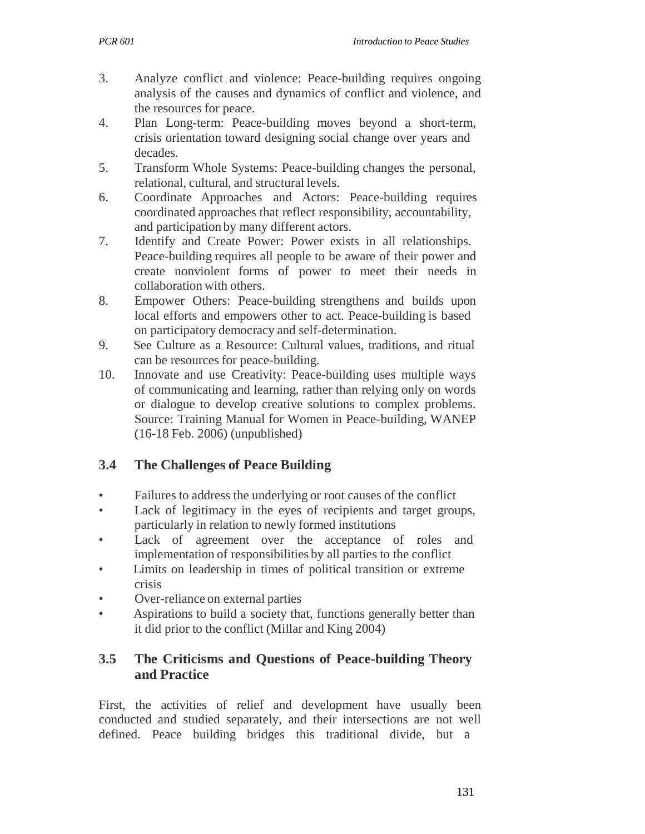- 3. Analyze conflict and violence: Peace-building requires ongoing analysis of the causes and dynamics of conflict and violence, and the resources for peace.
- 4. Plan Long-term: Peace-building moves beyond a short-term, crisis orientation toward designing social change over years and decades.
- 5. Transform Whole Systems: Peace-building changes the personal, relational, cultural, and structural levels.
- 6. Coordinate Approaches and Actors: Peace-building requires coordinated approaches that reflect responsibility, accountability, and participation by many different actors.
- 7. Identify and Create Power: Power exists in all relationships. Peace-building requires all people to be aware of their power and create nonviolent forms of power to meet their needs in collaboration with others.
- 8. Empower Others: Peace-building strengthens and builds upon local efforts and empowers other to act. Peace-building is based on participatory democracy and self-determination.
- 9. See Culture as a Resource: Cultural values, traditions, and ritual can be resources for peace-building.
- 10. Innovate and use Creativity: Peace-building uses multiple ways of communicating and learning, rather than relying only on words or dialogue to develop creative solutions to complex problems. Source: Training Manual for Women in Peace-building, WANEP (16-18 Feb. 2006) (unpublished)

# **3.4 The Challenges of Peace Building**

- Failures to address the underlying or root causes of the conflict
- Lack of legitimacy in the eyes of recipients and target groups, particularly in relation to newly formed institutions
- Lack of agreement over the acceptance of roles and implementation of responsibilities by all parties to the conflict
- Limits on leadership in times of political transition or extreme crisis
- Over-reliance on external parties
- Aspirations to build a society that, functions generally better than it did prior to the conflict (Millar and King 2004)

# **3.5 The Criticisms and Questions of Peace-building Theory and Practice**

First, the activities of relief and development have usually been conducted and studied separately, and their intersections are not well defined. Peace building bridges this traditional divide, but a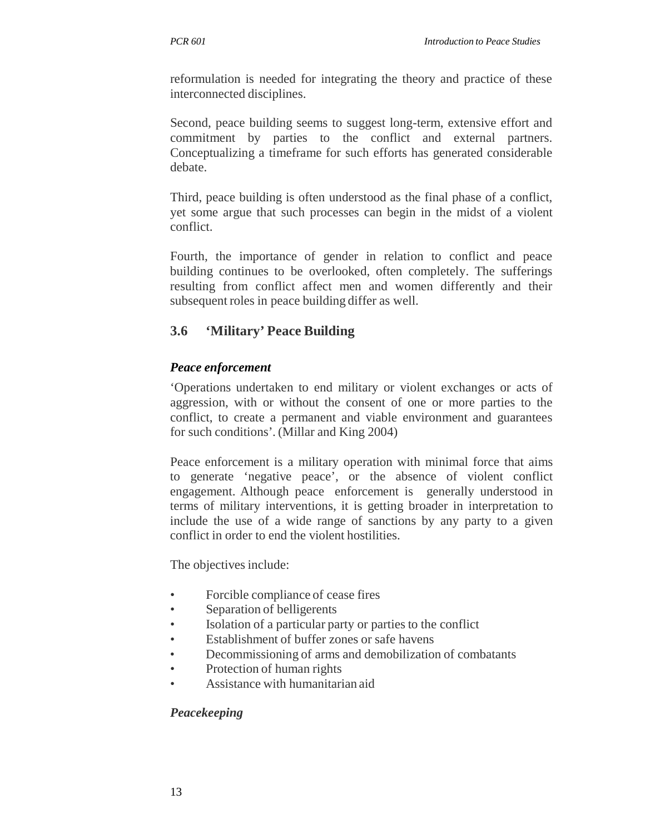reformulation is needed for integrating the theory and practice of these interconnected disciplines.

Second, peace building seems to suggest long-term, extensive effort and commitment by parties to the conflict and external partners. Conceptualizing a timeframe for such efforts has generated considerable debate.

Third, peace building is often understood as the final phase of a conflict, yet some argue that such processes can begin in the midst of a violent conflict.

Fourth, the importance of gender in relation to conflict and peace building continues to be overlooked, often completely. The sufferings resulting from conflict affect men and women differently and their subsequent roles in peace building differ as well.

# **3.6 'Military' Peace Building**

#### *Peace enforcement*

'Operations undertaken to end military or violent exchanges or acts of aggression, with or without the consent of one or more parties to the conflict, to create a permanent and viable environment and guarantees for such conditions'. (Millar and King 2004)

Peace enforcement is a military operation with minimal force that aims to generate 'negative peace', or the absence of violent conflict engagement. Although peace enforcement is generally understood in terms of military interventions, it is getting broader in interpretation to include the use of a wide range of sanctions by any party to a given conflict in order to end the violent hostilities.

The objectives include:

- Forcible compliance of cease fires
- Separation of belligerents
- Isolation of a particular party or parties to the conflict
- Establishment of buffer zones or safe havens
- Decommissioning of arms and demobilization of combatants
- Protection of human rights
- Assistance with humanitarian aid

#### *Peacekeeping*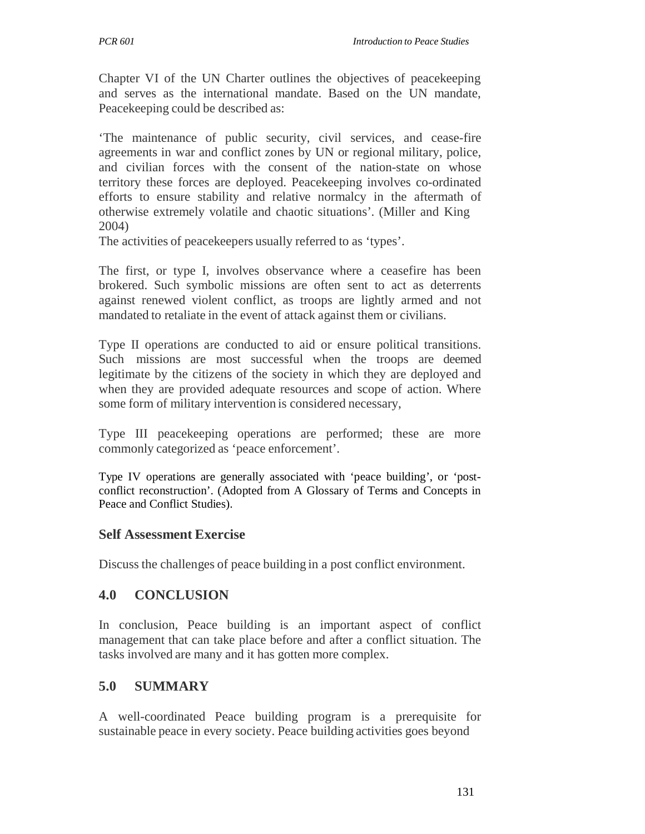Chapter VI of the UN Charter outlines the objectives of peacekeeping and serves as the international mandate. Based on the UN mandate, Peacekeeping could be described as:

'The maintenance of public security, civil services, and cease-fire agreements in war and conflict zones by UN or regional military, police, and civilian forces with the consent of the nation-state on whose territory these forces are deployed. Peacekeeping involves co-ordinated efforts to ensure stability and relative normalcy in the aftermath of otherwise extremely volatile and chaotic situations'. (Miller and King 2004)

The activities of peacekeepers usually referred to as 'types'.

The first, or type I, involves observance where a ceasefire has been brokered. Such symbolic missions are often sent to act as deterrents against renewed violent conflict, as troops are lightly armed and not mandated to retaliate in the event of attack against them or civilians.

Type II operations are conducted to aid or ensure political transitions. Such missions are most successful when the troops are deemed legitimate by the citizens of the society in which they are deployed and when they are provided adequate resources and scope of action. Where some form of military intervention is considered necessary,

Type III peacekeeping operations are performed; these are more commonly categorized as 'peace enforcement'.

Type IV operations are generally associated with 'peace building', or 'postconflict reconstruction'. (Adopted from A Glossary of Terms and Concepts in Peace and Conflict Studies).

### **Self Assessment Exercise**

Discuss the challenges of peace building in a post conflict environment.

### **4.0 CONCLUSION**

In conclusion, Peace building is an important aspect of conflict management that can take place before and after a conflict situation. The tasks involved are many and it has gotten more complex.

### **5.0 SUMMARY**

A well-coordinated Peace building program is a prerequisite for sustainable peace in every society. Peace building activities goes beyond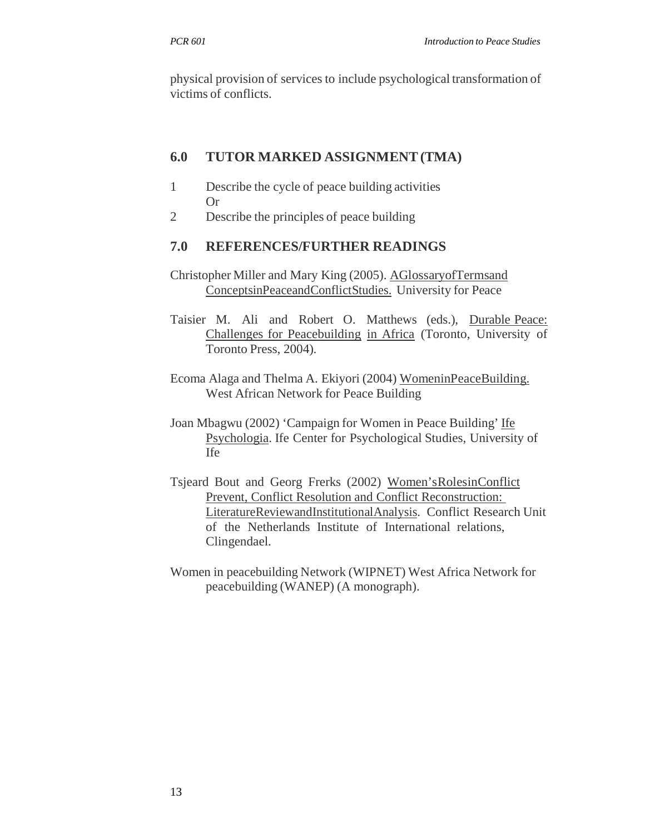physical provision of services to include psychological transformation of victims of conflicts.

### **6.0 TUTOR MARKED ASSIGNMENT (TMA)**

- 1 Describe the cycle of peace building activities Or
- 2 Describe the principles of peace building

### **7.0 REFERENCES/FURTHER READINGS**

- Christopher Miller and Mary King (2005). AGlossaryofTermsand ConceptsinPeaceandConflictStudies. University for Peace
- Taisier M. Ali and Robert O. Matthews (eds.), Durable Peace: Challenges for Peacebuilding in Africa (Toronto, University of Toronto Press, 2004).
- Ecoma Alaga and Thelma A. Ekiyori (2004) WomeninPeaceBuilding. West African Network for Peace Building
- Joan Mbagwu (2002) 'Campaign for Women in Peace Building' Ife Psychologia. Ife Center for Psychological Studies, University of Ife
- Tsjeard Bout and Georg Frerks (2002) Women'sRolesinConflict Prevent, Conflict Resolution and Conflict Reconstruction: LiteratureReviewandInstitutionalAnalysis. Conflict Research Unit of the Netherlands Institute of International relations, Clingendael.
- Women in peacebuilding Network (WIPNET) West Africa Network for peacebuilding (WANEP) (A monograph).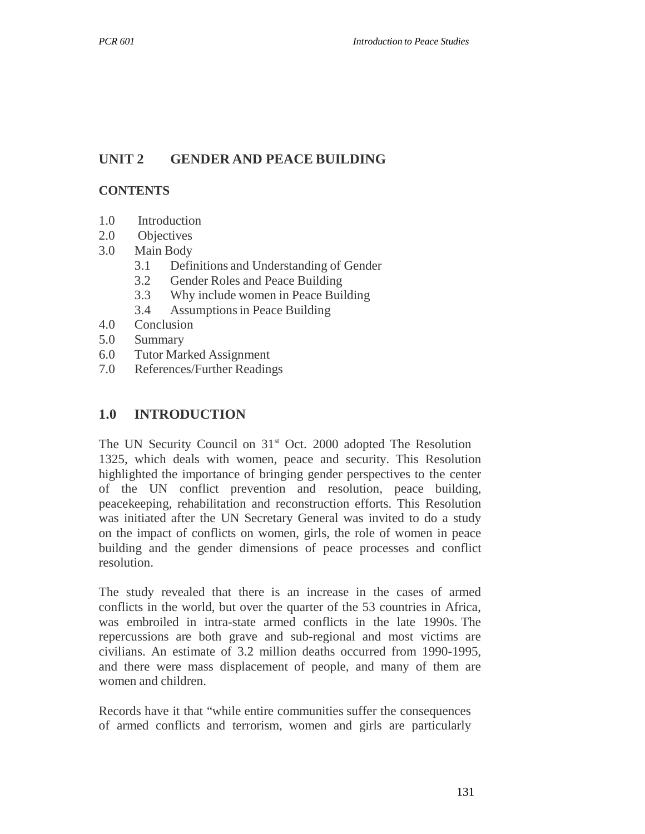# **UNIT 2 GENDER AND PEACE BUILDING**

#### **CONTENTS**

- 1.0 Introduction
- 2.0 Objectives
- 3.0 Main Body
	- 3.1 Definitions and Understanding of Gender
	- 3.2 Gender Roles and Peace Building
	- 3.3 Why include women in Peace Building
	- 3.4 Assumptions in Peace Building
- 4.0 Conclusion
- 5.0 Summary
- 6.0 Tutor Marked Assignment
- 7.0 References/Further Readings

### **1.0 INTRODUCTION**

The UN Security Council on  $31<sup>st</sup>$  Oct. 2000 adopted The Resolution 1325, which deals with women, peace and security. This Resolution highlighted the importance of bringing gender perspectives to the center of the UN conflict prevention and resolution, peace building, peacekeeping, rehabilitation and reconstruction efforts. This Resolution was initiated after the UN Secretary General was invited to do a study on the impact of conflicts on women, girls, the role of women in peace building and the gender dimensions of peace processes and conflict resolution.

The study revealed that there is an increase in the cases of armed conflicts in the world, but over the quarter of the 53 countries in Africa, was embroiled in intra-state armed conflicts in the late 1990s. The repercussions are both grave and sub-regional and most victims are civilians. An estimate of 3.2 million deaths occurred from 1990-1995, and there were mass displacement of people, and many of them are women and children.

Records have it that "while entire communities suffer the consequences of armed conflicts and terrorism, women and girls are particularly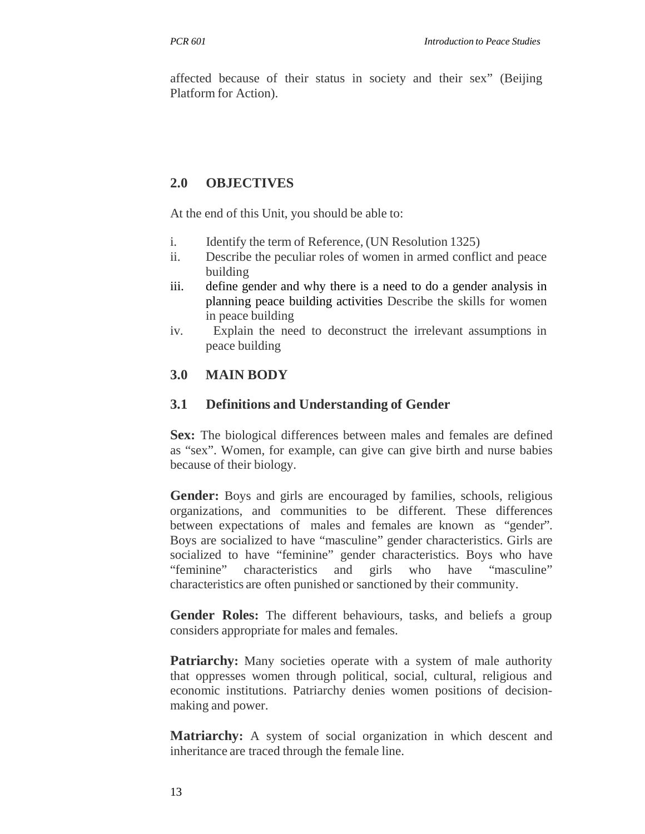affected because of their status in society and their sex" (Beijing Platform for Action).

# **2.0 OBJECTIVES**

At the end of this Unit, you should be able to:

- i. Identify the term of Reference, (UN Resolution 1325)
- ii. Describe the peculiar roles of women in armed conflict and peace building
- iii. define gender and why there is a need to do a gender analysis in planning peace building activities Describe the skills for women in peace building
- iv. Explain the need to deconstruct the irrelevant assumptions in peace building

# **3.0 MAIN BODY**

### **3.1 Definitions and Understanding of Gender**

**Sex:** The biological differences between males and females are defined as "sex". Women, for example, can give can give birth and nurse babies because of their biology.

**Gender:** Boys and girls are encouraged by families, schools, religious organizations, and communities to be different. These differences between expectations of males and females are known as "gender". Boys are socialized to have "masculine" gender characteristics. Girls are socialized to have "feminine" gender characteristics. Boys who have "feminine" characteristics and girls who have "masculine" characteristics are often punished or sanctioned by their community.

**Gender Roles:** The different behaviours, tasks, and beliefs a group considers appropriate for males and females.

**Patriarchy:** Many societies operate with a system of male authority that oppresses women through political, social, cultural, religious and economic institutions. Patriarchy denies women positions of decisionmaking and power.

**Matriarchy:** A system of social organization in which descent and inheritance are traced through the female line.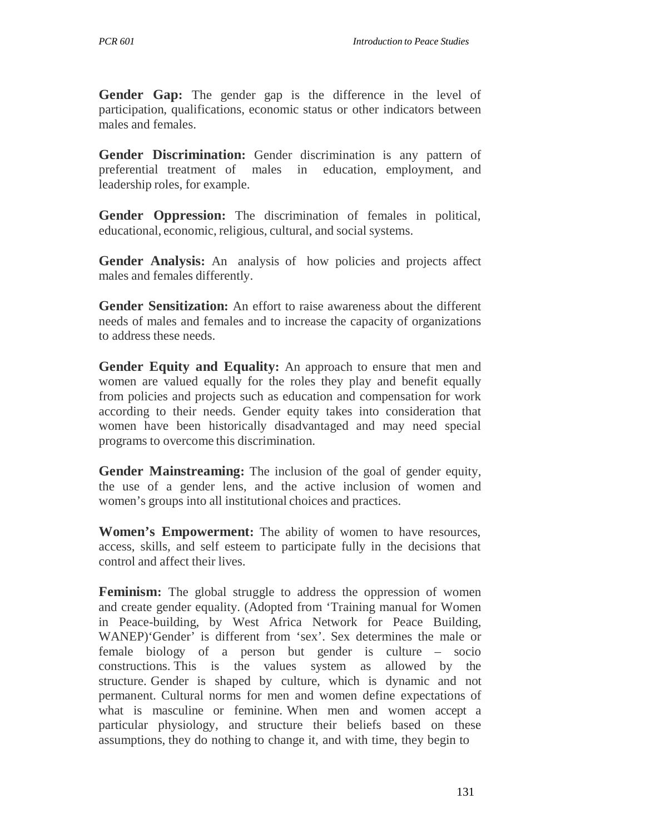Gender Gap: The gender gap is the difference in the level of participation, qualifications, economic status or other indicators between males and females.

**Gender Discrimination:** Gender discrimination is any pattern of preferential treatment of males in education, employment, and leadership roles, for example.

**Gender Oppression:** The discrimination of females in political, educational, economic, religious, cultural, and social systems.

**Gender Analysis:** An analysis of how policies and projects affect males and females differently.

**Gender Sensitization:** An effort to raise awareness about the different needs of males and females and to increase the capacity of organizations to address these needs.

**Gender Equity and Equality:** An approach to ensure that men and women are valued equally for the roles they play and benefit equally from policies and projects such as education and compensation for work according to their needs. Gender equity takes into consideration that women have been historically disadvantaged and may need special programs to overcome this discrimination.

**Gender Mainstreaming:** The inclusion of the goal of gender equity, the use of a gender lens, and the active inclusion of women and women's groups into all institutional choices and practices.

**Women's Empowerment:** The ability of women to have resources, access, skills, and self esteem to participate fully in the decisions that control and affect their lives.

**Feminism:** The global struggle to address the oppression of women and create gender equality. (Adopted from 'Training manual for Women in Peace-building, by West Africa Network for Peace Building, WANEP)'Gender' is different from 'sex'. Sex determines the male or female biology of a person but gender is culture – socio constructions. This is the values system as allowed by the structure. Gender is shaped by culture, which is dynamic and not permanent. Cultural norms for men and women define expectations of what is masculine or feminine. When men and women accept a particular physiology, and structure their beliefs based on these assumptions, they do nothing to change it, and with time, they begin to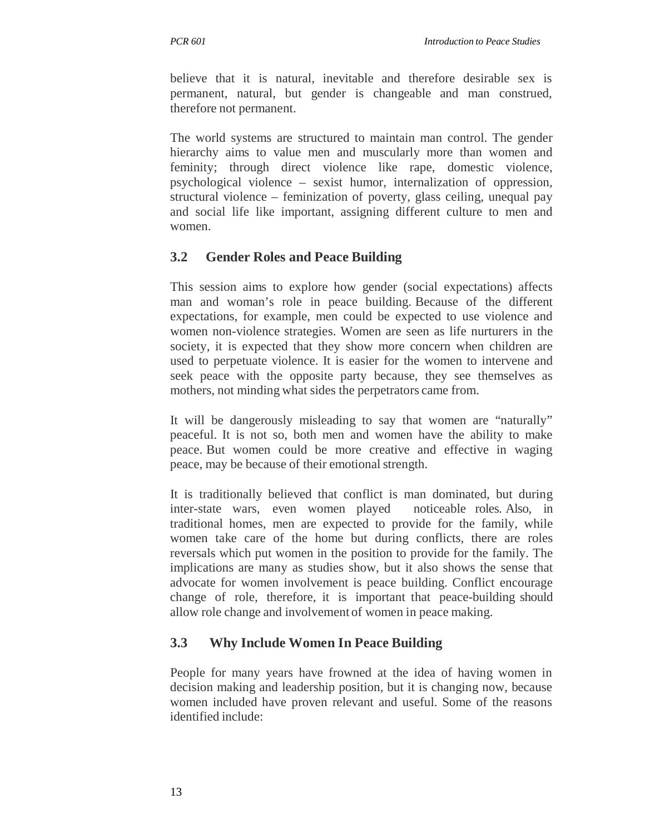believe that it is natural, inevitable and therefore desirable sex is permanent, natural, but gender is changeable and man construed, therefore not permanent.

The world systems are structured to maintain man control. The gender hierarchy aims to value men and muscularly more than women and feminity; through direct violence like rape, domestic violence, psychological violence – sexist humor, internalization of oppression, structural violence – feminization of poverty, glass ceiling, unequal pay and social life like important, assigning different culture to men and women.

# **3.2 Gender Roles and Peace Building**

This session aims to explore how gender (social expectations) affects man and woman's role in peace building. Because of the different expectations, for example, men could be expected to use violence and women non-violence strategies. Women are seen as life nurturers in the society, it is expected that they show more concern when children are used to perpetuate violence. It is easier for the women to intervene and seek peace with the opposite party because, they see themselves as mothers, not minding what sides the perpetrators came from.

It will be dangerously misleading to say that women are "naturally" peaceful. It is not so, both men and women have the ability to make peace. But women could be more creative and effective in waging peace, may be because of their emotional strength.

It is traditionally believed that conflict is man dominated, but during inter-state wars, even women played noticeable roles. Also, in traditional homes, men are expected to provide for the family, while women take care of the home but during conflicts, there are roles reversals which put women in the position to provide for the family. The implications are many as studies show, but it also shows the sense that advocate for women involvement is peace building. Conflict encourage change of role, therefore, it is important that peace-building should allow role change and involvement of women in peace making.

### **3.3 Why Include Women In Peace Building**

People for many years have frowned at the idea of having women in decision making and leadership position, but it is changing now, because women included have proven relevant and useful. Some of the reasons identified include: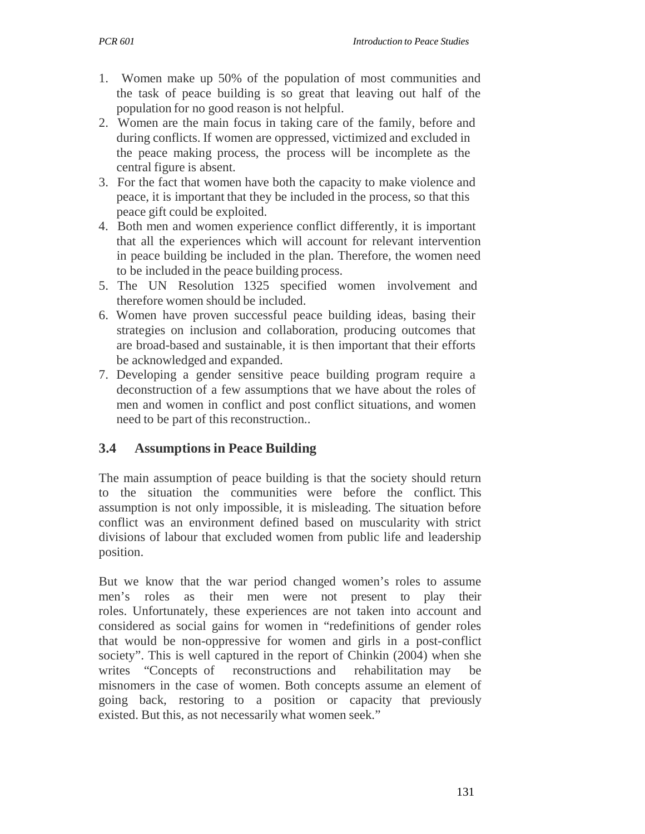- 1. Women make up 50% of the population of most communities and the task of peace building is so great that leaving out half of the population for no good reason is not helpful.
- 2. Women are the main focus in taking care of the family, before and during conflicts. If women are oppressed, victimized and excluded in the peace making process, the process will be incomplete as the central figure is absent.
- 3. For the fact that women have both the capacity to make violence and peace, it is important that they be included in the process, so that this peace gift could be exploited.
- 4. Both men and women experience conflict differently, it is important that all the experiences which will account for relevant intervention in peace building be included in the plan. Therefore, the women need to be included in the peace building process.
- 5. The UN Resolution 1325 specified women involvement and therefore women should be included.
- 6. Women have proven successful peace building ideas, basing their strategies on inclusion and collaboration, producing outcomes that are broad-based and sustainable, it is then important that their efforts be acknowledged and expanded.
- 7. Developing a gender sensitive peace building program require a deconstruction of a few assumptions that we have about the roles of men and women in conflict and post conflict situations, and women need to be part of this reconstruction..

# **3.4 Assumptions in Peace Building**

The main assumption of peace building is that the society should return to the situation the communities were before the conflict. This assumption is not only impossible, it is misleading. The situation before conflict was an environment defined based on muscularity with strict divisions of labour that excluded women from public life and leadership position.

But we know that the war period changed women's roles to assume men's roles as their men were not present to play their roles. Unfortunately, these experiences are not taken into account and considered as social gains for women in "redefinitions of gender roles that would be non-oppressive for women and girls in a post-conflict society". This is well captured in the report of Chinkin (2004) when she writes "Concepts of reconstructions and rehabilitation may be misnomers in the case of women. Both concepts assume an element of going back, restoring to a position or capacity that previously existed. But this, as not necessarily what women seek."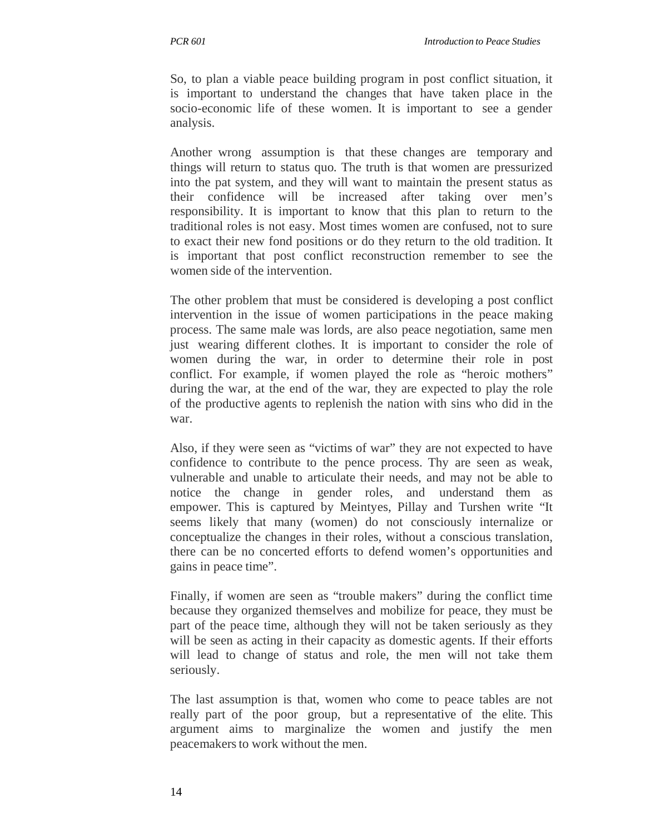So, to plan a viable peace building program in post conflict situation, it is important to understand the changes that have taken place in the socio-economic life of these women. It is important to see a gender analysis.

Another wrong assumption is that these changes are temporary and things will return to status quo. The truth is that women are pressurized into the pat system, and they will want to maintain the present status as their confidence will be increased after taking over men's responsibility. It is important to know that this plan to return to the traditional roles is not easy. Most times women are confused, not to sure to exact their new fond positions or do they return to the old tradition. It is important that post conflict reconstruction remember to see the women side of the intervention.

The other problem that must be considered is developing a post conflict intervention in the issue of women participations in the peace making process. The same male was lords, are also peace negotiation, same men just wearing different clothes. It is important to consider the role of women during the war, in order to determine their role in post conflict. For example, if women played the role as "heroic mothers" during the war, at the end of the war, they are expected to play the role of the productive agents to replenish the nation with sins who did in the war.

Also, if they were seen as "victims of war" they are not expected to have confidence to contribute to the pence process. Thy are seen as weak, vulnerable and unable to articulate their needs, and may not be able to notice the change in gender roles, and understand them as empower. This is captured by Meintyes, Pillay and Turshen write "It seems likely that many (women) do not consciously internalize or conceptualize the changes in their roles, without a conscious translation, there can be no concerted efforts to defend women's opportunities and gains in peace time".

Finally, if women are seen as "trouble makers" during the conflict time because they organized themselves and mobilize for peace, they must be part of the peace time, although they will not be taken seriously as they will be seen as acting in their capacity as domestic agents. If their efforts will lead to change of status and role, the men will not take them seriously.

The last assumption is that, women who come to peace tables are not really part of the poor group, but a representative of the elite. This argument aims to marginalize the women and justify the men peacemakers to work without the men.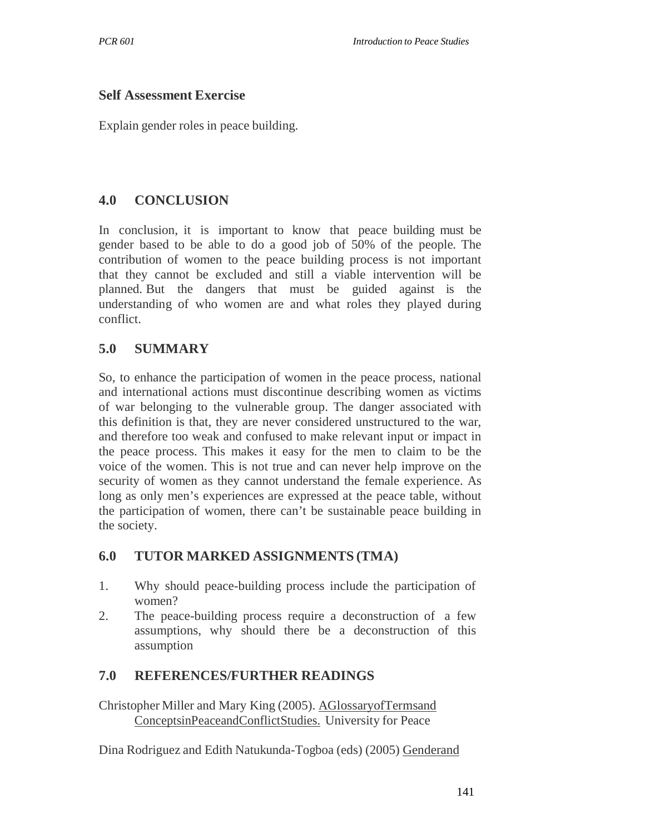#### **Self Assessment Exercise**

Explain gender roles in peace building.

### **4.0 CONCLUSION**

In conclusion, it is important to know that peace building must be gender based to be able to do a good job of 50% of the people. The contribution of women to the peace building process is not important that they cannot be excluded and still a viable intervention will be planned. But the dangers that must be guided against is the understanding of who women are and what roles they played during conflict.

### **5.0 SUMMARY**

So, to enhance the participation of women in the peace process, national and international actions must discontinue describing women as victims of war belonging to the vulnerable group. The danger associated with this definition is that, they are never considered unstructured to the war, and therefore too weak and confused to make relevant input or impact in the peace process. This makes it easy for the men to claim to be the voice of the women. This is not true and can never help improve on the security of women as they cannot understand the female experience. As long as only men's experiences are expressed at the peace table, without the participation of women, there can't be sustainable peace building in the society.

### **6.0 TUTOR MARKED ASSIGNMENTS (TMA)**

- 1. Why should peace-building process include the participation of women?
- 2. The peace-building process require a deconstruction of a few assumptions, why should there be a deconstruction of this assumption

### **7.0 REFERENCES/FURTHER READINGS**

Christopher Miller and Mary King (2005). AGlossaryofTermsand ConceptsinPeaceandConflictStudies. University for Peace

Dina Rodriguez and Edith Natukunda-Togboa (eds) (2005) Genderand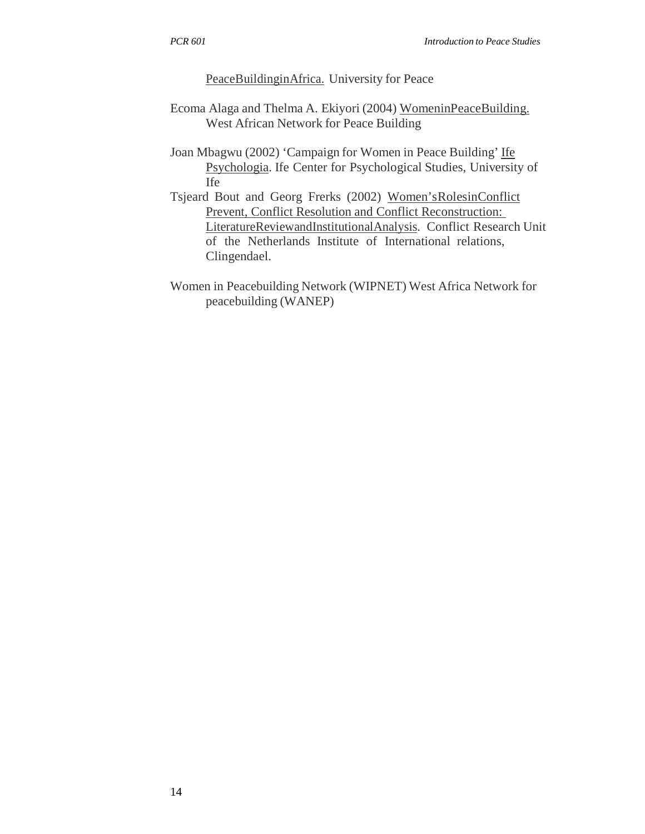PeaceBuildinginAfrica. University for Peace

- Ecoma Alaga and Thelma A. Ekiyori (2004) WomeninPeaceBuilding. West African Network for Peace Building
- Joan Mbagwu (2002) 'Campaign for Women in Peace Building' Ife Psychologia. Ife Center for Psychological Studies, University of Ife
- Tsjeard Bout and Georg Frerks (2002) Women'sRolesinConflict Prevent, Conflict Resolution and Conflict Reconstruction: LiteratureReviewandInstitutionalAnalysis. Conflict Research Unit of the Netherlands Institute of International relations, Clingendael.
- Women in Peacebuilding Network (WIPNET) West Africa Network for peacebuilding (WANEP)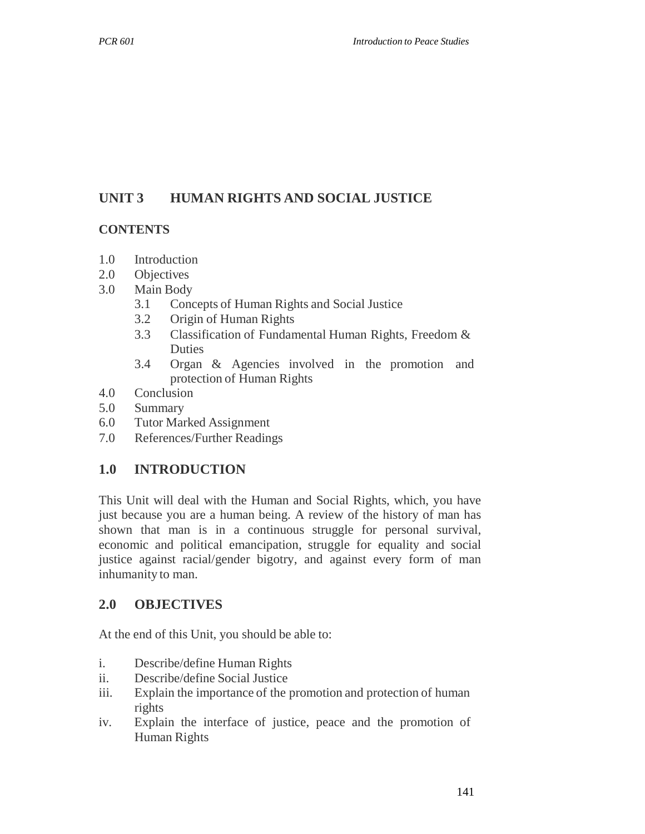# **UNIT 3 HUMAN RIGHTS AND SOCIAL JUSTICE**

#### **CONTENTS**

- 1.0 Introduction
- 2.0 Objectives
- 3.0 Main Body
	- 3.1 Concepts of Human Rights and Social Justice
	- 3.2 Origin of Human Rights
	- 3.3 Classification of Fundamental Human Rights, Freedom & Duties
	- 3.4 Organ & Agencies involved in the promotion and protection of Human Rights
- 4.0 Conclusion
- 5.0 Summary
- 6.0 Tutor Marked Assignment
- 7.0 References/Further Readings

#### **1.0 INTRODUCTION**

This Unit will deal with the Human and Social Rights, which, you have just because you are a human being. A review of the history of man has shown that man is in a continuous struggle for personal survival, economic and political emancipation, struggle for equality and social justice against racial/gender bigotry, and against every form of man inhumanity to man.

#### **2.0 OBJECTIVES**

At the end of this Unit, you should be able to:

- i. Describe/define Human Rights
- ii. Describe/define Social Justice
- iii. Explain the importance of the promotion and protection of human rights
- iv. Explain the interface of justice, peace and the promotion of Human Rights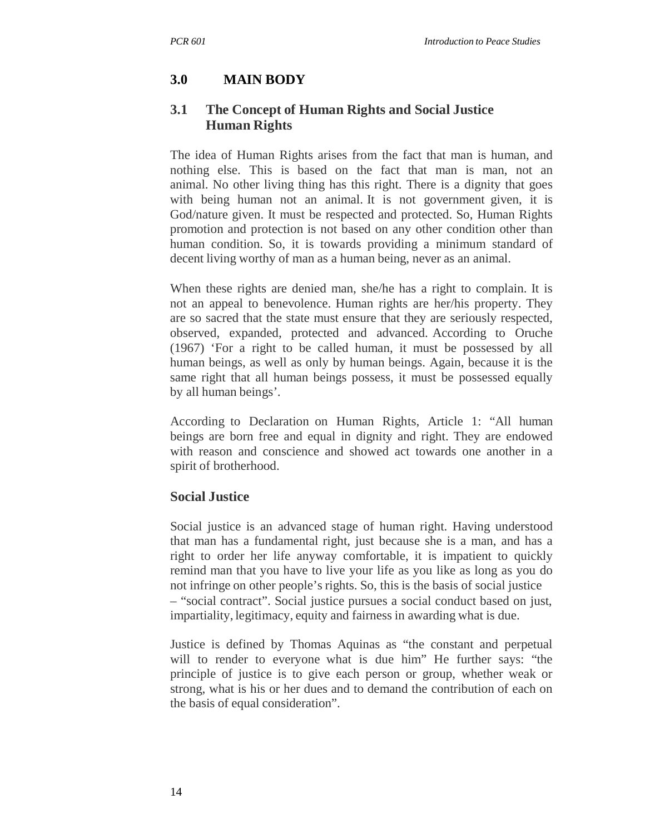# **3.0 MAIN BODY**

### **3.1 The Concept of Human Rights and Social Justice Human Rights**

The idea of Human Rights arises from the fact that man is human, and nothing else. This is based on the fact that man is man, not an animal. No other living thing has this right. There is a dignity that goes with being human not an animal. It is not government given, it is God/nature given. It must be respected and protected. So, Human Rights promotion and protection is not based on any other condition other than human condition. So, it is towards providing a minimum standard of decent living worthy of man as a human being, never as an animal.

When these rights are denied man, she/he has a right to complain. It is not an appeal to benevolence. Human rights are her/his property. They are so sacred that the state must ensure that they are seriously respected, observed, expanded, protected and advanced. According to Oruche (1967) 'For a right to be called human, it must be possessed by all human beings, as well as only by human beings. Again, because it is the same right that all human beings possess, it must be possessed equally by all human beings'.

According to Declaration on Human Rights, Article 1: "All human beings are born free and equal in dignity and right. They are endowed with reason and conscience and showed act towards one another in a spirit of brotherhood.

#### **Social Justice**

Social justice is an advanced stage of human right. Having understood that man has a fundamental right, just because she is a man, and has a right to order her life anyway comfortable, it is impatient to quickly remind man that you have to live your life as you like as long as you do not infringe on other people's rights. So, this is the basis of social justice – "social contract". Social justice pursues a social conduct based on just, impartiality, legitimacy, equity and fairness in awarding what is due.

Justice is defined by Thomas Aquinas as "the constant and perpetual will to render to everyone what is due him" He further says: "the principle of justice is to give each person or group, whether weak or strong, what is his or her dues and to demand the contribution of each on the basis of equal consideration".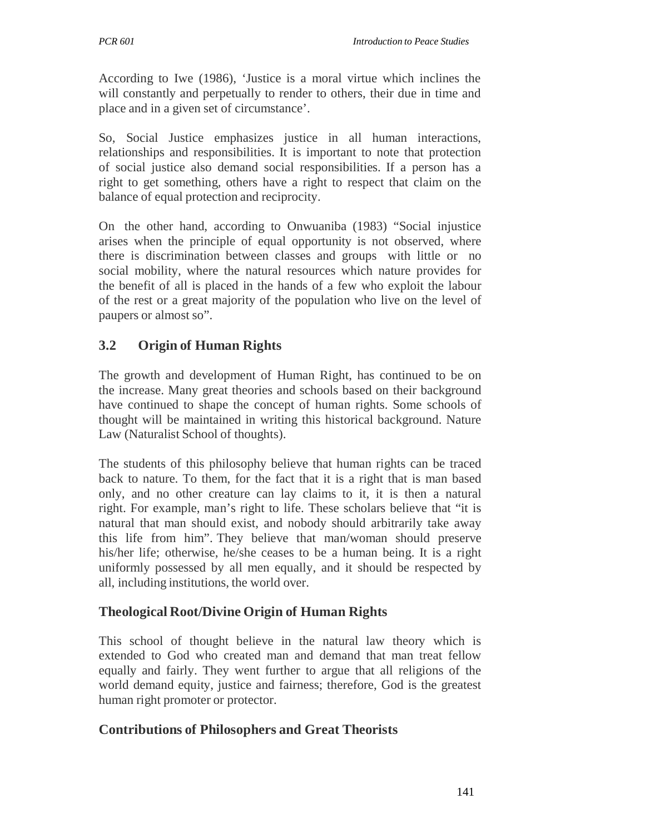According to Iwe (1986), 'Justice is a moral virtue which inclines the will constantly and perpetually to render to others, their due in time and place and in a given set of circumstance'.

So, Social Justice emphasizes justice in all human interactions, relationships and responsibilities. It is important to note that protection of social justice also demand social responsibilities. If a person has a right to get something, others have a right to respect that claim on the balance of equal protection and reciprocity.

On the other hand, according to Onwuaniba (1983) "Social injustice arises when the principle of equal opportunity is not observed, where there is discrimination between classes and groups with little or no social mobility, where the natural resources which nature provides for the benefit of all is placed in the hands of a few who exploit the labour of the rest or a great majority of the population who live on the level of paupers or almost so".

# **3.2 Origin of Human Rights**

The growth and development of Human Right, has continued to be on the increase. Many great theories and schools based on their background have continued to shape the concept of human rights. Some schools of thought will be maintained in writing this historical background. Nature Law (Naturalist School of thoughts).

The students of this philosophy believe that human rights can be traced back to nature. To them, for the fact that it is a right that is man based only, and no other creature can lay claims to it, it is then a natural right. For example, man's right to life. These scholars believe that "it is natural that man should exist, and nobody should arbitrarily take away this life from him". They believe that man/woman should preserve his/her life; otherwise, he/she ceases to be a human being. It is a right uniformly possessed by all men equally, and it should be respected by all, including institutions, the world over.

# **Theological Root/Divine Origin of Human Rights**

This school of thought believe in the natural law theory which is extended to God who created man and demand that man treat fellow equally and fairly. They went further to argue that all religions of the world demand equity, justice and fairness; therefore, God is the greatest human right promoter or protector.

# **Contributions of Philosophers and Great Theorists**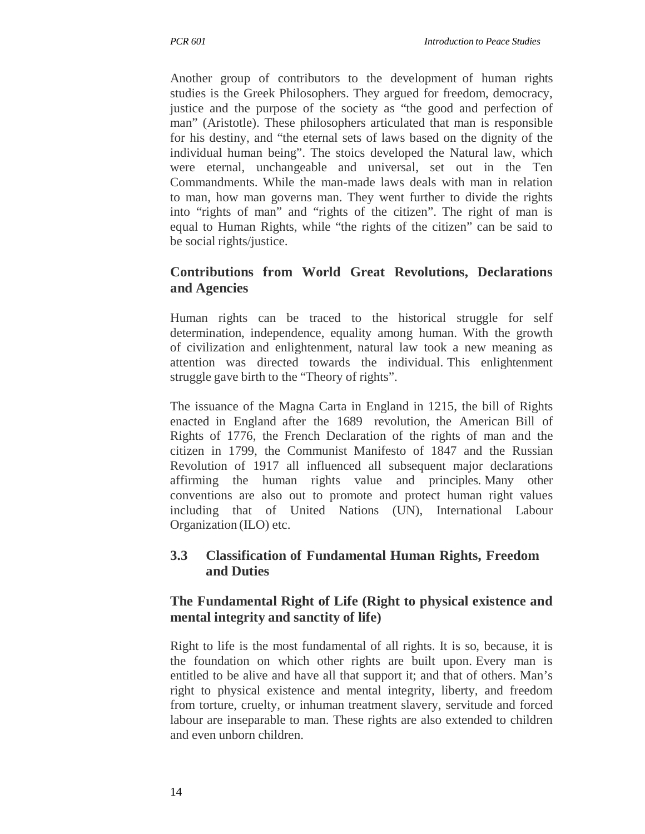Another group of contributors to the development of human rights studies is the Greek Philosophers. They argued for freedom, democracy, justice and the purpose of the society as "the good and perfection of man" (Aristotle). These philosophers articulated that man is responsible for his destiny, and "the eternal sets of laws based on the dignity of the individual human being". The stoics developed the Natural law, which were eternal, unchangeable and universal, set out in the Ten Commandments. While the man-made laws deals with man in relation to man, how man governs man. They went further to divide the rights into "rights of man" and "rights of the citizen". The right of man is equal to Human Rights, while "the rights of the citizen" can be said to be social rights/justice.

# **Contributions from World Great Revolutions, Declarations and Agencies**

Human rights can be traced to the historical struggle for self determination, independence, equality among human. With the growth of civilization and enlightenment, natural law took a new meaning as attention was directed towards the individual. This enlightenment struggle gave birth to the "Theory of rights".

The issuance of the Magna Carta in England in 1215, the bill of Rights enacted in England after the 1689 revolution, the American Bill of Rights of 1776, the French Declaration of the rights of man and the citizen in 1799, the Communist Manifesto of 1847 and the Russian Revolution of 1917 all influenced all subsequent major declarations affirming the human rights value and principles. Many other conventions are also out to promote and protect human right values including that of United Nations (UN), International Labour Organization (ILO) etc.

### **3.3 Classification of Fundamental Human Rights, Freedom and Duties**

### **The Fundamental Right of Life (Right to physical existence and mental integrity and sanctity of life)**

Right to life is the most fundamental of all rights. It is so, because, it is the foundation on which other rights are built upon. Every man is entitled to be alive and have all that support it; and that of others. Man's right to physical existence and mental integrity, liberty, and freedom from torture, cruelty, or inhuman treatment slavery, servitude and forced labour are inseparable to man. These rights are also extended to children and even unborn children.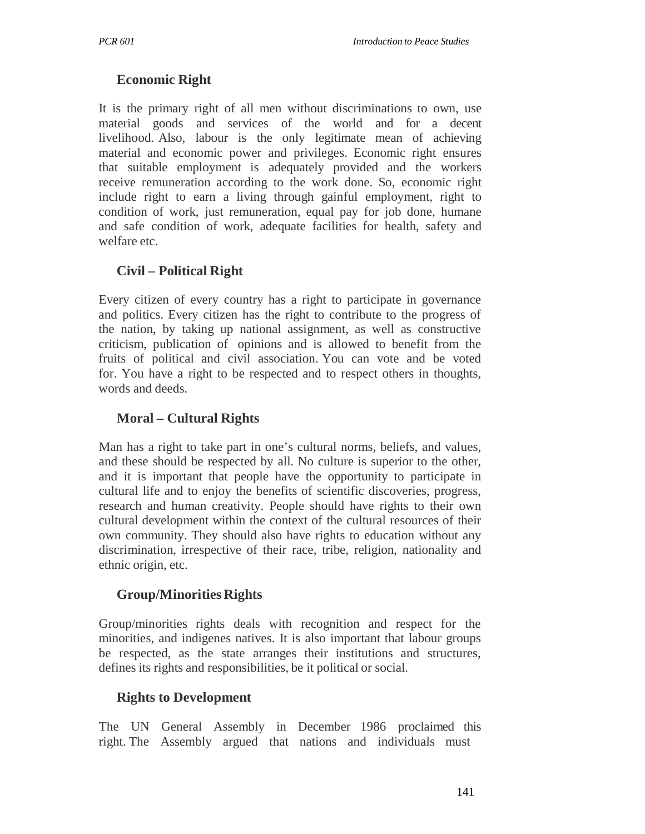### **Economic Right**

It is the primary right of all men without discriminations to own, use material goods and services of the world and for a decent livelihood. Also, labour is the only legitimate mean of achieving material and economic power and privileges. Economic right ensures that suitable employment is adequately provided and the workers receive remuneration according to the work done. So, economic right include right to earn a living through gainful employment, right to condition of work, just remuneration, equal pay for job done, humane and safe condition of work, adequate facilities for health, safety and welfare etc.

### **Civil – Political Right**

Every citizen of every country has a right to participate in governance and politics. Every citizen has the right to contribute to the progress of the nation, by taking up national assignment, as well as constructive criticism, publication of opinions and is allowed to benefit from the fruits of political and civil association. You can vote and be voted for. You have a right to be respected and to respect others in thoughts, words and deeds.

#### **Moral – Cultural Rights**

Man has a right to take part in one's cultural norms, beliefs, and values, and these should be respected by all. No culture is superior to the other, and it is important that people have the opportunity to participate in cultural life and to enjoy the benefits of scientific discoveries, progress, research and human creativity. People should have rights to their own cultural development within the context of the cultural resources of their own community. They should also have rights to education without any discrimination, irrespective of their race, tribe, religion, nationality and ethnic origin, etc.

#### **Group/Minorities Rights**

Group/minorities rights deals with recognition and respect for the minorities, and indigenes natives. It is also important that labour groups be respected, as the state arranges their institutions and structures, defines its rights and responsibilities, be it political or social.

#### **Rights to Development**

The UN General Assembly in December 1986 proclaimed this right. The Assembly argued that nations and individuals must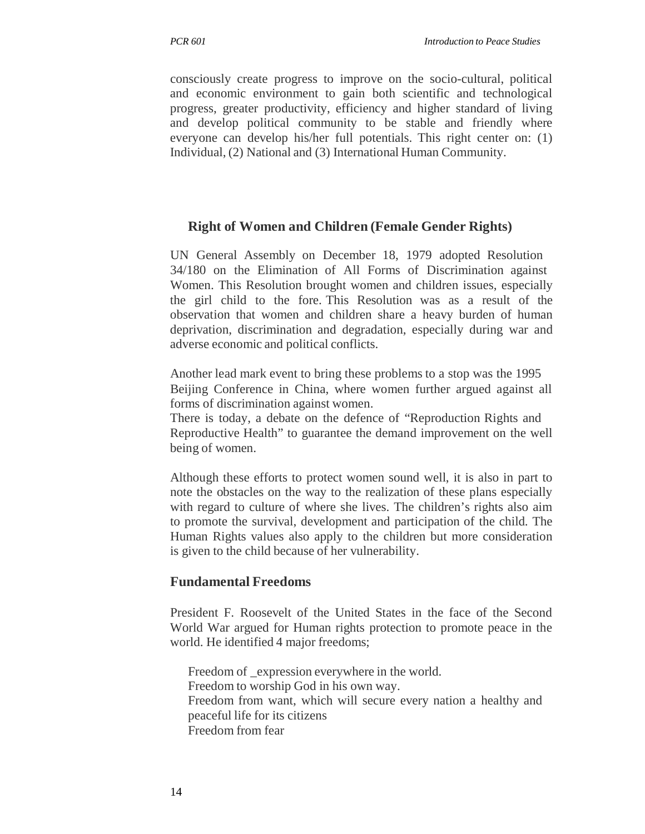consciously create progress to improve on the socio-cultural, political and economic environment to gain both scientific and technological progress, greater productivity, efficiency and higher standard of living and develop political community to be stable and friendly where everyone can develop his/her full potentials. This right center on: (1) Individual, (2) National and (3) International Human Community.

#### **Right of Women and Children (Female Gender Rights)**

UN General Assembly on December 18, 1979 adopted Resolution 34/180 on the Elimination of All Forms of Discrimination against Women. This Resolution brought women and children issues, especially the girl child to the fore. This Resolution was as a result of the observation that women and children share a heavy burden of human deprivation, discrimination and degradation, especially during war and adverse economic and political conflicts.

Another lead mark event to bring these problems to a stop was the 1995 Beijing Conference in China, where women further argued against all forms of discrimination against women.

There is today, a debate on the defence of "Reproduction Rights and Reproductive Health" to guarantee the demand improvement on the well being of women.

Although these efforts to protect women sound well, it is also in part to note the obstacles on the way to the realization of these plans especially with regard to culture of where she lives. The children's rights also aim to promote the survival, development and participation of the child. The Human Rights values also apply to the children but more consideration is given to the child because of her vulnerability.

#### **Fundamental Freedoms**

President F. Roosevelt of the United States in the face of the Second World War argued for Human rights protection to promote peace in the world. He identified 4 major freedoms;

Freedom of \_expression everywhere in the world. Freedom to worship God in his own way. Freedom from want, which will secure every nation a healthy and peaceful life for its citizens Freedom from fear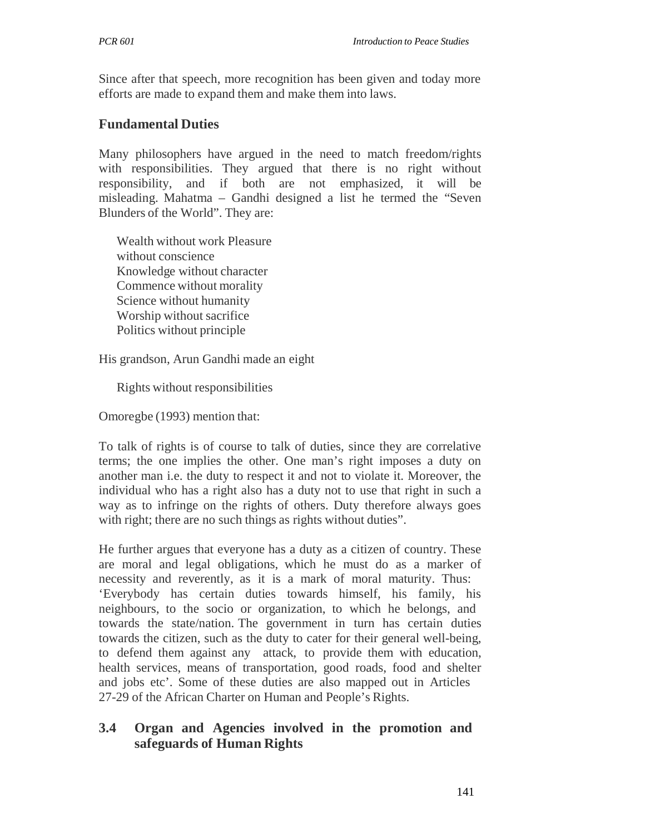Since after that speech, more recognition has been given and today more efforts are made to expand them and make them into laws.

### **Fundamental Duties**

Many philosophers have argued in the need to match freedom/rights with responsibilities. They argued that there is no right without responsibility, and if both are not emphasized, it will be misleading. Mahatma – Gandhi designed a list he termed the "Seven Blunders of the World". They are:

Wealth without work Pleasure without conscience Knowledge without character Commence without morality Science without humanity Worship without sacrifice Politics without principle

His grandson, Arun Gandhi made an eight

Rights without responsibilities

Omoregbe (1993) mention that:

To talk of rights is of course to talk of duties, since they are correlative terms; the one implies the other. One man's right imposes a duty on another man i.e. the duty to respect it and not to violate it. Moreover, the individual who has a right also has a duty not to use that right in such a way as to infringe on the rights of others. Duty therefore always goes with right; there are no such things as rights without duties".

He further argues that everyone has a duty as a citizen of country. These are moral and legal obligations, which he must do as a marker of necessity and reverently, as it is a mark of moral maturity. Thus: 'Everybody has certain duties towards himself, his family, his neighbours, to the socio or organization, to which he belongs, and towards the state/nation. The government in turn has certain duties towards the citizen, such as the duty to cater for their general well-being, to defend them against any attack, to provide them with education, health services, means of transportation, good roads, food and shelter and jobs etc'. Some of these duties are also mapped out in Articles 27-29 of the African Charter on Human and People's Rights.

### **3.4 Organ and Agencies involved in the promotion and safeguards of Human Rights**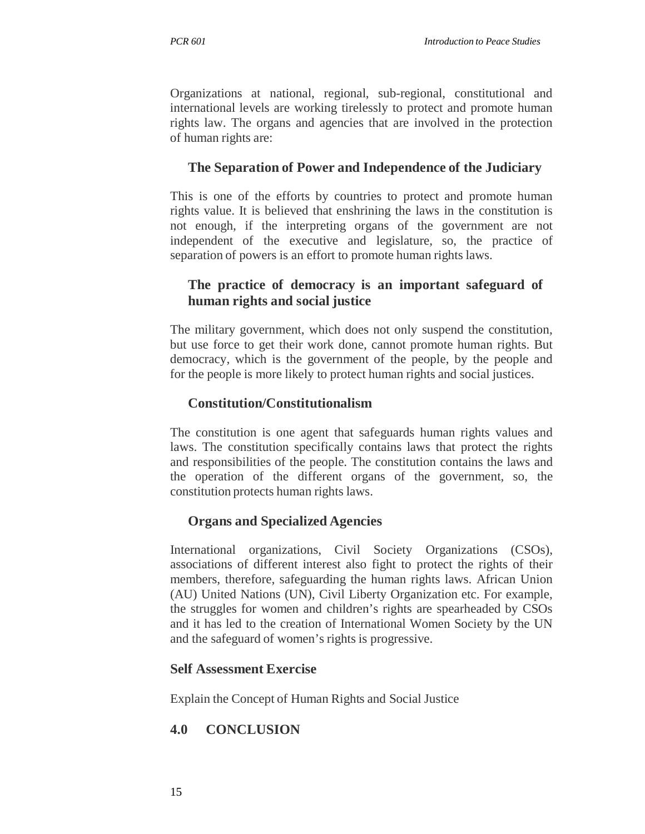Organizations at national, regional, sub-regional, constitutional and international levels are working tirelessly to protect and promote human rights law. The organs and agencies that are involved in the protection of human rights are:

## **The Separation of Power and Independence of the Judiciary**

This is one of the efforts by countries to protect and promote human rights value. It is believed that enshrining the laws in the constitution is not enough, if the interpreting organs of the government are not independent of the executive and legislature, so, the practice of separation of powers is an effort to promote human rights laws.

### **The practice of democracy is an important safeguard of human rights and social justice**

The military government, which does not only suspend the constitution, but use force to get their work done, cannot promote human rights. But democracy, which is the government of the people, by the people and for the people is more likely to protect human rights and social justices.

### **Constitution/Constitutionalism**

The constitution is one agent that safeguards human rights values and laws. The constitution specifically contains laws that protect the rights and responsibilities of the people. The constitution contains the laws and the operation of the different organs of the government, so, the constitution protects human rights laws.

# **Organs and Specialized Agencies**

International organizations, Civil Society Organizations (CSOs), associations of different interest also fight to protect the rights of their members, therefore, safeguarding the human rights laws. African Union (AU) United Nations (UN), Civil Liberty Organization etc. For example, the struggles for women and children's rights are spearheaded by CSOs and it has led to the creation of International Women Society by the UN and the safeguard of women's rights is progressive.

#### **Self Assessment Exercise**

Explain the Concept of Human Rights and Social Justice

# **4.0 CONCLUSION**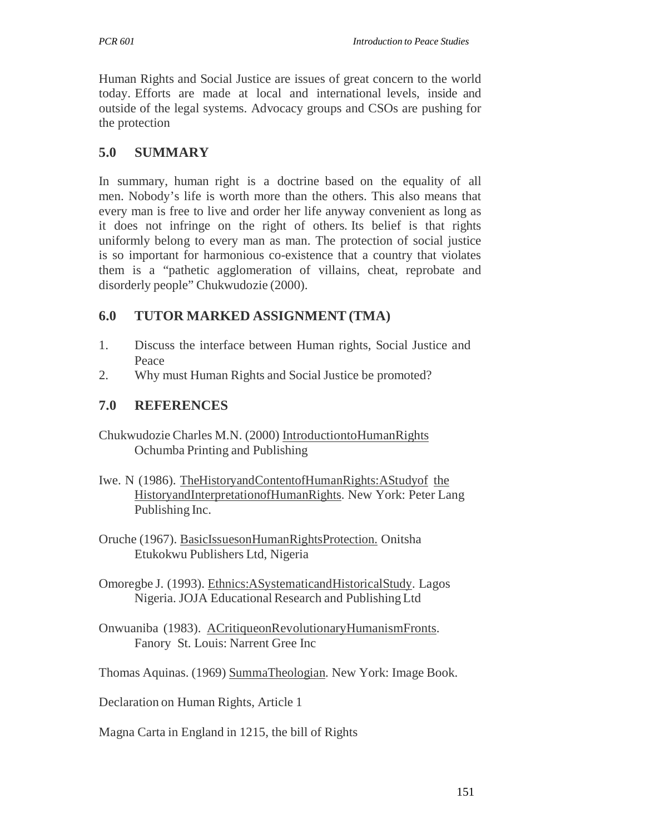Human Rights and Social Justice are issues of great concern to the world today. Efforts are made at local and international levels, inside and outside of the legal systems. Advocacy groups and CSOs are pushing for the protection

# **5.0 SUMMARY**

In summary, human right is a doctrine based on the equality of all men. Nobody's life is worth more than the others. This also means that every man is free to live and order her life anyway convenient as long as it does not infringe on the right of others. Its belief is that rights uniformly belong to every man as man. The protection of social justice is so important for harmonious co-existence that a country that violates them is a "pathetic agglomeration of villains, cheat, reprobate and disorderly people" Chukwudozie (2000).

# **6.0 TUTOR MARKED ASSIGNMENT (TMA)**

- 1. Discuss the interface between Human rights, Social Justice and Peace
- 2. Why must Human Rights and Social Justice be promoted?

# **7.0 REFERENCES**

- Chukwudozie Charles M.N. (2000) IntroductiontoHumanRights Ochumba Printing and Publishing
- Iwe. N (1986). TheHistoryandContentofHumanRights:AStudyof the HistoryandInterpretationofHumanRights. New York: Peter Lang Publishing Inc.
- Oruche (1967). BasicIssuesonHumanRightsProtection. Onitsha Etukokwu Publishers Ltd, Nigeria
- Omoregbe J. (1993). Ethnics:ASystematicandHistoricalStudy. Lagos Nigeria. JOJA Educational Research and Publishing Ltd
- Onwuaniba (1983). ACritiqueonRevolutionaryHumanismFronts. Fanory St. Louis: Narrent Gree Inc

Thomas Aquinas. (1969) SummaTheologian. New York: Image Book.

Declaration on Human Rights, Article 1

Magna Carta in England in 1215, the bill of Rights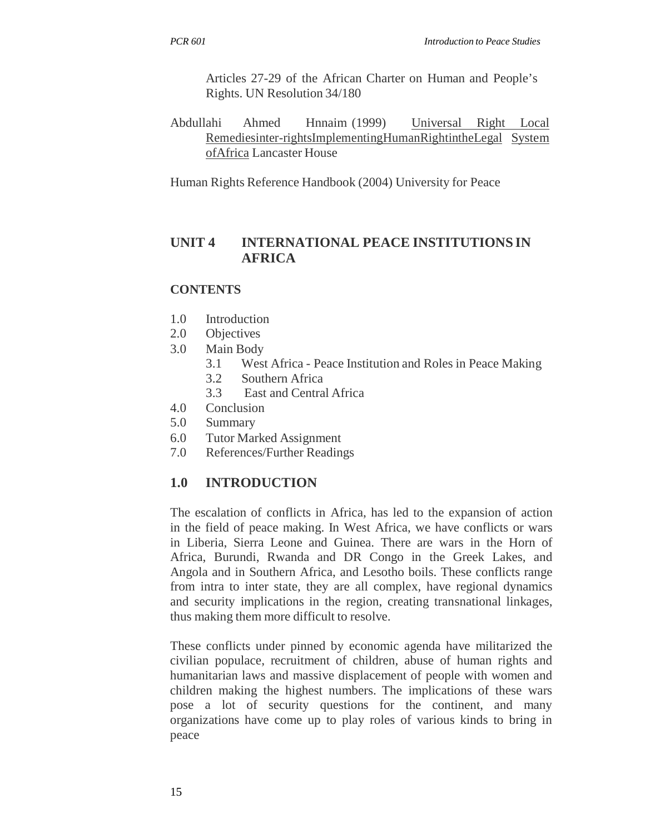Articles 27-29 of the African Charter on Human and People's Rights. UN Resolution 34/180

Abdullahi Ahmed Hnnaim (1999) Universal Right Local Remediesinter-rightsImplementingHumanRightintheLegal System ofAfrica Lancaster House

Human Rights Reference Handbook (2004) University for Peace

### **UNIT 4 INTERNATIONAL PEACE INSTITUTIONS IN AFRICA**

#### **CONTENTS**

- 1.0 Introduction
- 2.0 Objectives
- 3.0 Main Body
	- 3.1 West Africa Peace Institution and Roles in Peace Making
	- 3.2 Southern Africa
		- 3.3 East and Central Africa
- 4.0 Conclusion
- 5.0 Summary
- 6.0 Tutor Marked Assignment
- 7.0 References/Further Readings

### **1.0 INTRODUCTION**

The escalation of conflicts in Africa, has led to the expansion of action in the field of peace making. In West Africa, we have conflicts or wars in Liberia, Sierra Leone and Guinea. There are wars in the Horn of Africa, Burundi, Rwanda and DR Congo in the Greek Lakes, and Angola and in Southern Africa, and Lesotho boils. These conflicts range from intra to inter state, they are all complex, have regional dynamics and security implications in the region, creating transnational linkages, thus making them more difficult to resolve.

These conflicts under pinned by economic agenda have militarized the civilian populace, recruitment of children, abuse of human rights and humanitarian laws and massive displacement of people with women and children making the highest numbers. The implications of these wars pose a lot of security questions for the continent, and many organizations have come up to play roles of various kinds to bring in peace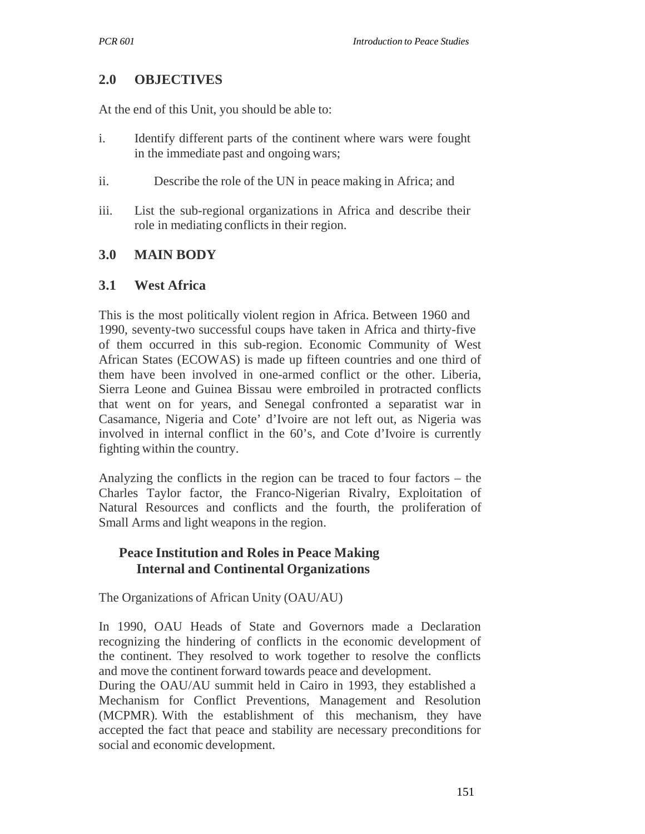### **2.0 OBJECTIVES**

At the end of this Unit, you should be able to:

- i. Identify different parts of the continent where wars were fought in the immediate past and ongoing wars;
- ii. Describe the role of the UN in peace making in Africa; and
- iii. List the sub-regional organizations in Africa and describe their role in mediating conflicts in their region.

#### **3.0 MAIN BODY**

#### **3.1 West Africa**

This is the most politically violent region in Africa. Between 1960 and 1990, seventy-two successful coups have taken in Africa and thirty-five of them occurred in this sub-region. Economic Community of West African States (ECOWAS) is made up fifteen countries and one third of them have been involved in one-armed conflict or the other. Liberia, Sierra Leone and Guinea Bissau were embroiled in protracted conflicts that went on for years, and Senegal confronted a separatist war in Casamance, Nigeria and Cote' d'Ivoire are not left out, as Nigeria was involved in internal conflict in the 60's, and Cote d'Ivoire is currently fighting within the country.

Analyzing the conflicts in the region can be traced to four factors – the Charles Taylor factor, the Franco-Nigerian Rivalry, Exploitation of Natural Resources and conflicts and the fourth, the proliferation of Small Arms and light weapons in the region.

#### **Peace Institution and Roles in Peace Making Internal and Continental Organizations**

The Organizations of African Unity (OAU/AU)

In 1990, OAU Heads of State and Governors made a Declaration recognizing the hindering of conflicts in the economic development of the continent. They resolved to work together to resolve the conflicts and move the continent forward towards peace and development.

During the OAU/AU summit held in Cairo in 1993, they established a Mechanism for Conflict Preventions, Management and Resolution (MCPMR). With the establishment of this mechanism, they have accepted the fact that peace and stability are necessary preconditions for social and economic development.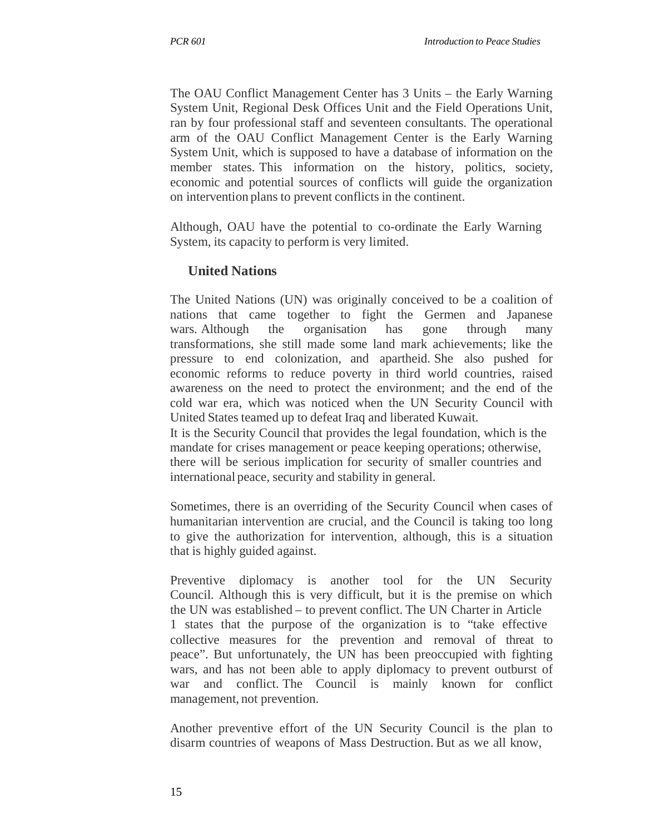The OAU Conflict Management Center has 3 Units – the Early Warning System Unit, Regional Desk Offices Unit and the Field Operations Unit, ran by four professional staff and seventeen consultants. The operational arm of the OAU Conflict Management Center is the Early Warning System Unit, which is supposed to have a database of information on the member states. This information on the history, politics, society, economic and potential sources of conflicts will guide the organization on intervention plans to prevent conflicts in the continent.

Although, OAU have the potential to co-ordinate the Early Warning System, its capacity to perform is very limited.

# **United Nations**

The United Nations (UN) was originally conceived to be a coalition of nations that came together to fight the Germen and Japanese wars. Although the organisation has gone through many transformations, she still made some land mark achievements; like the pressure to end colonization, and apartheid. She also pushed for economic reforms to reduce poverty in third world countries, raised awareness on the need to protect the environment; and the end of the cold war era, which was noticed when the UN Security Council with United States teamed up to defeat Iraq and liberated Kuwait.

It is the Security Council that provides the legal foundation, which is the mandate for crises management or peace keeping operations; otherwise, there will be serious implication for security of smaller countries and international peace, security and stability in general.

Sometimes, there is an overriding of the Security Council when cases of humanitarian intervention are crucial, and the Council is taking too long to give the authorization for intervention, although, this is a situation that is highly guided against.

Preventive diplomacy is another tool for the UN Security Council. Although this is very difficult, but it is the premise on which the UN was established – to prevent conflict. The UN Charter in Article 1 states that the purpose of the organization is to "take effective collective measures for the prevention and removal of threat to peace". But unfortunately, the UN has been preoccupied with fighting wars, and has not been able to apply diplomacy to prevent outburst of war and conflict. The Council is mainly known for conflict management, not prevention.

Another preventive effort of the UN Security Council is the plan to disarm countries of weapons of Mass Destruction. But as we all know,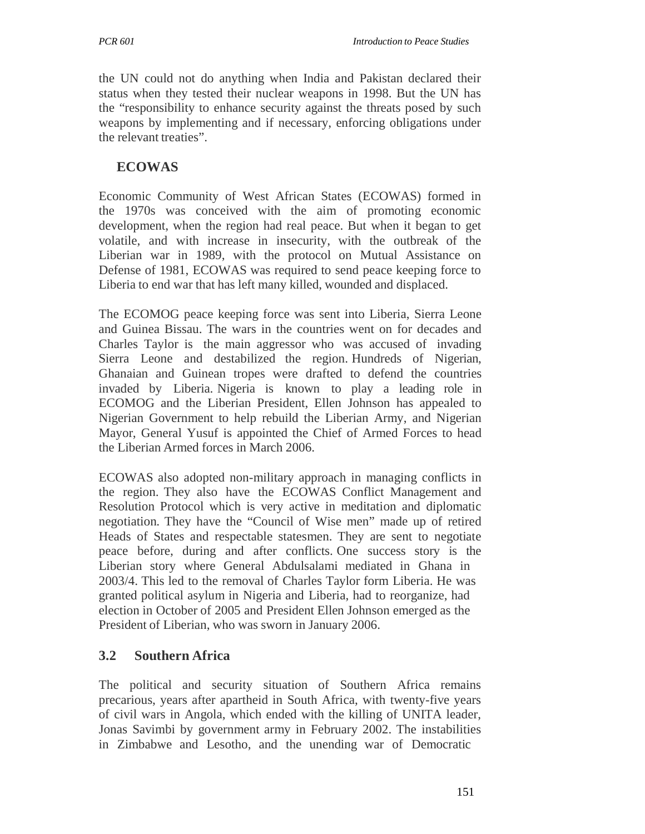the UN could not do anything when India and Pakistan declared their status when they tested their nuclear weapons in 1998. But the UN has the "responsibility to enhance security against the threats posed by such weapons by implementing and if necessary, enforcing obligations under the relevant treaties".

## **ECOWAS**

Economic Community of West African States (ECOWAS) formed in the 1970s was conceived with the aim of promoting economic development, when the region had real peace. But when it began to get volatile, and with increase in insecurity, with the outbreak of the Liberian war in 1989, with the protocol on Mutual Assistance on Defense of 1981, ECOWAS was required to send peace keeping force to Liberia to end war that has left many killed, wounded and displaced.

The ECOMOG peace keeping force was sent into Liberia, Sierra Leone and Guinea Bissau. The wars in the countries went on for decades and Charles Taylor is the main aggressor who was accused of invading Sierra Leone and destabilized the region. Hundreds of Nigerian, Ghanaian and Guinean tropes were drafted to defend the countries invaded by Liberia. Nigeria is known to play a leading role in ECOMOG and the Liberian President, Ellen Johnson has appealed to Nigerian Government to help rebuild the Liberian Army, and Nigerian Mayor, General Yusuf is appointed the Chief of Armed Forces to head the Liberian Armed forces in March 2006.

ECOWAS also adopted non-military approach in managing conflicts in the region. They also have the ECOWAS Conflict Management and Resolution Protocol which is very active in meditation and diplomatic negotiation. They have the "Council of Wise men" made up of retired Heads of States and respectable statesmen. They are sent to negotiate peace before, during and after conflicts. One success story is the Liberian story where General Abdulsalami mediated in Ghana in 2003/4. This led to the removal of Charles Taylor form Liberia. He was granted political asylum in Nigeria and Liberia, had to reorganize, had election in October of 2005 and President Ellen Johnson emerged as the President of Liberian, who was sworn in January 2006.

# **3.2 Southern Africa**

The political and security situation of Southern Africa remains precarious, years after apartheid in South Africa, with twenty-five years of civil wars in Angola, which ended with the killing of UNITA leader, Jonas Savimbi by government army in February 2002. The instabilities in Zimbabwe and Lesotho, and the unending war of Democratic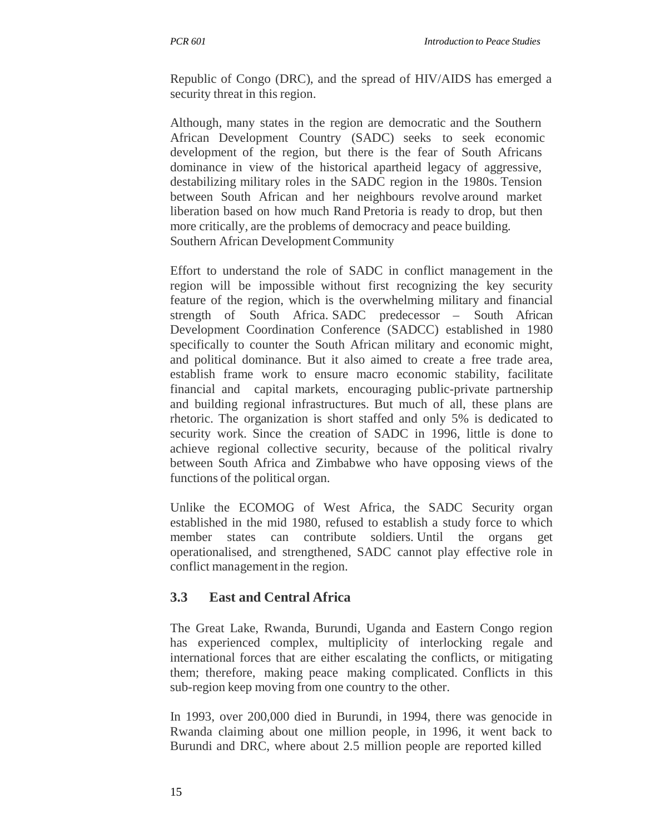Republic of Congo (DRC), and the spread of HIV/AIDS has emerged a security threat in this region.

Although, many states in the region are democratic and the Southern African Development Country (SADC) seeks to seek economic development of the region, but there is the fear of South Africans dominance in view of the historical apartheid legacy of aggressive, destabilizing military roles in the SADC region in the 1980s. Tension between South African and her neighbours revolve around market liberation based on how much Rand Pretoria is ready to drop, but then more critically, are the problems of democracy and peace building. Southern African Development Community

Effort to understand the role of SADC in conflict management in the region will be impossible without first recognizing the key security feature of the region, which is the overwhelming military and financial strength of South Africa. SADC predecessor – South African Development Coordination Conference (SADCC) established in 1980 specifically to counter the South African military and economic might, and political dominance. But it also aimed to create a free trade area, establish frame work to ensure macro economic stability, facilitate financial and capital markets, encouraging public-private partnership and building regional infrastructures. But much of all, these plans are rhetoric. The organization is short staffed and only 5% is dedicated to security work. Since the creation of SADC in 1996, little is done to achieve regional collective security, because of the political rivalry between South Africa and Zimbabwe who have opposing views of the functions of the political organ.

Unlike the ECOMOG of West Africa, the SADC Security organ established in the mid 1980, refused to establish a study force to which member states can contribute soldiers. Until the organs get operationalised, and strengthened, SADC cannot play effective role in conflict management in the region.

# **3.3 East and Central Africa**

The Great Lake, Rwanda, Burundi, Uganda and Eastern Congo region has experienced complex, multiplicity of interlocking regale and international forces that are either escalating the conflicts, or mitigating them; therefore, making peace making complicated. Conflicts in this sub-region keep moving from one country to the other.

In 1993, over 200,000 died in Burundi, in 1994, there was genocide in Rwanda claiming about one million people, in 1996, it went back to Burundi and DRC, where about 2.5 million people are reported killed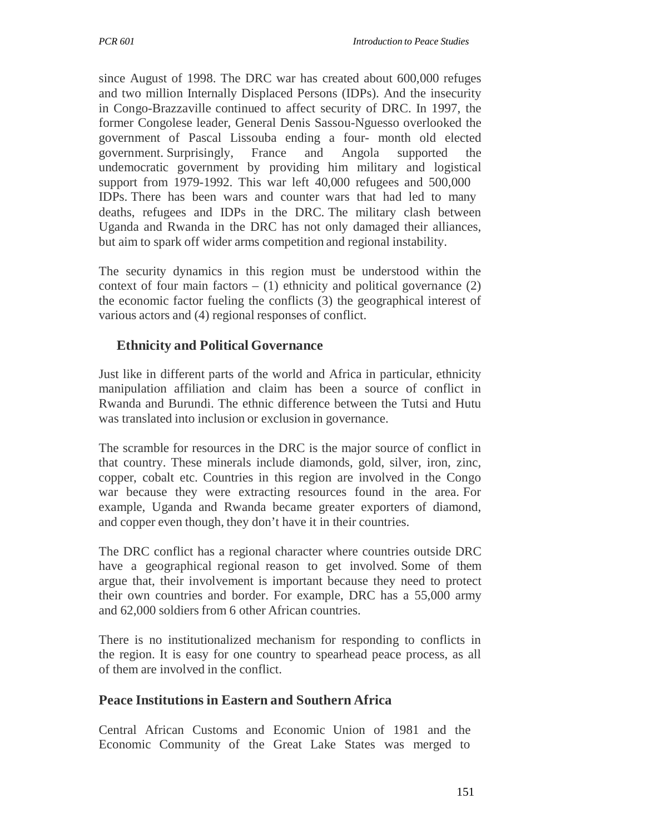since August of 1998. The DRC war has created about 600,000 refuges and two million Internally Displaced Persons (IDPs). And the insecurity in Congo-Brazzaville continued to affect security of DRC. In 1997, the former Congolese leader, General Denis Sassou-Nguesso overlooked the government of Pascal Lissouba ending a four- month old elected government. Surprisingly, France and Angola supported the undemocratic government by providing him military and logistical support from 1979-1992. This war left 40,000 refugees and 500,000 IDPs. There has been wars and counter wars that had led to many deaths, refugees and IDPs in the DRC. The military clash between Uganda and Rwanda in the DRC has not only damaged their alliances, but aim to spark off wider arms competition and regional instability.

The security dynamics in this region must be understood within the context of four main factors  $- (1)$  ethnicity and political governance  $(2)$ the economic factor fueling the conflicts (3) the geographical interest of various actors and (4) regional responses of conflict.

# **Ethnicity and Political Governance**

Just like in different parts of the world and Africa in particular, ethnicity manipulation affiliation and claim has been a source of conflict in Rwanda and Burundi. The ethnic difference between the Tutsi and Hutu was translated into inclusion or exclusion in governance.

The scramble for resources in the DRC is the major source of conflict in that country. These minerals include diamonds, gold, silver, iron, zinc, copper, cobalt etc. Countries in this region are involved in the Congo war because they were extracting resources found in the area. For example, Uganda and Rwanda became greater exporters of diamond, and copper even though, they don't have it in their countries.

The DRC conflict has a regional character where countries outside DRC have a geographical regional reason to get involved. Some of them argue that, their involvement is important because they need to protect their own countries and border. For example, DRC has a 55,000 army and 62,000 soldiers from 6 other African countries.

There is no institutionalized mechanism for responding to conflicts in the region. It is easy for one country to spearhead peace process, as all of them are involved in the conflict.

# **Peace Institutions in Eastern and Southern Africa**

Central African Customs and Economic Union of 1981 and the Economic Community of the Great Lake States was merged to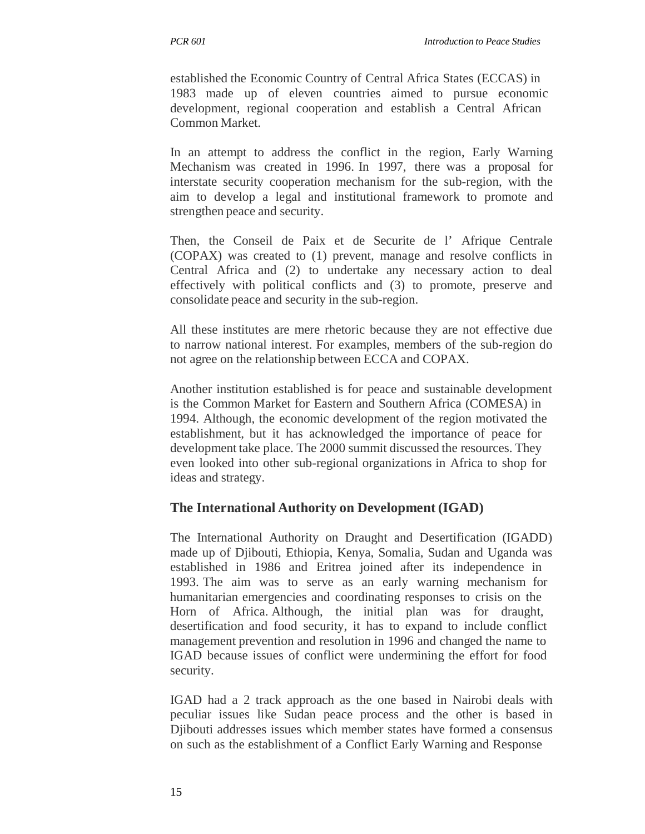established the Economic Country of Central Africa States (ECCAS) in 1983 made up of eleven countries aimed to pursue economic development, regional cooperation and establish a Central African Common Market.

In an attempt to address the conflict in the region, Early Warning Mechanism was created in 1996. In 1997, there was a proposal for interstate security cooperation mechanism for the sub-region, with the aim to develop a legal and institutional framework to promote and strengthen peace and security.

Then, the Conseil de Paix et de Securite de l' Afrique Centrale (COPAX) was created to (1) prevent, manage and resolve conflicts in Central Africa and (2) to undertake any necessary action to deal effectively with political conflicts and (3) to promote, preserve and consolidate peace and security in the sub-region.

All these institutes are mere rhetoric because they are not effective due to narrow national interest. For examples, members of the sub-region do not agree on the relationship between ECCA and COPAX.

Another institution established is for peace and sustainable development is the Common Market for Eastern and Southern Africa (COMESA) in 1994. Although, the economic development of the region motivated the establishment, but it has acknowledged the importance of peace for development take place. The 2000 summit discussed the resources. They even looked into other sub-regional organizations in Africa to shop for ideas and strategy.

### **The International Authority on Development (IGAD)**

The International Authority on Draught and Desertification (IGADD) made up of Djibouti, Ethiopia, Kenya, Somalia, Sudan and Uganda was established in 1986 and Eritrea joined after its independence in 1993. The aim was to serve as an early warning mechanism for humanitarian emergencies and coordinating responses to crisis on the Horn of Africa. Although, the initial plan was for draught, desertification and food security, it has to expand to include conflict management prevention and resolution in 1996 and changed the name to IGAD because issues of conflict were undermining the effort for food security.

IGAD had a 2 track approach as the one based in Nairobi deals with peculiar issues like Sudan peace process and the other is based in Djibouti addresses issues which member states have formed a consensus on such as the establishment of a Conflict Early Warning and Response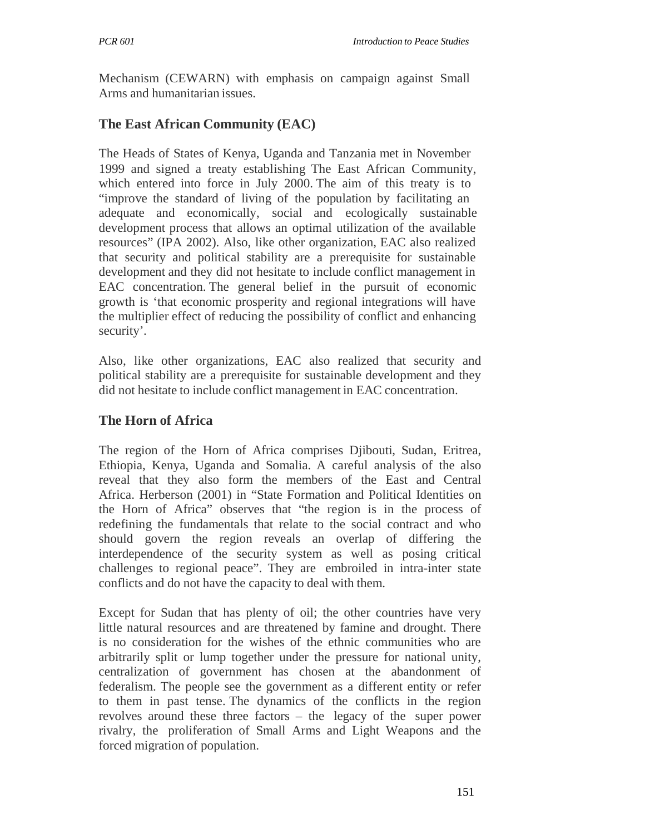Mechanism (CEWARN) with emphasis on campaign against Small Arms and humanitarian issues.

# **The East African Community (EAC)**

The Heads of States of Kenya, Uganda and Tanzania met in November 1999 and signed a treaty establishing The East African Community, which entered into force in July 2000. The aim of this treaty is to "improve the standard of living of the population by facilitating an adequate and economically, social and ecologically sustainable development process that allows an optimal utilization of the available resources" (IPA 2002). Also, like other organization, EAC also realized that security and political stability are a prerequisite for sustainable development and they did not hesitate to include conflict management in EAC concentration. The general belief in the pursuit of economic growth is 'that economic prosperity and regional integrations will have the multiplier effect of reducing the possibility of conflict and enhancing security'.

Also, like other organizations, EAC also realized that security and political stability are a prerequisite for sustainable development and they did not hesitate to include conflict management in EAC concentration.

# **The Horn of Africa**

The region of the Horn of Africa comprises Djibouti, Sudan, Eritrea, Ethiopia, Kenya, Uganda and Somalia. A careful analysis of the also reveal that they also form the members of the East and Central Africa. Herberson (2001) in "State Formation and Political Identities on the Horn of Africa" observes that "the region is in the process of redefining the fundamentals that relate to the social contract and who should govern the region reveals an overlap of differing the interdependence of the security system as well as posing critical challenges to regional peace". They are embroiled in intra-inter state conflicts and do not have the capacity to deal with them.

Except for Sudan that has plenty of oil; the other countries have very little natural resources and are threatened by famine and drought. There is no consideration for the wishes of the ethnic communities who are arbitrarily split or lump together under the pressure for national unity, centralization of government has chosen at the abandonment of federalism. The people see the government as a different entity or refer to them in past tense. The dynamics of the conflicts in the region revolves around these three factors – the legacy of the super power rivalry, the proliferation of Small Arms and Light Weapons and the forced migration of population.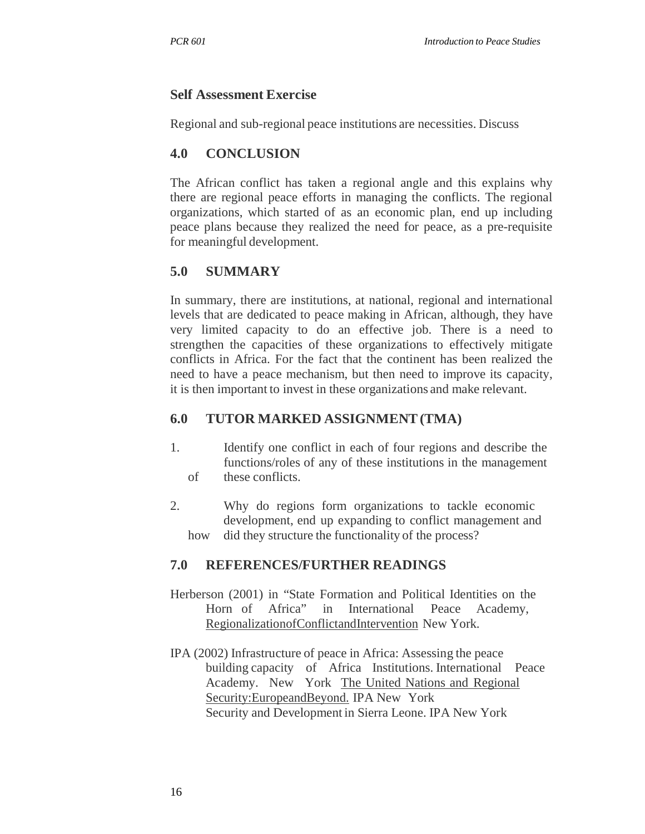# **Self Assessment Exercise**

Regional and sub-regional peace institutions are necessities. Discuss

# **4.0 CONCLUSION**

The African conflict has taken a regional angle and this explains why there are regional peace efforts in managing the conflicts. The regional organizations, which started of as an economic plan, end up including peace plans because they realized the need for peace, as a pre-requisite for meaningful development.

# **5.0 SUMMARY**

In summary, there are institutions, at national, regional and international levels that are dedicated to peace making in African, although, they have very limited capacity to do an effective job. There is a need to strengthen the capacities of these organizations to effectively mitigate conflicts in Africa. For the fact that the continent has been realized the need to have a peace mechanism, but then need to improve its capacity, it is then important to invest in these organizations and make relevant.

# **6.0 TUTOR MARKED ASSIGNMENT (TMA)**

- 1. of Identify one conflict in each of four regions and describe the functions/roles of any of these institutions in the management these conflicts.
- 2. how Why do regions form organizations to tackle economic development, end up expanding to conflict management and did they structure the functionality of the process?

# **7.0 REFERENCES/FURTHER READINGS**

- Herberson (2001) in "State Formation and Political Identities on the Horn of Africa" in International Peace Academy, RegionalizationofConflictandIntervention New York.
- IPA (2002) Infrastructure of peace in Africa: Assessing the peace building capacity of Africa Institutions. International Peace Academy. New York The United Nations and Regional Security:EuropeandBeyond. IPA New York Security and Development in Sierra Leone. IPA New York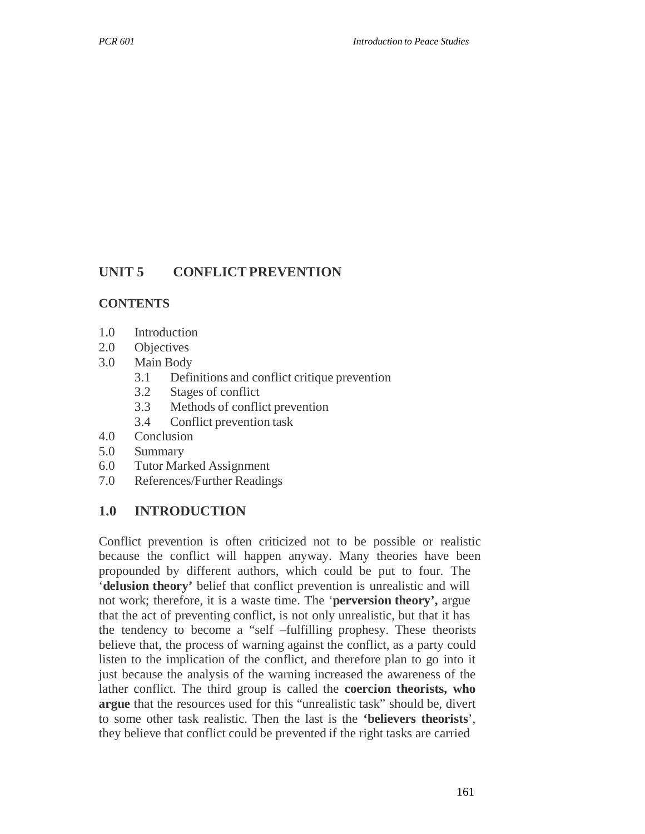#### **UNIT 5 CONFLICT PREVENTION**

#### **CONTENTS**

- 1.0 Introduction
- 2.0 Objectives
- 3.0 Main Body
	- 3.1 Definitions and conflict critique prevention
	- 3.2 Stages of conflict
	- 3.3 Methods of conflict prevention
	- 3.4 Conflict prevention task
- 4.0 Conclusion
- 5.0 Summary
- 6.0 Tutor Marked Assignment
- 7.0 References/Further Readings

### **1.0 INTRODUCTION**

Conflict prevention is often criticized not to be possible or realistic because the conflict will happen anyway. Many theories have been propounded by different authors, which could be put to four. The '**delusion theory'** belief that conflict prevention is unrealistic and will not work; therefore, it is a waste time. The '**perversion theory',** argue that the act of preventing conflict, is not only unrealistic, but that it has the tendency to become a "self –fulfilling prophesy. These theorists believe that, the process of warning against the conflict, as a party could listen to the implication of the conflict, and therefore plan to go into it just because the analysis of the warning increased the awareness of the lather conflict. The third group is called the **coercion theorists, who argue** that the resources used for this "unrealistic task" should be, divert to some other task realistic. Then the last is the **'believers theorists**', they believe that conflict could be prevented if the right tasks are carried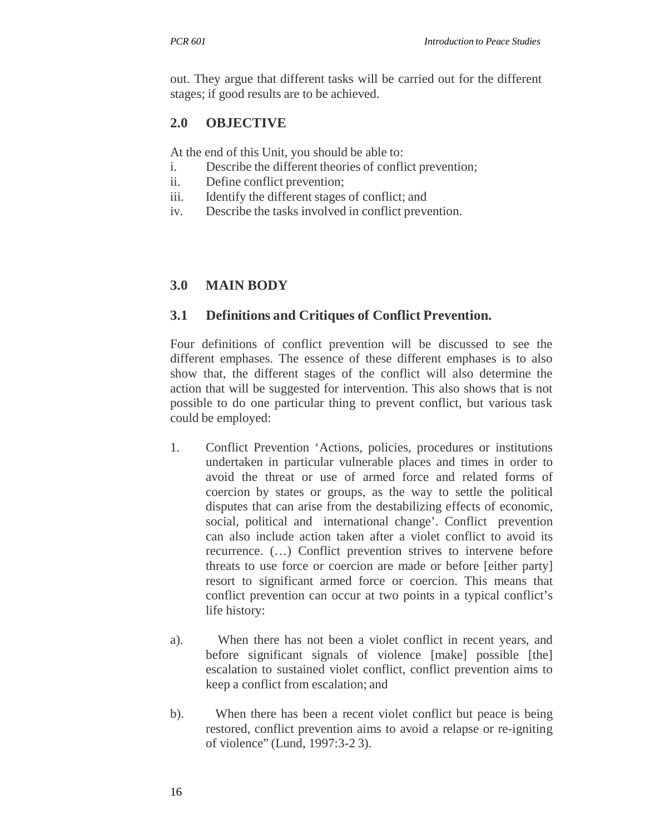out. They argue that different tasks will be carried out for the different stages; if good results are to be achieved.

# **2.0 OBJECTIVE**

At the end of this Unit, you should be able to:

- i. Describe the different theories of conflict prevention;
- ii. Define conflict prevention;
- iii. Identify the different stages of conflict; and
- iv. Describe the tasks involved in conflict prevention.

# **3.0 MAIN BODY**

### **3.1 Definitions and Critiques of Conflict Prevention.**

Four definitions of conflict prevention will be discussed to see the different emphases. The essence of these different emphases is to also show that, the different stages of the conflict will also determine the action that will be suggested for intervention. This also shows that is not possible to do one particular thing to prevent conflict, but various task could be employed:

- 1. Conflict Prevention 'Actions, policies, procedures or institutions undertaken in particular vulnerable places and times in order to avoid the threat or use of armed force and related forms of coercion by states or groups, as the way to settle the political disputes that can arise from the destabilizing effects of economic, social, political and international change'. Conflict prevention can also include action taken after a violet conflict to avoid its recurrence. (…) Conflict prevention strives to intervene before threats to use force or coercion are made or before [either party] resort to significant armed force or coercion. This means that conflict prevention can occur at two points in a typical conflict's life history:
- a). When there has not been a violet conflict in recent years, and before significant signals of violence [make] possible [the] escalation to sustained violet conflict, conflict prevention aims to keep a conflict from escalation; and
- b). When there has been a recent violet conflict but peace is being restored, conflict prevention aims to avoid a relapse or re-igniting of violence" (Lund, 1997:3-2 3).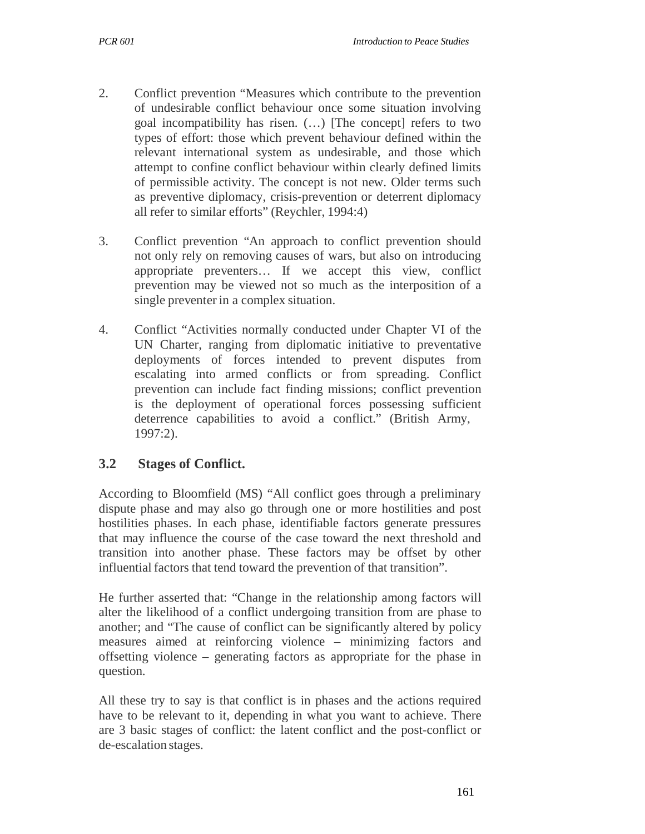- 2. Conflict prevention "Measures which contribute to the prevention of undesirable conflict behaviour once some situation involving goal incompatibility has risen. (…) [The concept] refers to two types of effort: those which prevent behaviour defined within the relevant international system as undesirable, and those which attempt to confine conflict behaviour within clearly defined limits of permissible activity. The concept is not new. Older terms such as preventive diplomacy, crisis-prevention or deterrent diplomacy all refer to similar efforts" (Reychler, 1994:4)
- 3. Conflict prevention "An approach to conflict prevention should not only rely on removing causes of wars, but also on introducing appropriate preventers… If we accept this view, conflict prevention may be viewed not so much as the interposition of a single preventer in a complex situation.
- 4. Conflict "Activities normally conducted under Chapter VI of the UN Charter, ranging from diplomatic initiative to preventative deployments of forces intended to prevent disputes from escalating into armed conflicts or from spreading. Conflict prevention can include fact finding missions; conflict prevention is the deployment of operational forces possessing sufficient deterrence capabilities to avoid a conflict." (British Army, 1997:2).

#### **3.2 Stages of Conflict.**

According to Bloomfield (MS) "All conflict goes through a preliminary dispute phase and may also go through one or more hostilities and post hostilities phases. In each phase, identifiable factors generate pressures that may influence the course of the case toward the next threshold and transition into another phase. These factors may be offset by other influential factors that tend toward the prevention of that transition".

He further asserted that: "Change in the relationship among factors will alter the likelihood of a conflict undergoing transition from are phase to another; and "The cause of conflict can be significantly altered by policy measures aimed at reinforcing violence – minimizing factors and offsetting violence – generating factors as appropriate for the phase in question.

All these try to say is that conflict is in phases and the actions required have to be relevant to it, depending in what you want to achieve. There are 3 basic stages of conflict: the latent conflict and the post-conflict or de-escalation stages.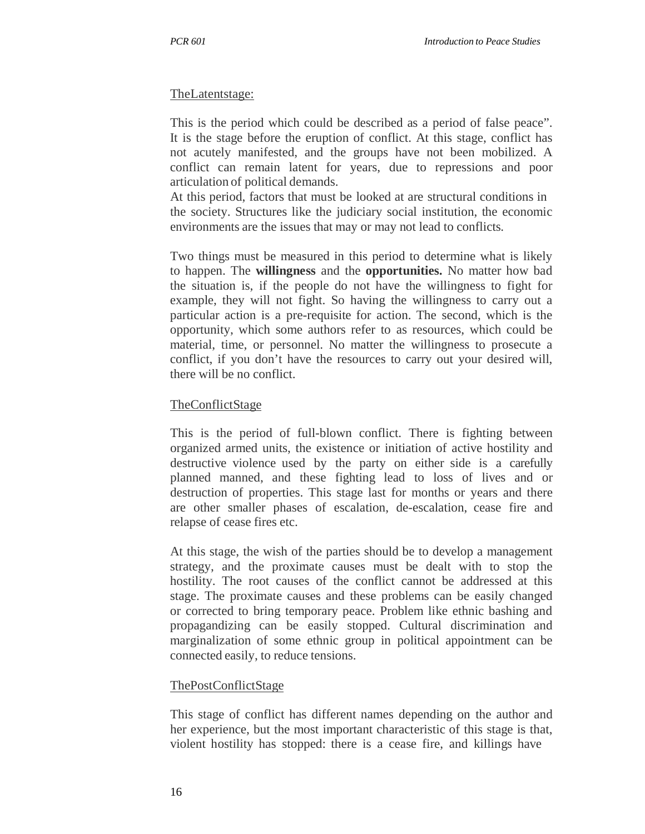#### TheLatentstage:

This is the period which could be described as a period of false peace". It is the stage before the eruption of conflict. At this stage, conflict has not acutely manifested, and the groups have not been mobilized. A conflict can remain latent for years, due to repressions and poor articulation of political demands.

At this period, factors that must be looked at are structural conditions in the society. Structures like the judiciary social institution, the economic environments are the issues that may or may not lead to conflicts.

Two things must be measured in this period to determine what is likely to happen. The **willingness** and the **opportunities.** No matter how bad the situation is, if the people do not have the willingness to fight for example, they will not fight. So having the willingness to carry out a particular action is a pre-requisite for action. The second, which is the opportunity, which some authors refer to as resources, which could be material, time, or personnel. No matter the willingness to prosecute a conflict, if you don't have the resources to carry out your desired will, there will be no conflict.

#### TheConflictStage

This is the period of full-blown conflict. There is fighting between organized armed units, the existence or initiation of active hostility and destructive violence used by the party on either side is a carefully planned manned, and these fighting lead to loss of lives and or destruction of properties. This stage last for months or years and there are other smaller phases of escalation, de-escalation, cease fire and relapse of cease fires etc.

At this stage, the wish of the parties should be to develop a management strategy, and the proximate causes must be dealt with to stop the hostility. The root causes of the conflict cannot be addressed at this stage. The proximate causes and these problems can be easily changed or corrected to bring temporary peace. Problem like ethnic bashing and propagandizing can be easily stopped. Cultural discrimination and marginalization of some ethnic group in political appointment can be connected easily, to reduce tensions.

#### ThePostConflictStage

This stage of conflict has different names depending on the author and her experience, but the most important characteristic of this stage is that, violent hostility has stopped: there is a cease fire, and killings have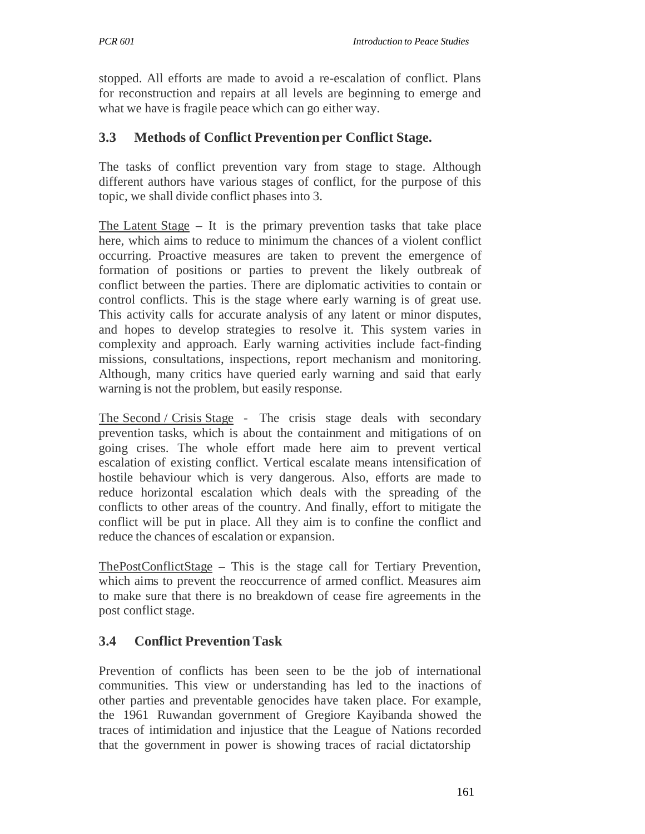stopped. All efforts are made to avoid a re-escalation of conflict. Plans for reconstruction and repairs at all levels are beginning to emerge and what we have is fragile peace which can go either way.

### **3.3 Methods of Conflict Prevention per Conflict Stage.**

The tasks of conflict prevention vary from stage to stage. Although different authors have various stages of conflict, for the purpose of this topic, we shall divide conflict phases into 3.

The Latent Stage  $-$  It is the primary prevention tasks that take place here, which aims to reduce to minimum the chances of a violent conflict occurring. Proactive measures are taken to prevent the emergence of formation of positions or parties to prevent the likely outbreak of conflict between the parties. There are diplomatic activities to contain or control conflicts. This is the stage where early warning is of great use. This activity calls for accurate analysis of any latent or minor disputes, and hopes to develop strategies to resolve it. This system varies in complexity and approach. Early warning activities include fact-finding missions, consultations, inspections, report mechanism and monitoring. Although, many critics have queried early warning and said that early warning is not the problem, but easily response.

The Second / Crisis Stage - The crisis stage deals with secondary prevention tasks, which is about the containment and mitigations of on going crises. The whole effort made here aim to prevent vertical escalation of existing conflict. Vertical escalate means intensification of hostile behaviour which is very dangerous. Also, efforts are made to reduce horizontal escalation which deals with the spreading of the conflicts to other areas of the country. And finally, effort to mitigate the conflict will be put in place. All they aim is to confine the conflict and reduce the chances of escalation or expansion.

ThePostConflictStage – This is the stage call for Tertiary Prevention, which aims to prevent the reoccurrence of armed conflict. Measures aim to make sure that there is no breakdown of cease fire agreements in the post conflict stage.

## **3.4 Conflict Prevention Task**

Prevention of conflicts has been seen to be the job of international communities. This view or understanding has led to the inactions of other parties and preventable genocides have taken place. For example, the 1961 Ruwandan government of Gregiore Kayibanda showed the traces of intimidation and injustice that the League of Nations recorded that the government in power is showing traces of racial dictatorship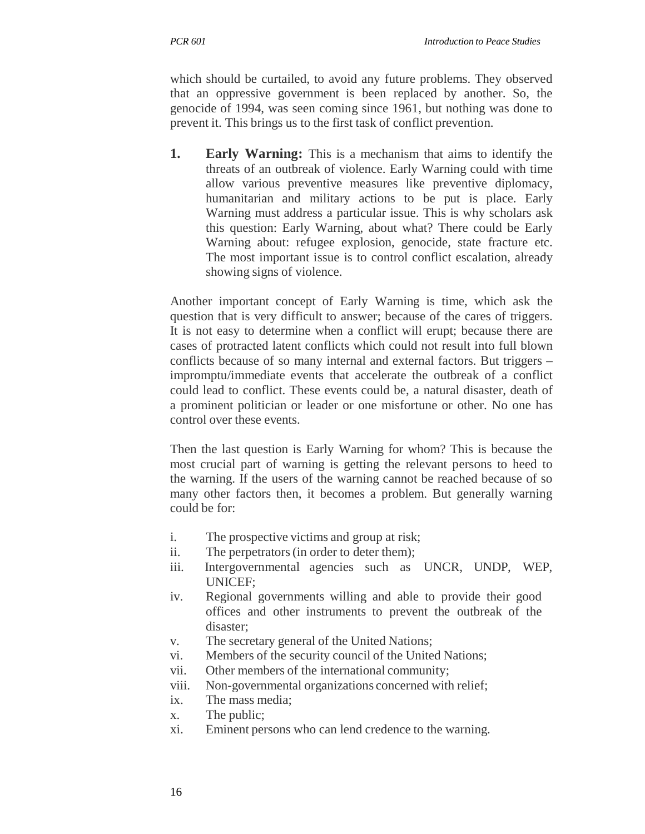which should be curtailed, to avoid any future problems. They observed that an oppressive government is been replaced by another. So, the genocide of 1994, was seen coming since 1961, but nothing was done to prevent it. This brings us to the first task of conflict prevention.

**1. Early Warning:** This is a mechanism that aims to identify the threats of an outbreak of violence. Early Warning could with time allow various preventive measures like preventive diplomacy, humanitarian and military actions to be put is place. Early Warning must address a particular issue. This is why scholars ask this question: Early Warning, about what? There could be Early Warning about: refugee explosion, genocide, state fracture etc. The most important issue is to control conflict escalation, already showing signs of violence.

Another important concept of Early Warning is time, which ask the question that is very difficult to answer; because of the cares of triggers. It is not easy to determine when a conflict will erupt; because there are cases of protracted latent conflicts which could not result into full blown conflicts because of so many internal and external factors. But triggers – impromptu/immediate events that accelerate the outbreak of a conflict could lead to conflict. These events could be, a natural disaster, death of a prominent politician or leader or one misfortune or other. No one has control over these events.

Then the last question is Early Warning for whom? This is because the most crucial part of warning is getting the relevant persons to heed to the warning. If the users of the warning cannot be reached because of so many other factors then, it becomes a problem. But generally warning could be for:

- i. The prospective victims and group at risk;
- ii. The perpetrators (in order to deter them);
- iii. Intergovernmental agencies such as UNCR, UNDP, WEP, UNICEF;
- iv. Regional governments willing and able to provide their good offices and other instruments to prevent the outbreak of the disaster;
- v. The secretary general of the United Nations;
- vi. Members of the security council of the United Nations;
- vii. Other members of the international community;
- viii. Non-governmental organizations concerned with relief;
- ix. The mass media;
- x. The public;
- xi. Eminent persons who can lend credence to the warning.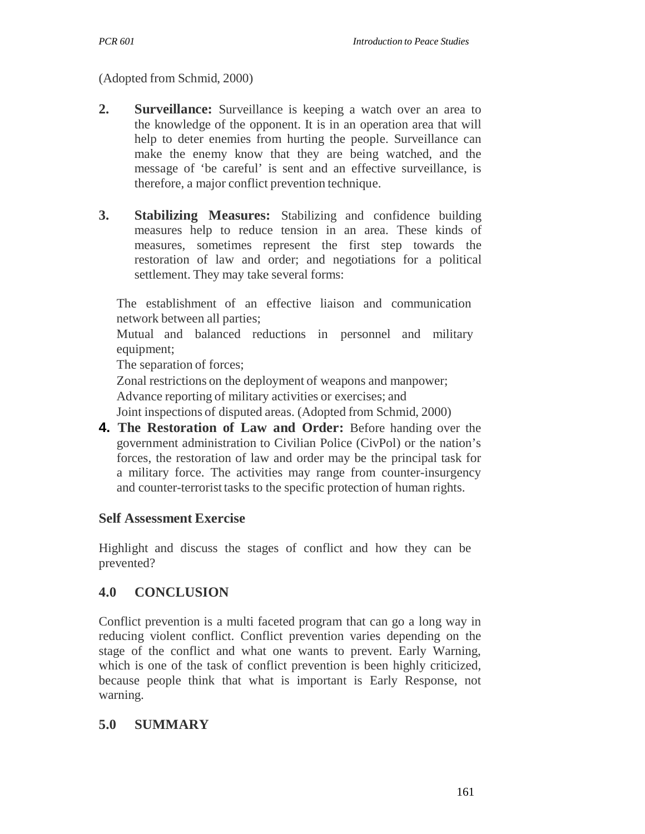(Adopted from Schmid, 2000)

- **2.** Surveillance: Surveillance is keeping a watch over an area to the knowledge of the opponent. It is in an operation area that will help to deter enemies from hurting the people. Surveillance can make the enemy know that they are being watched, and the message of 'be careful' is sent and an effective surveillance, is therefore, a major conflict prevention technique.
- **3. Stabilizing Measures:** Stabilizing and confidence building measures help to reduce tension in an area. These kinds of measures, sometimes represent the first step towards the restoration of law and order; and negotiations for a political settlement. They may take several forms:

The establishment of an effective liaison and communication network between all parties;

Mutual and balanced reductions in personnel and military equipment;

The separation of forces;

Zonal restrictions on the deployment of weapons and manpower; Advance reporting of military activities or exercises; and Joint inspections of disputed areas. (Adopted from Schmid, 2000)

**4. The Restoration of Law and Order:** Before handing over the government administration to Civilian Police (CivPol) or the nation's forces, the restoration of law and order may be the principal task for a military force. The activities may range from counter-insurgency and counter-terrorist tasks to the specific protection of human rights.

## **Self Assessment Exercise**

Highlight and discuss the stages of conflict and how they can be prevented?

# **4.0 CONCLUSION**

Conflict prevention is a multi faceted program that can go a long way in reducing violent conflict. Conflict prevention varies depending on the stage of the conflict and what one wants to prevent. Early Warning, which is one of the task of conflict prevention is been highly criticized, because people think that what is important is Early Response, not warning.

## **5.0 SUMMARY**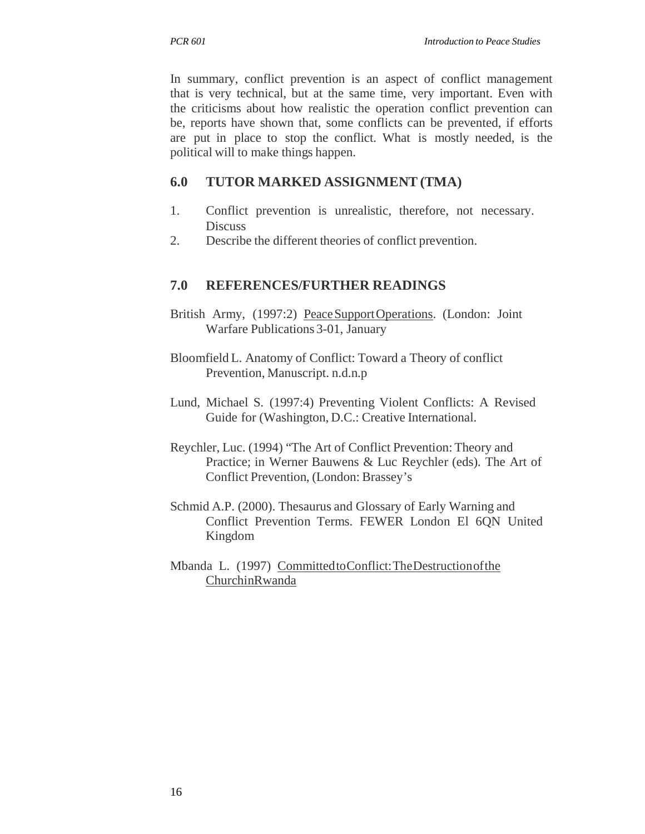In summary, conflict prevention is an aspect of conflict management that is very technical, but at the same time, very important. Even with the criticisms about how realistic the operation conflict prevention can be, reports have shown that, some conflicts can be prevented, if efforts are put in place to stop the conflict. What is mostly needed, is the political will to make things happen.

# **6.0 TUTOR MARKED ASSIGNMENT (TMA)**

- 1. Conflict prevention is unrealistic, therefore, not necessary. **Discuss**
- 2. Describe the different theories of conflict prevention.

## **7.0 REFERENCES/FURTHER READINGS**

- British Army, (1997:2) Peace Support Operations. (London: Joint Warfare Publications 3-01, January
- Bloomfield L. Anatomy of Conflict: Toward a Theory of conflict Prevention, Manuscript. n.d.n.p
- Lund, Michael S. (1997:4) Preventing Violent Conflicts: A Revised Guide for (Washington, D.C.: Creative International.
- Reychler, Luc. (1994) "The Art of Conflict Prevention: Theory and Practice; in Werner Bauwens & Luc Reychler (eds). The Art of Conflict Prevention, (London: Brassey's
- Schmid A.P. (2000). Thesaurus and Glossary of Early Warning and Conflict Prevention Terms. FEWER London El 6QN United Kingdom
- Mbanda L. (1997) Committed toConflict: The Destruction of the ChurchinRwanda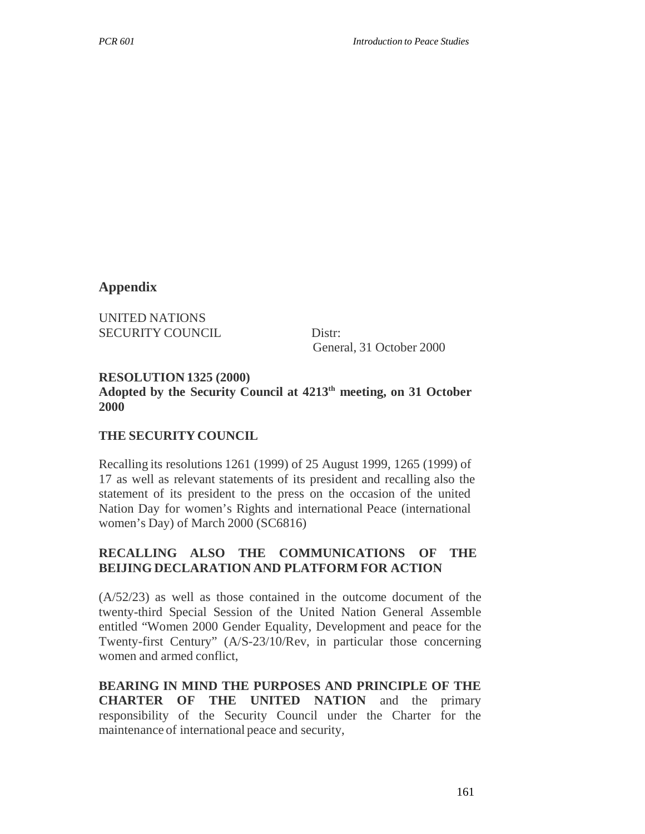#### **Appendix**

UNITED NATIONS SECURITY COUNCIL Distr:

General, 31 October 2000

### **RESOLUTION 1325 (2000) Adopted by the Security Council at 4213th meeting, on 31 October 2000**

#### **THE SECURITY COUNCIL**

Recalling its resolutions 1261 (1999) of 25 August 1999, 1265 (1999) of 17 as well as relevant statements of its president and recalling also the statement of its president to the press on the occasion of the united Nation Day for women's Rights and international Peace (international women's Day) of March 2000 (SC6816)

### **RECALLING ALSO THE COMMUNICATIONS OF THE BEIJING DECLARATION AND PLATFORM FOR ACTION**

(A/52/23) as well as those contained in the outcome document of the twenty-third Special Session of the United Nation General Assemble entitled "Women 2000 Gender Equality, Development and peace for the Twenty-first Century" (A/S-23/10/Rev, in particular those concerning women and armed conflict,

**BEARING IN MIND THE PURPOSES AND PRINCIPLE OF THE CHARTER OF THE UNITED NATION** and the primary responsibility of the Security Council under the Charter for the maintenance of international peace and security,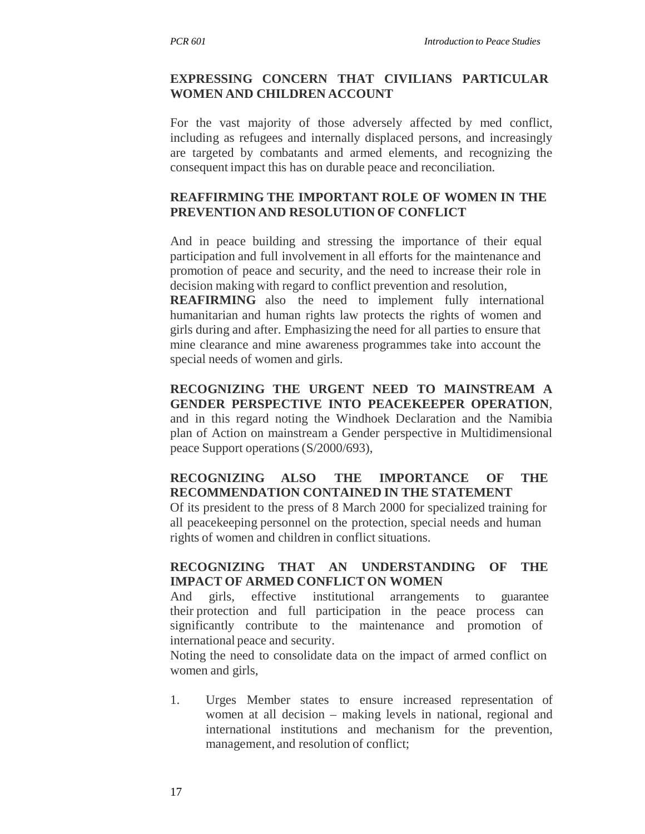#### **EXPRESSING CONCERN THAT CIVILIANS PARTICULAR WOMEN AND CHILDREN ACCOUNT**

For the vast majority of those adversely affected by med conflict, including as refugees and internally displaced persons, and increasingly are targeted by combatants and armed elements, and recognizing the consequent impact this has on durable peace and reconciliation.

#### **REAFFIRMING THE IMPORTANT ROLE OF WOMEN IN THE PREVENTION AND RESOLUTION OF CONFLICT**

And in peace building and stressing the importance of their equal participation and full involvement in all efforts for the maintenance and promotion of peace and security, and the need to increase their role in decision making with regard to conflict prevention and resolution,

**REAFIRMING** also the need to implement fully international humanitarian and human rights law protects the rights of women and girls during and after. Emphasizing the need for all parties to ensure that mine clearance and mine awareness programmes take into account the special needs of women and girls.

**RECOGNIZING THE URGENT NEED TO MAINSTREAM A GENDER PERSPECTIVE INTO PEACEKEEPER OPERATION**, and in this regard noting the Windhoek Declaration and the Namibia plan of Action on mainstream a Gender perspective in Multidimensional peace Support operations (S/2000/693),

### **RECOGNIZING ALSO THE IMPORTANCE OF THE RECOMMENDATION CONTAINED IN THE STATEMENT**

Of its president to the press of 8 March 2000 for specialized training for all peacekeeping personnel on the protection, special needs and human rights of women and children in conflict situations.

#### **RECOGNIZING THAT AN UNDERSTANDING OF THE IMPACT OF ARMED CONFLICT ON WOMEN**

And girls, effective institutional arrangements to guarantee their protection and full participation in the peace process can significantly contribute to the maintenance and promotion of international peace and security.

Noting the need to consolidate data on the impact of armed conflict on women and girls,

1. Urges Member states to ensure increased representation of women at all decision – making levels in national, regional and international institutions and mechanism for the prevention, management, and resolution of conflict;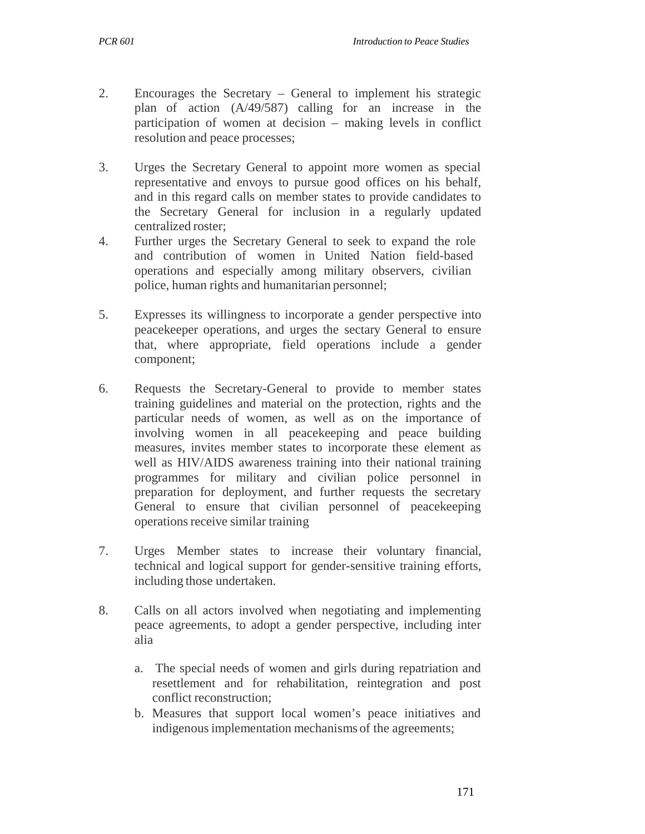- 2. Encourages the Secretary General to implement his strategic plan of action (A/49/587) calling for an increase in the participation of women at decision – making levels in conflict resolution and peace processes;
- 3. Urges the Secretary General to appoint more women as special representative and envoys to pursue good offices on his behalf, and in this regard calls on member states to provide candidates to the Secretary General for inclusion in a regularly updated centralized roster;
- 4. Further urges the Secretary General to seek to expand the role and contribution of women in United Nation field-based operations and especially among military observers, civilian police, human rights and humanitarian personnel;
- 5. Expresses its willingness to incorporate a gender perspective into peacekeeper operations, and urges the sectary General to ensure that, where appropriate, field operations include a gender component;
- 6. Requests the Secretary-General to provide to member states training guidelines and material on the protection, rights and the particular needs of women, as well as on the importance of involving women in all peacekeeping and peace building measures, invites member states to incorporate these element as well as HIV/AIDS awareness training into their national training programmes for military and civilian police personnel in preparation for deployment, and further requests the secretary General to ensure that civilian personnel of peacekeeping operations receive similar training
- 7. Urges Member states to increase their voluntary financial, technical and logical support for gender-sensitive training efforts, including those undertaken.
- 8. Calls on all actors involved when negotiating and implementing peace agreements, to adopt a gender perspective, including inter alia
	- a. The special needs of women and girls during repatriation and resettlement and for rehabilitation, reintegration and post conflict reconstruction;
	- b. Measures that support local women's peace initiatives and indigenous implementation mechanisms of the agreements;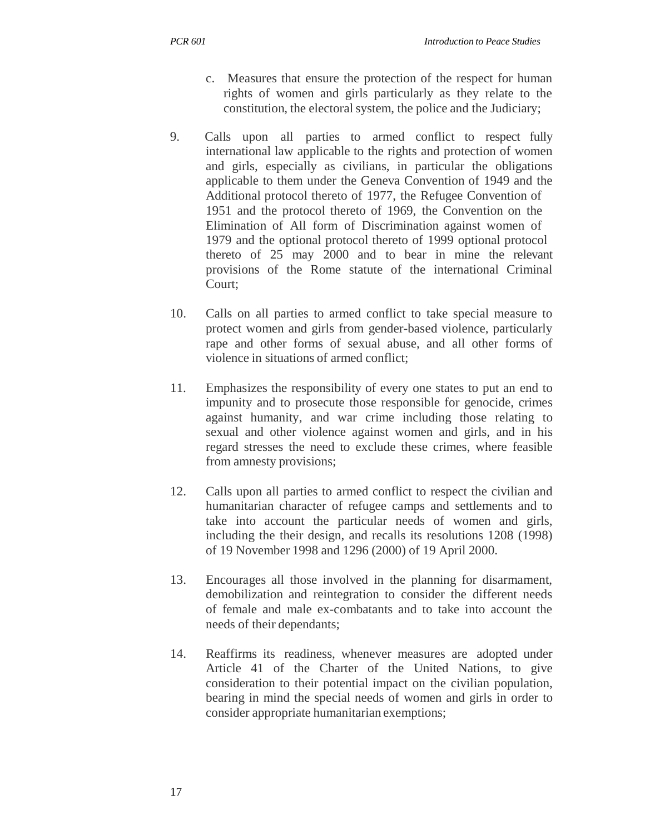- c. Measures that ensure the protection of the respect for human rights of women and girls particularly as they relate to the constitution, the electoral system, the police and the Judiciary;
- 9. Calls upon all parties to armed conflict to respect fully international law applicable to the rights and protection of women and girls, especially as civilians, in particular the obligations applicable to them under the Geneva Convention of 1949 and the Additional protocol thereto of 1977, the Refugee Convention of 1951 and the protocol thereto of 1969, the Convention on the Elimination of All form of Discrimination against women of 1979 and the optional protocol thereto of 1999 optional protocol thereto of 25 may 2000 and to bear in mine the relevant provisions of the Rome statute of the international Criminal Court;
- 10. Calls on all parties to armed conflict to take special measure to protect women and girls from gender-based violence, particularly rape and other forms of sexual abuse, and all other forms of violence in situations of armed conflict;
- 11. Emphasizes the responsibility of every one states to put an end to impunity and to prosecute those responsible for genocide, crimes against humanity, and war crime including those relating to sexual and other violence against women and girls, and in his regard stresses the need to exclude these crimes, where feasible from amnesty provisions;
- 12. Calls upon all parties to armed conflict to respect the civilian and humanitarian character of refugee camps and settlements and to take into account the particular needs of women and girls, including the their design, and recalls its resolutions 1208 (1998) of 19 November 1998 and 1296 (2000) of 19 April 2000.
- 13. Encourages all those involved in the planning for disarmament, demobilization and reintegration to consider the different needs of female and male ex-combatants and to take into account the needs of their dependants;
- 14. Reaffirms its readiness, whenever measures are adopted under Article 41 of the Charter of the United Nations, to give consideration to their potential impact on the civilian population, bearing in mind the special needs of women and girls in order to consider appropriate humanitarian exemptions;